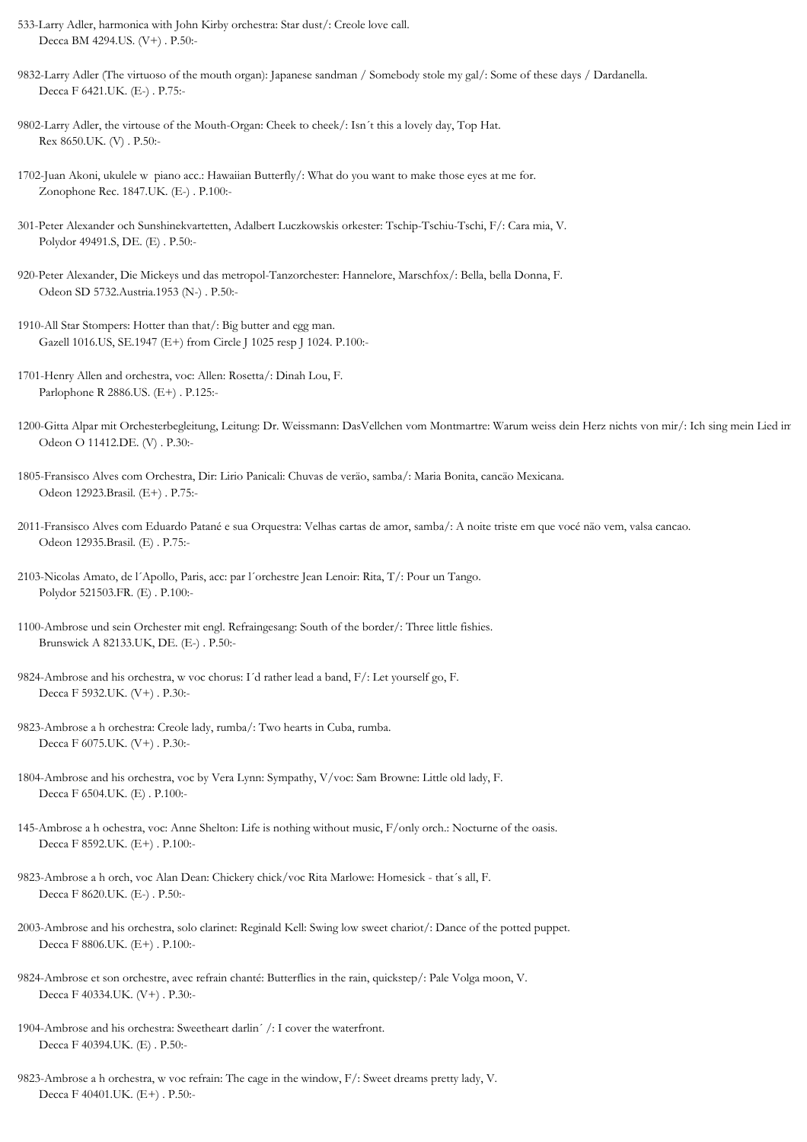- 533-Larry Adler, harmonica with John Kirby orchestra: Star dust/: Creole love call. Decca BM 4294.US. (V+) . P.50:-
- 9832-Larry Adler (The virtuoso of the mouth organ): Japanese sandman / Somebody stole my gal/: Some of these days / Dardanella. Decca F 6421.UK. (E-) . P.75:-
- 9802-Larry Adler, the virtouse of the Mouth-Organ: Cheek to cheek/: Isn´t this a lovely day, Top Hat. Rex 8650.UK. (V) . P.50:-
- 1702-Juan Akoni, ukulele w piano acc.: Hawaiian Butterfly/: What do you want to make those eyes at me for. Zonophone Rec. 1847.UK. (E-) . P.100:-
- 301-Peter Alexander och Sunshinekvartetten, Adalbert Luczkowskis orkester: Tschip-Tschiu-Tschi, F/: Cara mia, V. Polydor 49491.S, DE. (E) . P.50:-
- 920-Peter Alexander, Die Mickeys und das metropol-Tanzorchester: Hannelore, Marschfox/: Bella, bella Donna, F. Odeon SD 5732.Austria.1953 (N-) . P.50:-
- 1910-All Star Stompers: Hotter than that/: Big butter and egg man. Gazell 1016.US, SE.1947 (E+) from Circle J 1025 resp J 1024. P.100:-
- 1701-Henry Allen and orchestra, voc: Allen: Rosetta/: Dinah Lou, F. Parlophone R 2886.US. (E+) . P.125:-
- 1200-Gitta Alpar mit Orchesterbegleitung, Leitung: Dr. Weissmann: DasVellchen vom Montmartre: Warum weiss dein Herz nichts von mir/: Ich sing mein Lied im Odeon O 11412.DE. (V) . P.30:-
- 1805-Fransisco Alves com Orchestra, Dir: Lirio Panicali: Chuvas de veräo, samba/: Maria Bonita, cancäo Mexicana. Odeon 12923.Brasil. (E+) . P.75:-
- 2011-Fransisco Alves com Eduardo Patané e sua Orquestra: Velhas cartas de amor, samba/: A noite triste em que vocé näo vem, valsa cancao. Odeon 12935.Brasil. (E) . P.75:-
- 2103-Nicolas Amato, de l´Apollo, Paris, acc: par l´orchestre Jean Lenoir: Rita, T/: Pour un Tango. Polydor 521503.FR. (E) . P.100:-
- 1100-Ambrose und sein Orchester mit engl. Refraingesang: South of the border/: Three little fishies. Brunswick A 82133.UK, DE. (E-) . P.50:-
- 9824-Ambrose and his orchestra, w voc chorus: I´d rather lead a band, F/: Let yourself go, F. Decca F 5932.UK. (V+) . P.30:-
- 9823-Ambrose a h orchestra: Creole lady, rumba/: Two hearts in Cuba, rumba. Decca F 6075.UK. (V+) . P.30:-
- 1804-Ambrose and his orchestra, voc by Vera Lynn: Sympathy, V/voc: Sam Browne: Little old lady, F. Decca F 6504.UK. (E) . P.100:-
- 145-Ambrose a h ochestra, voc: Anne Shelton: Life is nothing without music, F/only orch.: Nocturne of the oasis. Decca F 8592.UK. (E+) . P.100:-
- 9823-Ambrose a h orch, voc Alan Dean: Chickery chick/voc Rita Marlowe: Homesick that´s all, F. Decca F 8620.UK. (E-) . P.50:-
- 2003-Ambrose and his orchestra, solo clarinet: Reginald Kell: Swing low sweet chariot/: Dance of the potted puppet. Decca F 8806.UK. (E+) . P.100:-
- 9824-Ambrose et son orchestre, avec refrain chanté: Butterflies in the rain, quickstep/: Pale Volga moon, V. Decca F 40334.UK. (V+) . P.30:-
- 1904-Ambrose and his orchestra: Sweetheart darlin´ /: I cover the waterfront. Decca F 40394.UK. (E) . P.50:-
- 9823-Ambrose a h orchestra, w voc refrain: The cage in the window, F/: Sweet dreams pretty lady, V. Decca F 40401.UK. (E+) . P.50:-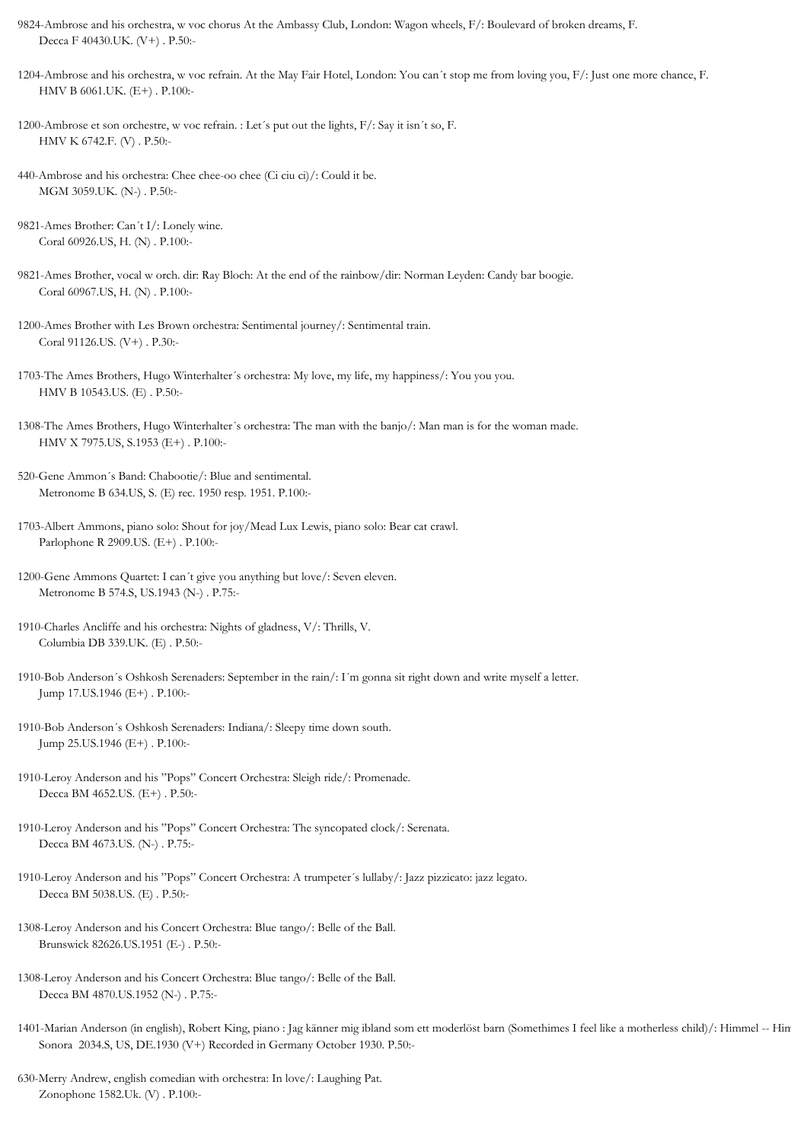- 9824-Ambrose and his orchestra, w voc chorus At the Ambassy Club, London: Wagon wheels, F/: Boulevard of broken dreams, F. Decca F 40430.UK. (V+) . P.50:-
- 1204-Ambrose and his orchestra, w voc refrain. At the May Fair Hotel, London: You can´t stop me from loving you, F/: Just one more chance, F. HMV B 6061.UK. (E+) . P.100:-
- 1200-Ambrose et son orchestre, w voc refrain. : Let´s put out the lights, F/: Say it isn´t so, F. HMV K 6742.F. (V) . P.50:-
- 440-Ambrose and his orchestra: Chee chee-oo chee (Ci ciu ci)/: Could it be. MGM 3059.UK. (N-) . P.50:-
- 9821-Ames Brother: Can´t I/: Lonely wine. Coral 60926.US, H. (N) . P.100:-
- 9821-Ames Brother, vocal w orch. dir: Ray Bloch: At the end of the rainbow/dir: Norman Leyden: Candy bar boogie. Coral 60967.US, H. (N) . P.100:-
- 1200-Ames Brother with Les Brown orchestra: Sentimental journey/: Sentimental train. Coral 91126.US. (V+) . P.30:-
- 1703-The Ames Brothers, Hugo Winterhalter´s orchestra: My love, my life, my happiness/: You you you. HMV B 10543.US. (E) . P.50:-
- 1308-The Ames Brothers, Hugo Winterhalter´s orchestra: The man with the banjo/: Man man is for the woman made. HMV X 7975.US, S.1953 (E+) . P.100:-
- 520-Gene Ammon´s Band: Chabootie/: Blue and sentimental. Metronome B 634.US, S. (E) rec. 1950 resp. 1951. P.100:-
- 1703-Albert Ammons, piano solo: Shout for joy/Mead Lux Lewis, piano solo: Bear cat crawl. Parlophone R 2909.US. (E+) . P.100:-
- 1200-Gene Ammons Quartet: I can´t give you anything but love/: Seven eleven. Metronome B 574.S, US.1943 (N-) . P.75:-
- 1910-Charles Ancliffe and his orchestra: Nights of gladness, V/: Thrills, V. Columbia DB 339.UK. (E) . P.50:-
- 1910-Bob Anderson´s Oshkosh Serenaders: September in the rain/: I´m gonna sit right down and write myself a letter. Jump 17.US.1946 (E+) . P.100:-
- 1910-Bob Anderson´s Oshkosh Serenaders: Indiana/: Sleepy time down south. Jump 25.US.1946 (E+) . P.100:-
- 1910-Leroy Anderson and his "Pops" Concert Orchestra: Sleigh ride/: Promenade. Decca BM 4652.US. (E+) . P.50:-
- 1910-Leroy Anderson and his "Pops" Concert Orchestra: The syncopated clock/: Serenata. Decca BM 4673.US. (N-) . P.75:-
- 1910-Leroy Anderson and his "Pops" Concert Orchestra: A trumpeter´s lullaby/: Jazz pizzicato: jazz legato. Decca BM 5038.US. (E) . P.50:-
- 1308-Leroy Anderson and his Concert Orchestra: Blue tango/: Belle of the Ball. Brunswick 82626.US.1951 (E-) . P.50:-
- 1308-Leroy Anderson and his Concert Orchestra: Blue tango/: Belle of the Ball. Decca BM 4870.US.1952 (N-) . P.75:-
- 1401-Marian Anderson (in english), Robert King, piano : Jag känner mig ibland som ett moderlöst barn (Somethimes I feel like a motherless child)/: Himmel -- Hin Sonora 2034.S, US, DE.1930 (V+) Recorded in Germany October 1930. P.50:-
- 630-Merry Andrew, english comedian with orchestra: In love/: Laughing Pat. Zonophone 1582.Uk. (V) . P.100:-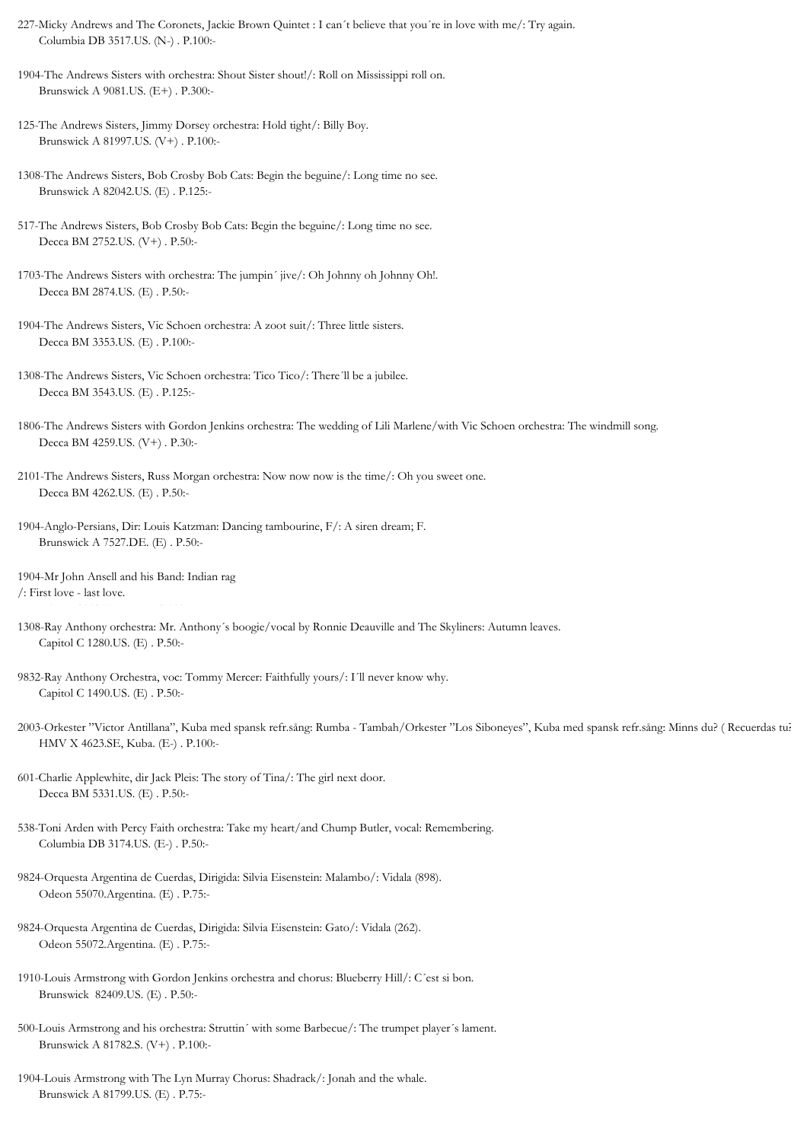227-Micky Andrews and The Coronets, Jackie Brown Quintet : I can´t believe that you´re in love with me/: Try again. Columbia DB 3517.US. (N-) . P.100:-

1904-The Andrews Sisters with orchestra: Shout Sister shout!/: Roll on Mississippi roll on. Brunswick A 9081.US. (E+) . P.300:-

125-The Andrews Sisters, Jimmy Dorsey orchestra: Hold tight/: Billy Boy. Brunswick A 81997.US. (V+) . P.100:-

1308-The Andrews Sisters, Bob Crosby Bob Cats: Begin the beguine/: Long time no see. Brunswick A 82042.US. (E) . P.125:-

- 517-The Andrews Sisters, Bob Crosby Bob Cats: Begin the beguine/: Long time no see. Decca BM 2752.US. (V+) . P.50:-
- 1703-The Andrews Sisters with orchestra: The jumpin´ jive/: Oh Johnny oh Johnny Oh!. Decca BM 2874.US. (E) . P.50:-
- 1904-The Andrews Sisters, Vic Schoen orchestra: A zoot suit/: Three little sisters. Decca BM 3353.US. (E) . P.100:-
- 1308-The Andrews Sisters, Vic Schoen orchestra: Tico Tico/: There´ll be a jubilee. Decca BM 3543.US. (E) . P.125:-
- 1806-The Andrews Sisters with Gordon Jenkins orchestra: The wedding of Lili Marlene/with Vic Schoen orchestra: The windmill song. Decca BM 4259.US. (V+) . P.30:-
- 2101-The Andrews Sisters, Russ Morgan orchestra: Now now now is the time/: Oh you sweet one. Decca BM 4262.US. (E) . P.50:-
- 1904-Anglo-Persians, Dir: Louis Katzman: Dancing tambourine, F/: A siren dream; F. Brunswick A 7527.DE. (E) . P.50:-

1904-Mr John Ansell and his Band: Indian rag /: First love - last love.

- 1308-Ray Anthony orchestra: Mr. Anthony´s boogie/vocal by Ronnie Deauville and The Skyliners: Autumn leaves. Capitol C 1280.US. (E) . P.50:-
- 9832-Ray Anthony Orchestra, voc: Tommy Mercer: Faithfully yours/: I´ll never know why. Capitol C 1490.US. (E) . P.50:-
- 2003-Orkester "Victor Antillana", Kuba med spansk refr.sång: Rumba Tambah/Orkester "Los Siboneyes", Kuba med spansk refr.sång: Minns du? ( Recuerdas tu?). HMV X 4623.SE, Kuba. (E-) . P.100:-
- 601-Charlie Applewhite, dir Jack Pleis: The story of Tina/: The girl next door. Decca BM 5331.US. (E) . P.50:-
- 538-Toni Arden with Percy Faith orchestra: Take my heart/and Chump Butler, vocal: Remembering. Columbia DB 3174.US. (E-) . P.50:-
- 9824-Orquesta Argentina de Cuerdas, Dirigida: Silvia Eisenstein: Malambo/: Vidala (898). Odeon 55070.Argentina. (E) . P.75:-
- 9824-Orquesta Argentina de Cuerdas, Dirigida: Silvia Eisenstein: Gato/: Vidala (262). Odeon 55072.Argentina. (E) . P.75:-
- 1910-Louis Armstrong with Gordon Jenkins orchestra and chorus: Blueberry Hill/: C´est si bon. Brunswick 82409.US. (E) . P.50:-
- 500-Louis Armstrong and his orchestra: Struttin´ with some Barbecue/: The trumpet player´s lament. Brunswick A 81782.S. (V+) . P.100:-
- 1904-Louis Armstrong with The Lyn Murray Chorus: Shadrack/: Jonah and the whale. Brunswick A 81799.US. (E) . P.75:-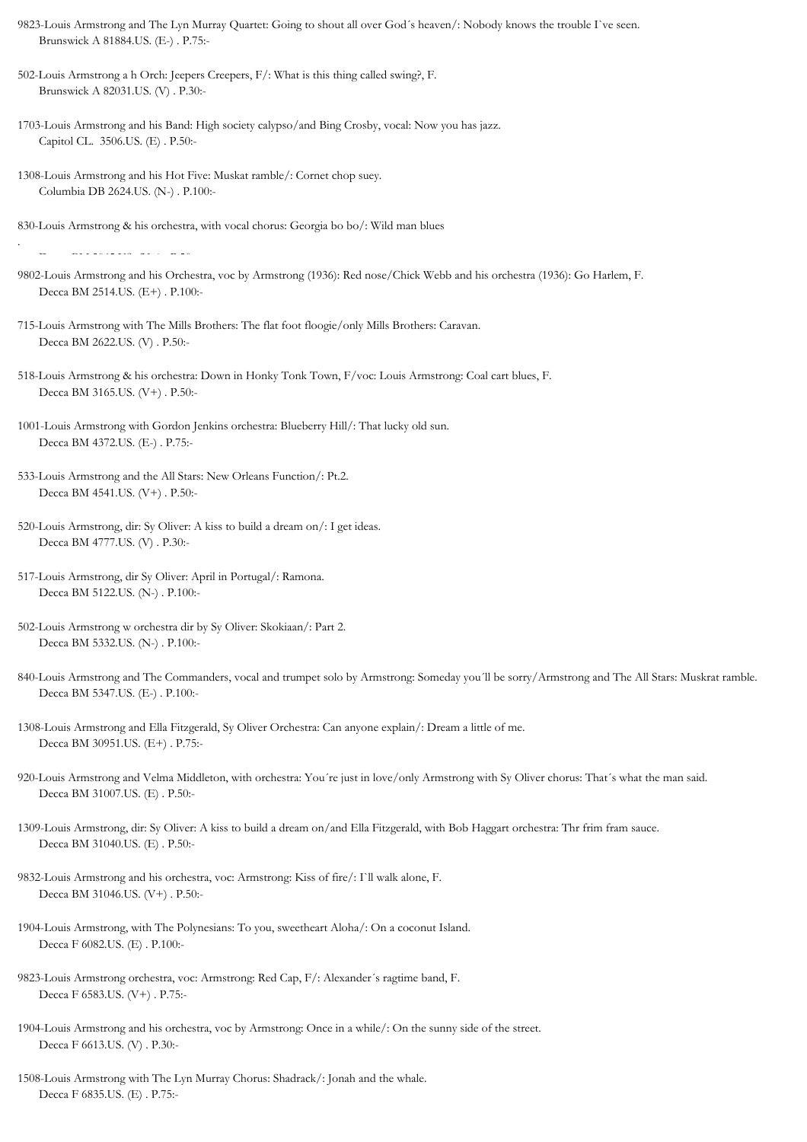- 9823-Louis Armstrong and The Lyn Murray Quartet: Going to shout all over God´s heaven/: Nobody knows the trouble I`ve seen. Brunswick A 81884.US. (E-) . P.75:-
- 502-Louis Armstrong a h Orch: Jeepers Creepers, F/: What is this thing called swing?, F. Brunswick A 82031.US. (V) . P.30:-
- 1703-Louis Armstrong and his Band: High society calypso/and Bing Crosby, vocal: Now you has jazz. Capitol CL. 3506.US. (E) . P.50:-
- 1308-Louis Armstrong and his Hot Five: Muskat ramble/: Cornet chop suey. Columbia DB 2624.US. (N-) . P.100:-
- 830-Louis Armstrong & his orchestra, with vocal chorus: Georgia bo bo/: Wild man blues

Decca BM 2065.US. (V+) . P.50:-

- 9802-Louis Armstrong and his Orchestra, voc by Armstrong (1936): Red nose/Chick Webb and his orchestra (1936): Go Harlem, F. Decca BM 2514.US. (E+) . P.100:-
- 715-Louis Armstrong with The Mills Brothers: The flat foot floogie/only Mills Brothers: Caravan. Decca BM 2622.US. (V) . P.50:-
- 518-Louis Armstrong & his orchestra: Down in Honky Tonk Town, F/voc: Louis Armstrong: Coal cart blues, F. Decca BM 3165.US. (V+) . P.50:-
- 1001-Louis Armstrong with Gordon Jenkins orchestra: Blueberry Hill/: That lucky old sun. Decca BM 4372.US. (E-) . P.75:-
- 533-Louis Armstrong and the All Stars: New Orleans Function/: Pt.2. Decca BM 4541.US. (V+) . P.50:-
- 520-Louis Armstrong, dir: Sy Oliver: A kiss to build a dream on/: I get ideas. Decca BM 4777.US. (V) . P.30:-
- 517-Louis Armstrong, dir Sy Oliver: April in Portugal/: Ramona. Decca BM 5122.US. (N-) . P.100:-
- 502-Louis Armstrong w orchestra dir by Sy Oliver: Skokiaan/: Part 2. Decca BM 5332.US. (N-) . P.100:-
- 840-Louis Armstrong and The Commanders, vocal and trumpet solo by Armstrong: Someday you´ll be sorry/Armstrong and The All Stars: Muskrat ramble. Decca BM 5347.US. (E-) . P.100:-
- 1308-Louis Armstrong and Ella Fitzgerald, Sy Oliver Orchestra: Can anyone explain/: Dream a little of me. Decca BM 30951.US. (E+) . P.75:-
- 920-Louis Armstrong and Velma Middleton, with orchestra: You´re just in love/only Armstrong with Sy Oliver chorus: That´s what the man said. Decca BM 31007.US. (E) . P.50:-
- 1309-Louis Armstrong, dir: Sy Oliver: A kiss to build a dream on/and Ella Fitzgerald, with Bob Haggart orchestra: Thr frim fram sauce. Decca BM 31040.US. (E) . P.50:-
- 9832-Louis Armstrong and his orchestra, voc: Armstrong: Kiss of fire/: I`ll walk alone, F. Decca BM 31046.US. (V+) . P.50:-
- 1904-Louis Armstrong, with The Polynesians: To you, sweetheart Aloha/: On a coconut Island. Decca F 6082.US. (E) . P.100:-
- 9823-Louis Armstrong orchestra, voc: Armstrong: Red Cap, F/: Alexander´s ragtime band, F. Decca F 6583.US. (V+) . P.75:-
- 1904-Louis Armstrong and his orchestra, voc by Armstrong: Once in a while/: On the sunny side of the street. Decca F 6613.US. (V) . P.30:-
- 1508-Louis Armstrong with The Lyn Murray Chorus: Shadrack/: Jonah and the whale. Decca F 6835.US. (E) . P.75:-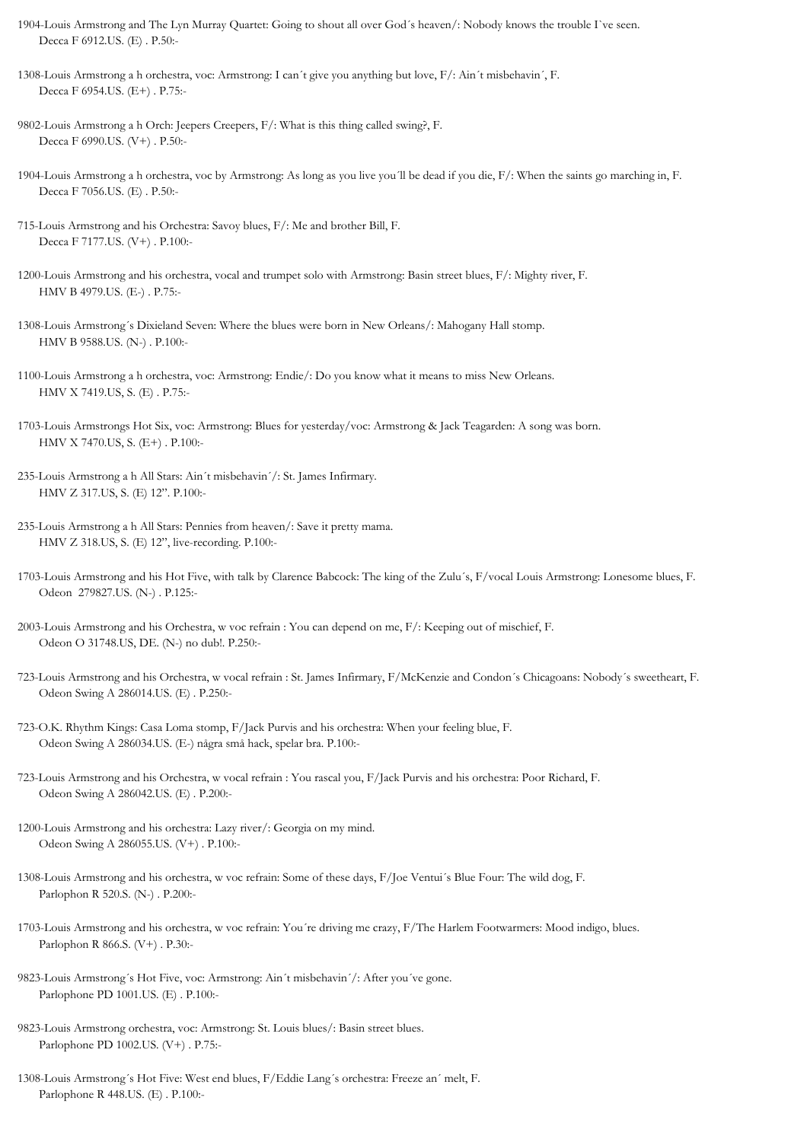- 1904-Louis Armstrong and The Lyn Murray Quartet: Going to shout all over God´s heaven/: Nobody knows the trouble I`ve seen. Decca F 6912.US. (E) . P.50:-
- 1308-Louis Armstrong a h orchestra, voc: Armstrong: I can´t give you anything but love, F/: Ain´t misbehavin´, F. Decca F 6954.US. (E+) . P.75:-
- 9802-Louis Armstrong a h Orch: Jeepers Creepers, F/: What is this thing called swing?, F. Decca F 6990.US. (V+) . P.50:-
- 1904-Louis Armstrong a h orchestra, voc by Armstrong: As long as you live you´ll be dead if you die, F/: When the saints go marching in, F. Decca F 7056.US. (E) . P.50:-
- 715-Louis Armstrong and his Orchestra: Savoy blues, F/: Me and brother Bill, F. Decca F 7177.US. (V+) . P.100:-
- 1200-Louis Armstrong and his orchestra, vocal and trumpet solo with Armstrong: Basin street blues, F/: Mighty river, F. HMV B 4979.US. (E-) . P.75:-
- 1308-Louis Armstrong´s Dixieland Seven: Where the blues were born in New Orleans/: Mahogany Hall stomp. HMV B 9588.US. (N-) . P.100:-
- 1100-Louis Armstrong a h orchestra, voc: Armstrong: Endie/: Do you know what it means to miss New Orleans. HMV X 7419.US, S. (E) . P.75:-
- 1703-Louis Armstrongs Hot Six, voc: Armstrong: Blues for yesterday/voc: Armstrong & Jack Teagarden: A song was born. HMV X 7470.US, S. (E+) . P.100:-
- 235-Louis Armstrong a h All Stars: Ain´t misbehavin´/: St. James Infirmary. HMV Z 317.US, S. (E) 12". P.100:-
- 235-Louis Armstrong a h All Stars: Pennies from heaven/: Save it pretty mama. HMV Z 318.US, S. (E) 12", live-recording. P.100:-
- 1703-Louis Armstrong and his Hot Five, with talk by Clarence Babcock: The king of the Zulu´s, F/vocal Louis Armstrong: Lonesome blues, F. Odeon 279827.US. (N-) . P.125:-
- 2003-Louis Armstrong and his Orchestra, w voc refrain : You can depend on me, F/: Keeping out of mischief, F. Odeon O 31748.US, DE. (N-) no dub!. P.250:-
- 723-Louis Armstrong and his Orchestra, w vocal refrain : St. James Infirmary, F/McKenzie and Condon´s Chicagoans: Nobody´s sweetheart, F. Odeon Swing A 286014.US. (E) . P.250:-
- 723-O.K. Rhythm Kings: Casa Loma stomp, F/Jack Purvis and his orchestra: When your feeling blue, F. Odeon Swing A 286034.US. (E-) några små hack, spelar bra. P.100:-
- 723-Louis Armstrong and his Orchestra, w vocal refrain : You rascal you, F/Jack Purvis and his orchestra: Poor Richard, F. Odeon Swing A 286042.US. (E) . P.200:-
- 1200-Louis Armstrong and his orchestra: Lazy river/: Georgia on my mind. Odeon Swing A 286055.US. (V+) . P.100:-
- 1308-Louis Armstrong and his orchestra, w voc refrain: Some of these days, F/Joe Ventui´s Blue Four: The wild dog, F. Parlophon R 520.S. (N-) . P.200:-
- 1703-Louis Armstrong and his orchestra, w voc refrain: You´re driving me crazy, F/The Harlem Footwarmers: Mood indigo, blues. Parlophon R 866.S. (V+) . P.30:-
- 9823-Louis Armstrong´s Hot Five, voc: Armstrong: Ain´t misbehavin´/: After you´ve gone. Parlophone PD 1001.US. (E) . P.100:-
- 9823-Louis Armstrong orchestra, voc: Armstrong: St. Louis blues/: Basin street blues. Parlophone PD 1002.US. (V+) . P.75:-
- 1308-Louis Armstrong´s Hot Five: West end blues, F/Eddie Lang´s orchestra: Freeze an´ melt, F. Parlophone R 448.US. (E) . P.100:-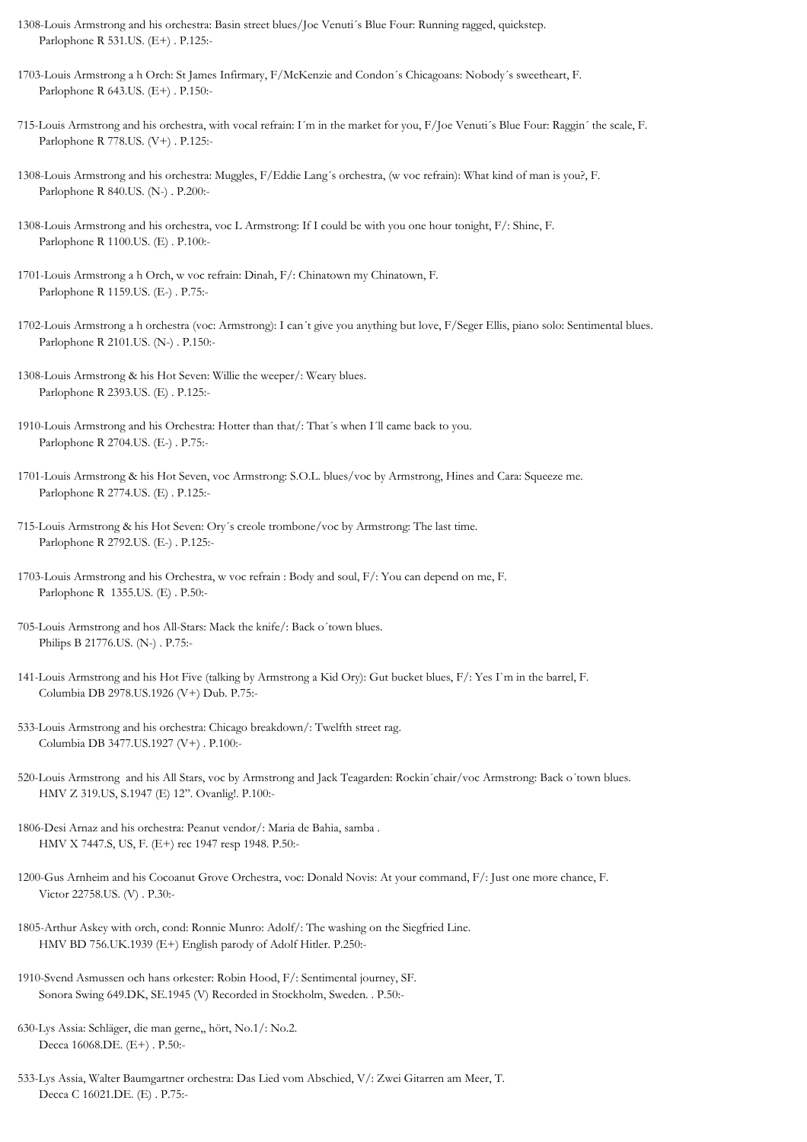- 1308-Louis Armstrong and his orchestra: Basin street blues/Joe Venuti´s Blue Four: Running ragged, quickstep. Parlophone R 531.US. (E+) . P.125:-
- 1703-Louis Armstrong a h Orch: St James Infirmary, F/McKenzie and Condon´s Chicagoans: Nobody´s sweetheart, F. Parlophone R 643.US. (E+) . P.150:-
- 715-Louis Armstrong and his orchestra, with vocal refrain: I´m in the market for you, F/Joe Venuti´s Blue Four: Raggin´ the scale, F. Parlophone R 778.US. (V+) . P.125:-
- 1308-Louis Armstrong and his orchestra: Muggles, F/Eddie Lang´s orchestra, (w voc refrain): What kind of man is you?, F. Parlophone R 840.US. (N-) . P.200:-
- 1308-Louis Armstrong and his orchestra, voc L Armstrong: If I could be with you one hour tonight, F/: Shine, F. Parlophone R 1100.US. (E) . P.100:-
- 1701-Louis Armstrong a h Orch, w voc refrain: Dinah, F/: Chinatown my Chinatown, F. Parlophone R 1159.US. (E-) . P.75:-
- 1702-Louis Armstrong a h orchestra (voc: Armstrong): I can´t give you anything but love, F/Seger Ellis, piano solo: Sentimental blues. Parlophone R 2101.US. (N-) . P.150:-
- 1308-Louis Armstrong & his Hot Seven: Willie the weeper/: Weary blues. Parlophone R 2393.US. (E) . P.125:-
- 1910-Louis Armstrong and his Orchestra: Hotter than that/: That´s when I´ll came back to you. Parlophone R 2704.US. (E-) . P.75:-
- 1701-Louis Armstrong & his Hot Seven, voc Armstrong: S.O.L. blues/voc by Armstrong, Hines and Cara: Squeeze me. Parlophone R 2774.US. (E) . P.125:-
- 715-Louis Armstrong & his Hot Seven: Ory´s creole trombone/voc by Armstrong: The last time. Parlophone R 2792.US. (E-) . P.125:-
- 1703-Louis Armstrong and his Orchestra, w voc refrain : Body and soul, F/: You can depend on me, F. Parlophone R 1355.US. (E) . P.50:-
- 705-Louis Armstrong and hos All-Stars: Mack the knife/: Back o´town blues. Philips B 21776.US. (N-) . P.75:-
- 141-Louis Armstrong and his Hot Five (talking by Armstrong a Kid Ory): Gut bucket blues, F/: Yes I`m in the barrel, F. Columbia DB 2978.US.1926 (V+) Dub. P.75:-
- 533-Louis Armstrong and his orchestra: Chicago breakdown/: Twelfth street rag. Columbia DB 3477.US.1927 (V+) . P.100:-
- 520-Louis Armstrong and his All Stars, voc by Armstrong and Jack Teagarden: Rockin´chair/voc Armstrong: Back o´town blues. HMV Z 319.US, S.1947 (E) 12". Ovanlig!. P.100:-
- 1806-Desi Arnaz and his orchestra: Peanut vendor/: Maria de Bahia, samba . HMV X 7447.S, US, F. (E+) rec 1947 resp 1948. P.50:-
- 1200-Gus Arnheim and his Cocoanut Grove Orchestra, voc: Donald Novis: At your command, F/: Just one more chance, F. Victor 22758.US. (V) . P.30:-
- 1805-Arthur Askey with orch, cond: Ronnie Munro: Adolf/: The washing on the Siegfried Line. HMV BD 756.UK.1939 (E+) English parody of Adolf Hitler. P.250:-
- 1910-Svend Asmussen och hans orkester: Robin Hood, F/: Sentimental journey, SF. Sonora Swing 649.DK, SE.1945 (V) Recorded in Stockholm, Sweden. . P.50:-
- 630-Lys Assia: Schläger, die man gerne,, hört, No.1/: No.2. Decca 16068.DE. (E+) . P.50:-
- 533-Lys Assia, Walter Baumgartner orchestra: Das Lied vom Abschied, V/: Zwei Gitarren am Meer, T. Decca C 16021.DE. (E) . P.75:-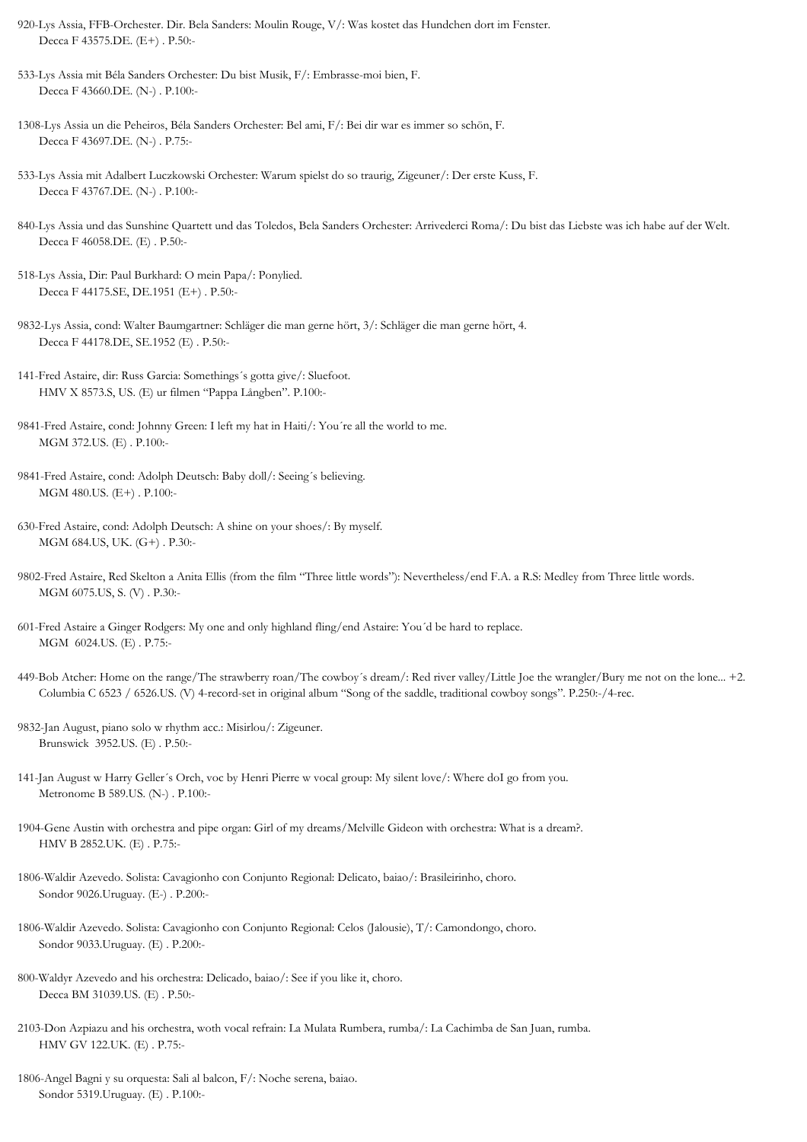920-Lys Assia, FFB-Orchester. Dir. Bela Sanders: Moulin Rouge, V/: Was kostet das Hundchen dort im Fenster. Decca F 43575.DE. (E+) . P.50:-

533-Lys Assia mit Béla Sanders Orchester: Du bist Musik, F/: Embrasse-moi bien, F. Decca F 43660.DE. (N-) . P.100:-

1308-Lys Assia un die Peheiros, Béla Sanders Orchester: Bel ami, F/: Bei dir war es immer so schön, F. Decca F 43697.DE. (N-) . P.75:-

533-Lys Assia mit Adalbert Luczkowski Orchester: Warum spielst do so traurig, Zigeuner/: Der erste Kuss, F. Decca F 43767.DE. (N-) . P.100:-

- 840-Lys Assia und das Sunshine Quartett und das Toledos, Bela Sanders Orchester: Arrivederci Roma/: Du bist das Liebste was ich habe auf der Welt. Decca F 46058.DE. (E) . P.50:-
- 518-Lys Assia, Dir: Paul Burkhard: O mein Papa/: Ponylied. Decca F 44175.SE, DE.1951 (E+) . P.50:-
- 9832-Lys Assia, cond: Walter Baumgartner: Schläger die man gerne hört, 3/: Schläger die man gerne hört, 4. Decca F 44178.DE, SE.1952 (E) . P.50:-
- 141-Fred Astaire, dir: Russ Garcia: Somethings´s gotta give/: Sluefoot. HMV X 8573.S, US. (E) ur filmen "Pappa Långben". P.100:-
- 9841-Fred Astaire, cond: Johnny Green: I left my hat in Haiti/: You´re all the world to me. MGM 372.US. (E) . P.100:-
- 9841-Fred Astaire, cond: Adolph Deutsch: Baby doll/: Seeing´s believing. MGM 480.US. (E+) . P.100:-
- 630-Fred Astaire, cond: Adolph Deutsch: A shine on your shoes/: By myself. MGM 684.US, UK. (G+) . P.30:-
- 9802-Fred Astaire, Red Skelton a Anita Ellis (from the film "Three little words"): Nevertheless/end F.A. a R.S: Medley from Three little words. MGM 6075.US, S. (V) . P.30:-
- 601-Fred Astaire a Ginger Rodgers: My one and only highland fling/end Astaire: You´d be hard to replace. MGM 6024.US. (E) . P.75:-
- 449-Bob Atcher: Home on the range/The strawberry roan/The cowboy's dream/: Red river valley/Little Joe the wrangler/Bury me not on the lone... +2. Columbia C 6523 / 6526.US. (V) 4-record-set in original album "Song of the saddle, traditional cowboy songs". P.250:-/4-rec.
- 9832-Jan August, piano solo w rhythm acc.: Misirlou/: Zigeuner. Brunswick 3952.US. (E) . P.50:-
- 141-Jan August w Harry Geller´s Orch, voc by Henri Pierre w vocal group: My silent love/: Where doI go from you. Metronome B 589.US. (N-) . P.100:-

1904-Gene Austin with orchestra and pipe organ: Girl of my dreams/Melville Gideon with orchestra: What is a dream?. HMV B 2852.UK. (E) . P.75:-

- 1806-Waldir Azevedo. Solista: Cavagionho con Conjunto Regional: Delicato, baiao/: Brasileirinho, choro. Sondor 9026.Uruguay. (E-) . P.200:-
- 1806-Waldir Azevedo. Solista: Cavagionho con Conjunto Regional: Celos (Jalousie), T/: Camondongo, choro. Sondor 9033.Uruguay. (E) . P.200:-
- 800-Waldyr Azevedo and his orchestra: Delicado, baiao/: See if you like it, choro. Decca BM 31039.US. (E) . P.50:-
- 2103-Don Azpiazu and his orchestra, woth vocal refrain: La Mulata Rumbera, rumba/: La Cachimba de San Juan, rumba. HMV GV 122.UK. (E) . P.75:-
- 1806-Angel Bagni y su orquesta: Sali al balcon, F/: Noche serena, baiao. Sondor 5319.Uruguay. (E) . P.100:-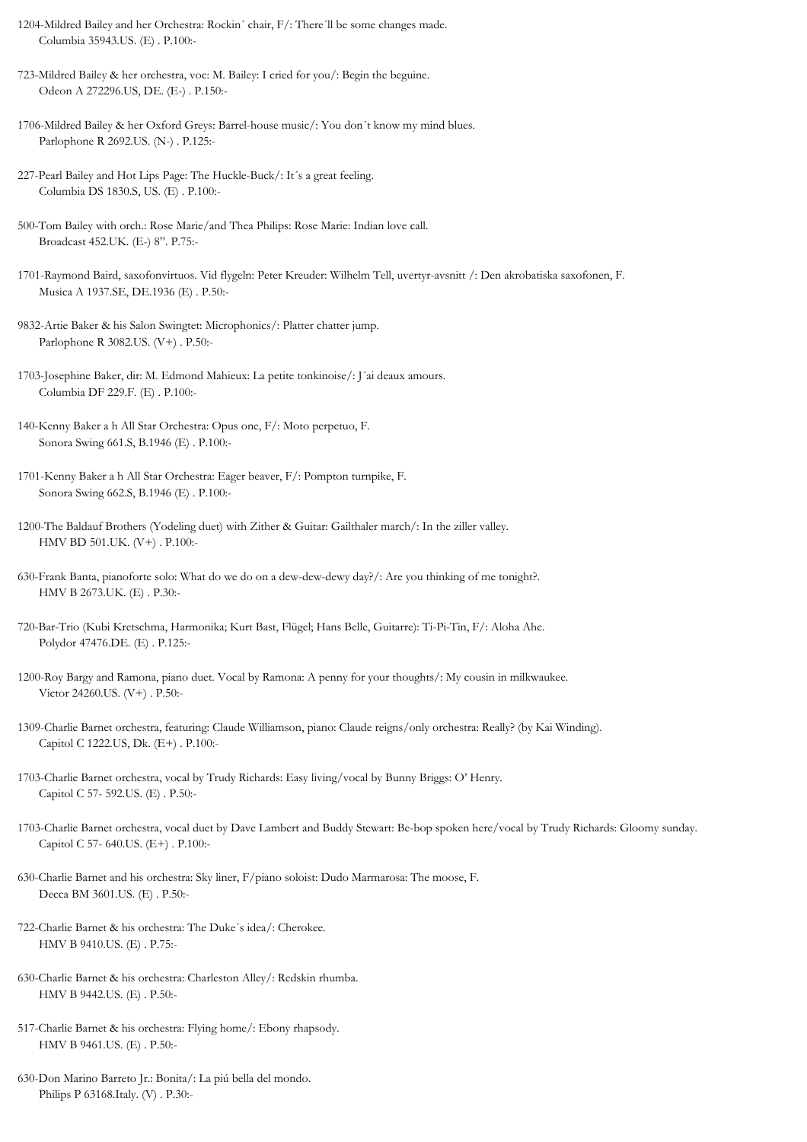1204-Mildred Bailey and her Orchestra: Rockin´ chair, F/: There´ll be some changes made. Columbia 35943.US. (E) . P.100:-

723-Mildred Bailey & her orchestra, voc: M. Bailey: I cried for you/: Begin the beguine. Odeon A 272296.US, DE. (E-) . P.150:-

1706-Mildred Bailey & her Oxford Greys: Barrel-house music/: You don´t know my mind blues. Parlophone R 2692.US. (N-) . P.125:-

227-Pearl Bailey and Hot Lips Page: The Huckle-Buck/: It´s a great feeling. Columbia DS 1830.S, US. (E) . P.100:-

500-Tom Bailey with orch.: Rose Marie/and Thea Philips: Rose Marie: Indian love call. Broadcast 452.UK. (E-) 8". P.75:-

1701-Raymond Baird, saxofonvirtuos. Vid flygeln: Peter Kreuder: Wilhelm Tell, uvertyr-avsnitt /: Den akrobatiska saxofonen, F. Musica A 1937.SE, DE.1936 (E) . P.50:-

9832-Artie Baker & his Salon Swingtet: Microphonics/: Platter chatter jump. Parlophone R 3082.US. (V+) . P.50:-

1703-Josephine Baker, dir: M. Edmond Mahieux: La petite tonkinoise/: J´ai deaux amours. Columbia DF 229.F. (E) . P.100:-

140-Kenny Baker a h All Star Orchestra: Opus one, F/: Moto perpetuo, F. Sonora Swing 661.S, B.1946 (E) . P.100:-

630-Frank Banta, pianoforte solo: What do we do on a dew-dew-dewy day?/: Are you thinking of me tonight?. HMV B 2673.UK. (E) . P.30:-

720-Bar-Trio (Kubi Kretschma, Harmonika; Kurt Bast, Flügel; Hans Belle, Guitarre): Ti-Pi-Tin, F/: Aloha Ahe. Polydor 47476.DE. (E) . P.125:-

1200-Roy Bargy and Ramona, piano duet. Vocal by Ramona: A penny for your thoughts/: My cousin in milkwaukee. Victor 24260.US. (V+) . P.50:-

1309-Charlie Barnet orchestra, featuring: Claude Williamson, piano: Claude reigns/only orchestra: Really? (by Kai Winding). Capitol C 1222.US, Dk. (E+) . P.100:-

1703-Charlie Barnet orchestra, vocal by Trudy Richards: Easy living/vocal by Bunny Briggs: O' Henry. Capitol C 57- 592.US. (E) . P.50:-

1703-Charlie Barnet orchestra, vocal duet by Dave Lambert and Buddy Stewart: Be-bop spoken here/vocal by Trudy Richards: Gloomy sunday. Capitol C 57- 640.US. (E+) . P.100:-

630-Charlie Barnet and his orchestra: Sky liner, F/piano soloist: Dudo Marmarosa: The moose, F. Decca BM 3601.US. (E) . P.50:-

722-Charlie Barnet & his orchestra: The Duke´s idea/: Cherokee. HMV B 9410.US. (E) . P.75:-

630-Charlie Barnet & his orchestra: Charleston Alley/: Redskin rhumba. HMV B 9442.US. (E) . P.50:-

517-Charlie Barnet & his orchestra: Flying home/: Ebony rhapsody. HMV B 9461.US. (E) . P.50:-

630-Don Marino Barreto Jr.: Bonita/: La piú bella del mondo. Philips P 63168.Italy. (V) . P.30:-

<sup>1701-</sup>Kenny Baker a h All Star Orchestra: Eager beaver, F/: Pompton turnpike, F. Sonora Swing 662.S, B.1946 (E) . P.100:-

<sup>1200-</sup>The Baldauf Brothers (Yodeling duet) with Zither & Guitar: Gailthaler march/: In the ziller valley. HMV BD 501.UK. (V+) . P.100:-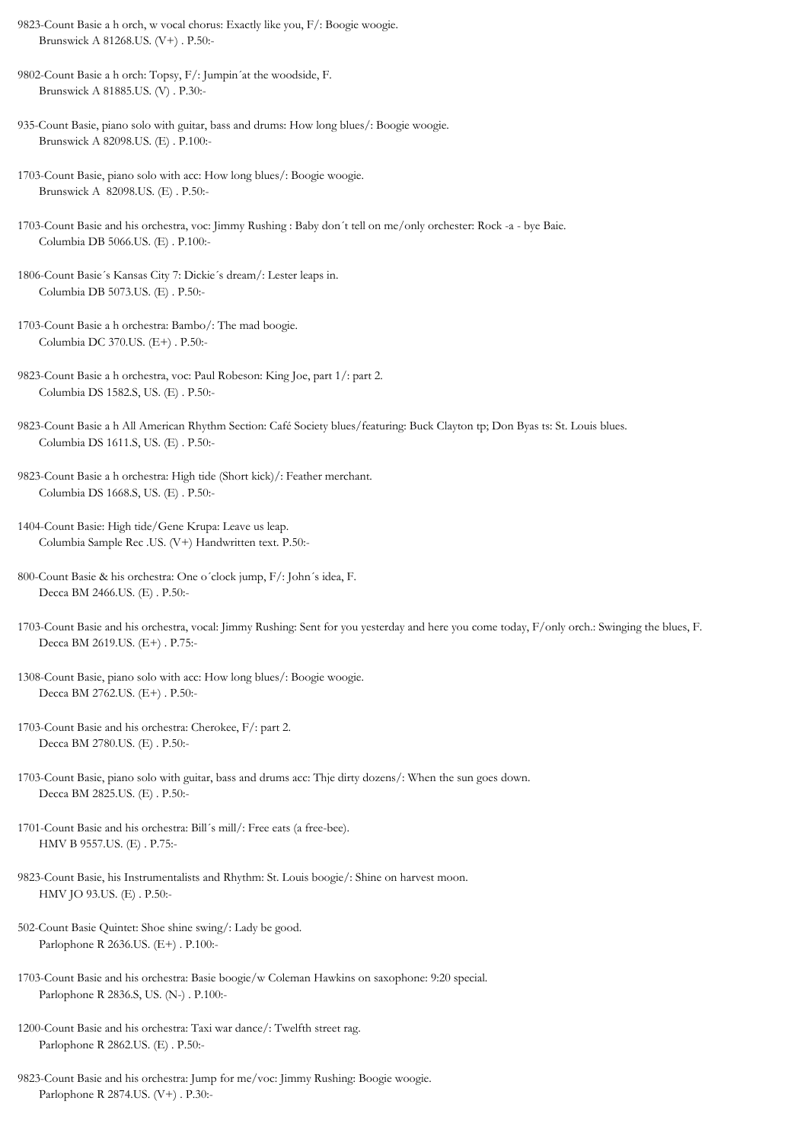9823-Count Basie a h orch, w vocal chorus: Exactly like you, F/: Boogie woogie. Brunswick A 81268.US. (V+) . P.50:-

9802-Count Basie a h orch: Topsy, F/: Jumpin´at the woodside, F. Brunswick A 81885.US. (V) . P.30:-

935-Count Basie, piano solo with guitar, bass and drums: How long blues/: Boogie woogie. Brunswick A 82098.US. (E) . P.100:-

1703-Count Basie, piano solo with acc: How long blues/: Boogie woogie. Brunswick A 82098.US. (E) . P.50:-

1703-Count Basie and his orchestra, voc: Jimmy Rushing : Baby don´t tell on me/only orchester: Rock -a - bye Baie. Columbia DB 5066.US. (E) . P.100:-

1806-Count Basie´s Kansas City 7: Dickie´s dream/: Lester leaps in. Columbia DB 5073.US. (E) . P.50:-

1703-Count Basie a h orchestra: Bambo/: The mad boogie. Columbia DC 370.US. (E+) . P.50:-

9823-Count Basie a h orchestra, voc: Paul Robeson: King Joe, part 1/: part 2. Columbia DS 1582.S, US. (E) . P.50:-

9823-Count Basie a h All American Rhythm Section: Café Society blues/featuring: Buck Clayton tp; Don Byas ts: St. Louis blues. Columbia DS 1611.S, US. (E) . P.50:-

9823-Count Basie a h orchestra: High tide (Short kick)/: Feather merchant. Columbia DS 1668.S, US. (E) . P.50:-

1404-Count Basie: High tide/Gene Krupa: Leave us leap. Columbia Sample Rec .US. (V+) Handwritten text. P.50:-

800-Count Basie & his orchestra: One o´clock jump, F/: John´s idea, F. Decca BM 2466.US. (E) . P.50:-

1703-Count Basie and his orchestra, vocal: Jimmy Rushing: Sent for you yesterday and here you come today, F/only orch.: Swinging the blues, F. Decca BM 2619.US. (E+) . P.75:-

1308-Count Basie, piano solo with acc: How long blues/: Boogie woogie. Decca BM 2762.US. (E+) . P.50:-

1703-Count Basie and his orchestra: Cherokee, F/: part 2. Decca BM 2780.US. (E) . P.50:-

1703-Count Basie, piano solo with guitar, bass and drums acc: Thje dirty dozens/: When the sun goes down. Decca BM 2825.US. (E) . P.50:-

1701-Count Basie and his orchestra: Bill´s mill/: Free eats (a free-bee). HMV B 9557.US. (E) . P.75:-

9823-Count Basie, his Instrumentalists and Rhythm: St. Louis boogie/: Shine on harvest moon. HMV JO 93.US. (E) . P.50:-

502-Count Basie Quintet: Shoe shine swing/: Lady be good. Parlophone R 2636.US. (E+) . P.100:-

1703-Count Basie and his orchestra: Basie boogie/w Coleman Hawkins on saxophone: 9:20 special. Parlophone R 2836.S, US. (N-) . P.100:-

1200-Count Basie and his orchestra: Taxi war dance/: Twelfth street rag. Parlophone R 2862.US. (E) . P.50:-

9823-Count Basie and his orchestra: Jump for me/voc: Jimmy Rushing: Boogie woogie. Parlophone R 2874.US. (V+) . P.30:-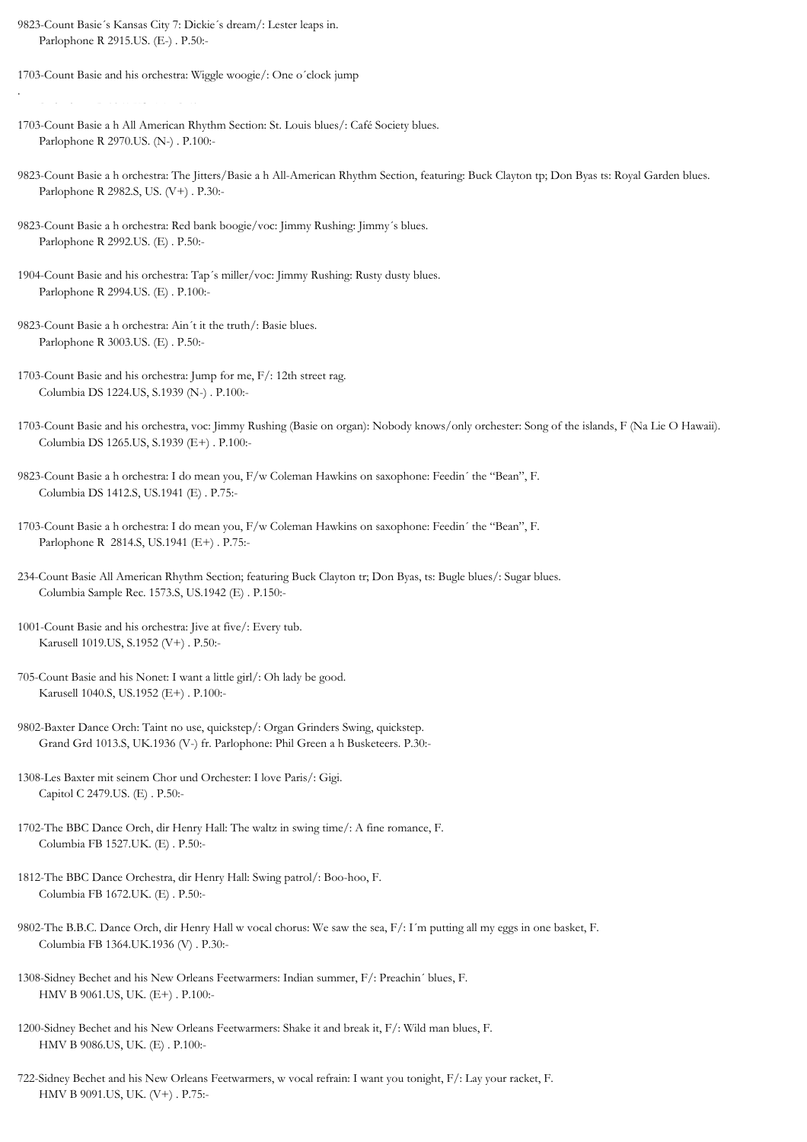9823-Count Basie´s Kansas City 7: Dickie´s dream/: Lester leaps in. Parlophone R 2915.US. (E-) . P.50:-

1703-Count Basie and his orchestra: Wiggle woogie/: One o´clock jump

Parlophone R 2951.US. (E) . P.50:-

- 1703-Count Basie a h All American Rhythm Section: St. Louis blues/: Café Society blues. Parlophone R 2970.US. (N-) . P.100:-
- 9823-Count Basie a h orchestra: The Jitters/Basie a h All-American Rhythm Section, featuring: Buck Clayton tp; Don Byas ts: Royal Garden blues. Parlophone R 2982.S, US. (V+) . P.30:-
- 9823-Count Basie a h orchestra: Red bank boogie/voc: Jimmy Rushing: Jimmy´s blues. Parlophone R 2992.US. (E) . P.50:-
- 1904-Count Basie and his orchestra: Tap´s miller/voc: Jimmy Rushing: Rusty dusty blues. Parlophone R 2994.US. (E) . P.100:-
- 9823-Count Basie a h orchestra: Ain´t it the truth/: Basie blues. Parlophone R 3003.US. (E) . P.50:-
- 1703-Count Basie and his orchestra: Jump for me, F/: 12th street rag. Columbia DS 1224.US, S.1939 (N-) . P.100:-
- 1703-Count Basie and his orchestra, voc: Jimmy Rushing (Basie on organ): Nobody knows/only orchester: Song of the islands, F (Na Lie O Hawaii). Columbia DS 1265.US, S.1939 (E+) . P.100:-
- 9823-Count Basie a h orchestra: I do mean you, F/w Coleman Hawkins on saxophone: Feedin´ the "Bean", F. Columbia DS 1412.S, US.1941 (E) . P.75:-
- 1703-Count Basie a h orchestra: I do mean you, F/w Coleman Hawkins on saxophone: Feedin´ the "Bean", F. Parlophone R 2814.S, US.1941 (E+) . P.75:-
- 234-Count Basie All American Rhythm Section; featuring Buck Clayton tr; Don Byas, ts: Bugle blues/: Sugar blues. Columbia Sample Rec. 1573.S, US.1942 (E) . P.150:-
- 1001-Count Basie and his orchestra: Jive at five/: Every tub. Karusell 1019.US, S.1952 (V+) . P.50:-
- 705-Count Basie and his Nonet: I want a little girl/: Oh lady be good. Karusell 1040.S, US.1952 (E+) . P.100:-
- 9802-Baxter Dance Orch: Taint no use, quickstep/: Organ Grinders Swing, quickstep. Grand Grd 1013.S, UK.1936 (V-) fr. Parlophone: Phil Green a h Busketeers. P.30:-
- 1308-Les Baxter mit seinem Chor und Orchester: I love Paris/: Gigi. Capitol C 2479.US. (E) . P.50:-
- 1702-The BBC Dance Orch, dir Henry Hall: The waltz in swing time/: A fine romance, F. Columbia FB 1527.UK. (E) . P.50:-
- 1812-The BBC Dance Orchestra, dir Henry Hall: Swing patrol/: Boo-hoo, F. Columbia FB 1672.UK. (E) . P.50:-
- 9802-The B.B.C. Dance Orch, dir Henry Hall w vocal chorus: We saw the sea, F/: I´m putting all my eggs in one basket, F. Columbia FB 1364.UK.1936 (V) . P.30:-
- 1308-Sidney Bechet and his New Orleans Feetwarmers: Indian summer, F/: Preachin´ blues, F. HMV B 9061.US, UK. (E+) . P.100:-
- 1200-Sidney Bechet and his New Orleans Feetwarmers: Shake it and break it, F/: Wild man blues, F. HMV B 9086.US, UK. (E) . P.100:-
- 722-Sidney Bechet and his New Orleans Feetwarmers, w vocal refrain: I want you tonight, F/: Lay your racket, F. HMV B 9091.US, UK. (V+) . P.75:-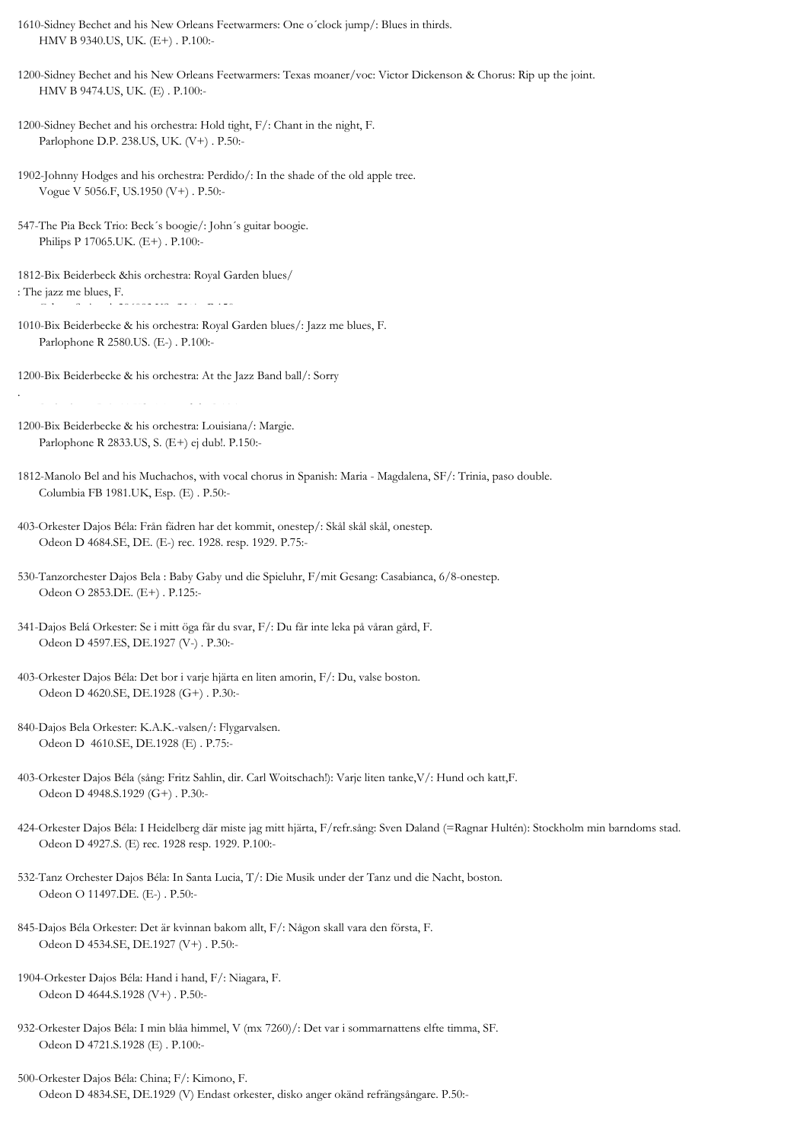1610-Sidney Bechet and his New Orleans Feetwarmers: One o´clock jump/: Blues in thirds. HMV B 9340.US, UK. (E+) . P.100:-

1200-Sidney Bechet and his New Orleans Feetwarmers: Texas moaner/voc: Victor Dickenson & Chorus: Rip up the joint. HMV B 9474.US, UK. (E) . P.100:-

1200-Sidney Bechet and his orchestra: Hold tight, F/: Chant in the night, F. Parlophone D.P. 238.US, UK. (V+) . P.50:-

1902-Johnny Hodges and his orchestra: Perdido/: In the shade of the old apple tree. Vogue V 5056.F, US.1950 (V+) . P.50:-

547-The Pia Beck Trio: Beck´s boogie/: John´s guitar boogie. Philips P 17065.UK. (E+) . P.100:-

1812-Bix Beiderbeck &his orchestra: Royal Garden blues/ : The jazz me blues, F.

1010-Bix Beiderbecke & his orchestra: Royal Garden blues/: Jazz me blues, F. Parlophone R 2580.US. (E-) . P.100:-

1200-Bix Beiderbecke & his orchestra: At the Jazz Band ball/: Sorry

Parlophone R 2711.US. (E) no dub. P.125:-

.

1200-Bix Beiderbecke & his orchestra: Louisiana/: Margie. Parlophone R 2833.US, S. (E+) ej dub!. P.150:-

- 1812-Manolo Bel and his Muchachos, with vocal chorus in Spanish: Maria Magdalena, SF/: Trinia, paso double. Columbia FB 1981.UK, Esp. (E) . P.50:-
- 403-Orkester Dajos Béla: Från fädren har det kommit, onestep/: Skål skål skål, onestep. Odeon D 4684.SE, DE. (E-) rec. 1928. resp. 1929. P.75:-

530-Tanzorchester Dajos Bela : Baby Gaby und die Spieluhr, F/mit Gesang: Casabianca, 6/8-onestep. Odeon O 2853.DE. (E+) . P.125:-

- 403-Orkester Dajos Béla: Det bor i varje hjärta en liten amorin, F/: Du, valse boston. Odeon D 4620.SE, DE.1928 (G+) . P.30:-
- 840-Dajos Bela Orkester: K.A.K.-valsen/: Flygarvalsen. Odeon D 4610.SE, DE.1928 (E) . P.75:-

403-Orkester Dajos Béla (sång: Fritz Sahlin, dir. Carl Woitschach!): Varje liten tanke,V/: Hund och katt,F. Odeon D 4948.S.1929 (G+) . P.30:-

424-Orkester Dajos Béla: I Heidelberg där miste jag mitt hjärta, F/refr.sång: Sven Daland (=Ragnar Hultén): Stockholm min barndoms stad. Odeon D 4927.S. (E) rec. 1928 resp. 1929. P.100:-

532-Tanz Orchester Dajos Béla: In Santa Lucia, T/: Die Musik under der Tanz und die Nacht, boston. Odeon O 11497.DE. (E-) . P.50:-

- 845-Dajos Béla Orkester: Det är kvinnan bakom allt, F/: Någon skall vara den första, F. Odeon D 4534.SE, DE.1927 (V+) . P.50:-
- 1904-Orkester Dajos Béla: Hand i hand, F/: Niagara, F. Odeon D 4644.S.1928 (V+) . P.50:-
- 932-Orkester Dajos Béla: I min blåa himmel, V (mx 7260)/: Det var i sommarnattens elfte timma, SF. Odeon D 4721.S.1928 (E) . P.100:-
- 500-Orkester Dajos Béla: China; F/: Kimono, F. Odeon D 4834.SE, DE.1929 (V) Endast orkester, disko anger okänd refrängsångare. P.50:-

<sup>341-</sup>Dajos Belá Orkester: Se i mitt öga får du svar, F/: Du får inte leka på våran gård, F. Odeon D 4597.ES, DE.1927 (V-) . P.30:-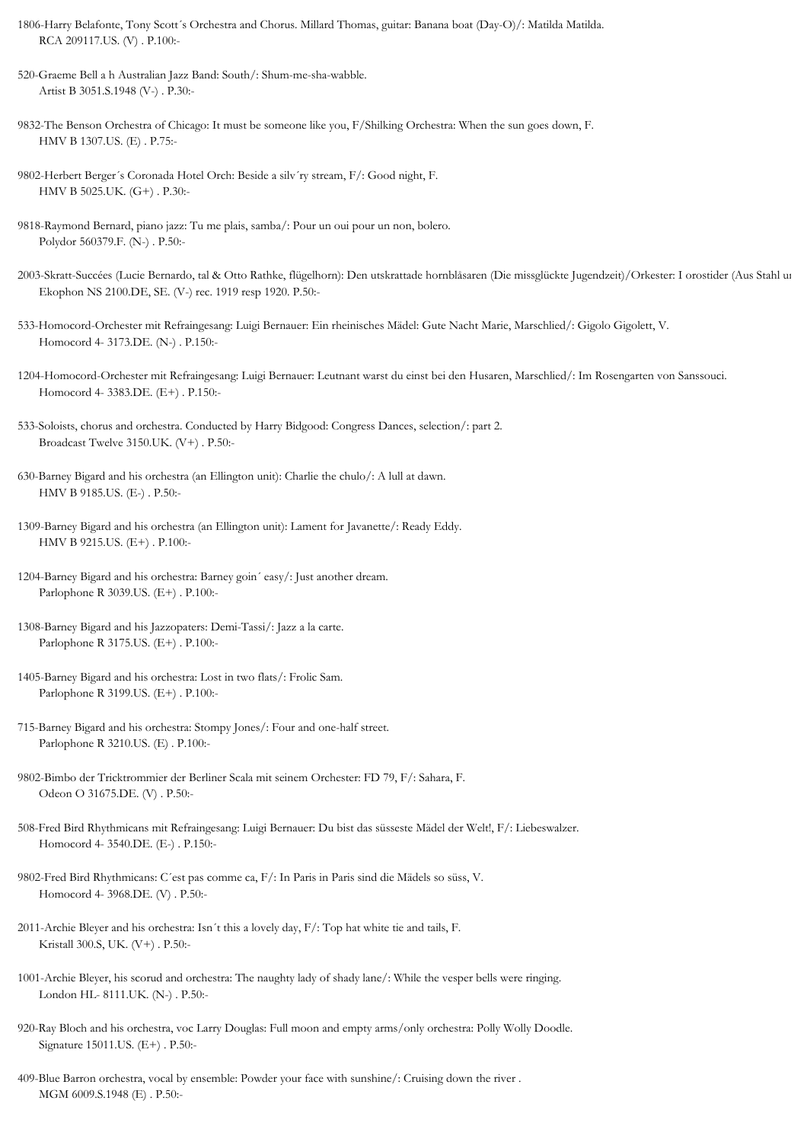- 1806-Harry Belafonte, Tony Scott´s Orchestra and Chorus. Millard Thomas, guitar: Banana boat (Day-O)/: Matilda Matilda. RCA 209117.US. (V) . P.100:-
- 520-Graeme Bell a h Australian Jazz Band: South/: Shum-me-sha-wabble. Artist B 3051.S.1948 (V-) . P.30:-
- 9832-The Benson Orchestra of Chicago: It must be someone like you, F/Shilking Orchestra: When the sun goes down, F. HMV B 1307.US. (E) . P.75:-
- 9802-Herbert Berger´s Coronada Hotel Orch: Beside a silv´ry stream, F/: Good night, F. HMV B 5025.UK. (G+) . P.30:-
- 9818-Raymond Bernard, piano jazz: Tu me plais, samba/: Pour un oui pour un non, bolero. Polydor 560379.F. (N-) . P.50:-
- 2003-Skratt-Succées (Lucie Bernardo, tal & Otto Rathke, flügelhorn): Den utskrattade hornblåsaren (Die missglückte Jugendzeit)/Orkester: I orostider (Aus Stahl und Eisen), marsch. Ekophon NS 2100.DE, SE. (V-) rec. 1919 resp 1920. P.50:-
- 533-Homocord-Orchester mit Refraingesang: Luigi Bernauer: Ein rheinisches Mädel: Gute Nacht Marie, Marschlied/: Gigolo Gigolett, V. Homocord 4- 3173.DE. (N-) . P.150:-
- 1204-Homocord-Orchester mit Refraingesang: Luigi Bernauer: Leutnant warst du einst bei den Husaren, Marschlied/: Im Rosengarten von Sanssouci. Homocord 4- 3383.DE. (E+) . P.150:-
- 533-Soloists, chorus and orchestra. Conducted by Harry Bidgood: Congress Dances, selection/: part 2. Broadcast Twelve 3150.UK. (V+) . P.50:-
- 630-Barney Bigard and his orchestra (an Ellington unit): Charlie the chulo/: A lull at dawn. HMV B 9185.US. (E-) . P.50:-
- 1309-Barney Bigard and his orchestra (an Ellington unit): Lament for Javanette/: Ready Eddy. HMV B 9215.US. (E+) . P.100:-
- 1204-Barney Bigard and his orchestra: Barney goin´ easy/: Just another dream. Parlophone R 3039.US. (E+) . P.100:-
- 1308-Barney Bigard and his Jazzopaters: Demi-Tassi/: Jazz a la carte. Parlophone R 3175.US. (E+) . P.100:-
- 1405-Barney Bigard and his orchestra: Lost in two flats/: Frolic Sam. Parlophone R 3199.US. (E+) . P.100:-
- 715-Barney Bigard and his orchestra: Stompy Jones/: Four and one-half street. Parlophone R 3210.US. (E) . P.100:-
- 9802-Bimbo der Tricktrommier der Berliner Scala mit seinem Orchester: FD 79, F/: Sahara, F. Odeon O 31675.DE. (V) . P.50:-
- 508-Fred Bird Rhythmicans mit Refraingesang: Luigi Bernauer: Du bist das süsseste Mädel der Welt!, F/: Liebeswalzer. Homocord 4- 3540.DE. (E-) . P.150:-
- 9802-Fred Bird Rhythmicans: C´est pas comme ca, F/: In Paris in Paris sind die Mädels so süss, V. Homocord 4- 3968.DE. (V) . P.50:-
- 2011-Archie Bleyer and his orchestra: Isn´t this a lovely day, F/: Top hat white tie and tails, F. Kristall 300.S, UK. (V+) . P.50:-
- 1001-Archie Bleyer, his scorud and orchestra: The naughty lady of shady lane/: While the vesper bells were ringing. London HL- 8111.UK. (N-) . P.50:-
- 920-Ray Bloch and his orchestra, voc Larry Douglas: Full moon and empty arms/only orchestra: Polly Wolly Doodle. Signature 15011.US. (E+) . P.50:-
- 409-Blue Barron orchestra, vocal by ensemble: Powder your face with sunshine/: Cruising down the river . MGM 6009.S.1948 (E) . P.50:-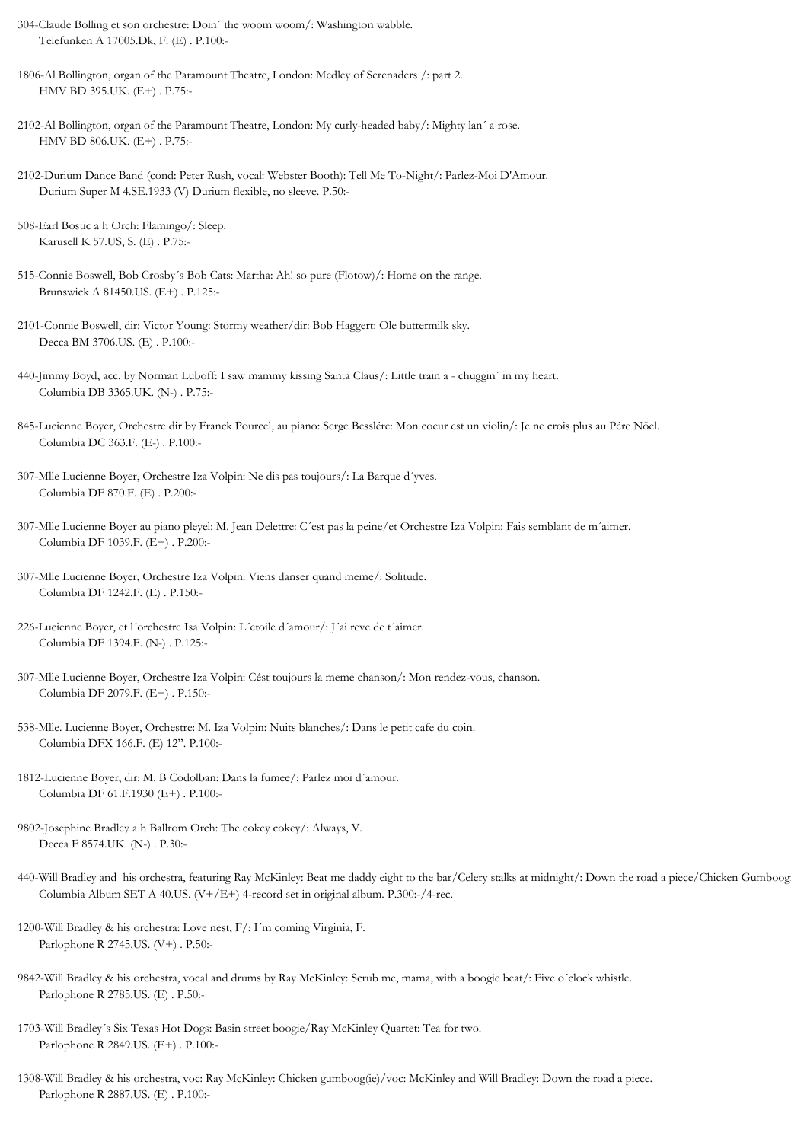- 304-Claude Bolling et son orchestre: Doin´ the woom woom/: Washington wabble. Telefunken A 17005.Dk, F. (E) . P.100:-
- 1806-Al Bollington, organ of the Paramount Theatre, London: Medley of Serenaders /: part 2. HMV BD 395.UK. (E+) . P.75:-
- 2102-Al Bollington, organ of the Paramount Theatre, London: My curly-headed baby/: Mighty lan´ a rose. HMV BD 806.UK. (E+) . P.75:-
- 2102-Durium Dance Band (cond: Peter Rush, vocal: Webster Booth): Tell Me To-Night/: Parlez-Moi D'Amour. Durium Super M 4.SE.1933 (V) Durium flexible, no sleeve. P.50:-
- 508-Earl Bostic a h Orch: Flamingo/: Sleep. Karusell K 57.US, S. (E) . P.75:-
- 515-Connie Boswell, Bob Crosby´s Bob Cats: Martha: Ah! so pure (Flotow)/: Home on the range. Brunswick A 81450.US. (E+) . P.125:-
- 2101-Connie Boswell, dir: Victor Young: Stormy weather/dir: Bob Haggert: Ole buttermilk sky. Decca BM 3706.US. (E) . P.100:-
- 440-Jimmy Boyd, acc. by Norman Luboff: I saw mammy kissing Santa Claus/: Little train a chuggin´ in my heart. Columbia DB 3365.UK. (N-) . P.75:-
- 845-Lucienne Boyer, Orchestre dir by Franck Pourcel, au piano: Serge Besslére: Mon coeur est un violin/: Je ne crois plus au Pére Nöel. Columbia DC 363.F. (E-) . P.100:-
- 307-Mlle Lucienne Boyer, Orchestre Iza Volpin: Ne dis pas toujours/: La Barque d´yves. Columbia DF 870.F. (E) . P.200:-
- 307-Mlle Lucienne Boyer au piano pleyel: M. Jean Delettre: C´est pas la peine/et Orchestre Iza Volpin: Fais semblant de m´aimer. Columbia DF 1039.F. (E+) . P.200:-
- 307-Mlle Lucienne Boyer, Orchestre Iza Volpin: Viens danser quand meme/: Solitude. Columbia DF 1242.F. (E) . P.150:-
- 226-Lucienne Boyer, et l´orchestre Isa Volpin: L´etoile d´amour/: J´ai reve de t´aimer. Columbia DF 1394.F. (N-) . P.125:-
- 307-Mlle Lucienne Boyer, Orchestre Iza Volpin: Cést toujours la meme chanson/: Mon rendez-vous, chanson. Columbia DF 2079.F. (E+) . P.150:-
- 538-Mlle. Lucienne Boyer, Orchestre: M. Iza Volpin: Nuits blanches/: Dans le petit cafe du coin. Columbia DFX 166.F. (E) 12". P.100:-
- 1812-Lucienne Boyer, dir: M. B Codolban: Dans la fumee/: Parlez moi d´amour. Columbia DF 61.F.1930 (E+) . P.100:-
- 9802-Josephine Bradley a h Ballrom Orch: The cokey cokey/: Always, V. Decca F 8574.UK. (N-) . P.30:-
- 440-Will Bradley and his orchestra, featuring Ray McKinley: Beat me daddy eight to the bar/Celery stalks at midnight/: Down the road a piece/Chicken Gumboog Columbia Album SET A 40.US.  $(V+/E+)$  4-record set in original album. P.300:-/4-rec.
- 1200-Will Bradley & his orchestra: Love nest, F/: I´m coming Virginia, F. Parlophone R 2745.US. (V+) . P.50:-
- 9842-Will Bradley & his orchestra, vocal and drums by Ray McKinley: Scrub me, mama, with a boogie beat/: Five o´clock whistle. Parlophone R 2785.US. (E) . P.50:-
- 1703-Will Bradley´s Six Texas Hot Dogs: Basin street boogie/Ray McKinley Quartet: Tea for two. Parlophone R 2849.US. (E+) . P.100:-
- 1308-Will Bradley & his orchestra, voc: Ray McKinley: Chicken gumboog(ie)/voc: McKinley and Will Bradley: Down the road a piece. Parlophone R 2887.US. (E) . P.100:-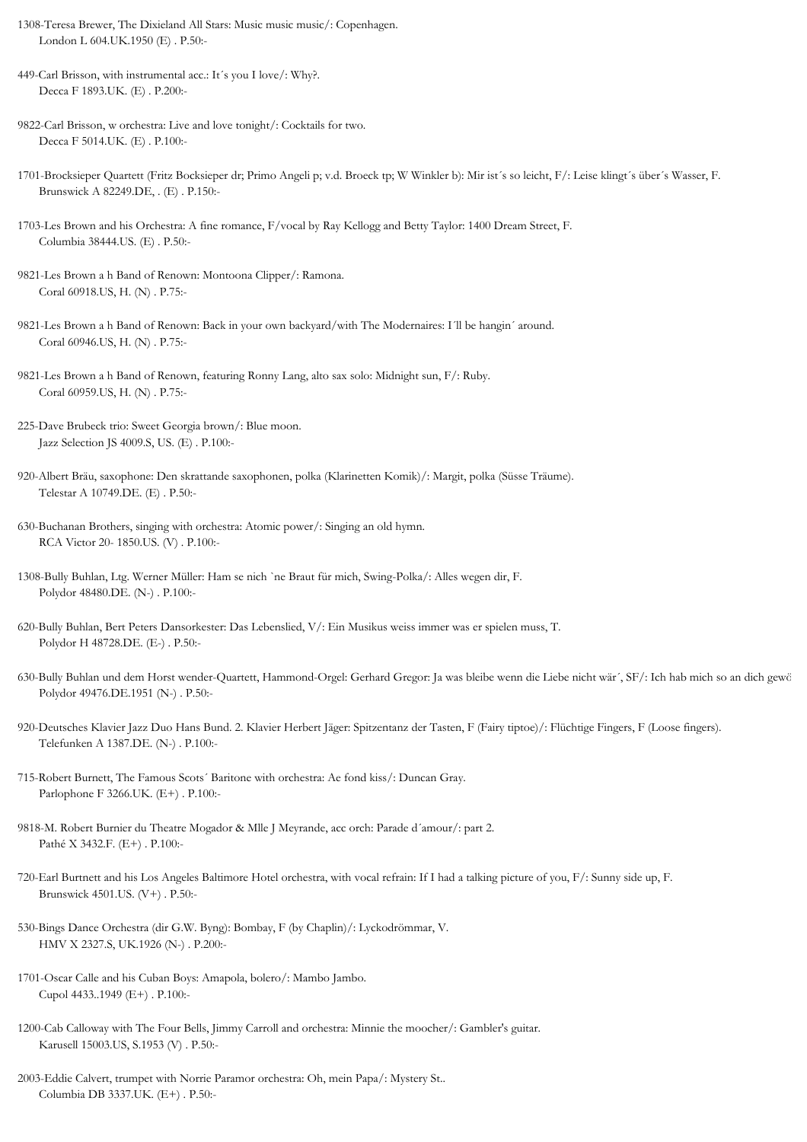- 1308-Teresa Brewer, The Dixieland All Stars: Music music music/: Copenhagen. London L 604.UK.1950 (E) . P.50:-
- 449-Carl Brisson, with instrumental acc.: It´s you I love/: Why?. Decca F 1893.UK. (E) . P.200:-
- 9822-Carl Brisson, w orchestra: Live and love tonight/: Cocktails for two. Decca F 5014.UK. (E) . P.100:-
- 1701-Brocksieper Quartett (Fritz Bocksieper dr; Primo Angeli p; v.d. Broeck tp; W Winkler b): Mir ist´s so leicht, F/: Leise klingt´s über´s Wasser, F. Brunswick A 82249.DE, . (E) . P.150:-
- 1703-Les Brown and his Orchestra: A fine romance, F/vocal by Ray Kellogg and Betty Taylor: 1400 Dream Street, F. Columbia 38444.US. (E) . P.50:-
- 9821-Les Brown a h Band of Renown: Montoona Clipper/: Ramona. Coral 60918.US, H. (N) . P.75:-
- 9821-Les Brown a h Band of Renown: Back in your own backyard/with The Modernaires: I´ll be hangin´ around. Coral 60946.US, H. (N) . P.75:-
- 9821-Les Brown a h Band of Renown, featuring Ronny Lang, alto sax solo: Midnight sun, F/: Ruby. Coral 60959.US, H. (N) . P.75:-
- 225-Dave Brubeck trio: Sweet Georgia brown/: Blue moon. Jazz Selection JS 4009.S, US. (E) . P.100:-
- 920-Albert Bräu, saxophone: Den skrattande saxophonen, polka (Klarinetten Komik)/: Margit, polka (Süsse Träume). Telestar A 10749.DE. (E) . P.50:-
- 630-Buchanan Brothers, singing with orchestra: Atomic power/: Singing an old hymn. RCA Victor 20- 1850.US. (V) . P.100:-
- 1308-Bully Buhlan, Ltg. Werner Müller: Ham se nich `ne Braut für mich, Swing-Polka/: Alles wegen dir, F. Polydor 48480.DE. (N-) . P.100:-
- 620-Bully Buhlan, Bert Peters Dansorkester: Das Lebenslied, V/: Ein Musikus weiss immer was er spielen muss, T. Polydor H 48728.DE. (E-) . P.50:-
- 630-Bully Buhlan und dem Horst wender-Quartett, Hammond-Orgel: Gerhard Gregor: Ja was bleibe wenn die Liebe nicht wär´, SF/: Ich hab mich so an dich gewö Polydor 49476.DE.1951 (N-) . P.50:-
- 920-Deutsches Klavier Jazz Duo Hans Bund. 2. Klavier Herbert Jäger: Spitzentanz der Tasten, F (Fairy tiptoe)/: Flüchtige Fingers, F (Loose fingers). Telefunken A 1387.DE. (N-) . P.100:-
- 715-Robert Burnett, The Famous Scots´ Baritone with orchestra: Ae fond kiss/: Duncan Gray. Parlophone F 3266.UK. (E+) . P.100:-
- 9818-M. Robert Burnier du Theatre Mogador & Mlle J Meyrande, acc orch: Parade d´amour/: part 2. Pathé X 3432.F. (E+) . P.100:-
- 720-Earl Burtnett and his Los Angeles Baltimore Hotel orchestra, with vocal refrain: If I had a talking picture of you, F/: Sunny side up, F. Brunswick 4501.US. (V+) . P.50:-
- 530-Bings Dance Orchestra (dir G.W. Byng): Bombay, F (by Chaplin)/: Lyckodrömmar, V. HMV X 2327.S, UK.1926 (N-) . P.200:-
- 1701-Oscar Calle and his Cuban Boys: Amapola, bolero/: Mambo Jambo. Cupol 4433..1949 (E+) . P.100:-
- 1200-Cab Calloway with The Four Bells, Jimmy Carroll and orchestra: Minnie the moocher/: Gambler's guitar. Karusell 15003.US, S.1953 (V) . P.50:-
- 2003-Eddie Calvert, trumpet with Norrie Paramor orchestra: Oh, mein Papa/: Mystery St.. Columbia DB 3337.UK. (E+) . P.50:-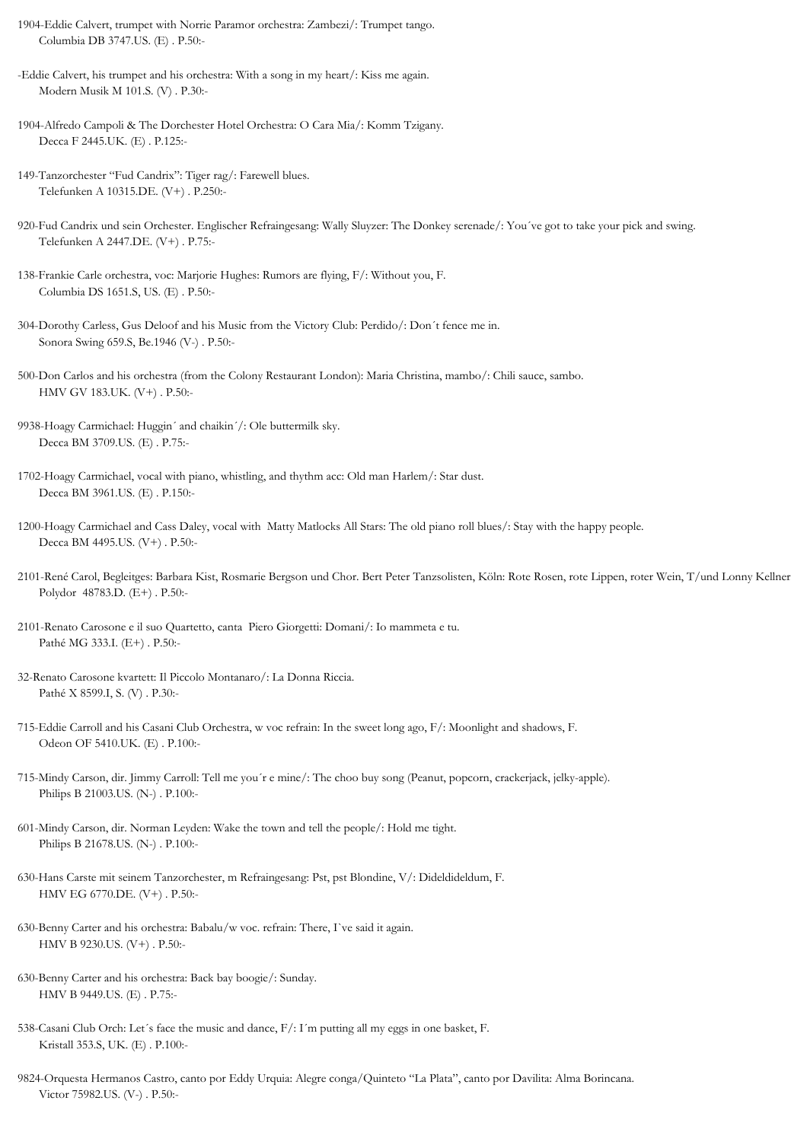1904-Eddie Calvert, trumpet with Norrie Paramor orchestra: Zambezi/: Trumpet tango. Columbia DB 3747.US. (E) . P.50:-

-Eddie Calvert, his trumpet and his orchestra: With a song in my heart/: Kiss me again. Modern Musik M 101.S. (V) . P.30:-

1904-Alfredo Campoli & The Dorchester Hotel Orchestra: O Cara Mia/: Komm Tzigany. Decca F 2445.UK. (E) . P.125:-

149-Tanzorchester "Fud Candrix": Tiger rag/: Farewell blues. Telefunken A 10315.DE. (V+) . P.250:-

- 920-Fud Candrix und sein Orchester. Englischer Refraingesang: Wally Sluyzer: The Donkey serenade/: You´ve got to take your pick and swing. Telefunken A 2447.DE. (V+) . P.75:-
- 138-Frankie Carle orchestra, voc: Marjorie Hughes: Rumors are flying, F/: Without you, F. Columbia DS 1651.S, US. (E) . P.50:-
- 304-Dorothy Carless, Gus Deloof and his Music from the Victory Club: Perdido/: Don´t fence me in. Sonora Swing 659.S, Be.1946 (V-) . P.50:-

500-Don Carlos and his orchestra (from the Colony Restaurant London): Maria Christina, mambo/: Chili sauce, sambo. HMV GV 183.UK. (V+) . P.50:-

- 9938-Hoagy Carmichael: Huggin´ and chaikin´/: Ole buttermilk sky. Decca BM 3709.US. (E) . P.75:-
- 1702-Hoagy Carmichael, vocal with piano, whistling, and thythm acc: Old man Harlem/: Star dust. Decca BM 3961.US. (E) . P.150:-
- 1200-Hoagy Carmichael and Cass Daley, vocal with Matty Matlocks All Stars: The old piano roll blues/: Stay with the happy people. Decca BM 4495.US. (V+) . P.50:-
- 2101-René Carol, Begleitges: Barbara Kist, Rosmarie Bergson und Chor. Bert Peter Tanzsolisten, Köln: Rote Rosen, rote Lippen, roter Wein, T/und Lonny Kellner Polydor 48783.D. (E+) . P.50:-
- 2101-Renato Carosone e il suo Quartetto, canta Piero Giorgetti: Domani/: Io mammeta e tu. Pathé MG 333.I. (E+) . P.50:-
- 32-Renato Carosone kvartett: Il Piccolo Montanaro/: La Donna Riccia. Pathé X 8599.I, S. (V) . P.30:-
- 715-Eddie Carroll and his Casani Club Orchestra, w voc refrain: In the sweet long ago, F/: Moonlight and shadows, F. Odeon OF 5410.UK. (E) . P.100:-
- 715-Mindy Carson, dir. Jimmy Carroll: Tell me you´r e mine/: The choo buy song (Peanut, popcorn, crackerjack, jelky-apple). Philips B 21003.US. (N-) . P.100:-
- 601-Mindy Carson, dir. Norman Leyden: Wake the town and tell the people/: Hold me tight. Philips B 21678.US. (N-) . P.100:-
- 630-Hans Carste mit seinem Tanzorchester, m Refraingesang: Pst, pst Blondine, V/: Dideldideldum, F. HMV EG 6770.DE. (V+) . P.50:-
- 630-Benny Carter and his orchestra: Babalu/w voc. refrain: There, I`ve said it again. HMV B 9230.US. (V+) . P.50:-
- 630-Benny Carter and his orchestra: Back bay boogie/: Sunday. HMV B 9449.US. (E) . P.75:-
- 538-Casani Club Orch: Let´s face the music and dance, F/: I´m putting all my eggs in one basket, F. Kristall 353.S, UK. (E) . P.100:-
- 9824-Orquesta Hermanos Castro, canto por Eddy Urquia: Alegre conga/Quinteto "La Plata", canto por Davilita: Alma Borincana. Victor 75982.US. (V-) . P.50:-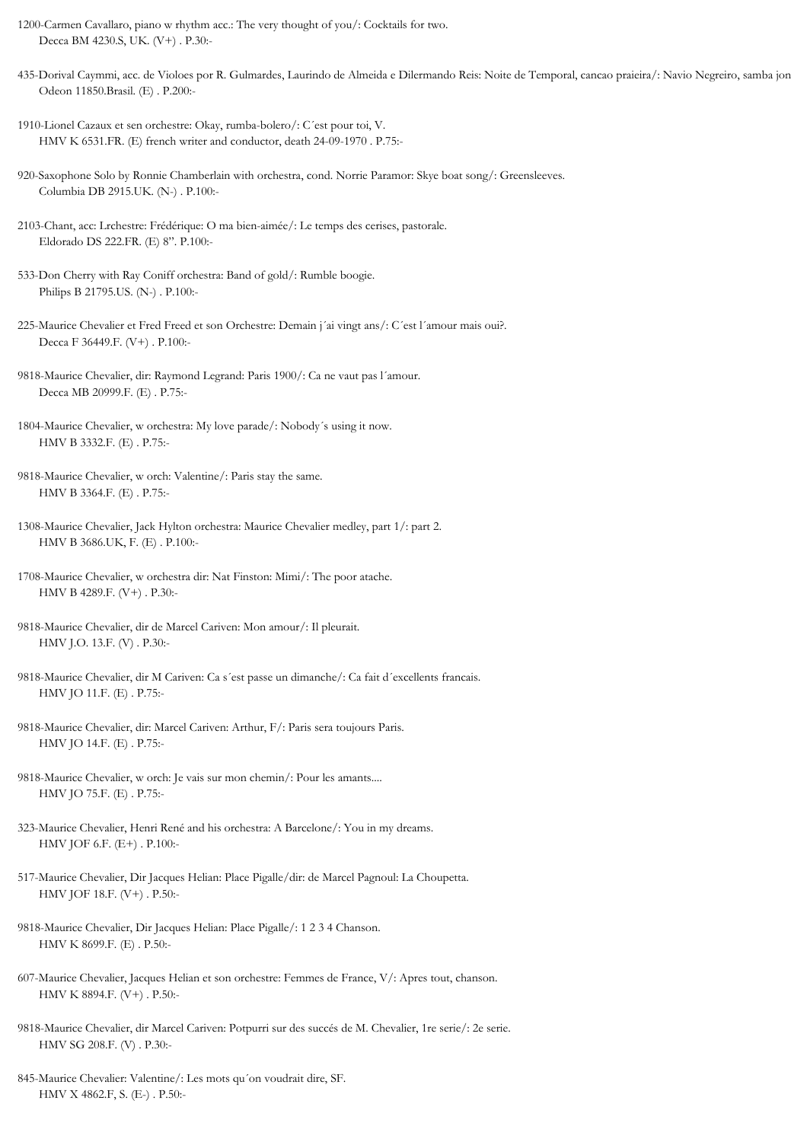1200-Carmen Cavallaro, piano w rhythm acc.: The very thought of you/: Cocktails for two. Decca BM 4230.S, UK. (V+) . P.30:-

435-Dorival Caymmi, acc. de Violoes por R. Gulmardes, Laurindo de Almeida e Dilermando Reis: Noite de Temporal, cancao praieira/: Navio Negreiro, samba jon Odeon 11850.Brasil. (E) . P.200:-

1910-Lionel Cazaux et sen orchestre: Okay, rumba-bolero/: C´est pour toi, V. HMV K 6531.FR. (E) french writer and conductor, death 24-09-1970 . P.75:-

920-Saxophone Solo by Ronnie Chamberlain with orchestra, cond. Norrie Paramor: Skye boat song/: Greensleeves. Columbia DB 2915.UK. (N-) . P.100:-

- 9818-Maurice Chevalier, w orch: Valentine/: Paris stay the same. HMV B 3364.F. (E) . P.75:-
- 1308-Maurice Chevalier, Jack Hylton orchestra: Maurice Chevalier medley, part 1/: part 2. HMV B 3686.UK, F. (E) . P.100:-
- 1708-Maurice Chevalier, w orchestra dir: Nat Finston: Mimi/: The poor atache. HMV B 4289.F. (V+) . P.30:-
- 9818-Maurice Chevalier, dir de Marcel Cariven: Mon amour/: Il pleurait. HMV J.O. 13.F. (V) . P.30:-
- 9818-Maurice Chevalier, dir M Cariven: Ca s´est passe un dimanche/: Ca fait d´excellents francais. HMV JO 11.F. (E) . P.75:-
- 9818-Maurice Chevalier, dir: Marcel Cariven: Arthur, F/: Paris sera toujours Paris. HMV JO 14.F. (E) . P.75:-
- 9818-Maurice Chevalier, w orch: Je vais sur mon chemin/: Pour les amants.... HMV JO 75.F. (E) . P.75:-
- 323-Maurice Chevalier, Henri René and his orchestra: A Barcelone/: You in my dreams. HMV JOF 6.F. (E+) . P.100:-
- 517-Maurice Chevalier, Dir Jacques Helian: Place Pigalle/dir: de Marcel Pagnoul: La Choupetta. HMV JOF 18.F. (V+) . P.50:-
- 9818-Maurice Chevalier, Dir Jacques Helian: Place Pigalle/: 1 2 3 4 Chanson. HMV K 8699.F. (E) . P.50:-
- 607-Maurice Chevalier, Jacques Helian et son orchestre: Femmes de France, V/: Apres tout, chanson. HMV K 8894.F. (V+) . P.50:-
- 9818-Maurice Chevalier, dir Marcel Cariven: Potpurri sur des succés de M. Chevalier, 1re serie/: 2e serie. HMV SG 208.F. (V) . P.30:-
- 845-Maurice Chevalier: Valentine/: Les mots qu´on voudrait dire, SF. HMV X 4862.F, S. (E-) . P.50:-

<sup>2103-</sup>Chant, acc: Lrchestre: Frédérique: O ma bien-aimée/: Le temps des cerises, pastorale. Eldorado DS 222.FR. (E) 8". P.100:-

<sup>533-</sup>Don Cherry with Ray Coniff orchestra: Band of gold/: Rumble boogie. Philips B 21795.US. (N-) . P.100:-

<sup>225-</sup>Maurice Chevalier et Fred Freed et son Orchestre: Demain j´ai vingt ans/: C´est l´amour mais oui?. Decca F 36449.F. (V+) . P.100:-

<sup>9818-</sup>Maurice Chevalier, dir: Raymond Legrand: Paris 1900/: Ca ne vaut pas l´amour. Decca MB 20999.F. (E) . P.75:-

<sup>1804-</sup>Maurice Chevalier, w orchestra: My love parade/: Nobody´s using it now. HMV B 3332.F. (E) . P.75:-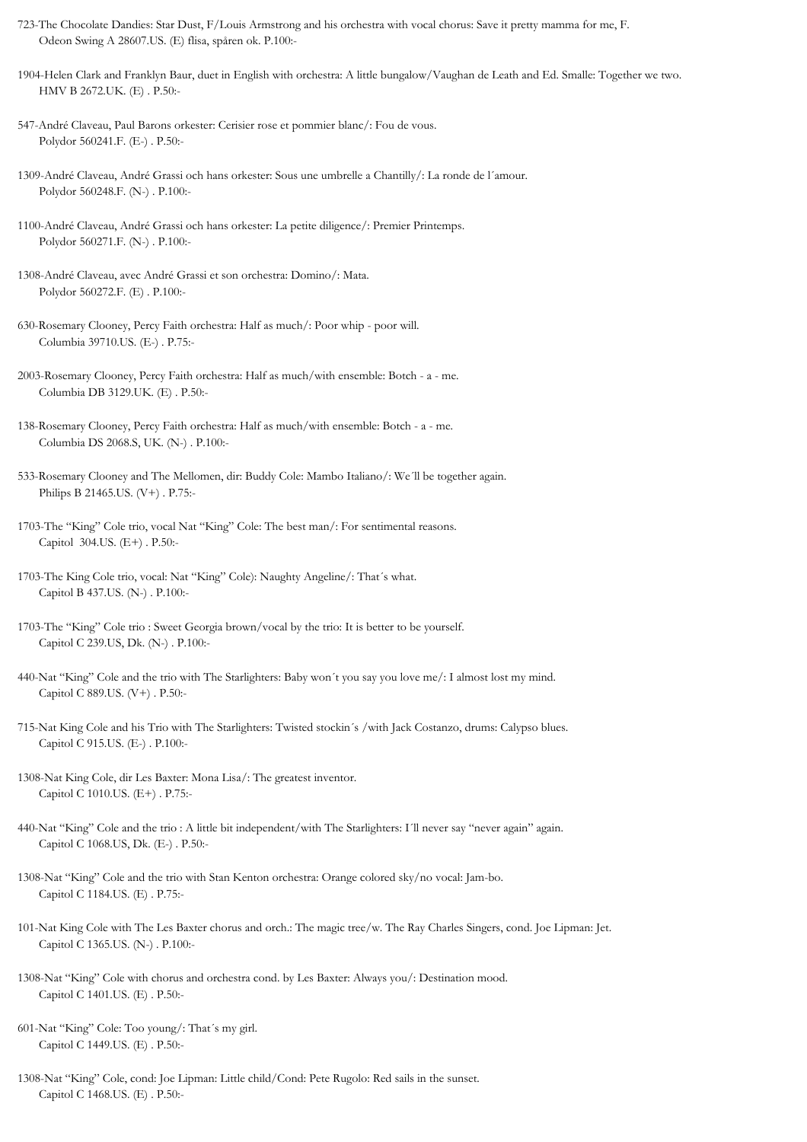- 723-The Chocolate Dandies: Star Dust, F/Louis Armstrong and his orchestra with vocal chorus: Save it pretty mamma for me, F. Odeon Swing A 28607.US. (E) flisa, spåren ok. P.100:-
- 1904-Helen Clark and Franklyn Baur, duet in English with orchestra: A little bungalow/Vaughan de Leath and Ed. Smalle: Together we two. HMV B 2672.UK. (E) . P.50:-
- 547-André Claveau, Paul Barons orkester: Cerisier rose et pommier blanc/: Fou de vous. Polydor 560241.F. (E-) . P.50:-
- 1309-André Claveau, André Grassi och hans orkester: Sous une umbrelle a Chantilly/: La ronde de l´amour. Polydor 560248.F. (N-) . P.100:-
- 1100-André Claveau, André Grassi och hans orkester: La petite diligence/: Premier Printemps. Polydor 560271.F. (N-) . P.100:-
- 1308-André Claveau, avec André Grassi et son orchestra: Domino/: Mata. Polydor 560272.F. (E) . P.100:-
- 630-Rosemary Clooney, Percy Faith orchestra: Half as much/: Poor whip poor will. Columbia 39710.US. (E-) . P.75:-
- 2003-Rosemary Clooney, Percy Faith orchestra: Half as much/with ensemble: Botch a me. Columbia DB 3129.UK. (E) . P.50:-
- 138-Rosemary Clooney, Percy Faith orchestra: Half as much/with ensemble: Botch a me. Columbia DS 2068.S, UK. (N-) . P.100:-
- 533-Rosemary Clooney and The Mellomen, dir: Buddy Cole: Mambo Italiano/: We´ll be together again. Philips B 21465.US. (V+) . P.75:-
- 1703-The "King" Cole trio, vocal Nat "King" Cole: The best man/: For sentimental reasons. Capitol 304.US. (E+) . P.50:-
- 1703-The King Cole trio, vocal: Nat "King" Cole): Naughty Angeline/: That´s what. Capitol B 437.US. (N-) . P.100:-
- 1703-The "King" Cole trio : Sweet Georgia brown/vocal by the trio: It is better to be yourself. Capitol C 239.US, Dk. (N-) . P.100:-
- 440-Nat "King" Cole and the trio with The Starlighters: Baby won´t you say you love me/: I almost lost my mind. Capitol C 889.US. (V+) . P.50:-
- 715-Nat King Cole and his Trio with The Starlighters: Twisted stockin´s /with Jack Costanzo, drums: Calypso blues. Capitol C 915.US. (E-) . P.100:-
- 1308-Nat King Cole, dir Les Baxter: Mona Lisa/: The greatest inventor. Capitol C 1010.US. (E+) . P.75:-
- 440-Nat "King" Cole and the trio : A little bit independent/with The Starlighters: I'll never say "never again" again. Capitol C 1068.US, Dk. (E-) . P.50:-
- 1308-Nat "King" Cole and the trio with Stan Kenton orchestra: Orange colored sky/no vocal: Jam-bo. Capitol C 1184.US. (E) . P.75:-
- 101-Nat King Cole with The Les Baxter chorus and orch.: The magic tree/w. The Ray Charles Singers, cond. Joe Lipman: Jet. Capitol C 1365.US. (N-) . P.100:-
- 1308-Nat "King" Cole with chorus and orchestra cond. by Les Baxter: Always you/: Destination mood. Capitol C 1401.US. (E) . P.50:-
- 601-Nat "King" Cole: Too young/: That´s my girl. Capitol C 1449.US. (E) . P.50:-
- 1308-Nat "King" Cole, cond: Joe Lipman: Little child/Cond: Pete Rugolo: Red sails in the sunset. Capitol C 1468.US. (E) . P.50:-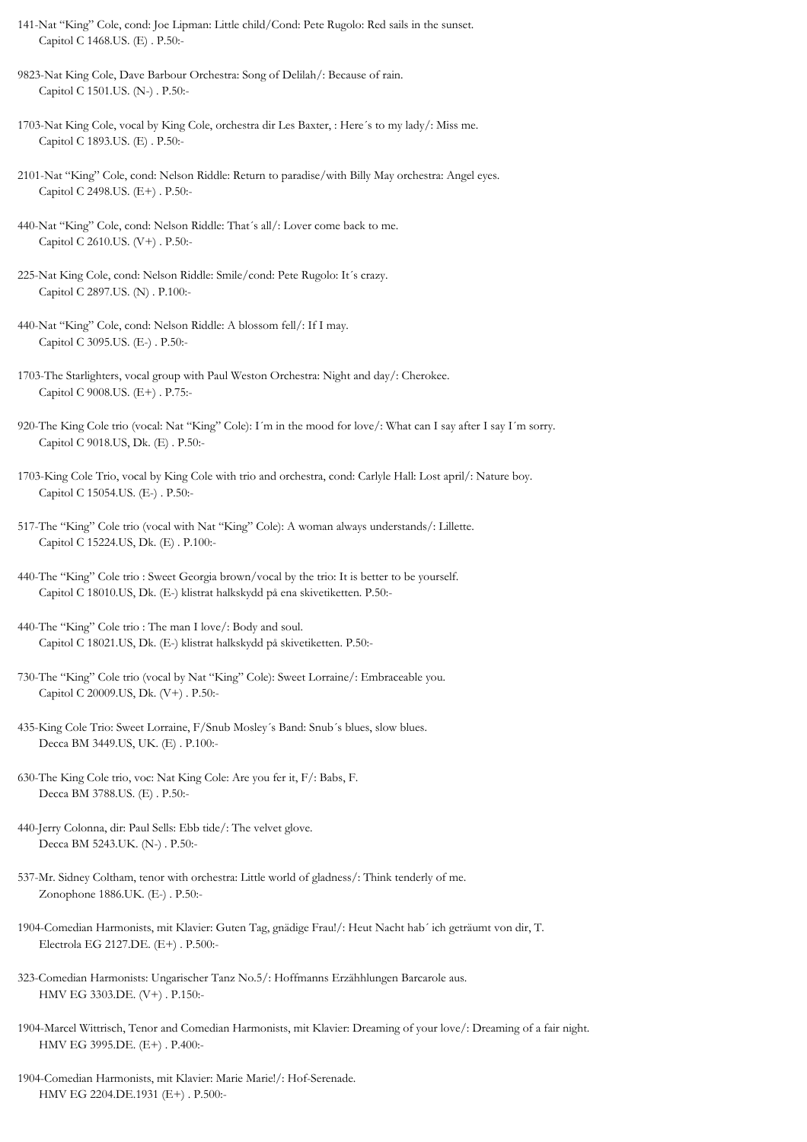- 141-Nat "King" Cole, cond: Joe Lipman: Little child/Cond: Pete Rugolo: Red sails in the sunset. Capitol C 1468.US. (E) . P.50:-
- 9823-Nat King Cole, Dave Barbour Orchestra: Song of Delilah/: Because of rain. Capitol C 1501.US. (N-) . P.50:-
- 1703-Nat King Cole, vocal by King Cole, orchestra dir Les Baxter, : Here´s to my lady/: Miss me. Capitol C 1893.US. (E) . P.50:-
- 2101-Nat "King" Cole, cond: Nelson Riddle: Return to paradise/with Billy May orchestra: Angel eyes. Capitol C 2498.US. (E+) . P.50:-
- 440-Nat "King" Cole, cond: Nelson Riddle: That´s all/: Lover come back to me. Capitol C 2610.US. (V+) . P.50:-
- 225-Nat King Cole, cond: Nelson Riddle: Smile/cond: Pete Rugolo: It´s crazy. Capitol C 2897.US. (N) . P.100:-
- 440-Nat "King" Cole, cond: Nelson Riddle: A blossom fell/: If I may. Capitol C 3095.US. (E-) . P.50:-
- 1703-The Starlighters, vocal group with Paul Weston Orchestra: Night and day/: Cherokee. Capitol C 9008.US. (E+) . P.75:-
- 920-The King Cole trio (vocal: Nat "King" Cole): I´m in the mood for love/: What can I say after I say I´m sorry. Capitol C 9018.US, Dk. (E) . P.50:-
- 1703-King Cole Trio, vocal by King Cole with trio and orchestra, cond: Carlyle Hall: Lost april/: Nature boy. Capitol C 15054.US. (E-) . P.50:-
- 517-The "King" Cole trio (vocal with Nat "King" Cole): A woman always understands/: Lillette. Capitol C 15224.US, Dk. (E) . P.100:-
- 440-The "King" Cole trio : Sweet Georgia brown/vocal by the trio: It is better to be yourself. Capitol C 18010.US, Dk. (E-) klistrat halkskydd på ena skivetiketten. P.50:-
- 440-The "King" Cole trio : The man I love/: Body and soul. Capitol C 18021.US, Dk. (E-) klistrat halkskydd på skivetiketten. P.50:-
- 730-The "King" Cole trio (vocal by Nat "King" Cole): Sweet Lorraine/: Embraceable you. Capitol C 20009.US, Dk. (V+) . P.50:-
- 435-King Cole Trio: Sweet Lorraine, F/Snub Mosley´s Band: Snub´s blues, slow blues. Decca BM 3449.US, UK. (E) . P.100:-
- 630-The King Cole trio, voc: Nat King Cole: Are you fer it, F/: Babs, F. Decca BM 3788.US. (E) . P.50:-
- 440-Jerry Colonna, dir: Paul Sells: Ebb tide/: The velvet glove. Decca BM 5243.UK. (N-) . P.50:-
- 537-Mr. Sidney Coltham, tenor with orchestra: Little world of gladness/: Think tenderly of me. Zonophone 1886.UK. (E-) . P.50:-
- 1904-Comedian Harmonists, mit Klavier: Guten Tag, gnädige Frau!/: Heut Nacht hab´ ich geträumt von dir, T. Electrola EG 2127.DE. (E+) . P.500:-
- 323-Comedian Harmonists: Ungarischer Tanz No.5/: Hoffmanns Erzähhlungen Barcarole aus. HMV EG 3303.DE. (V+) . P.150:-
- 1904-Marcel Wittrisch, Tenor and Comedian Harmonists, mit Klavier: Dreaming of your love/: Dreaming of a fair night. HMV EG 3995.DE. (E+) . P.400:-
- 1904-Comedian Harmonists, mit Klavier: Marie Marie!/: Hof-Serenade. HMV EG 2204.DE.1931 (E+) . P.500:-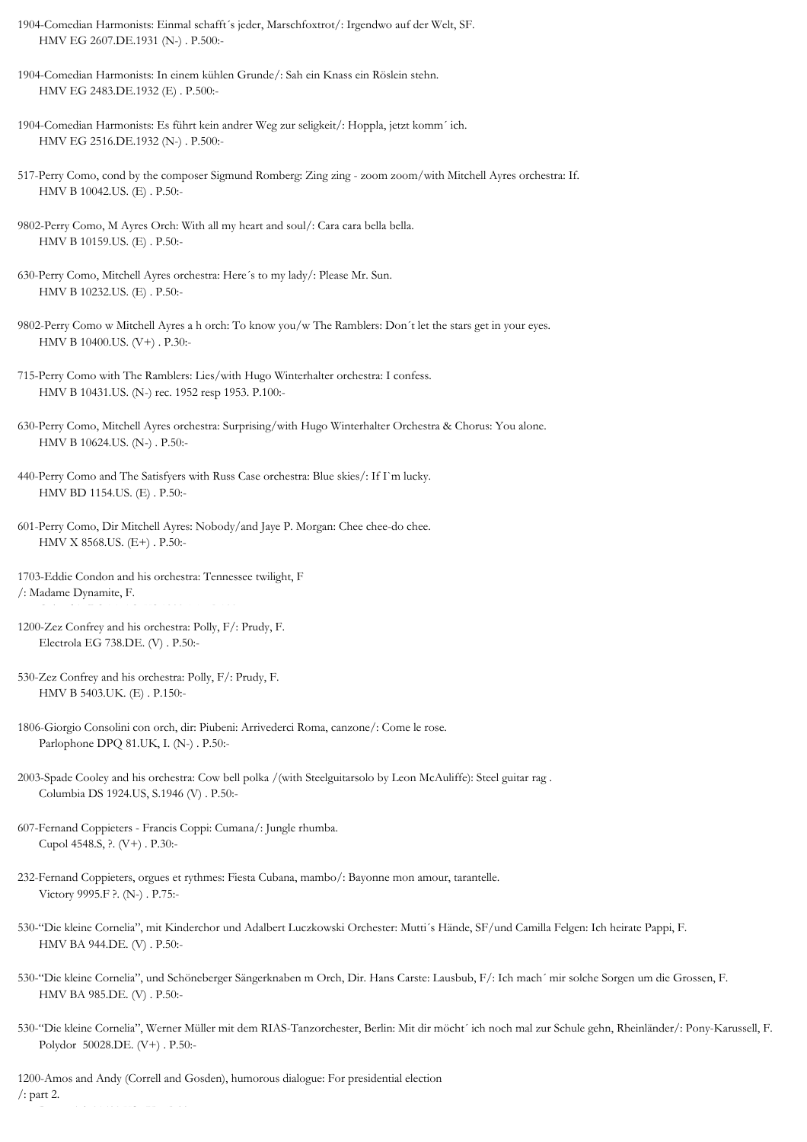- 1904-Comedian Harmonists: Einmal schafft´s jeder, Marschfoxtrot/: Irgendwo auf der Welt, SF. HMV EG 2607.DE.1931 (N-) . P.500:-
- 1904-Comedian Harmonists: In einem kühlen Grunde/: Sah ein Knass ein Röslein stehn. HMV EG 2483.DE.1932 (E) . P.500:-
- 1904-Comedian Harmonists: Es führt kein andrer Weg zur seligkeit/: Hoppla, jetzt komm´ ich. HMV EG 2516.DE.1932 (N-) . P.500:-
- 517-Perry Como, cond by the composer Sigmund Romberg: Zing zing zoom zoom/with Mitchell Ayres orchestra: If. HMV B 10042.US. (E) . P.50:-
- 9802-Perry Como, M Ayres Orch: With all my heart and soul/: Cara cara bella bella. HMV B 10159.US. (E) . P.50:-
- 630-Perry Como, Mitchell Ayres orchestra: Here´s to my lady/: Please Mr. Sun. HMV B 10232.US. (E) . P.50:-
- 9802-Perry Como w Mitchell Ayres a h orch: To know you/w The Ramblers: Don´t let the stars get in your eyes. HMV B 10400.US. (V+) . P.30:-
- 715-Perry Como with The Ramblers: Lies/with Hugo Winterhalter orchestra: I confess. HMV B 10431.US. (N-) rec. 1952 resp 1953. P.100:-
- 630-Perry Como, Mitchell Ayres orchestra: Surprising/with Hugo Winterhalter Orchestra & Chorus: You alone. HMV B 10624.US. (N-) . P.50:-
- 440-Perry Como and The Satisfyers with Russ Case orchestra: Blue skies/: If I`m lucky. HMV BD 1154.US. (E) . P.50:-
- 601-Perry Como, Dir Mitchell Ayres: Nobody/and Jaye P. Morgan: Chee chee-do chee. HMV X 8568.US. (E+) . P.50:-
- 1703-Eddie Condon and his orchestra: Tennessee twilight, F /: Madame Dynamite, F.
- 1200-Zez Confrey and his orchestra: Polly, F/: Prudy, F. Electrola EG 738.DE. (V) . P.50:-
- 530-Zez Confrey and his orchestra: Polly, F/: Prudy, F. HMV B 5403.UK. (E) . P.150:-
- 1806-Giorgio Consolini con orch, dir: Piubeni: Arrivederci Roma, canzone/: Come le rose. Parlophone DPQ 81.UK, I. (N-) . P.50:-
- 2003-Spade Cooley and his orchestra: Cow bell polka /(with Steelguitarsolo by Leon McAuliffe): Steel guitar rag . Columbia DS 1924.US, S.1946 (V) . P.50:-
- 607-Fernand Coppieters Francis Coppi: Cumana/: Jungle rhumba. Cupol 4548.S, ?. (V+) . P.30:-
- 232-Fernand Coppieters, orgues et rythmes: Fiesta Cubana, mambo/: Bayonne mon amour, tarantelle. Victory 9995.F ?. (N-) . P.75:-
- 530-"Die kleine Cornelia", mit Kinderchor und Adalbert Luczkowski Orchester: Mutti´s Hände, SF/und Camilla Felgen: Ich heirate Pappi, F. HMV BA 944.DE. (V) . P.50:-
- 530-"Die kleine Cornelia", und Schöneberger Sängerknaben m Orch, Dir. Hans Carste: Lausbub, F/: Ich mach´ mir solche Sorgen um die Grossen, F. HMV BA 985.DE. (V) . P.50:-
- 530-"Die kleine Cornelia", Werner Müller mit dem RIAS-Tanzorchester, Berlin: Mit dir möcht´ ich noch mal zur Schule gehn, Rheinländer/: Pony-Karussell, F. Polydor 50028.DE. (V+) . P.50:-

1200-Amos and Andy (Correll and Gosden), humorous dialogue: For presidential election /: part 2. Brunswick 21608.US. (V) . P.30:-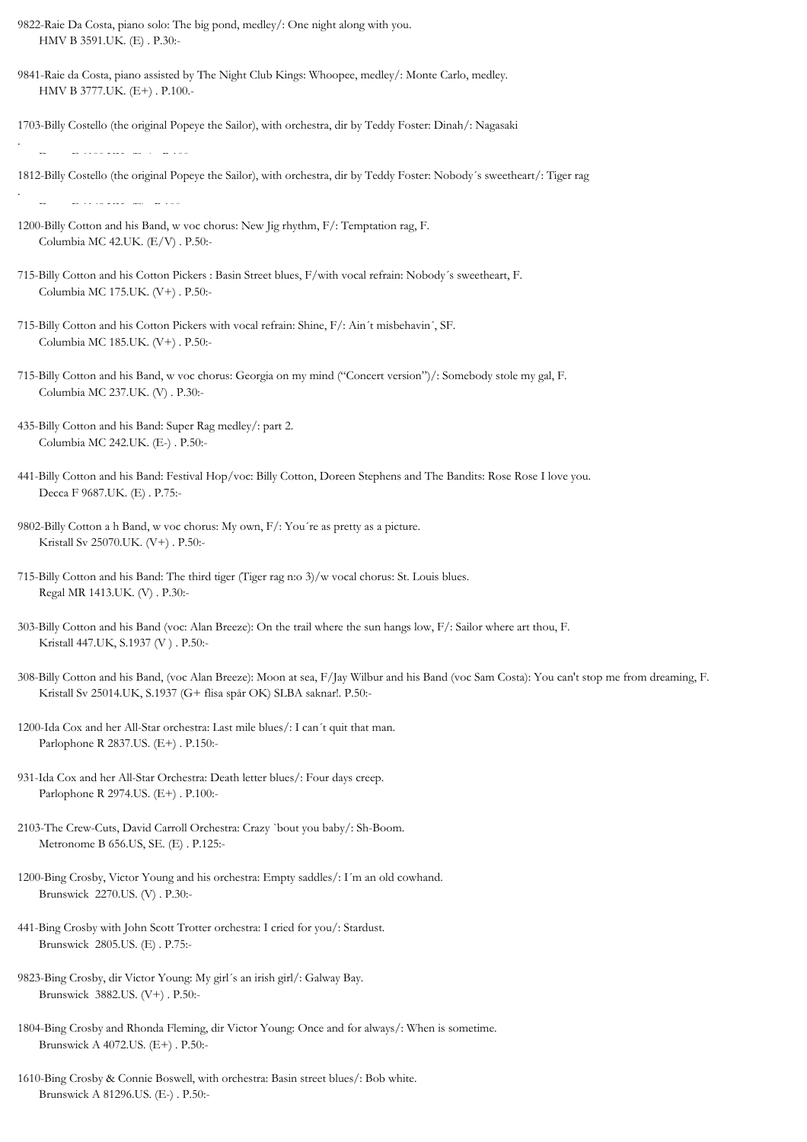- 9822-Raie Da Costa, piano solo: The big pond, medley/: One night along with you. HMV B 3591.UK. (E) . P.30:-
- 9841-Raie da Costa, piano assisted by The Night Club Kings: Whoopee, medley/: Monte Carlo, medley. HMV B 3777.UK. (E+) . P.100.-
- 1703-Billy Costello (the original Popeye the Sailor), with orchestra, dir by Teddy Foster: Dinah/: Nagasaki

1812-Billy Costello (the original Popeye the Sailor), with orchestra, dir by Teddy Foster: Nobody´s sweetheart/: Tiger rag

Decca F 6148.UK. (E) . P.100:-

.

- 1200-Billy Cotton and his Band, w voc chorus: New Jig rhythm, F/: Temptation rag, F. Columbia MC 42.UK. (E/V) . P.50:-
- 715-Billy Cotton and his Cotton Pickers : Basin Street blues, F/with vocal refrain: Nobody´s sweetheart, F. Columbia MC 175.UK. (V+) . P.50:-
- 715-Billy Cotton and his Cotton Pickers with vocal refrain: Shine, F/: Ain´t misbehavin´, SF. Columbia MC 185.UK. (V+) . P.50:-
- 715-Billy Cotton and his Band, w voc chorus: Georgia on my mind ("Concert version")/: Somebody stole my gal, F. Columbia MC 237.UK. (V) . P.30:-
- 435-Billy Cotton and his Band: Super Rag medley/: part 2. Columbia MC 242.UK. (E-) . P.50:-
- 441-Billy Cotton and his Band: Festival Hop/voc: Billy Cotton, Doreen Stephens and The Bandits: Rose Rose I love you. Decca F 9687.UK. (E) . P.75:-
- 9802-Billy Cotton a h Band, w voc chorus: My own, F/: You´re as pretty as a picture. Kristall Sv 25070.UK. (V+) . P.50:-
- 715-Billy Cotton and his Band: The third tiger (Tiger rag n:o 3)/w vocal chorus: St. Louis blues. Regal MR 1413.UK. (V) . P.30:-
- 303-Billy Cotton and his Band (voc: Alan Breeze): On the trail where the sun hangs low, F/: Sailor where art thou, F. Kristall 447.UK, S.1937 (V ) . P.50:-
- 308-Billy Cotton and his Band, (voc Alan Breeze): Moon at sea, F/Jay Wilbur and his Band (voc Sam Costa): You can't stop me from dreaming, F. Kristall Sv 25014.UK, S.1937 (G+ flisa spår OK) SLBA saknar!. P.50:-
- 1200-Ida Cox and her All-Star orchestra: Last mile blues/: I can´t quit that man. Parlophone R 2837.US. (E+) . P.150:-
- 931-Ida Cox and her All-Star Orchestra: Death letter blues/: Four days creep. Parlophone R 2974.US. (E+) . P.100:-
- 2103-The Crew-Cuts, David Carroll Orchestra: Crazy `bout you baby/: Sh-Boom. Metronome B 656.US, SE. (E) . P.125:-
- 1200-Bing Crosby, Victor Young and his orchestra: Empty saddles/: I´m an old cowhand. Brunswick 2270.US. (V) . P.30:-
- 441-Bing Crosby with John Scott Trotter orchestra: I cried for you/: Stardust. Brunswick 2805.US. (E) . P.75:-
- 9823-Bing Crosby, dir Victor Young: My girl´s an irish girl/: Galway Bay. Brunswick 3882.US. (V+) . P.50:-
- 1804-Bing Crosby and Rhonda Fleming, dir Victor Young: Once and for always/: When is sometime. Brunswick A 4072.US. (E+) . P.50:-
- 1610-Bing Crosby & Connie Boswell, with orchestra: Basin street blues/: Bob white. Brunswick A 81296.US. (E-) . P.50:-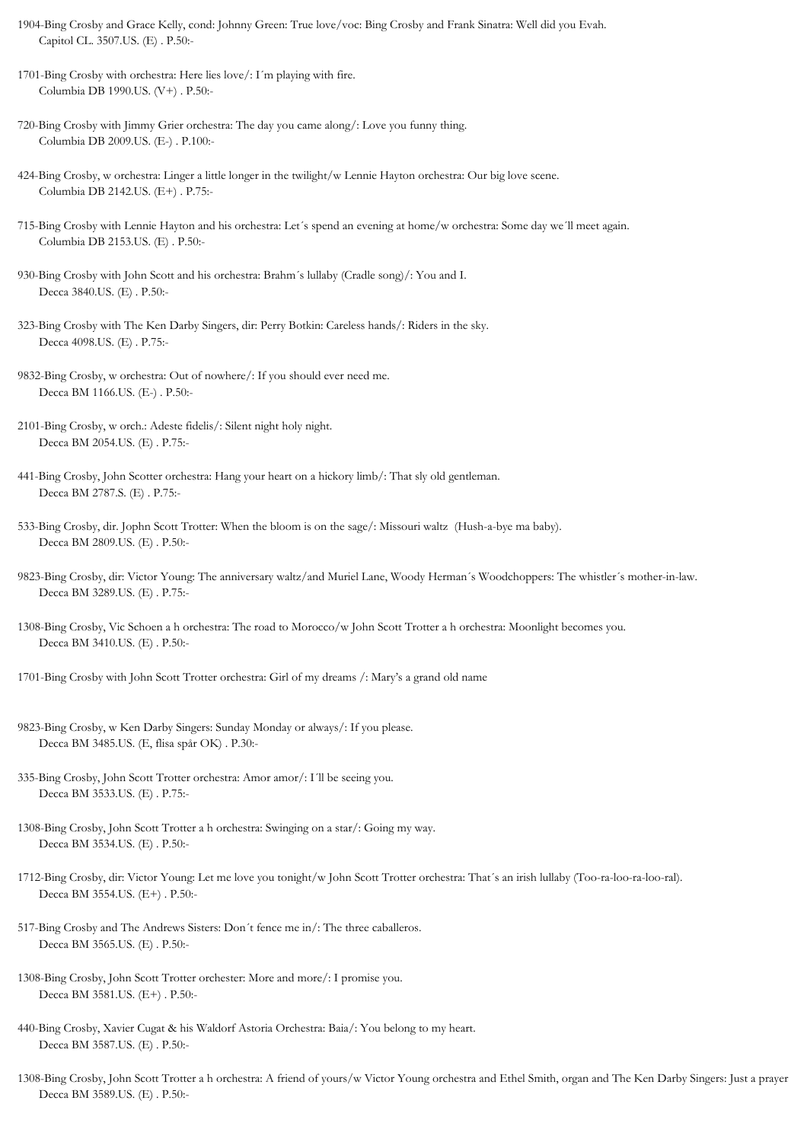- 1904-Bing Crosby and Grace Kelly, cond: Johnny Green: True love/voc: Bing Crosby and Frank Sinatra: Well did you Evah. Capitol CL. 3507.US. (E) . P.50:-
- 1701-Bing Crosby with orchestra: Here lies love/: I´m playing with fire. Columbia DB 1990.US. (V+) . P.50:-
- 720-Bing Crosby with Jimmy Grier orchestra: The day you came along/: Love you funny thing. Columbia DB 2009.US. (E-) . P.100:-
- 424-Bing Crosby, w orchestra: Linger a little longer in the twilight/w Lennie Hayton orchestra: Our big love scene. Columbia DB 2142.US. (E+) . P.75:-
- 715-Bing Crosby with Lennie Hayton and his orchestra: Let´s spend an evening at home/w orchestra: Some day we´ll meet again. Columbia DB 2153.US. (E) . P.50:-
- 930-Bing Crosby with John Scott and his orchestra: Brahm´s lullaby (Cradle song)/: You and I. Decca 3840.US. (E) . P.50:-
- 323-Bing Crosby with The Ken Darby Singers, dir: Perry Botkin: Careless hands/: Riders in the sky. Decca 4098.US. (E) . P.75:-
- 9832-Bing Crosby, w orchestra: Out of nowhere/: If you should ever need me. Decca BM 1166.US. (E-) . P.50:-
- 2101-Bing Crosby, w orch.: Adeste fidelis/: Silent night holy night. Decca BM 2054.US. (E) . P.75:-
- 441-Bing Crosby, John Scotter orchestra: Hang your heart on a hickory limb/: That sly old gentleman. Decca BM 2787.S. (E) . P.75:-
- 533-Bing Crosby, dir. Jophn Scott Trotter: When the bloom is on the sage/: Missouri waltz (Hush-a-bye ma baby). Decca BM 2809.US. (E) . P.50:-
- 9823-Bing Crosby, dir: Victor Young: The anniversary waltz/and Muriel Lane, Woody Herman´s Woodchoppers: The whistler´s mother-in-law. Decca BM 3289.US. (E) . P.75:-
- 1308-Bing Crosby, Vic Schoen a h orchestra: The road to Morocco/w John Scott Trotter a h orchestra: Moonlight becomes you. Decca BM 3410.US. (E) . P.50:-
- 1701-Bing Crosby with John Scott Trotter orchestra: Girl of my dreams /: Mary's a grand old name
- 9823-Bing Crosby, w Ken Darby Singers: Sunday Monday or always/: If you please. Decca BM 3485.US. (E, flisa spår OK) . P.30:-
- 335-Bing Crosby, John Scott Trotter orchestra: Amor amor/: I´ll be seeing you. Decca BM 3533.US. (E) . P.75:-
- 1308-Bing Crosby, John Scott Trotter a h orchestra: Swinging on a star/: Going my way. Decca BM 3534.US. (E) . P.50:-
- 1712-Bing Crosby, dir: Victor Young: Let me love you tonight/w John Scott Trotter orchestra: That´s an irish lullaby (Too-ra-loo-ra-loo-ral). Decca BM 3554.US. (E+) . P.50:-
- 517-Bing Crosby and The Andrews Sisters: Don´t fence me in/: The three caballeros. Decca BM 3565.US. (E) . P.50:-
- 1308-Bing Crosby, John Scott Trotter orchester: More and more/: I promise you. Decca BM 3581.US. (E+) . P.50:-
- 440-Bing Crosby, Xavier Cugat & his Waldorf Astoria Orchestra: Baia/: You belong to my heart. Decca BM 3587.US. (E) . P.50:-
- 1308-Bing Crosby, John Scott Trotter a h orchestra: A friend of yours/w Victor Young orchestra and Ethel Smith, organ and The Ken Darby Singers: Just a prayer Decca BM 3589.US. (E) . P.50:-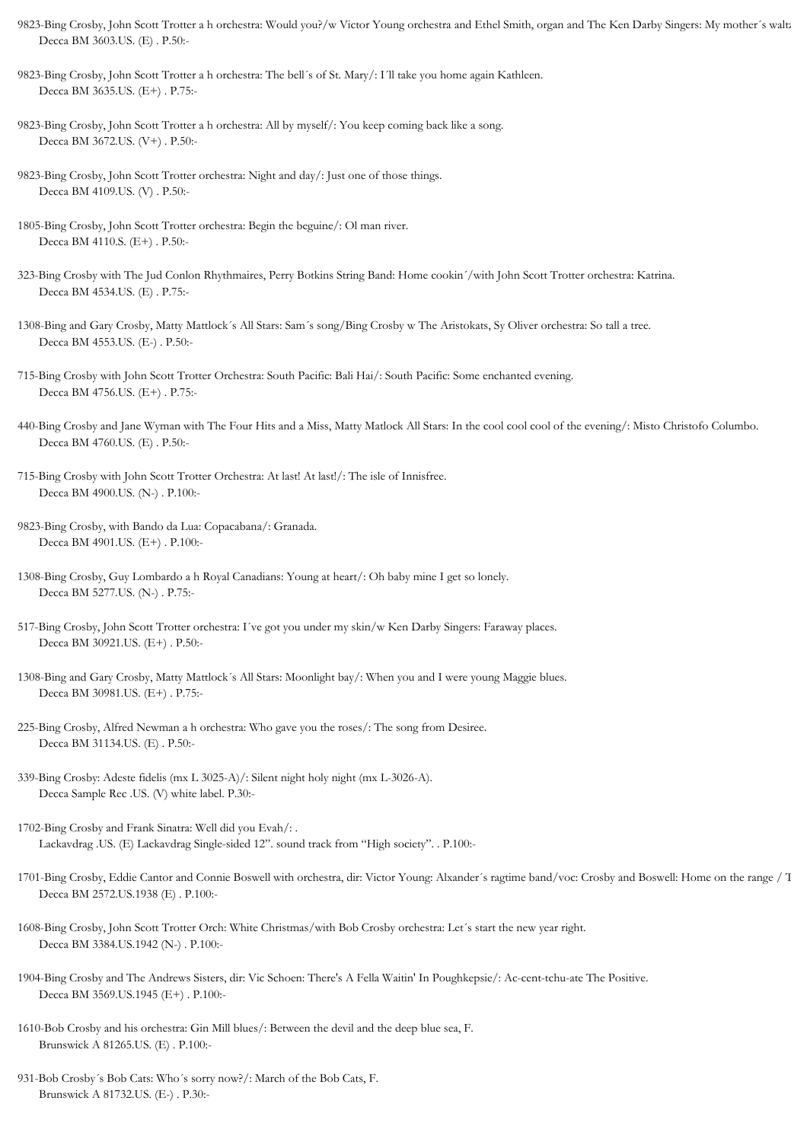- 9823-Bing Crosby, John Scott Trotter a h orchestra: Would you?/w Victor Young orchestra and Ethel Smith, organ and The Ken Darby Singers: My mother's waltz Decca BM 3603.US. (E) . P.50:-
- 9823-Bing Crosby, John Scott Trotter a h orchestra: The bell´s of St. Mary/: I´ll take you home again Kathleen. Decca BM 3635.US. (E+) . P.75:-
- 9823-Bing Crosby, John Scott Trotter a h orchestra: All by myself/: You keep coming back like a song. Decca BM 3672.US. (V+) . P.50:-
- 9823-Bing Crosby, John Scott Trotter orchestra: Night and day/: Just one of those things. Decca BM 4109.US. (V) . P.50:-
- 1805-Bing Crosby, John Scott Trotter orchestra: Begin the beguine/: Ol man river. Decca BM 4110.S. (E+) . P.50:-
- 323-Bing Crosby with The Jud Conlon Rhythmaires, Perry Botkins String Band: Home cookin´/with John Scott Trotter orchestra: Katrina. Decca BM 4534.US. (E) . P.75:-
- 1308-Bing and Gary Crosby, Matty Mattlock´s All Stars: Sam´s song/Bing Crosby w The Aristokats, Sy Oliver orchestra: So tall a tree. Decca BM 4553.US. (E-) . P.50:-
- 715-Bing Crosby with John Scott Trotter Orchestra: South Pacific: Bali Hai/: South Pacific: Some enchanted evening. Decca BM 4756.US. (E+) . P.75:-
- 440-Bing Crosby and Jane Wyman with The Four Hits and a Miss, Matty Matlock All Stars: In the cool cool cool of the evening/: Misto Christofo Columbo. Decca BM 4760.US. (E) . P.50:-
- 715-Bing Crosby with John Scott Trotter Orchestra: At last! At last!/: The isle of Innisfree. Decca BM 4900.US. (N-) . P.100:-
- 9823-Bing Crosby, with Bando da Lua: Copacabana/: Granada. Decca BM 4901.US. (E+) . P.100:-
- 1308-Bing Crosby, Guy Lombardo a h Royal Canadians: Young at heart/: Oh baby mine I get so lonely. Decca BM 5277.US. (N-) . P.75:-
- 517-Bing Crosby, John Scott Trotter orchestra: I´ve got you under my skin/w Ken Darby Singers: Faraway places. Decca BM 30921.US. (E+) . P.50:-
- 1308-Bing and Gary Crosby, Matty Mattlock´s All Stars: Moonlight bay/: When you and I were young Maggie blues. Decca BM 30981.US. (E+) . P.75:-
- 225-Bing Crosby, Alfred Newman a h orchestra: Who gave you the roses/: The song from Desiree. Decca BM 31134.US. (E) . P.50:-
- 339-Bing Crosby: Adeste fidelis (mx L 3025-A)/: Silent night holy night (mx L-3026-A). Decca Sample Rec .US. (V) white label. P.30:-
- 1702-Bing Crosby and Frank Sinatra: Well did you Evah/: . Lackavdrag .US. (E) Lackavdrag Single-sided 12". sound track from "High society". . P.100:-
- 1701-Bing Crosby, Eddie Cantor and Connie Boswell with orchestra, dir: Victor Young: Alxander's ragtime band/voc: Crosby and Boswell: Home on the range / T Decca BM 2572.US.1938 (E) . P.100:-
- 1608-Bing Crosby, John Scott Trotter Orch: White Christmas/with Bob Crosby orchestra: Let´s start the new year right. Decca BM 3384.US.1942 (N-) . P.100:-
- 1904-Bing Crosby and The Andrews Sisters, dir: Vic Schoen: There's A Fella Waitin' In Poughkepsie/: Ac-cent-tchu-ate The Positive. Decca BM 3569.US.1945 (E+) . P.100:-
- 1610-Bob Crosby and his orchestra: Gin Mill blues/: Between the devil and the deep blue sea, F. Brunswick A 81265.US. (E) . P.100:-
- 931-Bob Crosby´s Bob Cats: Who´s sorry now?/: March of the Bob Cats, F. Brunswick A 81732.US. (E-) . P.30:-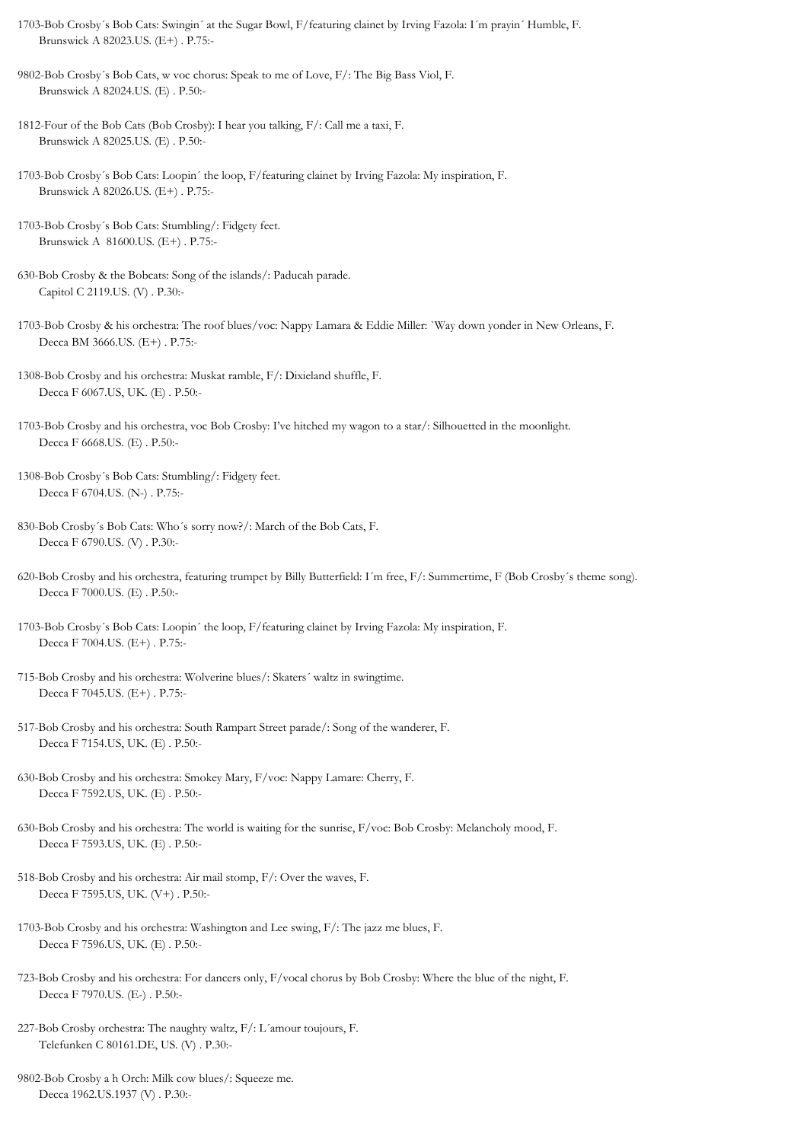- 1703-Bob Crosby´s Bob Cats: Swingin´ at the Sugar Bowl, F/featuring clainet by Irving Fazola: I´m prayin´ Humble, F. Brunswick A 82023.US. (E+) . P.75:-
- 9802-Bob Crosby´s Bob Cats, w voc chorus: Speak to me of Love, F/: The Big Bass Viol, F. Brunswick A 82024.US. (E) . P.50:-
- 1812-Four of the Bob Cats (Bob Crosby): I hear you talking, F/: Call me a taxi, F. Brunswick A 82025.US. (E) . P.50:-
- 1703-Bob Crosby´s Bob Cats: Loopin´ the loop, F/featuring clainet by Irving Fazola: My inspiration, F. Brunswick A 82026.US. (E+) . P.75:-
- 1703-Bob Crosby´s Bob Cats: Stumbling/: Fidgety feet. Brunswick A 81600.US. (E+) . P.75:-
- 630-Bob Crosby & the Bobcats: Song of the islands/: Paducah parade. Capitol C 2119.US. (V) . P.30:-
- 1703-Bob Crosby & his orchestra: The roof blues/voc: Nappy Lamara & Eddie Miller: `Way down yonder in New Orleans, F. Decca BM 3666.US. (E+) . P.75:-
- 1308-Bob Crosby and his orchestra: Muskat ramble, F/: Dixieland shuffle, F. Decca F 6067.US, UK. (E) . P.50:-
- 1703-Bob Crosby and his orchestra, voc Bob Crosby: I've hitched my wagon to a star/: Silhouetted in the moonlight. Decca F 6668.US. (E) . P.50:-
- 1308-Bob Crosby´s Bob Cats: Stumbling/: Fidgety feet. Decca F 6704.US. (N-) . P.75:-
- 830-Bob Crosby´s Bob Cats: Who´s sorry now?/: March of the Bob Cats, F. Decca F 6790.US. (V) . P.30:-
- 620-Bob Crosby and his orchestra, featuring trumpet by Billy Butterfield: I´m free, F/: Summertime, F (Bob Crosby´s theme song). Decca F 7000.US. (E) . P.50:-
- 1703-Bob Crosby´s Bob Cats: Loopin´ the loop, F/featuring clainet by Irving Fazola: My inspiration, F. Decca F 7004.US. (E+) . P.75:-
- 715-Bob Crosby and his orchestra: Wolverine blues/: Skaters´ waltz in swingtime. Decca F 7045.US. (E+) . P.75:-
- 517-Bob Crosby and his orchestra: South Rampart Street parade/: Song of the wanderer, F. Decca F 7154.US, UK. (E) . P.50:-
- 630-Bob Crosby and his orchestra: Smokey Mary, F/voc: Nappy Lamare: Cherry, F. Decca F 7592.US, UK. (E) . P.50:-
- 630-Bob Crosby and his orchestra: The world is waiting for the sunrise, F/voc: Bob Crosby: Melancholy mood, F. Decca F 7593.US, UK. (E) . P.50:-
- 518-Bob Crosby and his orchestra: Air mail stomp, F/: Over the waves, F. Decca F 7595.US, UK. (V+) . P.50:-
- 1703-Bob Crosby and his orchestra: Washington and Lee swing, F/: The jazz me blues, F. Decca F 7596.US, UK. (E) . P.50:-
- 723-Bob Crosby and his orchestra: For dancers only, F/vocal chorus by Bob Crosby: Where the blue of the night, F. Decca F 7970.US. (E-) . P.50:-
- 227-Bob Crosby orchestra: The naughty waltz, F/: L´amour toujours, F. Telefunken C 80161.DE, US. (V) . P.30:-
- 9802-Bob Crosby a h Orch: Milk cow blues/: Squeeze me. Decca 1962.US.1937 (V) . P.30:-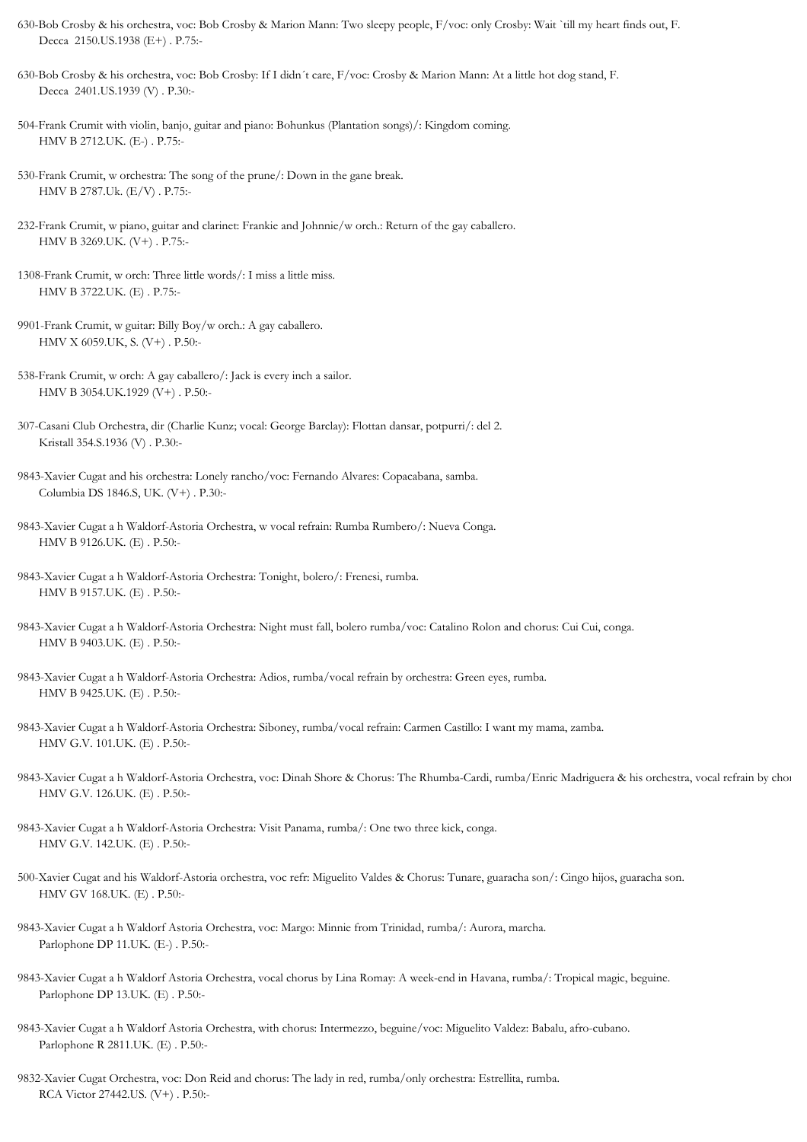- 630-Bob Crosby & his orchestra, voc: Bob Crosby & Marion Mann: Two sleepy people, F/voc: only Crosby: Wait `till my heart finds out, F. Decca 2150.US.1938 (E+) . P.75:-
- 630-Bob Crosby & his orchestra, voc: Bob Crosby: If I didn´t care, F/voc: Crosby & Marion Mann: At a little hot dog stand, F. Decca 2401.US.1939 (V) . P.30:-
- 504-Frank Crumit with violin, banjo, guitar and piano: Bohunkus (Plantation songs)/: Kingdom coming. HMV B 2712.UK. (E-) . P.75:-
- 530-Frank Crumit, w orchestra: The song of the prune/: Down in the gane break. HMV B 2787.Uk. (E/V) . P.75:-
- 232-Frank Crumit, w piano, guitar and clarinet: Frankie and Johnnie/w orch.: Return of the gay caballero. HMV B 3269.UK. (V+) . P.75:-
- 1308-Frank Crumit, w orch: Three little words/: I miss a little miss. HMV B 3722.UK. (E) . P.75:-
- 9901-Frank Crumit, w guitar: Billy Boy/w orch.: A gay caballero. HMV X 6059.UK, S. (V+) . P.50:-
- 538-Frank Crumit, w orch: A gay caballero/: Jack is every inch a sailor. HMV B 3054.UK.1929 (V+) . P.50:-
- 307-Casani Club Orchestra, dir (Charlie Kunz; vocal: George Barclay): Flottan dansar, potpurri/: del 2. Kristall 354.S.1936 (V) . P.30:-
- 9843-Xavier Cugat and his orchestra: Lonely rancho/voc: Fernando Alvares: Copacabana, samba. Columbia DS 1846.S, UK. (V+) . P.30:-
- 9843-Xavier Cugat a h Waldorf-Astoria Orchestra, w vocal refrain: Rumba Rumbero/: Nueva Conga. HMV B 9126.UK. (E) . P.50:-
- 9843-Xavier Cugat a h Waldorf-Astoria Orchestra: Tonight, bolero/: Frenesi, rumba. HMV B 9157.UK. (E) . P.50:-
- 9843-Xavier Cugat a h Waldorf-Astoria Orchestra: Night must fall, bolero rumba/voc: Catalino Rolon and chorus: Cui Cui, conga. HMV B 9403.UK. (E) . P.50:-
- 9843-Xavier Cugat a h Waldorf-Astoria Orchestra: Adios, rumba/vocal refrain by orchestra: Green eyes, rumba. HMV B 9425.UK. (E) . P.50:-
- 9843-Xavier Cugat a h Waldorf-Astoria Orchestra: Siboney, rumba/vocal refrain: Carmen Castillo: I want my mama, zamba. HMV G.V. 101.UK. (E) . P.50:-
- 9843-Xavier Cugat a h Waldorf-Astoria Orchestra, voc: Dinah Shore & Chorus: The Rhumba-Cardi, rumba/Enric Madriguera & his orchestra, vocal refrain by chor HMV G.V. 126.UK. (E) . P.50:-
- 9843-Xavier Cugat a h Waldorf-Astoria Orchestra: Visit Panama, rumba/: One two three kick, conga. HMV G.V. 142.UK. (E) . P.50:-
- 500-Xavier Cugat and his Waldorf-Astoria orchestra, voc refr: Miguelito Valdes & Chorus: Tunare, guaracha son/: Cingo hijos, guaracha son. HMV GV 168.UK. (E) . P.50:-
- 9843-Xavier Cugat a h Waldorf Astoria Orchestra, voc: Margo: Minnie from Trinidad, rumba/: Aurora, marcha. Parlophone DP 11.UK. (E-) . P.50:-
- 9843-Xavier Cugat a h Waldorf Astoria Orchestra, vocal chorus by Lina Romay: A week-end in Havana, rumba/: Tropical magic, beguine. Parlophone DP 13.UK. (E) . P.50:-
- 9843-Xavier Cugat a h Waldorf Astoria Orchestra, with chorus: Intermezzo, beguine/voc: Miguelito Valdez: Babalu, afro-cubano. Parlophone R 2811.UK. (E) . P.50:-
- 9832-Xavier Cugat Orchestra, voc: Don Reid and chorus: The lady in red, rumba/only orchestra: Estrellita, rumba. RCA Victor 27442.US. (V+) . P.50:-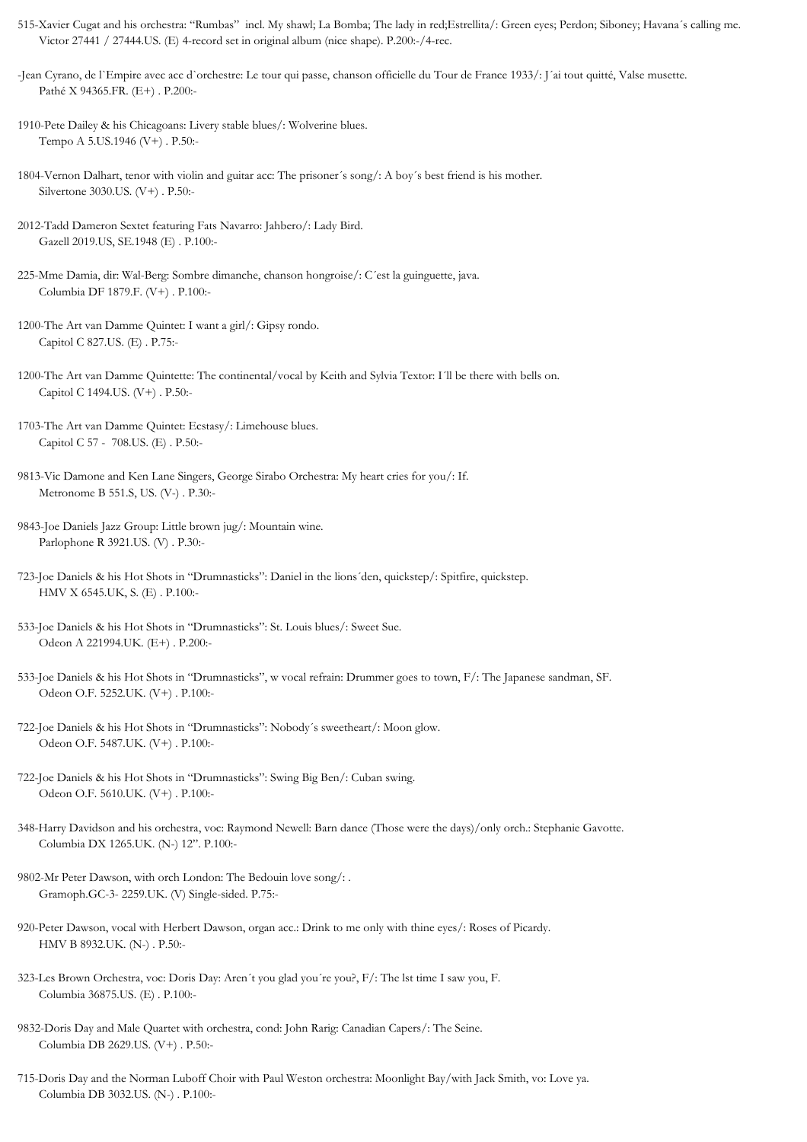- 515-Xavier Cugat and his orchestra: "Rumbas" incl. My shawl; La Bomba; The lady in red;Estrellita/: Green eyes; Perdon; Siboney; Havana´s calling me. Victor 27441 / 27444.US. (E) 4-record set in original album (nice shape). P.200:-/4-rec.
- -Jean Cyrano, de l`Empire avec acc d`orchestre: Le tour qui passe, chanson officielle du Tour de France 1933/: J´ai tout quitté, Valse musette. Pathé X 94365.FR. (E+) . P.200:-
- 1910-Pete Dailey & his Chicagoans: Livery stable blues/: Wolverine blues. Tempo A 5.US.1946 (V+) . P.50:-
- 1804-Vernon Dalhart, tenor with violin and guitar acc: The prisoner´s song/: A boy´s best friend is his mother. Silvertone 3030.US. (V+) . P.50:-
- 2012-Tadd Dameron Sextet featuring Fats Navarro: Jahbero/: Lady Bird. Gazell 2019.US, SE.1948 (E) . P.100:-
- 225-Mme Damia, dir: Wal-Berg: Sombre dimanche, chanson hongroise/: C´est la guinguette, java. Columbia DF 1879.F. (V+) . P.100:-
- 1200-The Art van Damme Quintet: I want a girl/: Gipsy rondo. Capitol C 827.US. (E) . P.75:-
- 1200-The Art van Damme Quintette: The continental/vocal by Keith and Sylvia Textor: I´ll be there with bells on. Capitol C 1494.US. (V+) . P.50:-
- 1703-The Art van Damme Quintet: Ecstasy/: Limehouse blues. Capitol C 57 - 708.US. (E) . P.50:-
- 9813-Vic Damone and Ken Lane Singers, George Sirabo Orchestra: My heart cries for you/: If. Metronome B 551.S, US. (V-) . P.30:-
- 9843-Joe Daniels Jazz Group: Little brown jug/: Mountain wine. Parlophone R 3921.US. (V) . P.30:-
- 723-Joe Daniels & his Hot Shots in "Drumnasticks": Daniel in the lions´den, quickstep/: Spitfire, quickstep. HMV X 6545.UK, S. (E) . P.100:-
- 533-Joe Daniels & his Hot Shots in "Drumnasticks": St. Louis blues/: Sweet Sue. Odeon A 221994.UK. (E+) . P.200:-
- 533-Joe Daniels & his Hot Shots in "Drumnasticks", w vocal refrain: Drummer goes to town, F/: The Japanese sandman, SF. Odeon O.F. 5252.UK. (V+) . P.100:-
- 722-Joe Daniels & his Hot Shots in "Drumnasticks": Nobody´s sweetheart/: Moon glow. Odeon O.F. 5487.UK. (V+) . P.100:-
- 722-Joe Daniels & his Hot Shots in "Drumnasticks": Swing Big Ben/: Cuban swing. Odeon O.F. 5610.UK. (V+) . P.100:-
- 348-Harry Davidson and his orchestra, voc: Raymond Newell: Barn dance (Those were the days)/only orch.: Stephanie Gavotte. Columbia DX 1265.UK. (N-) 12". P.100:-
- 9802-Mr Peter Dawson, with orch London: The Bedouin love song/: . Gramoph.GC-3- 2259.UK. (V) Single-sided. P.75:-
- 920-Peter Dawson, vocal with Herbert Dawson, organ acc.: Drink to me only with thine eyes/: Roses of Picardy. HMV B 8932.UK. (N-) . P.50:-
- 323-Les Brown Orchestra, voc: Doris Day: Aren´t you glad you´re you?, F/: The lst time I saw you, F. Columbia 36875.US. (E) . P.100:-
- 9832-Doris Day and Male Quartet with orchestra, cond: John Rarig: Canadian Capers/: The Seine. Columbia DB 2629.US. (V+) . P.50:-
- 715-Doris Day and the Norman Luboff Choir with Paul Weston orchestra: Moonlight Bay/with Jack Smith, vo: Love ya. Columbia DB 3032.US. (N-) . P.100:-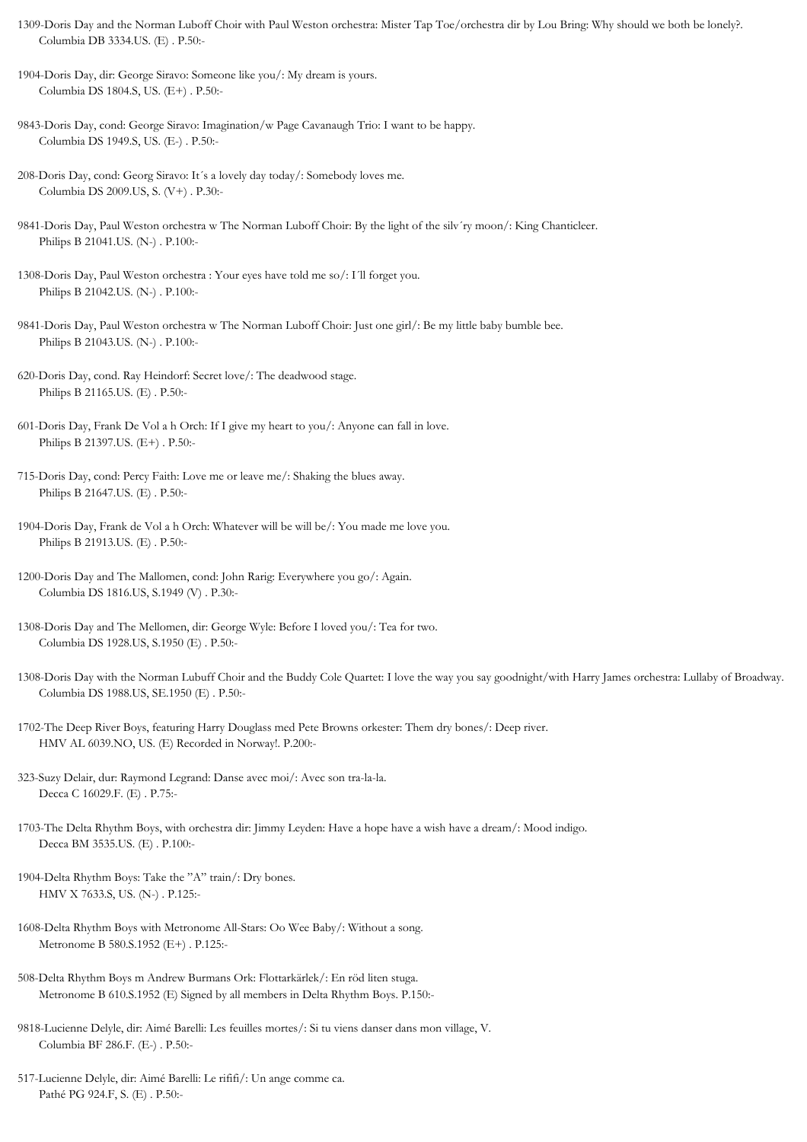- 1309-Doris Day and the Norman Luboff Choir with Paul Weston orchestra: Mister Tap Toe/orchestra dir by Lou Bring: Why should we both be lonely?. Columbia DB 3334.US. (E) . P.50:-
- 1904-Doris Day, dir: George Siravo: Someone like you/: My dream is yours. Columbia DS 1804.S, US. (E+) . P.50:-
- 9843-Doris Day, cond: George Siravo: Imagination/w Page Cavanaugh Trio: I want to be happy. Columbia DS 1949.S, US. (E-) . P.50:-
- 208-Doris Day, cond: Georg Siravo: It´s a lovely day today/: Somebody loves me. Columbia DS 2009.US, S. (V+) . P.30:-
- 9841-Doris Day, Paul Weston orchestra w The Norman Luboff Choir: By the light of the silv´ry moon/: King Chanticleer. Philips B 21041.US. (N-) . P.100:-
- 1308-Doris Day, Paul Weston orchestra : Your eyes have told me so/: I´ll forget you. Philips B 21042.US. (N-) . P.100:-
- 9841-Doris Day, Paul Weston orchestra w The Norman Luboff Choir: Just one girl/: Be my little baby bumble bee. Philips B 21043.US. (N-) . P.100:-
- 620-Doris Day, cond. Ray Heindorf: Secret love/: The deadwood stage. Philips B 21165.US. (E) . P.50:-
- 601-Doris Day, Frank De Vol a h Orch: If I give my heart to you/: Anyone can fall in love. Philips B 21397.US. (E+) . P.50:-
- 715-Doris Day, cond: Percy Faith: Love me or leave me/: Shaking the blues away. Philips B 21647.US. (E) . P.50:-
- 1904-Doris Day, Frank de Vol a h Orch: Whatever will be will be/: You made me love you. Philips B 21913.US. (E) . P.50:-
- 1200-Doris Day and The Mallomen, cond: John Rarig: Everywhere you go/: Again. Columbia DS 1816.US, S.1949 (V) . P.30:-
- 1308-Doris Day and The Mellomen, dir: George Wyle: Before I loved you/: Tea for two. Columbia DS 1928.US, S.1950 (E) . P.50:-
- 1308-Doris Day with the Norman Lubuff Choir and the Buddy Cole Quartet: I love the way you say goodnight/with Harry James orchestra: Lullaby of Broadway. Columbia DS 1988.US, SE.1950 (E) . P.50:-
- 1702-The Deep River Boys, featuring Harry Douglass med Pete Browns orkester: Them dry bones/: Deep river. HMV AL 6039.NO, US. (E) Recorded in Norway!. P.200:-
- 323-Suzy Delair, dur: Raymond Legrand: Danse avec moi/: Avec son tra-la-la. Decca C 16029.F. (E) . P.75:-
- 1703-The Delta Rhythm Boys, with orchestra dir: Jimmy Leyden: Have a hope have a wish have a dream/: Mood indigo. Decca BM 3535.US. (E) . P.100:-
- 1904-Delta Rhythm Boys: Take the "A" train/: Dry bones. HMV X 7633.S, US. (N-) . P.125:-
- 1608-Delta Rhythm Boys with Metronome All-Stars: Oo Wee Baby/: Without a song. Metronome B 580.S.1952 (E+) . P.125:-
- 508-Delta Rhythm Boys m Andrew Burmans Ork: Flottarkärlek/: En röd liten stuga. Metronome B 610.S.1952 (E) Signed by all members in Delta Rhythm Boys. P.150:-
- 9818-Lucienne Delyle, dir: Aimé Barelli: Les feuilles mortes/: Si tu viens danser dans mon village, V. Columbia BF 286.F. (E-) . P.50:-
- 517-Lucienne Delyle, dir: Aimé Barelli: Le rififi/: Un ange comme ca. Pathé PG 924.F, S. (E) . P.50:-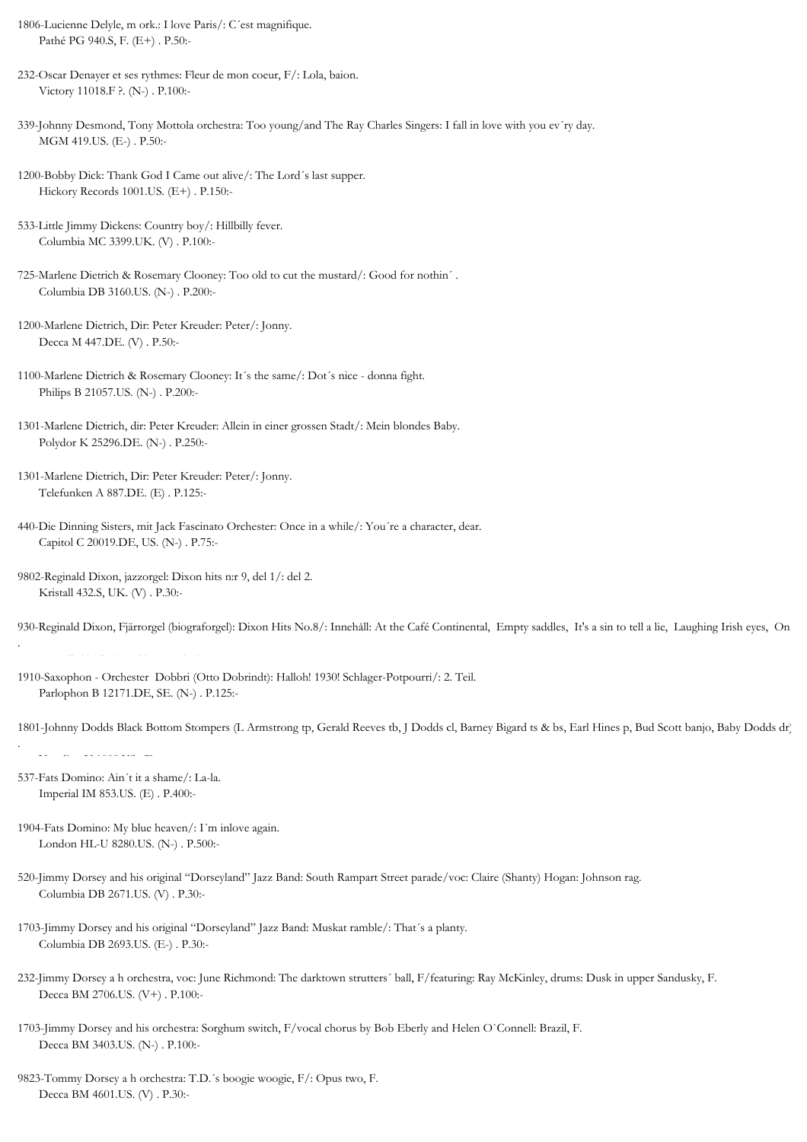- 1806-Lucienne Delyle, m ork.: I love Paris/: C´est magnifique. Pathé PG 940.S, F. (E+) . P.50:-
- 232-Oscar Denayer et ses rythmes: Fleur de mon coeur, F/: Lola, baion. Victory 11018.F ?. (N-) . P.100:-
- 339-Johnny Desmond, Tony Mottola orchestra: Too young/and The Ray Charles Singers: I fall in love with you ev´ry day. MGM 419.US. (E-) . P.50:-
- 1200-Bobby Dick: Thank God I Came out alive/: The Lord´s last supper. Hickory Records 1001.US. (E+) . P.150:-
- 533-Little Jimmy Dickens: Country boy/: Hillbilly fever. Columbia MC 3399.UK. (V) . P.100:-
- 725-Marlene Dietrich & Rosemary Clooney: Too old to cut the mustard/: Good for nothin´ . Columbia DB 3160.US. (N-) . P.200:-
- 1200-Marlene Dietrich, Dir: Peter Kreuder: Peter/: Jonny. Decca M 447.DE. (V) . P.50:-
- 1100-Marlene Dietrich & Rosemary Clooney: It´s the same/: Dot´s nice donna fight. Philips B 21057.US. (N-) . P.200:-
- 1301-Marlene Dietrich, dir: Peter Kreuder: Allein in einer grossen Stadt/: Mein blondes Baby. Polydor K 25296.DE. (N-) . P.250:-
- 1301-Marlene Dietrich, Dir: Peter Kreuder: Peter/: Jonny. Telefunken A 887.DE. (E) . P.125:-
- 440-Die Dinning Sisters, mit Jack Fascinato Orchester: Once in a while/: You´re a character, dear. Capitol C 20019.DE, US. (N-) . P.75:-
- 9802-Reginald Dixon, jazzorgel: Dixon hits n:r 9, del 1/: del 2. Kristall 432.S, UK. (V) . P.30:-
- 930-Reginald Dixon, Fjärrorgel (biograforgel): Dixon Hits No.8/: Innehåll: At the Café Continental, Empty saddles, It's a sin to tell a lie, Laughing Irish eyes, On

Kristall 395.S, UK.1936 (E) . P.50:-

- 1910-Saxophon Orchester Dobbri (Otto Dobrindt): Halloh! 1930! Schlager-Potpourri/: 2. Teil. Parlophon B 12171.DE, SE. (N-) . P.125:-
- 1801-Johnny Dodds Black Bottom Stompers (L Armstrong tp, Gerald Reeves tb, J Dodds cl, Barney Bigard ts & bs, Earl Hines p, Bud Scott banjo, Baby Dodds dr): .
- 537-Fats Domino: Ain´t it a shame/: La-la. Imperial IM 853.US. (E) . P.400:-
- 1904-Fats Domino: My blue heaven/: I´m inlove again. London HL-U 8280.US. (N-) . P.500:-
- 520-Jimmy Dorsey and his original "Dorseyland" Jazz Band: South Rampart Street parade/voc: Claire (Shanty) Hogan: Johnson rag. Columbia DB 2671.US. (V) . P.30:-
- 1703-Jimmy Dorsey and his original "Dorseyland" Jazz Band: Muskat ramble/: That´s a planty. Columbia DB 2693.US. (E-) . P.30:-
- 232-Jimmy Dorsey a h orchestra, voc: June Richmond: The darktown strutters´ ball, F/featuring: Ray McKinley, drums: Dusk in upper Sandusky, F. Decca BM 2706.US. (V+) . P.100:-
- 1703-Jimmy Dorsey and his orchestra: Sorghum switch, F/vocal chorus by Bob Eberly and Helen O`Connell: Brazil, F. Decca BM 3403.US. (N-) . P.100:-
- 9823-Tommy Dorsey a h orchestra: T.D.´s boogie woogie, F/: Opus two, F. Decca BM 4601.US. (V) . P.30:-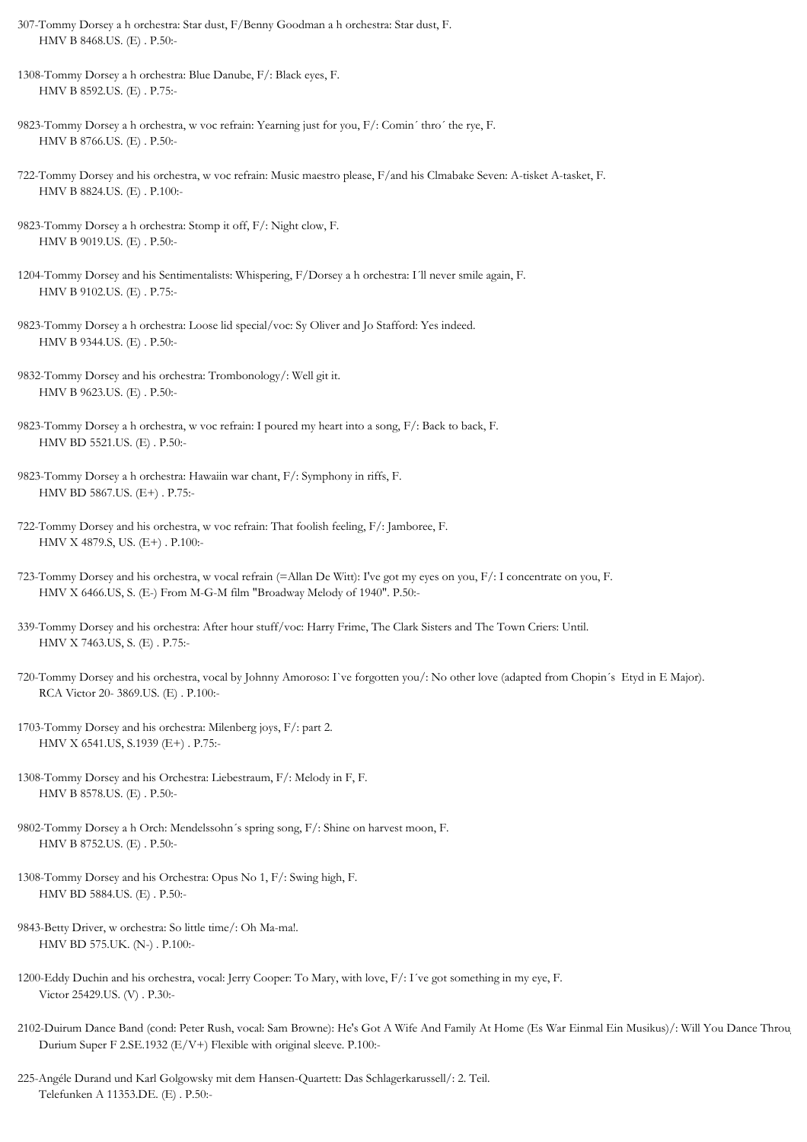- 307-Tommy Dorsey a h orchestra: Star dust, F/Benny Goodman a h orchestra: Star dust, F. HMV B 8468.US. (E) . P.50:-
- 1308-Tommy Dorsey a h orchestra: Blue Danube, F/: Black eyes, F. HMV B 8592.US. (E) . P.75:-
- 9823-Tommy Dorsey a h orchestra, w voc refrain: Yearning just for you, F/: Comin´ thro´ the rye, F. HMV B 8766.US. (E) . P.50:-
- 722-Tommy Dorsey and his orchestra, w voc refrain: Music maestro please, F/and his Clmabake Seven: A-tisket A-tasket, F. HMV B 8824.US. (E) . P.100:-
- 9823-Tommy Dorsey a h orchestra: Stomp it off, F/: Night clow, F. HMV B 9019.US. (E) . P.50:-
- 1204-Tommy Dorsey and his Sentimentalists: Whispering, F/Dorsey a h orchestra: I´ll never smile again, F. HMV B 9102.US. (E) . P.75:-
- 9823-Tommy Dorsey a h orchestra: Loose lid special/voc: Sy Oliver and Jo Stafford: Yes indeed. HMV B 9344.US. (E) . P.50:-
- 9832-Tommy Dorsey and his orchestra: Trombonology/: Well git it. HMV B 9623.US. (E) . P.50:-
- 9823-Tommy Dorsey a h orchestra, w voc refrain: I poured my heart into a song, F/: Back to back, F. HMV BD 5521.US. (E) . P.50:-
- 9823-Tommy Dorsey a h orchestra: Hawaiin war chant, F/: Symphony in riffs, F. HMV BD 5867.US. (E+) . P.75:-
- 722-Tommy Dorsey and his orchestra, w voc refrain: That foolish feeling, F/: Jamboree, F. HMV X 4879.S, US. (E+) . P.100:-
- 723-Tommy Dorsey and his orchestra, w vocal refrain (=Allan De Witt): I've got my eyes on you, F/: I concentrate on you, F. HMV X 6466.US, S. (E-) From M-G-M film "Broadway Melody of 1940". P.50:-
- 339-Tommy Dorsey and his orchestra: After hour stuff/voc: Harry Frime, The Clark Sisters and The Town Criers: Until. HMV X 7463.US, S. (E) . P.75:-
- 720-Tommy Dorsey and his orchestra, vocal by Johnny Amoroso: I`ve forgotten you/: No other love (adapted from Chopin´s Etyd in E Major). RCA Victor 20- 3869.US. (E) . P.100:-
- 1703-Tommy Dorsey and his orchestra: Milenberg joys, F/: part 2. HMV X 6541.US, S.1939 (E+) . P.75:-
- 1308-Tommy Dorsey and his Orchestra: Liebestraum, F/: Melody in F, F. HMV B 8578.US. (E) . P.50:-
- 9802-Tommy Dorsey a h Orch: Mendelssohn´s spring song, F/: Shine on harvest moon, F. HMV B 8752.US. (E) . P.50:-
- 1308-Tommy Dorsey and his Orchestra: Opus No 1, F/: Swing high, F. HMV BD 5884.US. (E) . P.50:-
- 9843-Betty Driver, w orchestra: So little time/: Oh Ma-ma!. HMV BD 575.UK. (N-) . P.100:-
- 1200-Eddy Duchin and his orchestra, vocal: Jerry Cooper: To Mary, with love, F/: I´ve got something in my eye, F. Victor 25429.US. (V) . P.30:-
- 2102-Duirum Dance Band (cond: Peter Rush, vocal: Sam Browne): He's Got A Wife And Family At Home (Es War Einmal Ein Musikus)/: Will You Dance Throu Durium Super F 2.SE.1932 (E/V+) Flexible with original sleeve. P.100:-
- 225-Angéle Durand und Karl Golgowsky mit dem Hansen-Quartett: Das Schlagerkarussell/: 2. Teil. Telefunken A 11353.DE. (E) . P.50:-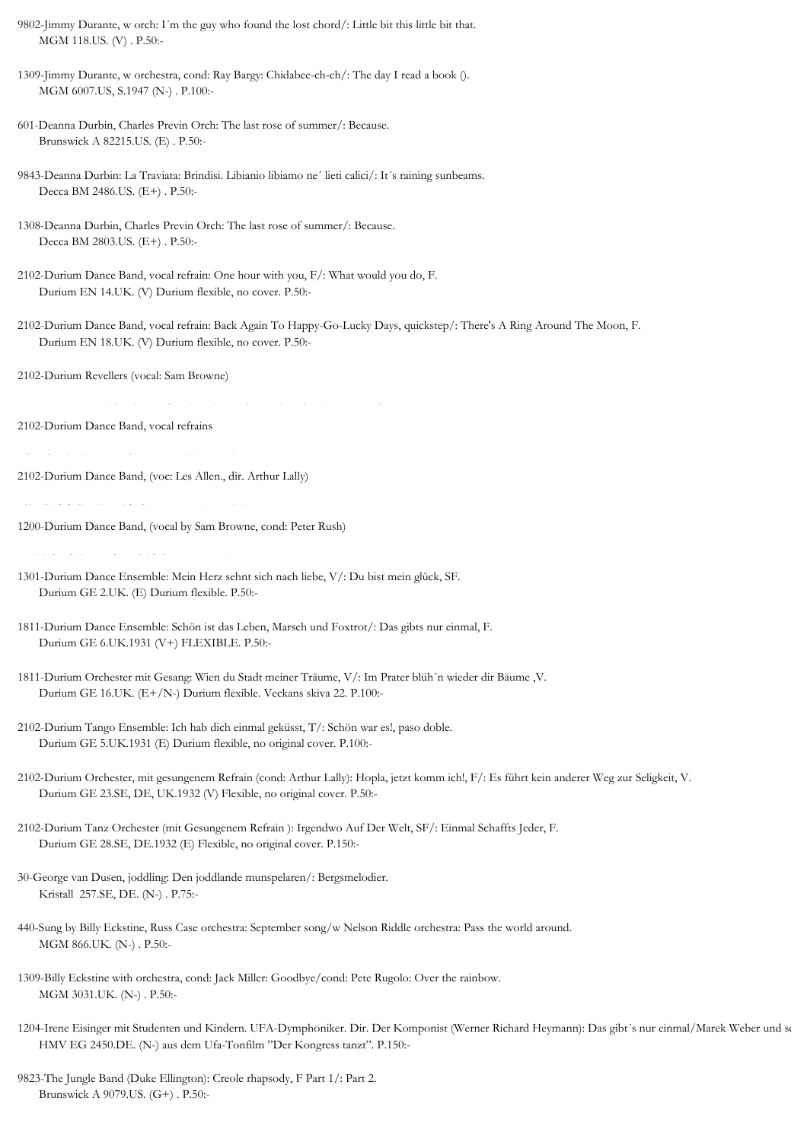9802-Jimmy Durante, w orch: I´m the guy who found the lost chord/: Little bit this little bit that. MGM 118.US. (V) . P.50:-

1309-Jimmy Durante, w orchestra, cond: Ray Bargy: Chidabee-ch-ch/: The day I read a book (). MGM 6007.US, S.1947 (N-) . P.100:-

- 601-Deanna Durbin, Charles Previn Orch: The last rose of summer/: Because. Brunswick A 82215.US. (E) . P.50:-
- 9843-Deanna Durbin: La Traviata: Brindisi. Libianio libiamo ne´ lieti calici/: It´s raining sunbeams. Decca BM 2486.US. (E+) . P.50:-
- 1308-Deanna Durbin, Charles Previn Orch: The last rose of summer/: Because. Decca BM 2803.US. (E+) . P.50:-
- 2102-Durium Dance Band, vocal refrain: One hour with you, F/: What would you do, F. Durium EN 14.UK. (V) Durium flexible, no cover. P.50:-
- 2102-Durium Dance Band, vocal refrain: Back Again To Happy-Go-Lucky Days, quickstep/: There's A Ring Around The Moon, F. Durium EN 18.UK. (V) Durium flexible, no cover. P.50:-

2102-Durium Revellers (vocal: Sam Browne)

: Too many years, F/: When Yuba plays the rumba on the tuba, Foxtrot rumba.

2102-Durium Dance Band, vocal refrains

2102-Durium Dance Band, (voc: Les Allen., dir. Arthur Lally)

: She Didn't Say Yes, F/: Gipsy Moon (Mustalainen).

1200-Durium Dance Band, (vocal by Sam Browne, cond: Peter Rush)

: Ich liebe dich, my dear, SF/: Bon voyage, F.

- 1301-Durium Dance Ensemble: Mein Herz sehnt sich nach liebe, V/: Du bist mein glück, SF. Durium GE 2.UK. (E) Durium flexible. P.50:-
- 1811-Durium Dance Ensemble: Schön ist das Leben, Marsch und Foxtrot/: Das gibts nur einmal, F. Durium GE 6.UK.1931 (V+) FLEXIBLE. P.50:-
- 1811-Durium Orchester mit Gesang: Wien du Stadt meiner Träume, V/: Im Prater blüh´n wieder dir Bäume ,V. Durium GE 16.UK. (E+/N-) Durium flexible. Veckans skiva 22. P.100:-
- 2102-Durium Tango Ensemble: Ich hab dich einmal geküsst, T/: Schön war es!, paso doble. Durium GE 5.UK.1931 (E) Durium flexible, no original cover. P.100:-
- 2102-Durium Orchester, mit gesungenem Refrain (cond: Arthur Lally): Hopla, jetzt komm ich!, F/: Es führt kein anderer Weg zur Seligkeit, V. Durium GE 23.SE, DE, UK.1932 (V) Flexible, no original cover. P.50:-

2102-Durium Tanz Orchester (mit Gesungenem Refrain ): Irgendwo Auf Der Welt, SF/: Einmal Schaffts Jeder, F. Durium GE 28.SE, DE.1932 (E) Flexible, no original cover. P.150:-

30-George van Dusen, joddling: Den joddlande munspelaren/: Bergsmelodier. Kristall 257.SE, DE. (N-) . P.75:-

440-Sung by Billy Eckstine, Russ Case orchestra: September song/w Nelson Riddle orchestra: Pass the world around. MGM 866.UK. (N-) . P.50:-

1309-Billy Eckstine with orchestra, cond: Jack Miller: Goodbye/cond: Pete Rugolo: Over the rainbow. MGM 3031.UK. (N-) . P.50:-

1204-Irene Eisinger mit Studenten und Kindern. UFA-Dymphoniker. Dir. Der Komponist (Werner Richard Heymann): Das gibt's nur einmal/Marek Weber und se HMV EG 2450.DE. (N-) aus dem Ufa-Tonfilm "Der Kongress tanzt". P.150:-

9823-The Jungle Band (Duke Ellington): Creole rhapsody, F Part 1/: Part 2. Brunswick A 9079.US. (G+) . P.50:-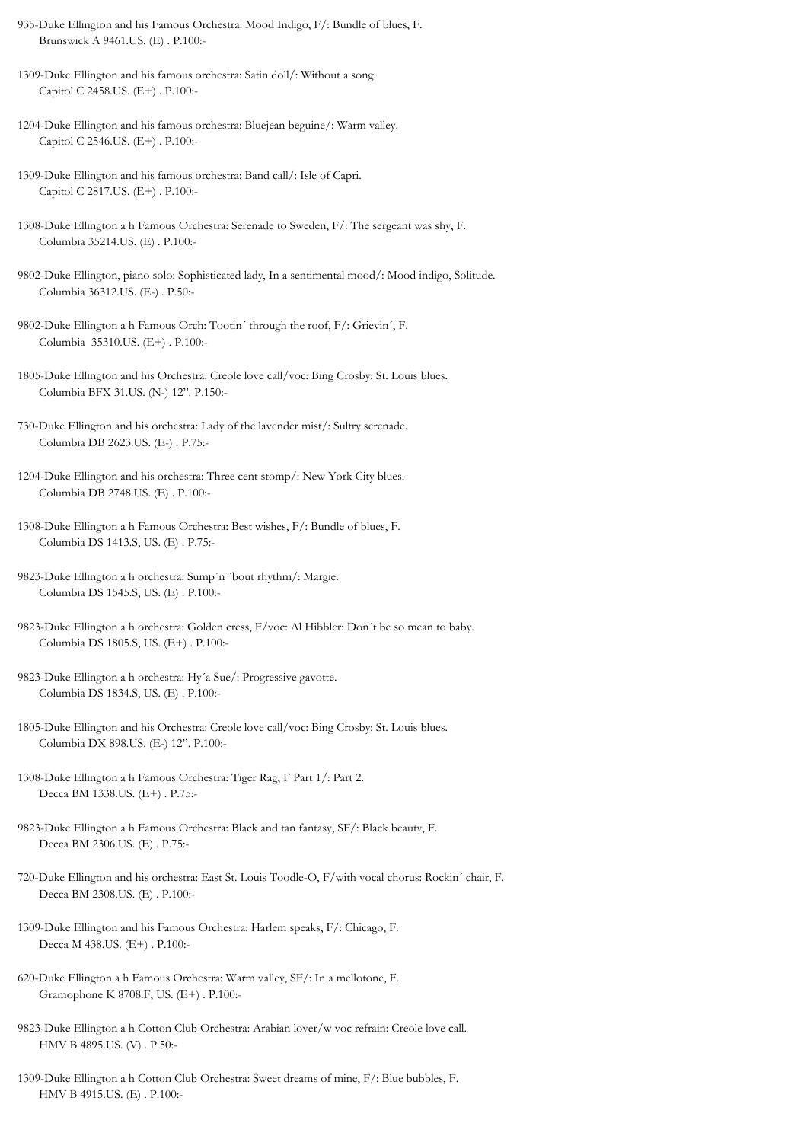- 935-Duke Ellington and his Famous Orchestra: Mood Indigo, F/: Bundle of blues, F. Brunswick A 9461.US. (E) . P.100:-
- 1309-Duke Ellington and his famous orchestra: Satin doll/: Without a song. Capitol C 2458.US. (E+) . P.100:-
- 1204-Duke Ellington and his famous orchestra: Bluejean beguine/: Warm valley. Capitol C 2546.US. (E+) . P.100:-
- 1309-Duke Ellington and his famous orchestra: Band call/: Isle of Capri. Capitol C 2817.US. (E+) . P.100:-
- 1308-Duke Ellington a h Famous Orchestra: Serenade to Sweden, F/: The sergeant was shy, F. Columbia 35214.US. (E) . P.100:-
- 9802-Duke Ellington, piano solo: Sophisticated lady, In a sentimental mood/: Mood indigo, Solitude. Columbia 36312.US. (E-) . P.50:-
- 9802-Duke Ellington a h Famous Orch: Tootin´ through the roof, F/: Grievin´, F. Columbia 35310.US. (E+) . P.100:-
- 1805-Duke Ellington and his Orchestra: Creole love call/voc: Bing Crosby: St. Louis blues. Columbia BFX 31.US. (N-) 12". P.150:-
- 730-Duke Ellington and his orchestra: Lady of the lavender mist/: Sultry serenade. Columbia DB 2623.US. (E-) . P.75:-
- 1204-Duke Ellington and his orchestra: Three cent stomp/: New York City blues. Columbia DB 2748.US. (E) . P.100:-
- 1308-Duke Ellington a h Famous Orchestra: Best wishes, F/: Bundle of blues, F. Columbia DS 1413.S, US. (E) . P.75:-
- 9823-Duke Ellington a h orchestra: Sump´n `bout rhythm/: Margie. Columbia DS 1545.S, US. (E) . P.100:-
- 9823-Duke Ellington a h orchestra: Golden cress, F/voc: Al Hibbler: Don´t be so mean to baby. Columbia DS 1805.S, US. (E+) . P.100:-
- 9823-Duke Ellington a h orchestra: Hy´a Sue/: Progressive gavotte. Columbia DS 1834.S, US. (E) . P.100:-
- 1805-Duke Ellington and his Orchestra: Creole love call/voc: Bing Crosby: St. Louis blues. Columbia DX 898.US. (E-) 12". P.100:-
- 1308-Duke Ellington a h Famous Orchestra: Tiger Rag, F Part 1/: Part 2. Decca BM 1338.US. (E+) . P.75:-
- 9823-Duke Ellington a h Famous Orchestra: Black and tan fantasy, SF/: Black beauty, F. Decca BM 2306.US. (E) . P.75:-
- 720-Duke Ellington and his orchestra: East St. Louis Toodle-O, F/with vocal chorus: Rockin´ chair, F. Decca BM 2308.US. (E) . P.100:-
- 1309-Duke Ellington and his Famous Orchestra: Harlem speaks, F/: Chicago, F. Decca M 438.US. (E+) . P.100:-
- 620-Duke Ellington a h Famous Orchestra: Warm valley, SF/: In a mellotone, F. Gramophone K 8708.F, US. (E+) . P.100:-
- 9823-Duke Ellington a h Cotton Club Orchestra: Arabian lover/w voc refrain: Creole love call. HMV B 4895.US. (V) . P.50:-
- 1309-Duke Ellington a h Cotton Club Orchestra: Sweet dreams of mine, F/: Blue bubbles, F. HMV B 4915.US. (E) . P.100:-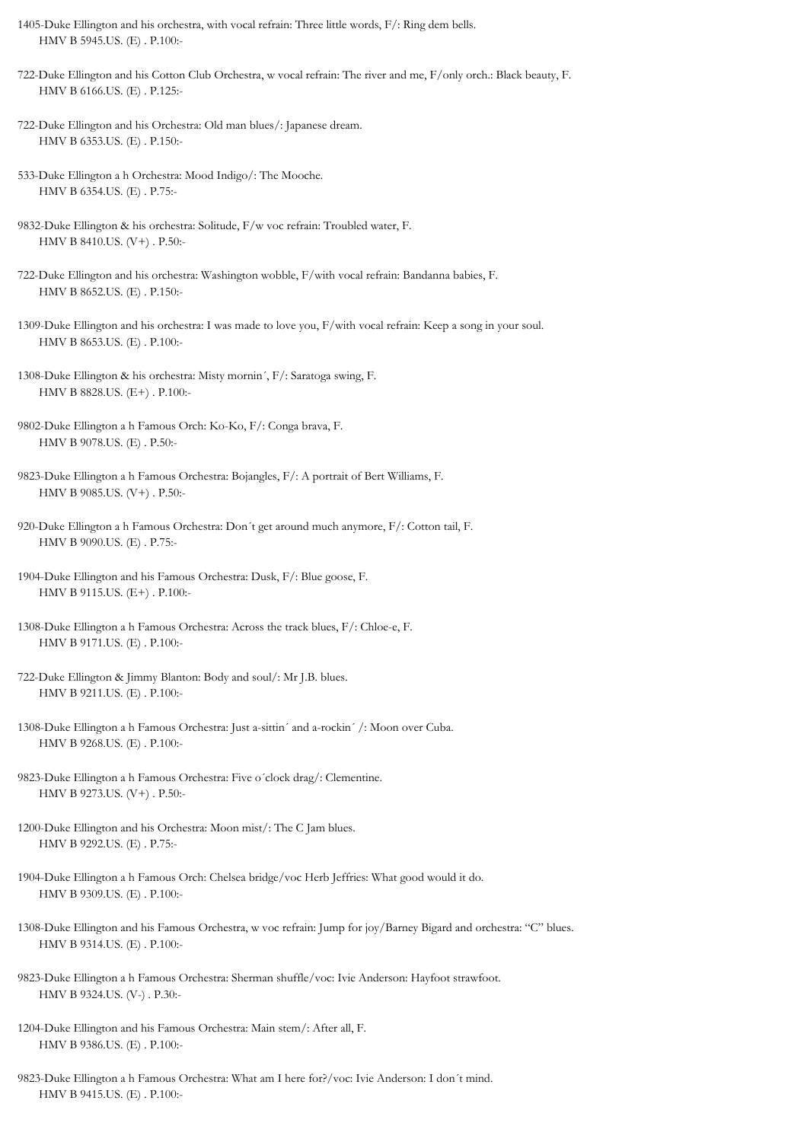1405-Duke Ellington and his orchestra, with vocal refrain: Three little words, F/: Ring dem bells. HMV B 5945.US. (E) . P.100:-

722-Duke Ellington and his Cotton Club Orchestra, w vocal refrain: The river and me, F/only orch.: Black beauty, F. HMV B 6166.US. (E) . P.125:-

- 722-Duke Ellington and his Orchestra: Old man blues/: Japanese dream. HMV B 6353.US. (E) . P.150:-
- 533-Duke Ellington a h Orchestra: Mood Indigo/: The Mooche. HMV B 6354.US. (E) . P.75:-
- 9832-Duke Ellington & his orchestra: Solitude, F/w voc refrain: Troubled water, F. HMV B 8410.US. (V+) . P.50:-
- 722-Duke Ellington and his orchestra: Washington wobble, F/with vocal refrain: Bandanna babies, F. HMV B 8652.US. (E) . P.150:-
- 1309-Duke Ellington and his orchestra: I was made to love you, F/with vocal refrain: Keep a song in your soul. HMV B 8653.US. (E) . P.100:-
- 1308-Duke Ellington & his orchestra: Misty mornin´, F/: Saratoga swing, F. HMV B 8828.US. (E+) . P.100:-
- 9802-Duke Ellington a h Famous Orch: Ko-Ko, F/: Conga brava, F. HMV B 9078.US. (E) . P.50:-
- 9823-Duke Ellington a h Famous Orchestra: Bojangles, F/: A portrait of Bert Williams, F. HMV B 9085.US. (V+) . P.50:-
- 920-Duke Ellington a h Famous Orchestra: Don´t get around much anymore, F/: Cotton tail, F. HMV B 9090.US. (E) . P.75:-
- 1904-Duke Ellington and his Famous Orchestra: Dusk, F/: Blue goose, F. HMV B 9115.US. (E+) . P.100:-
- 1308-Duke Ellington a h Famous Orchestra: Across the track blues, F/: Chloe-e, F. HMV B 9171.US. (E) . P.100:-
- 722-Duke Ellington & Jimmy Blanton: Body and soul/: Mr J.B. blues. HMV B 9211.US. (E) . P.100:-
- 1308-Duke Ellington a h Famous Orchestra: Just a-sittin´ and a-rockin´ /: Moon over Cuba. HMV B 9268.US. (E) . P.100:-
- 9823-Duke Ellington a h Famous Orchestra: Five o´clock drag/: Clementine. HMV B 9273.US. (V+) . P.50:-

1200-Duke Ellington and his Orchestra: Moon mist/: The C Jam blues. HMV B 9292.US. (E) . P.75:-

- 1904-Duke Ellington a h Famous Orch: Chelsea bridge/voc Herb Jeffries: What good would it do. HMV B 9309.US. (E) . P.100:-
- 1308-Duke Ellington and his Famous Orchestra, w voc refrain: Jump for joy/Barney Bigard and orchestra: "C" blues. HMV B 9314.US. (E) . P.100:-
- 9823-Duke Ellington a h Famous Orchestra: Sherman shuffle/voc: Ivie Anderson: Hayfoot strawfoot. HMV B 9324.US. (V-) . P.30:-
- 1204-Duke Ellington and his Famous Orchestra: Main stem/: After all, F. HMV B 9386.US. (E) . P.100:-

9823-Duke Ellington a h Famous Orchestra: What am I here for?/voc: Ivie Anderson: I don´t mind. HMV B 9415.US. (E) . P.100:-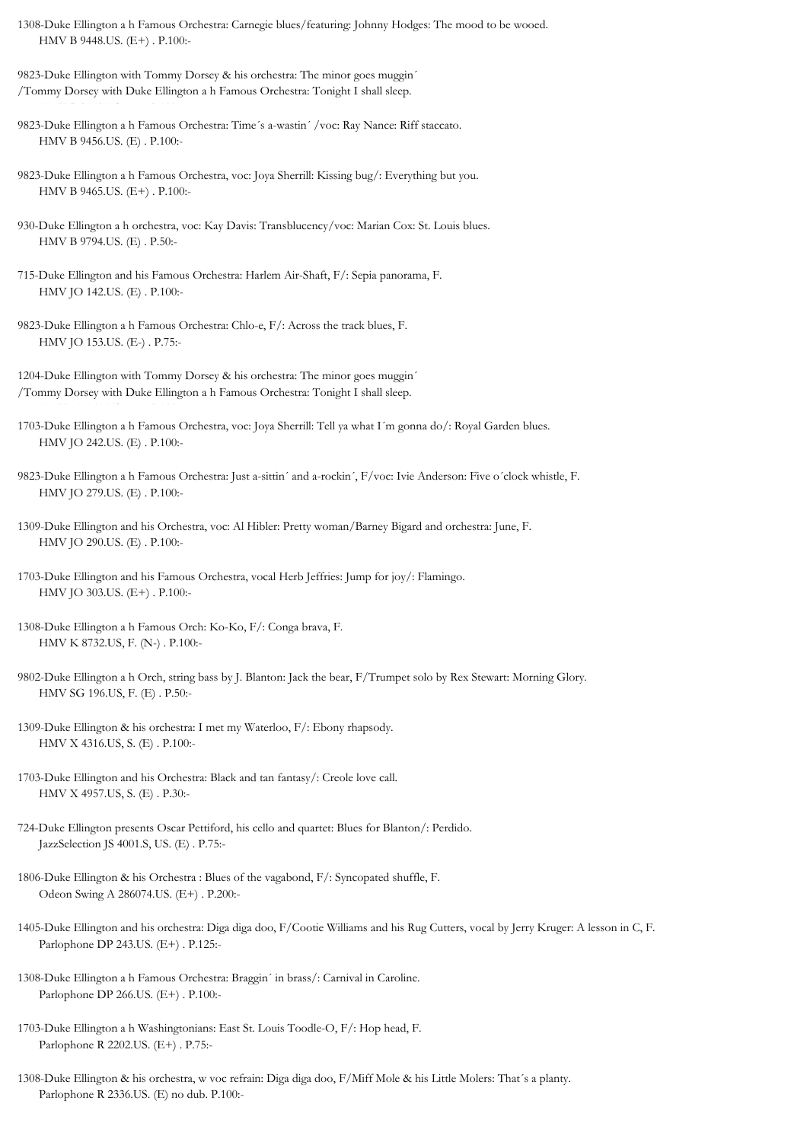1308-Duke Ellington a h Famous Orchestra: Carnegie blues/featuring: Johnny Hodges: The mood to be wooed. HMV B 9448.US. (E+) . P.100:-

9823-Duke Ellington with Tommy Dorsey & his orchestra: The minor goes muggin´ /Tommy Dorsey with Duke Ellington a h Famous Orchestra: Tonight I shall sleep.  $H_{\rm{H}}$ 

9823-Duke Ellington a h Famous Orchestra: Time´s a-wastin´ /voc: Ray Nance: Riff staccato. HMV B 9456.US. (E) . P.100:-

9823-Duke Ellington a h Famous Orchestra, voc: Joya Sherrill: Kissing bug/: Everything but you. HMV B 9465.US. (E+) . P.100:-

930-Duke Ellington a h orchestra, voc: Kay Davis: Transblucency/voc: Marian Cox: St. Louis blues. HMV B 9794.US. (E) . P.50:-

715-Duke Ellington and his Famous Orchestra: Harlem Air-Shaft, F/: Sepia panorama, F. HMV JO 142.US. (E) . P.100:-

9823-Duke Ellington a h Famous Orchestra: Chlo-e, F/: Across the track blues, F. HMV JO 153.US. (E-) . P.75:-

1204-Duke Ellington with Tommy Dorsey & his orchestra: The minor goes muggin´ /Tommy Dorsey with Duke Ellington a h Famous Orchestra: Tonight I shall sleep.

HMV JO 161.US. (E) . P.100:-

1703-Duke Ellington a h Famous Orchestra, voc: Joya Sherrill: Tell ya what I´m gonna do/: Royal Garden blues. HMV JO 242.US. (E) . P.100:-

9823-Duke Ellington a h Famous Orchestra: Just a-sittin´ and a-rockin´, F/voc: Ivie Anderson: Five o´clock whistle, F. HMV JO 279.US. (E) . P.100:-

1309-Duke Ellington and his Orchestra, voc: Al Hibler: Pretty woman/Barney Bigard and orchestra: June, F. HMV JO 290.US. (E) . P.100:-

1703-Duke Ellington and his Famous Orchestra, vocal Herb Jeffries: Jump for joy/: Flamingo. HMV JO 303.US. (E+) . P.100:-

1308-Duke Ellington a h Famous Orch: Ko-Ko, F/: Conga brava, F. HMV K 8732.US, F. (N-) . P.100:-

9802-Duke Ellington a h Orch, string bass by J. Blanton: Jack the bear, F/Trumpet solo by Rex Stewart: Morning Glory. HMV SG 196.US, F. (E) . P.50:-

1309-Duke Ellington & his orchestra: I met my Waterloo, F/: Ebony rhapsody. HMV X 4316.US, S. (E) . P.100:-

1703-Duke Ellington and his Orchestra: Black and tan fantasy/: Creole love call. HMV X 4957.US, S. (E) . P.30:-

724-Duke Ellington presents Oscar Pettiford, his cello and quartet: Blues for Blanton/: Perdido. JazzSelection JS 4001.S, US. (E) . P.75:-

1806-Duke Ellington & his Orchestra : Blues of the vagabond, F/: Syncopated shuffle, F. Odeon Swing A 286074.US. (E+) . P.200:-

1405-Duke Ellington and his orchestra: Diga diga doo, F/Cootie Williams and his Rug Cutters, vocal by Jerry Kruger: A lesson in C, F. Parlophone DP 243.US. (E+) . P.125:-

1308-Duke Ellington a h Famous Orchestra: Braggin´ in brass/: Carnival in Caroline. Parlophone DP 266.US. (E+) . P.100:-

1703-Duke Ellington a h Washingtonians: East St. Louis Toodle-O, F/: Hop head, F. Parlophone R 2202.US. (E+) . P.75:-

1308-Duke Ellington & his orchestra, w voc refrain: Diga diga doo, F/Miff Mole & his Little Molers: That´s a planty. Parlophone R 2336.US. (E) no dub. P.100:-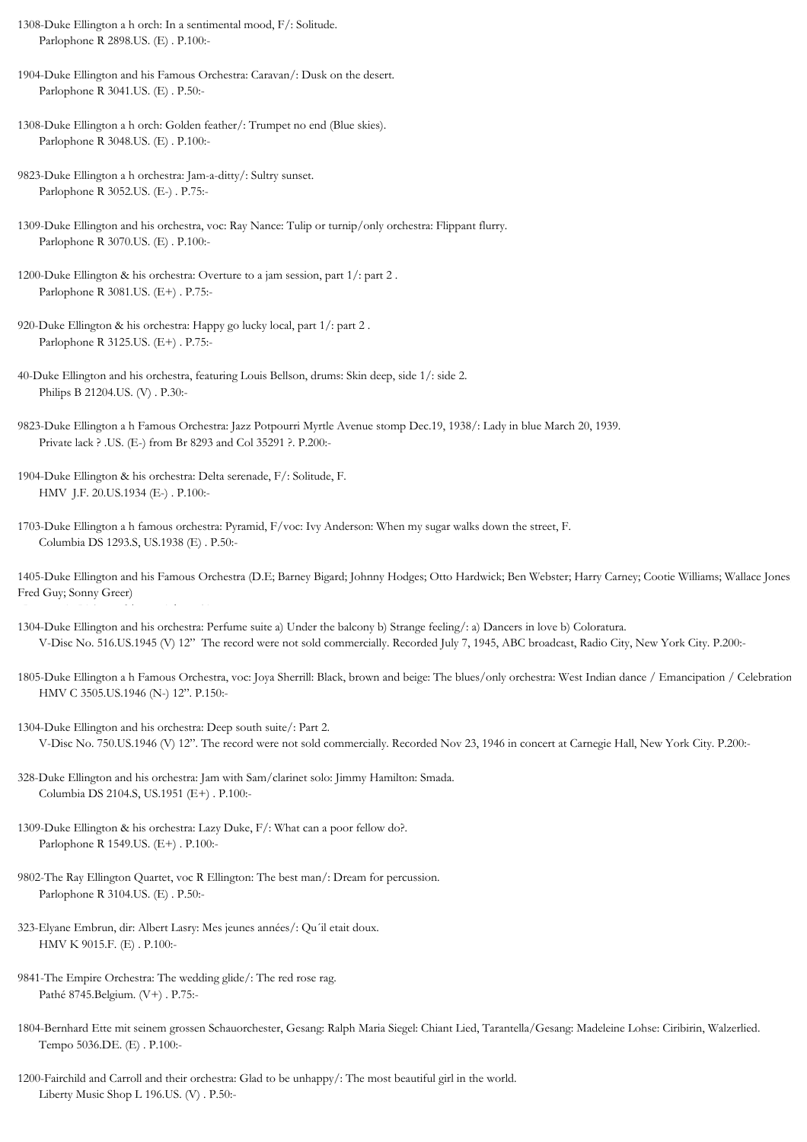1308-Duke Ellington a h orch: In a sentimental mood, F/: Solitude. Parlophone R 2898.US. (E) . P.100:-

1904-Duke Ellington and his Famous Orchestra: Caravan/: Dusk on the desert. Parlophone R 3041.US. (E) . P.50:-

- 1308-Duke Ellington a h orch: Golden feather/: Trumpet no end (Blue skies). Parlophone R 3048.US. (E) . P.100:-
- 9823-Duke Ellington a h orchestra: Jam-a-ditty/: Sultry sunset. Parlophone R 3052.US. (E-) . P.75:-
- 1309-Duke Ellington and his orchestra, voc: Ray Nance: Tulip or turnip/only orchestra: Flippant flurry. Parlophone R 3070.US. (E) . P.100:-
- 1200-Duke Ellington & his orchestra: Overture to a jam session, part 1/: part 2 . Parlophone R 3081.US. (E+) . P.75:-
- 920-Duke Ellington & his orchestra: Happy go lucky local, part 1/: part 2 . Parlophone R 3125.US. (E+) . P.75:-
- 40-Duke Ellington and his orchestra, featuring Louis Bellson, drums: Skin deep, side 1/: side 2. Philips B 21204.US. (V) . P.30:-
- 9823-Duke Ellington a h Famous Orchestra: Jazz Potpourri Myrtle Avenue stomp Dec.19, 1938/: Lady in blue March 20, 1939. Private lack ? .US. (E-) from Br 8293 and Col 35291 ?. P.200:-
- 1904-Duke Ellington & his orchestra: Delta serenade, F/: Solitude, F. HMV J.F. 20.US.1934 (E-) . P.100:-
- 1703-Duke Ellington a h famous orchestra: Pyramid, F/voc: Ivy Anderson: When my sugar walks down the street, F. Columbia DS 1293.S, US.1938 (E) . P.50:-
- 1405-Duke Ellington and his Famous Orchestra (D.E; Barney Bigard; Johnny Hodges; Otto Hardwick; Ben Webster; Harry Carney; Cootie Williams; Wallace Jones Fred Guy; Sonny Greer)
- 1304-Duke Ellington and his orchestra: Perfume suite a) Under the balcony b) Strange feeling/: a) Dancers in love b) Coloratura. V-Disc No. 516.US.1945 (V) 12" The record were not sold commercially. Recorded July 7, 1945, ABC broadcast, Radio City, New York City. P.200:-
- 1805-Duke Ellington a h Famous Orchestra, voc: Joya Sherrill: Black, brown and beige: The blues/only orchestra: West Indian dance / Emancipation / Celebration HMV C 3505.US.1946 (N-) 12". P.150:-
- 1304-Duke Ellington and his orchestra: Deep south suite/: Part 2. V-Disc No. 750.US.1946 (V) 12". The record were not sold commercially. Recorded Nov 23, 1946 in concert at Carnegie Hall, New York City. P.200:-
- 328-Duke Ellington and his orchestra: Jam with Sam/clarinet solo: Jimmy Hamilton: Smada. Columbia DS 2104.S, US.1951 (E+) . P.100:-
- 1309-Duke Ellington & his orchestra: Lazy Duke, F/: What can a poor fellow do?. Parlophone R 1549.US. (E+) . P.100:-
- 9802-The Ray Ellington Quartet, voc R Ellington: The best man/: Dream for percussion. Parlophone R 3104.US. (E) . P.50:-
- 323-Elyane Embrun, dir: Albert Lasry: Mes jeunes années/: Qu´il etait doux. HMV K 9015.F. (E) . P.100:-
- 9841-The Empire Orchestra: The wedding glide/: The red rose rag. Pathé 8745.Belgium. (V+) . P.75:-
- 1804-Bernhard Ette mit seinem grossen Schauorchester, Gesang: Ralph Maria Siegel: Chiant Lied, Tarantella/Gesang: Madeleine Lohse: Ciribirin, Walzerlied. Tempo 5036.DE. (E) . P.100:-
- 1200-Fairchild and Carroll and their orchestra: Glad to be unhappy/: The most beautiful girl in the world. Liberty Music Shop L 196.US. (V) . P.50:-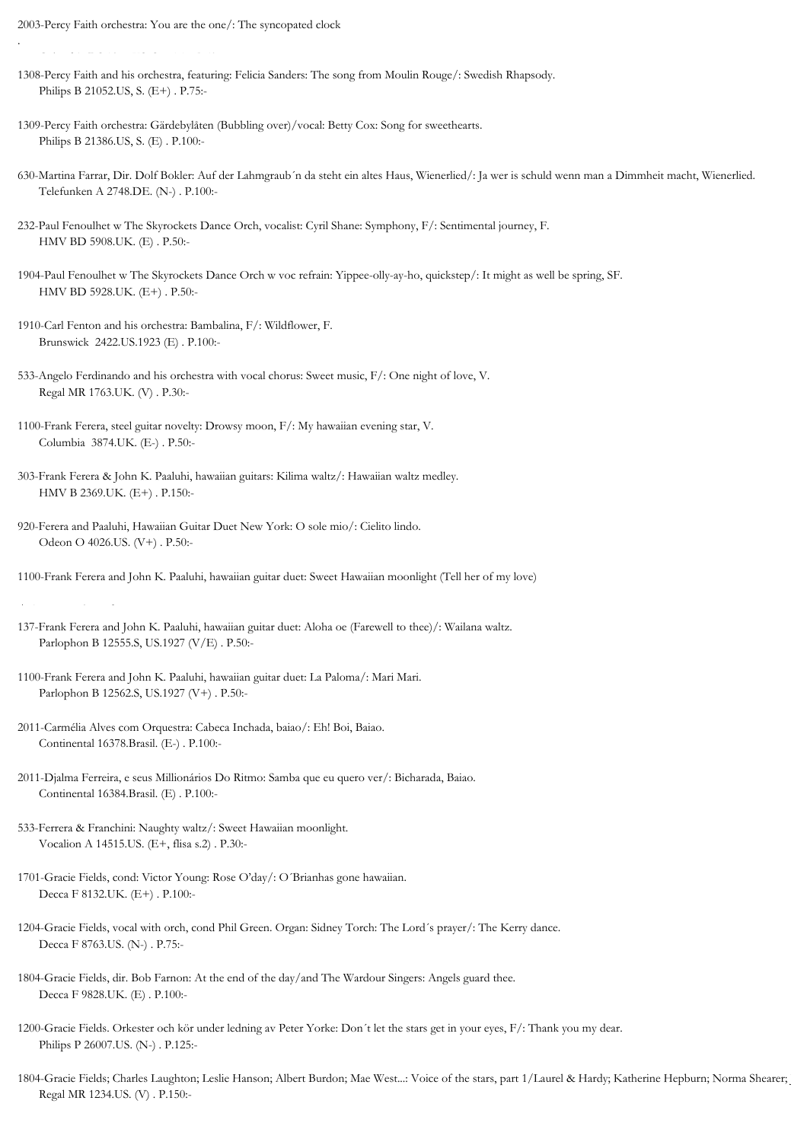2003-Percy Faith orchestra: You are the one/: The syncopated clock

Columbia DS 1977.US, SE. (E) . P.50:-

.

- 1308-Percy Faith and his orchestra, featuring: Felicia Sanders: The song from Moulin Rouge/: Swedish Rhapsody. Philips B 21052.US, S. (E+) . P.75:-
- 1309-Percy Faith orchestra: Gärdebylåten (Bubbling over)/vocal: Betty Cox: Song for sweethearts. Philips B 21386.US, S. (E) . P.100:-
- 630-Martina Farrar, Dir. Dolf Bokler: Auf der Lahmgraub´n da steht ein altes Haus, Wienerlied/: Ja wer is schuld wenn man a Dimmheit macht, Wienerlied. Telefunken A 2748.DE. (N-) . P.100:-
- 232-Paul Fenoulhet w The Skyrockets Dance Orch, vocalist: Cyril Shane: Symphony, F/: Sentimental journey, F. HMV BD 5908.UK. (E) . P.50:-
- 1904-Paul Fenoulhet w The Skyrockets Dance Orch w voc refrain: Yippee-olly-ay-ho, quickstep/: It might as well be spring, SF. HMV BD 5928.UK. (E+) . P.50:-
- 1910-Carl Fenton and his orchestra: Bambalina, F/: Wildflower, F. Brunswick 2422.US.1923 (E) . P.100:-
- 533-Angelo Ferdinando and his orchestra with vocal chorus: Sweet music, F/: One night of love, V. Regal MR 1763.UK. (V) . P.30:-
- 1100-Frank Ferera, steel guitar novelty: Drowsy moon, F/: My hawaiian evening star, V. Columbia 3874.UK. (E-) . P.50:-
- 303-Frank Ferera & John K. Paaluhi, hawaiian guitars: Kilima waltz/: Hawaiian waltz medley. HMV B 2369.UK. (E+) . P.150:-
- 920-Ferera and Paaluhi, Hawaiian Guitar Duet New York: O sole mio/: Cielito lindo. Odeon O 4026.US. (V+) . P.50:-

1100-Frank Ferera and John K. Paaluhi, hawaiian guitar duet: Sweet Hawaiian moonlight (Tell her of my love)

- 137-Frank Ferera and John K. Paaluhi, hawaiian guitar duet: Aloha oe (Farewell to thee)/: Wailana waltz. Parlophon B 12555.S, US.1927 (V/E) . P.50:-
- 1100-Frank Ferera and John K. Paaluhi, hawaiian guitar duet: La Paloma/: Mari Mari. Parlophon B 12562.S, US.1927 (V+) . P.50:-
- 2011-Carmélia Alves com Orquestra: Cabeca Inchada, baiao/: Eh! Boi, Baiao. Continental 16378.Brasil. (E-) . P.100:-
- 2011-Djalma Ferreira, e seus Millionários Do Ritmo: Samba que eu quero ver/: Bicharada, Baiao. Continental 16384.Brasil. (E) . P.100:-
- 533-Ferrera & Franchini: Naughty waltz/: Sweet Hawaiian moonlight. Vocalion A 14515.US. (E+, flisa s.2) . P.30:-
- 1701-Gracie Fields, cond: Victor Young: Rose O'day/: O´Brianhas gone hawaiian. Decca F 8132.UK. (E+) . P.100:-
- 1204-Gracie Fields, vocal with orch, cond Phil Green. Organ: Sidney Torch: The Lord´s prayer/: The Kerry dance. Decca F 8763.US. (N-) . P.75:-
- 1804-Gracie Fields, dir. Bob Farnon: At the end of the day/and The Wardour Singers: Angels guard thee. Decca F 9828.UK. (E) . P.100:-
- 1200-Gracie Fields. Orkester och kör under ledning av Peter Yorke: Don´t let the stars get in your eyes, F/: Thank you my dear. Philips P 26007.US. (N-) . P.125:-
- 1804-Gracie Fields; Charles Laughton; Leslie Hanson; Albert Burdon; Mae West...: Voice of the stars, part 1/Laurel & Hardy; Katherine Hepburn; Norma Shearer; Regal MR 1234.US. (V) . P.150:-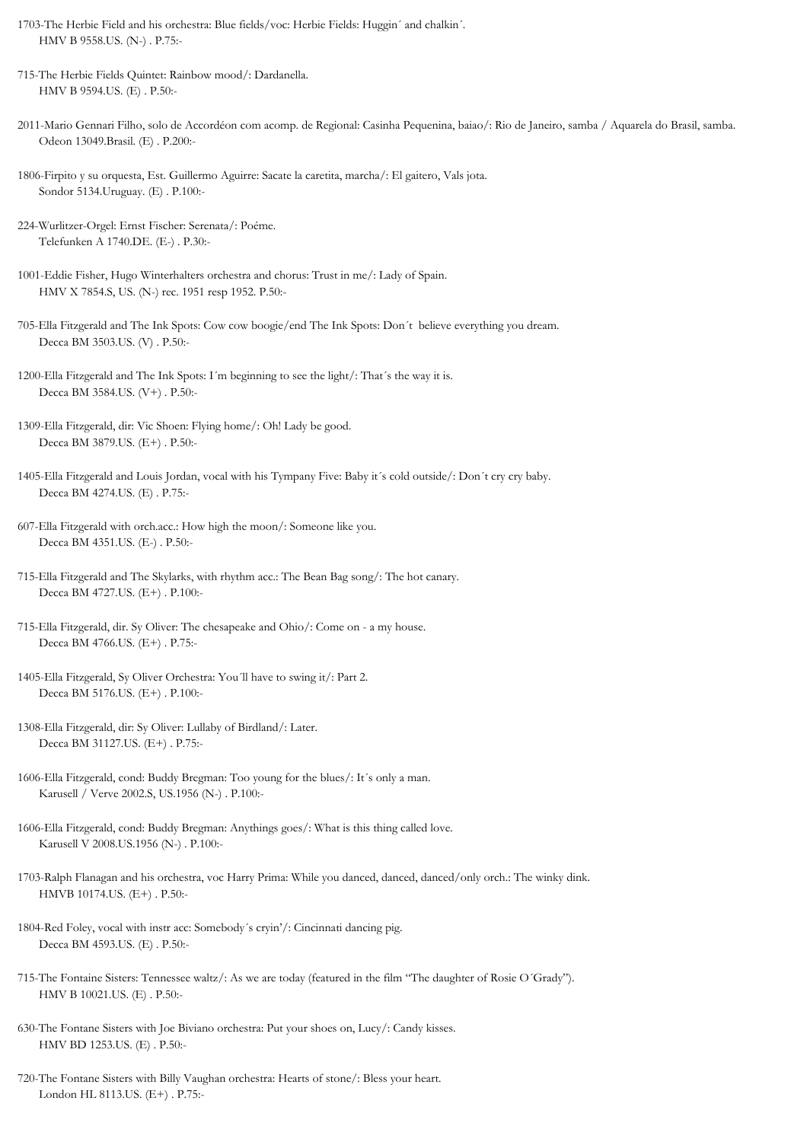- 1703-The Herbie Field and his orchestra: Blue fields/voc: Herbie Fields: Huggin´ and chalkin´. HMV B 9558.US. (N-) . P.75:-
- 715-The Herbie Fields Quintet: Rainbow mood/: Dardanella. HMV B 9594.US. (E) . P.50:-
- 2011-Mario Gennari Filho, solo de Accordéon com acomp. de Regional: Casinha Pequenina, baiao/: Rio de Janeiro, samba / Aquarela do Brasil, samba. Odeon 13049.Brasil. (E) . P.200:-
- 1806-Firpito y su orquesta, Est. Guillermo Aguirre: Sacate la caretita, marcha/: El gaitero, Vals jota. Sondor 5134.Uruguay. (E) . P.100:-
- 224-Wurlitzer-Orgel: Ernst Fischer: Serenata/: Poéme. Telefunken A 1740.DE. (E-) . P.30:-
- 1001-Eddie Fisher, Hugo Winterhalters orchestra and chorus: Trust in me/: Lady of Spain. HMV X 7854.S, US. (N-) rec. 1951 resp 1952. P.50:-
- 705-Ella Fitzgerald and The Ink Spots: Cow cow boogie/end The Ink Spots: Don´t believe everything you dream. Decca BM 3503.US. (V) . P.50:-
- 1200-Ella Fitzgerald and The Ink Spots: I´m beginning to see the light/: That´s the way it is. Decca BM 3584.US. (V+) . P.50:-
- 1309-Ella Fitzgerald, dir: Vic Shoen: Flying home/: Oh! Lady be good. Decca BM 3879.US. (E+) . P.50:-
- 1405-Ella Fitzgerald and Louis Jordan, vocal with his Tympany Five: Baby it´s cold outside/: Don´t cry cry baby. Decca BM 4274.US. (E) . P.75:-
- 607-Ella Fitzgerald with orch.acc.: How high the moon/: Someone like you. Decca BM 4351.US. (E-) . P.50:-
- 715-Ella Fitzgerald and The Skylarks, with rhythm acc.: The Bean Bag song/: The hot canary. Decca BM 4727.US. (E+) . P.100:-
- 715-Ella Fitzgerald, dir. Sy Oliver: The chesapeake and Ohio/: Come on a my house. Decca BM 4766.US. (E+) . P.75:-
- 1405-Ella Fitzgerald, Sy Oliver Orchestra: You´ll have to swing it/: Part 2. Decca BM 5176.US. (E+) . P.100:-
- 1308-Ella Fitzgerald, dir: Sy Oliver: Lullaby of Birdland/: Later. Decca BM 31127.US. (E+) . P.75:-
- 1606-Ella Fitzgerald, cond: Buddy Bregman: Too young for the blues/: It´s only a man. Karusell / Verve 2002.S, US.1956 (N-) . P.100:-
- 1606-Ella Fitzgerald, cond: Buddy Bregman: Anythings goes/: What is this thing called love. Karusell V 2008.US.1956 (N-) . P.100:-
- 1703-Ralph Flanagan and his orchestra, voc Harry Prima: While you danced, danced, danced/only orch.: The winky dink. HMVB 10174.US. (E+) . P.50:-
- 1804-Red Foley, vocal with instr acc: Somebody´s cryin'/: Cincinnati dancing pig. Decca BM 4593.US. (E) . P.50:-
- 715-The Fontaine Sisters: Tennessee waltz/: As we are today (featured in the film "The daughter of Rosie O´Grady"). HMV B 10021.US. (E) . P.50:-
- 630-The Fontane Sisters with Joe Biviano orchestra: Put your shoes on, Lucy/: Candy kisses. HMV BD 1253.US. (E) . P.50:-
- 720-The Fontane Sisters with Billy Vaughan orchestra: Hearts of stone/: Bless your heart. London HL 8113.US. (E+) . P.75:-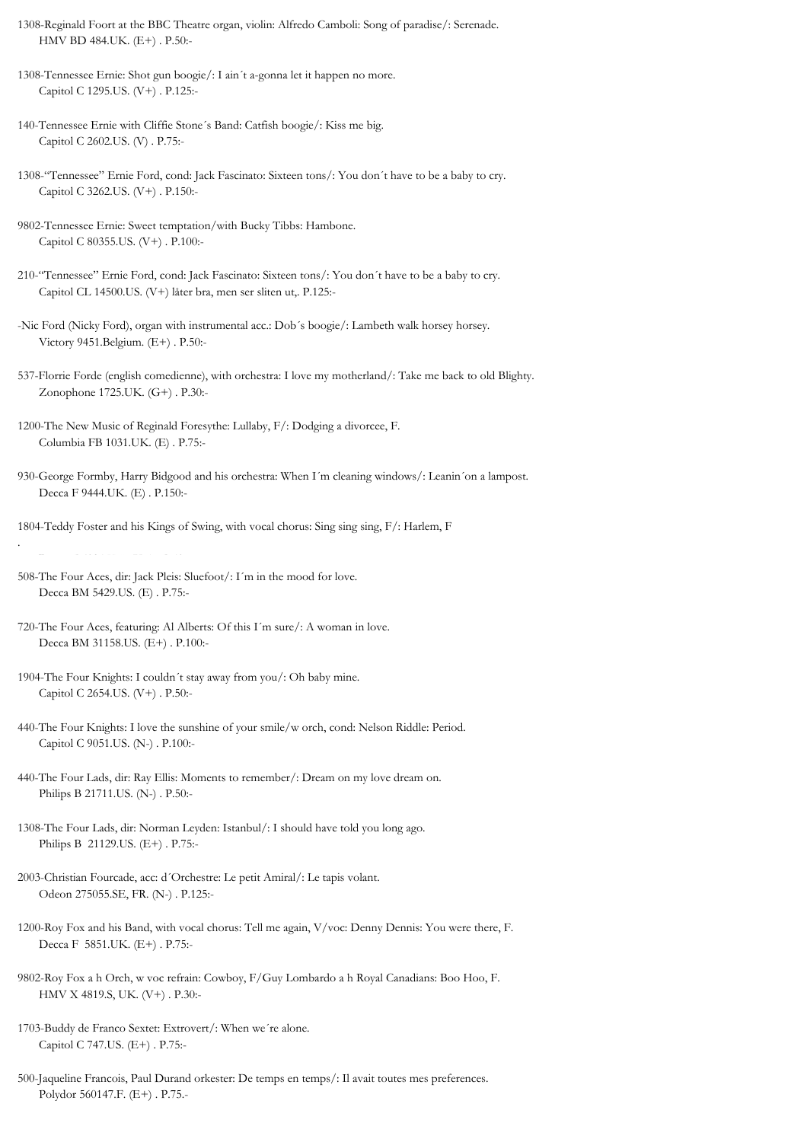1308-Reginald Foort at the BBC Theatre organ, violin: Alfredo Camboli: Song of paradise/: Serenade. HMV BD 484.UK. (E+) . P.50:-

1308-Tennessee Ernie: Shot gun boogie/: I ain´t a-gonna let it happen no more. Capitol C 1295.US. (V+) . P.125:-

140-Tennessee Ernie with Cliffie Stone´s Band: Catfish boogie/: Kiss me big. Capitol C 2602.US. (V) . P.75:-

1308-"Tennessee" Ernie Ford, cond: Jack Fascinato: Sixteen tons/: You don´t have to be a baby to cry. Capitol C 3262.US. (V+) . P.150:-

9802-Tennessee Ernie: Sweet temptation/with Bucky Tibbs: Hambone. Capitol C 80355.US. (V+) . P.100:-

210-"Tennessee" Ernie Ford, cond: Jack Fascinato: Sixteen tons/: You don´t have to be a baby to cry. Capitol CL 14500.US. (V+) låter bra, men ser sliten ut,. P.125:-

-Nic Ford (Nicky Ford), organ with instrumental acc.: Dob´s boogie/: Lambeth walk horsey horsey. Victory 9451.Belgium. (E+) . P.50:-

537-Florrie Forde (english comedienne), with orchestra: I love my motherland/: Take me back to old Blighty. Zonophone 1725.UK. (G+) . P.30:-

1200-The New Music of Reginald Foresythe: Lullaby, F/: Dodging a divorcee, F. Columbia FB 1031.UK. (E) . P.75:-

930-George Formby, Harry Bidgood and his orchestra: When I´m cleaning windows/: Leanin´on a lampost. Decca F 9444.UK. (E) . P.150:-

1804-Teddy Foster and his Kings of Swing, with vocal chorus: Sing sing sing, F/: Harlem, F

Decca F 6094.UK. (V+) . P.50:-

.

508-The Four Aces, dir: Jack Pleis: Sluefoot/: I´m in the mood for love. Decca BM 5429.US. (E) . P.75:-

720-The Four Aces, featuring: Al Alberts: Of this I´m sure/: A woman in love. Decca BM 31158.US. (E+) . P.100:-

1904-The Four Knights: I couldn´t stay away from you/: Oh baby mine. Capitol C 2654.US. (V+) . P.50:-

440-The Four Knights: I love the sunshine of your smile/w orch, cond: Nelson Riddle: Period. Capitol C 9051.US. (N-) . P.100:-

440-The Four Lads, dir: Ray Ellis: Moments to remember/: Dream on my love dream on. Philips B 21711.US. (N-) . P.50:-

1308-The Four Lads, dir: Norman Leyden: Istanbul/: I should have told you long ago. Philips B 21129.US. (E+) . P.75:-

2003-Christian Fourcade, acc: d´Orchestre: Le petit Amiral/: Le tapis volant. Odeon 275055.SE, FR. (N-) . P.125:-

1200-Roy Fox and his Band, with vocal chorus: Tell me again, V/voc: Denny Dennis: You were there, F. Decca F 5851.UK. (E+) . P.75:-

9802-Roy Fox a h Orch, w voc refrain: Cowboy, F/Guy Lombardo a h Royal Canadians: Boo Hoo, F. HMV X 4819.S, UK. (V+) . P.30:-

1703-Buddy de Franco Sextet: Extrovert/: When we´re alone. Capitol C 747.US. (E+) . P.75:-

500-Jaqueline Francois, Paul Durand orkester: De temps en temps/: Il avait toutes mes preferences. Polydor 560147.F. (E+) . P.75.-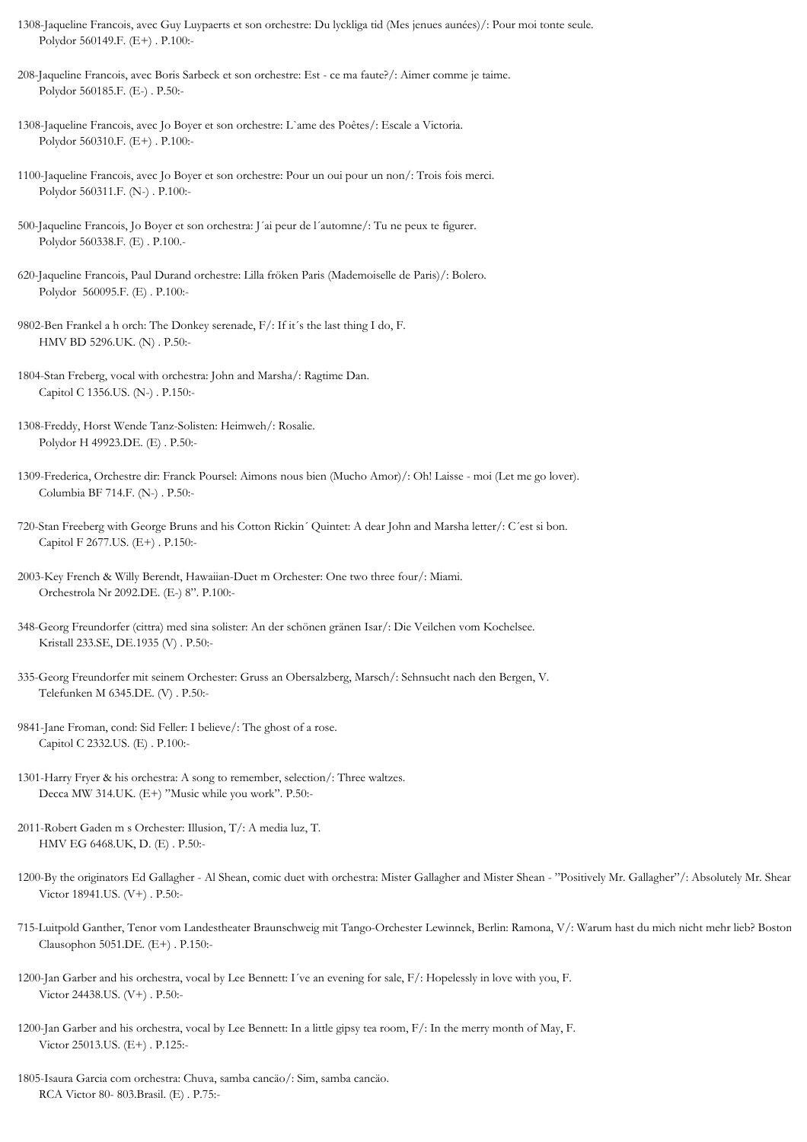- 1308-Jaqueline Francois, avec Guy Luypaerts et son orchestre: Du lyckliga tid (Mes jenues aunées)/: Pour moi tonte seule. Polydor 560149.F. (E+) . P.100:-
- 208-Jaqueline Francois, avec Boris Sarbeck et son orchestre: Est ce ma faute?/: Aimer comme je taime. Polydor 560185.F. (E-) . P.50:-
- 1308-Jaqueline Francois, avec Jo Boyer et son orchestre: L`ame des Poêtes/: Escale a Victoria. Polydor 560310.F. (E+) . P.100:-
- 1100-Jaqueline Francois, avec Jo Boyer et son orchestre: Pour un oui pour un non/: Trois fois merci. Polydor 560311.F. (N-) . P.100:-
- 500-Jaqueline Francois, Jo Boyer et son orchestra: J´ai peur de l´automne/: Tu ne peux te figurer. Polydor 560338.F. (E) . P.100.-
- 620-Jaqueline Francois, Paul Durand orchestre: Lilla fröken Paris (Mademoiselle de Paris)/: Bolero. Polydor 560095.F. (E) . P.100:-
- 9802-Ben Frankel a h orch: The Donkey serenade, F/: If it´s the last thing I do, F. HMV BD 5296.UK. (N) . P.50:-
- 1804-Stan Freberg, vocal with orchestra: John and Marsha/: Ragtime Dan. Capitol C 1356.US. (N-) . P.150:-
- 1308-Freddy, Horst Wende Tanz-Solisten: Heimweh/: Rosalie. Polydor H 49923.DE. (E) . P.50:-
- 1309-Frederica, Orchestre dir: Franck Poursel: Aimons nous bien (Mucho Amor)/: Oh! Laisse moi (Let me go lover). Columbia BF 714.F. (N-) . P.50:-
- 720-Stan Freeberg with George Bruns and his Cotton Rickin´ Quintet: A dear John and Marsha letter/: C´est si bon. Capitol F 2677.US. (E+) . P.150:-
- 2003-Key French & Willy Berendt, Hawaiian-Duet m Orchester: One two three four/: Miami. Orchestrola Nr 2092.DE. (E-) 8". P.100:-
- 348-Georg Freundorfer (cittra) med sina solister: An der schönen gränen Isar/: Die Veilchen vom Kochelsee. Kristall 233.SE, DE.1935 (V) . P.50:-
- 335-Georg Freundorfer mit seinem Orchester: Gruss an Obersalzberg, Marsch/: Sehnsucht nach den Bergen, V. Telefunken M 6345.DE. (V) . P.50:-
- 9841-Jane Froman, cond: Sid Feller: I believe/: The ghost of a rose. Capitol C 2332.US. (E) . P.100:-
- 1301-Harry Fryer & his orchestra: A song to remember, selection/: Three waltzes. Decca MW 314.UK. (E+) "Music while you work". P.50:-
- 2011-Robert Gaden m s Orchester: Illusion, T/: A media luz, T. HMV EG 6468.UK, D. (E) . P.50:-
- 1200-By the originators Ed Gallagher Al Shean, comic duet with orchestra: Mister Gallagher and Mister Shean "Positively Mr. Gallagher"/: Absolutely Mr. Shear Victor 18941.US. (V+) . P.50:-
- 715-Luitpold Ganther, Tenor vom Landestheater Braunschweig mit Tango-Orchester Lewinnek, Berlin: Ramona, V/: Warum hast du mich nicht mehr lieb? Boston-Lied. Clausophon 5051.DE. (E+) . P.150:-
- 1200-Jan Garber and his orchestra, vocal by Lee Bennett: I´ve an evening for sale, F/: Hopelessly in love with you, F. Victor 24438.US. (V+) . P.50:-
- 1200-Jan Garber and his orchestra, vocal by Lee Bennett: In a little gipsy tea room, F/: In the merry month of May, F. Victor 25013.US. (E+) . P.125:-
- 1805-Isaura Garcia com orchestra: Chuva, samba cancäo/: Sim, samba cancäo. RCA Victor 80- 803.Brasil. (E) . P.75:-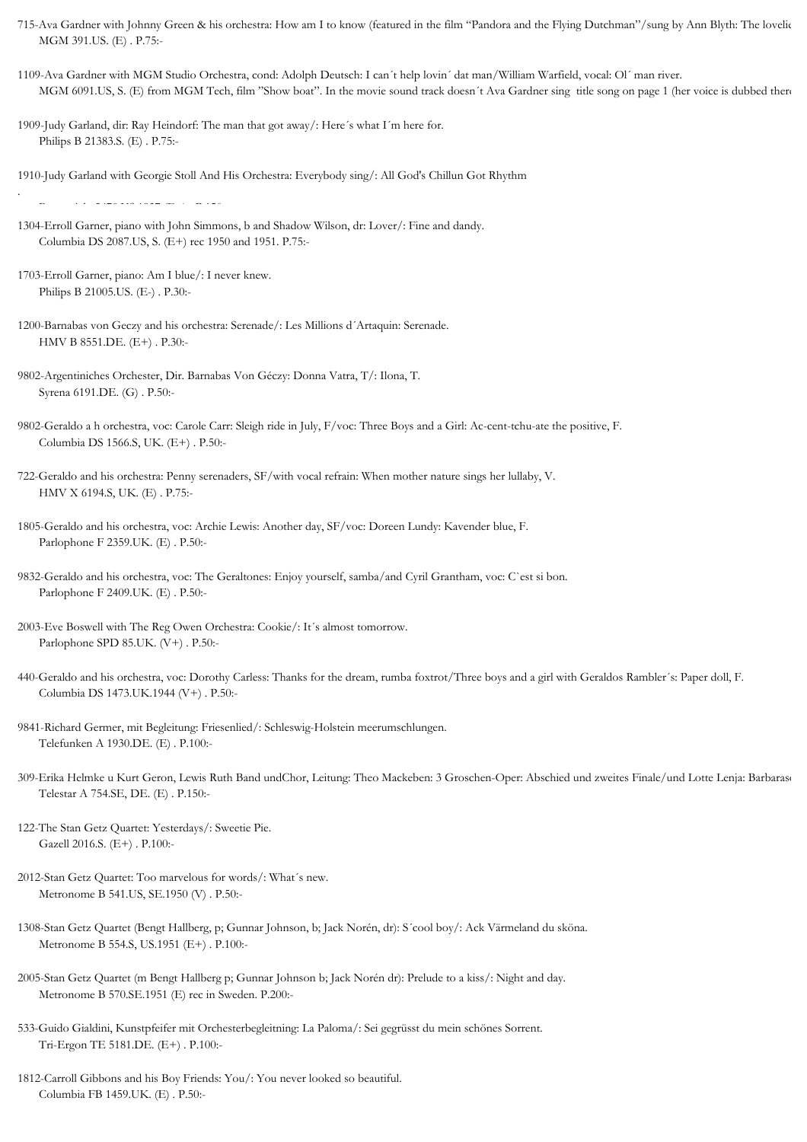- 715-Ava Gardner with Johnny Green & his orchestra: How am I to know (featured in the film "Pandora and the Flying Dutchman"/sung by Ann Blyth: The lovelie MGM 391.US. (E) . P.75:-
- 1109-Ava Gardner with MGM Studio Orchestra, cond: Adolph Deutsch: I can´t help lovin´ dat man/William Warfield, vocal: Ol´ man river. MGM 6091.US, S. (E) from MGM Tech, film "Show boat". In the movie sound track doesn't Ava Gardner sing title song on page 1 (her voice is dubbed there)
- 1909-Judy Garland, dir: Ray Heindorf: The man that got away/: Here´s what I´m here for. Philips B 21383.S. (E) . P.75:-

1910-Judy Garland with Georgie Stoll And His Orchestra: Everybody sing/: All God's Chillun Got Rhythm

. Brunswick 2478.US.1937 (E+) . P.150:-

- 1304-Erroll Garner, piano with John Simmons, b and Shadow Wilson, dr: Lover/: Fine and dandy. Columbia DS 2087.US, S. (E+) rec 1950 and 1951. P.75:-
- 1703-Erroll Garner, piano: Am I blue/: I never knew. Philips B 21005.US. (E-) . P.30:-
- 1200-Barnabas von Geczy and his orchestra: Serenade/: Les Millions d´Artaquin: Serenade. HMV B 8551.DE. (E+) . P.30:-
- 9802-Argentiniches Orchester, Dir. Barnabas Von Géczy: Donna Vatra, T/: Ilona, T. Syrena 6191.DE. (G) . P.50:-
- 9802-Geraldo a h orchestra, voc: Carole Carr: Sleigh ride in July, F/voc: Three Boys and a Girl: Ac-cent-tchu-ate the positive, F. Columbia DS 1566.S, UK. (E+) . P.50:-
- 722-Geraldo and his orchestra: Penny serenaders, SF/with vocal refrain: When mother nature sings her lullaby, V. HMV X 6194.S, UK. (E) . P.75:-
- 1805-Geraldo and his orchestra, voc: Archie Lewis: Another day, SF/voc: Doreen Lundy: Kavender blue, F. Parlophone F 2359.UK. (E) . P.50:-
- 9832-Geraldo and his orchestra, voc: The Geraltones: Enjoy yourself, samba/and Cyril Grantham, voc: C`est si bon. Parlophone F 2409.UK. (E) . P.50:-
- 2003-Eve Boswell with The Reg Owen Orchestra: Cookie/: It´s almost tomorrow. Parlophone SPD 85.UK. (V+) . P.50:-
- 440-Geraldo and his orchestra, voc: Dorothy Carless: Thanks for the dream, rumba foxtrot/Three boys and a girl with Geraldos Rambler´s: Paper doll, F. Columbia DS 1473.UK.1944 (V+) . P.50:-
- 9841-Richard Germer, mit Begleitung: Friesenlied/: Schleswig-Holstein meerumschlungen. Telefunken A 1930.DE. (E) . P.100:-
- 309-Erika Helmke u Kurt Geron, Lewis Ruth Band undChor, Leitung: Theo Mackeben: 3 Groschen-Oper: Abschied und zweites Finale/und Lotte Lenja: Barbarase Telestar A 754.SE, DE. (E) . P.150:-
- 122-The Stan Getz Quartet: Yesterdays/: Sweetie Pie. Gazell 2016.S. (E+) . P.100:-
- 2012-Stan Getz Quartet: Too marvelous for words/: What´s new. Metronome B 541.US, SE.1950 (V) . P.50:-
- 1308-Stan Getz Quartet (Bengt Hallberg, p; Gunnar Johnson, b; Jack Norén, dr): S´cool boy/: Ack Värmeland du sköna. Metronome B 554.S, US.1951 (E+) . P.100:-
- 2005-Stan Getz Quartet (m Bengt Hallberg p; Gunnar Johnson b; Jack Norén dr): Prelude to a kiss/: Night and day. Metronome B 570.SE.1951 (E) rec in Sweden. P.200:-
- 533-Guido Gialdini, Kunstpfeifer mit Orchesterbegleitning: La Paloma/: Sei gegrüsst du mein schönes Sorrent. Tri-Ergon TE 5181.DE. (E+) . P.100:-
- 1812-Carroll Gibbons and his Boy Friends: You/: You never looked so beautiful. Columbia FB 1459.UK. (E) . P.50:-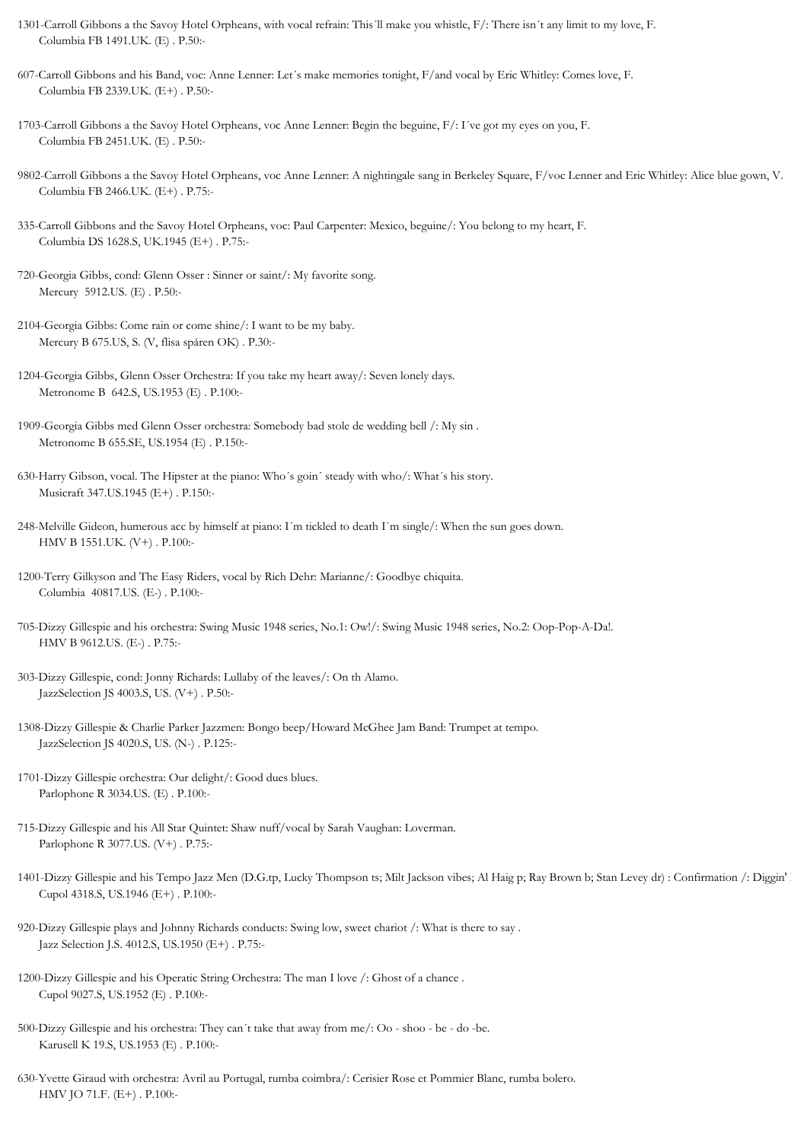- 1301-Carroll Gibbons a the Savoy Hotel Orpheans, with vocal refrain: This´ll make you whistle, F/: There isn´t any limit to my love, F. Columbia FB 1491.UK. (E) . P.50:-
- 607-Carroll Gibbons and his Band, voc: Anne Lenner: Let´s make memories tonight, F/and vocal by Eric Whitley: Comes love, F. Columbia FB 2339.UK. (E+) . P.50:-
- 1703-Carroll Gibbons a the Savoy Hotel Orpheans, voc Anne Lenner: Begin the beguine, F/: I´ve got my eyes on you, F. Columbia FB 2451.UK. (E) . P.50:-
- 9802-Carroll Gibbons a the Savoy Hotel Orpheans, voc Anne Lenner: A nightingale sang in Berkeley Square, F/voc Lenner and Eric Whitley: Alice blue gown, V. Columbia FB 2466.UK. (E+) . P.75:-
- 335-Carroll Gibbons and the Savoy Hotel Orpheans, voc: Paul Carpenter: Mexico, beguine/: You belong to my heart, F. Columbia DS 1628.S, UK.1945 (E+) . P.75:-
- 720-Georgia Gibbs, cond: Glenn Osser : Sinner or saint/: My favorite song. Mercury 5912.US. (E) . P.50:-
- 2104-Georgia Gibbs: Come rain or come shine/: I want to be my baby. Mercury B 675.US, S. (V, flisa spåren OK) . P.30:-
- 1204-Georgia Gibbs, Glenn Osser Orchestra: If you take my heart away/: Seven lonely days. Metronome B 642.S, US.1953 (E) . P.100:-
- 1909-Georgia Gibbs med Glenn Osser orchestra: Somebody bad stole de wedding bell /: My sin . Metronome B 655.SE, US.1954 (E) . P.150:-
- 630-Harry Gibson, vocal. The Hipster at the piano: Who´s goin´ steady with who/: What´s his story. Musicraft 347.US.1945 (E+) . P.150:-
- 248-Melville Gideon, humerous acc by himself at piano: I´m tickled to death I`m single/: When the sun goes down. HMV B 1551.UK. (V+) . P.100:-
- 1200-Terry Gilkyson and The Easy Riders, vocal by Rich Dehr: Marianne/: Goodbye chiquita. Columbia 40817.US. (E-) . P.100:-
- 705-Dizzy Gillespie and his orchestra: Swing Music 1948 series, No.1: Ow!/: Swing Music 1948 series, No.2: Oop-Pop-A-Da!. HMV B 9612.US. (E-) . P.75:-
- 303-Dizzy Gillespie, cond: Jonny Richards: Lullaby of the leaves/: On th Alamo. JazzSelection JS 4003.S, US. (V+) . P.50:-
- 1308-Dizzy Gillespie & Charlie Parker Jazzmen: Bongo beep/Howard McGhee Jam Band: Trumpet at tempo. JazzSelection JS 4020.S, US. (N-) . P.125:-
- 1701-Dizzy Gillespie orchestra: Our delight/: Good dues blues. Parlophone R 3034.US. (E) . P.100:-
- 715-Dizzy Gillespie and his All Star Quintet: Shaw nuff/vocal by Sarah Vaughan: Loverman. Parlophone R 3077.US. (V+) . P.75:-
- 1401-Dizzy Gillespie and his Tempo Jazz Men (D.G.tp, Lucky Thompson ts; Milt Jackson vibes; Al Haig p; Ray Brown b; Stan Levey dr) : Confirmation /: Diggin' Cupol 4318.S, US.1946 (E+) . P.100:-
- 920-Dizzy Gillespie plays and Johnny Richards conducts: Swing low, sweet chariot /: What is there to say . Jazz Selection J.S. 4012.S, US.1950 (E+) . P.75:-
- 1200-Dizzy Gillespie and his Operatic String Orchestra: The man I love /: Ghost of a chance . Cupol 9027.S, US.1952 (E) . P.100:-
- 500-Dizzy Gillespie and his orchestra: They can´t take that away from me/: Oo shoo be do -be. Karusell K 19.S, US.1953 (E) . P.100:-
- 630-Yvette Giraud with orchestra: Avril au Portugal, rumba coimbra/: Cerisier Rose et Pommier Blanc, rumba bolero. HMV JO 71.F. (E+) . P.100:-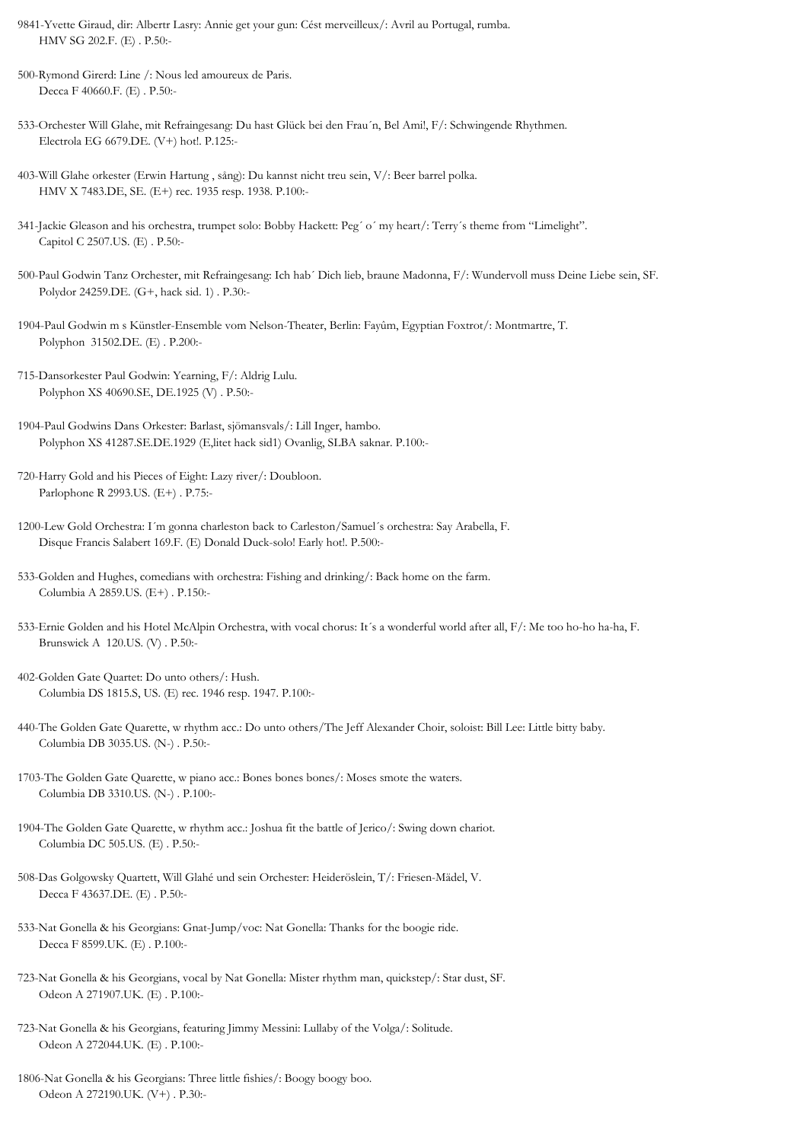- 9841-Yvette Giraud, dir: Albertr Lasry: Annie get your gun: Cést merveilleux/: Avril au Portugal, rumba. HMV SG 202.F. (E) . P.50:-
- 500-Rymond Girerd: Line /: Nous led amoureux de Paris. Decca F 40660.F. (E) . P.50:-
- 533-Orchester Will Glahe, mit Refraingesang: Du hast Glück bei den Frau´n, Bel Ami!, F/: Schwingende Rhythmen. Electrola EG 6679.DE. (V+) hot!. P.125:-
- 403-Will Glahe orkester (Erwin Hartung , sång): Du kannst nicht treu sein, V/: Beer barrel polka. HMV X 7483.DE, SE. (E+) rec. 1935 resp. 1938. P.100:-
- 341-Jackie Gleason and his orchestra, trumpet solo: Bobby Hackett: Peg´ o´ my heart/: Terry´s theme from "Limelight". Capitol C 2507.US. (E) . P.50:-
- 500-Paul Godwin Tanz Orchester, mit Refraingesang: Ich hab´ Dich lieb, braune Madonna, F/: Wundervoll muss Deine Liebe sein, SF. Polydor 24259.DE. (G+, hack sid. 1) . P.30:-
- 1904-Paul Godwin m s Künstler-Ensemble vom Nelson-Theater, Berlin: Fayûm, Egyptian Foxtrot/: Montmartre, T. Polyphon 31502.DE. (E) . P.200:-
- 715-Dansorkester Paul Godwin: Yearning, F/: Aldrig Lulu. Polyphon XS 40690.SE, DE.1925 (V) . P.50:-
- 1904-Paul Godwins Dans Orkester: Barlast, sjömansvals/: Lill Inger, hambo. Polyphon XS 41287.SE.DE.1929 (E,litet hack sid1) Ovanlig, SLBA saknar. P.100:-
- 720-Harry Gold and his Pieces of Eight: Lazy river/: Doubloon. Parlophone R 2993.US. (E+) . P.75:-
- 1200-Lew Gold Orchestra: I´m gonna charleston back to Carleston/Samuel´s orchestra: Say Arabella, F. Disque Francis Salabert 169.F. (E) Donald Duck-solo! Early hot!. P.500:-
- 533-Golden and Hughes, comedians with orchestra: Fishing and drinking/: Back home on the farm. Columbia A 2859.US. (E+) . P.150:-
- 533-Ernie Golden and his Hotel McAlpin Orchestra, with vocal chorus: It´s a wonderful world after all, F/: Me too ho-ho ha-ha, F. Brunswick A 120.US. (V) . P.50:-
- 402-Golden Gate Quartet: Do unto others/: Hush. Columbia DS 1815.S, US. (E) rec. 1946 resp. 1947. P.100:-
- 440-The Golden Gate Quarette, w rhythm acc.: Do unto others/The Jeff Alexander Choir, soloist: Bill Lee: Little bitty baby. Columbia DB 3035.US. (N-) . P.50:-
- 1703-The Golden Gate Quarette, w piano acc.: Bones bones bones/: Moses smote the waters. Columbia DB 3310.US. (N-) . P.100:-
- 1904-The Golden Gate Quarette, w rhythm acc.: Joshua fit the battle of Jerico/: Swing down chariot. Columbia DC 505.US. (E) . P.50:-
- 508-Das Golgowsky Quartett, Will Glahé und sein Orchester: Heideröslein, T/: Friesen-Mädel, V. Decca F 43637.DE. (E) . P.50:-
- 533-Nat Gonella & his Georgians: Gnat-Jump/voc: Nat Gonella: Thanks for the boogie ride. Decca F 8599.UK. (E) . P.100:-
- 723-Nat Gonella & his Georgians, vocal by Nat Gonella: Mister rhythm man, quickstep/: Star dust, SF. Odeon A 271907.UK. (E) . P.100:-
- 723-Nat Gonella & his Georgians, featuring Jimmy Messini: Lullaby of the Volga/: Solitude. Odeon A 272044.UK. (E) . P.100:-
- 1806-Nat Gonella & his Georgians: Three little fishies/: Boogy boogy boo. Odeon A 272190.UK. (V+) . P.30:-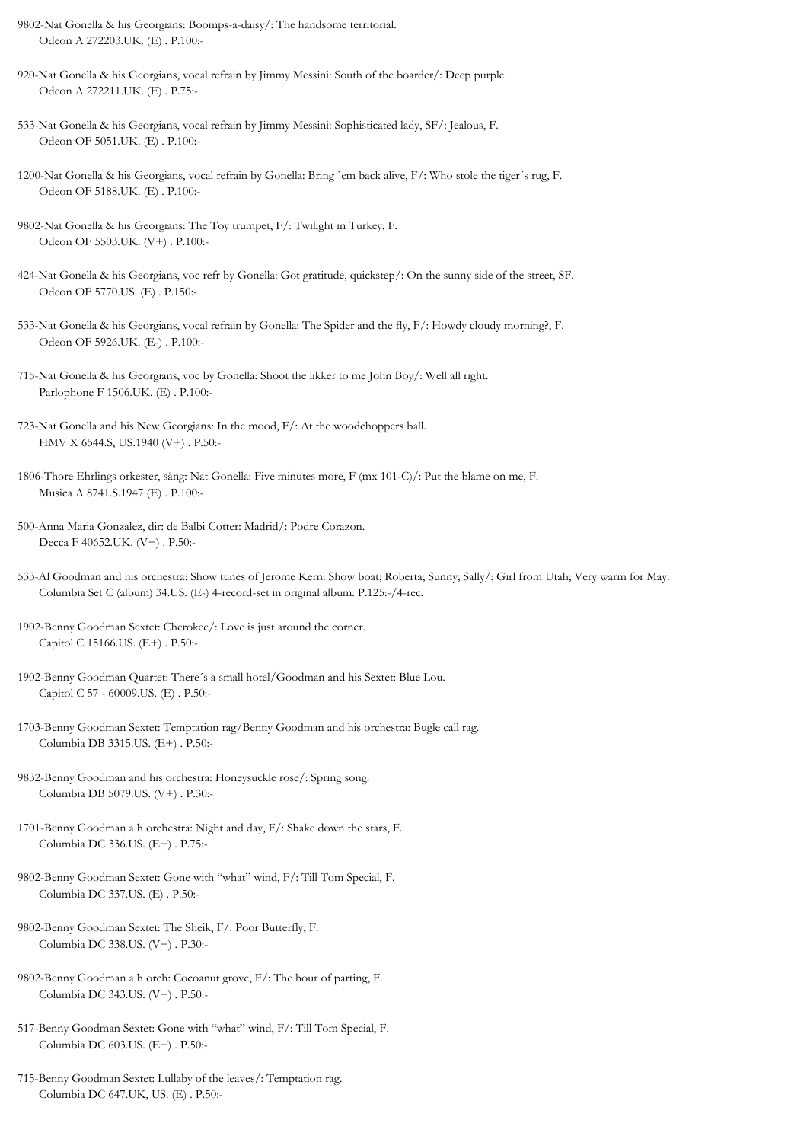- 9802-Nat Gonella & his Georgians: Boomps-a-daisy/: The handsome territorial. Odeon A 272203.UK. (E) . P.100:-
- 920-Nat Gonella & his Georgians, vocal refrain by Jimmy Messini: South of the boarder/: Deep purple. Odeon A 272211.UK. (E) . P.75:-
- 533-Nat Gonella & his Georgians, vocal refrain by Jimmy Messini: Sophisticated lady, SF/: Jealous, F. Odeon OF 5051.UK. (E) . P.100:-
- 1200-Nat Gonella & his Georgians, vocal refrain by Gonella: Bring `em back alive, F/: Who stole the tiger´s rug, F. Odeon OF 5188.UK. (E) . P.100:-
- 9802-Nat Gonella & his Georgians: The Toy trumpet, F/: Twilight in Turkey, F. Odeon OF 5503.UK. (V+) . P.100:-
- 424-Nat Gonella & his Georgians, voc refr by Gonella: Got gratitude, quickstep/: On the sunny side of the street, SF. Odeon OF 5770.US. (E) . P.150:-
- 533-Nat Gonella & his Georgians, vocal refrain by Gonella: The Spider and the fly, F/: Howdy cloudy morning?, F. Odeon OF 5926.UK. (E-) . P.100:-
- 715-Nat Gonella & his Georgians, voc by Gonella: Shoot the likker to me John Boy/: Well all right. Parlophone F 1506.UK. (E) . P.100:-
- 723-Nat Gonella and his New Georgians: In the mood, F/: At the woodchoppers ball. HMV X 6544.S, US.1940 (V+) . P.50:-
- 1806-Thore Ehrlings orkester, sång: Nat Gonella: Five minutes more, F (mx 101-C)/: Put the blame on me, F. Musica A 8741.S.1947 (E) . P.100:-
- 500-Anna Maria Gonzalez, dir: de Balbi Cotter: Madrid/: Podre Corazon. Decca F 40652.UK. (V+) . P.50:-
- 533-Al Goodman and his orchestra: Show tunes of Jerome Kern: Show boat; Roberta; Sunny; Sally/: Girl from Utah; Very warm for May. Columbia Set C (album) 34.US. (E-) 4-record-set in original album. P.125:-/4-rec.
- 1902-Benny Goodman Sextet: Cherokee/: Love is just around the corner. Capitol C 15166.US. (E+) . P.50:-
- 1902-Benny Goodman Quartet: There´s a small hotel/Goodman and his Sextet: Blue Lou. Capitol C 57 - 60009.US. (E) . P.50:-
- 1703-Benny Goodman Sextet: Temptation rag/Benny Goodman and his orchestra: Bugle call rag. Columbia DB 3315.US. (E+) . P.50:-
- 9832-Benny Goodman and his orchestra: Honeysuckle rose/: Spring song. Columbia DB 5079.US. (V+) . P.30:-
- 1701-Benny Goodman a h orchestra: Night and day, F/: Shake down the stars, F. Columbia DC 336.US. (E+) . P.75:-
- 9802-Benny Goodman Sextet: Gone with "what" wind, F/: Till Tom Special, F. Columbia DC 337.US. (E) . P.50:-
- 9802-Benny Goodman Sextet: The Sheik, F/: Poor Butterfly, F. Columbia DC 338.US. (V+) . P.30:-
- 9802-Benny Goodman a h orch: Cocoanut grove, F/: The hour of parting, F. Columbia DC 343.US. (V+) . P.50:-
- 517-Benny Goodman Sextet: Gone with "what" wind, F/: Till Tom Special, F. Columbia DC 603.US. (E+) . P.50:-
- 715-Benny Goodman Sextet: Lullaby of the leaves/: Temptation rag. Columbia DC 647.UK, US. (E) . P.50:-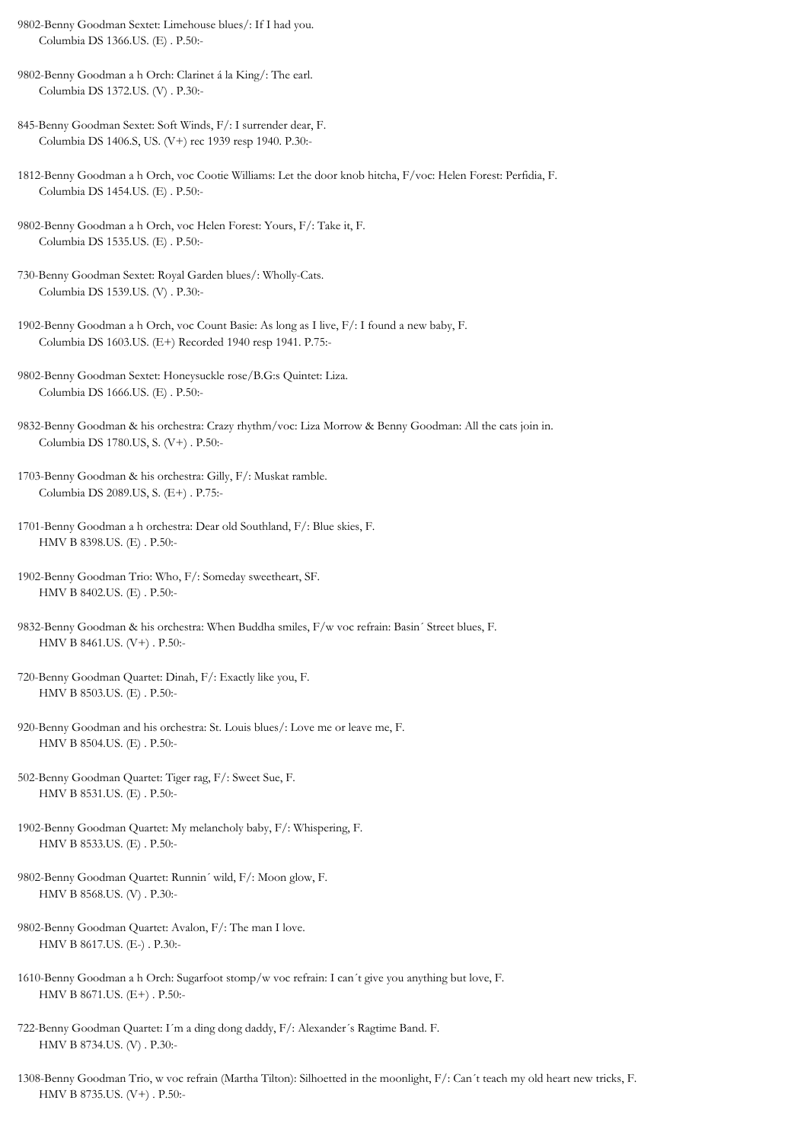- 9802-Benny Goodman Sextet: Limehouse blues/: If I had you. Columbia DS 1366.US. (E) . P.50:-
- 9802-Benny Goodman a h Orch: Clarinet á la King/: The earl. Columbia DS 1372.US. (V) . P.30:-
- 845-Benny Goodman Sextet: Soft Winds, F/: I surrender dear, F. Columbia DS 1406.S, US. (V+) rec 1939 resp 1940. P.30:-
- 1812-Benny Goodman a h Orch, voc Cootie Williams: Let the door knob hitcha, F/voc: Helen Forest: Perfidia, F. Columbia DS 1454.US. (E) . P.50:-
- 9802-Benny Goodman a h Orch, voc Helen Forest: Yours, F/: Take it, F. Columbia DS 1535.US. (E) . P.50:-
- 730-Benny Goodman Sextet: Royal Garden blues/: Wholly-Cats. Columbia DS 1539.US. (V) . P.30:-
- 1902-Benny Goodman a h Orch, voc Count Basie: As long as I live, F/: I found a new baby, F. Columbia DS 1603.US. (E+) Recorded 1940 resp 1941. P.75:-
- 9802-Benny Goodman Sextet: Honeysuckle rose/B.G:s Quintet: Liza. Columbia DS 1666.US. (E) . P.50:-
- 9832-Benny Goodman & his orchestra: Crazy rhythm/voc: Liza Morrow & Benny Goodman: All the cats join in. Columbia DS 1780.US, S. (V+) . P.50:-
- 1703-Benny Goodman & his orchestra: Gilly, F/: Muskat ramble. Columbia DS 2089.US, S. (E+) . P.75:-
- 1701-Benny Goodman a h orchestra: Dear old Southland, F/: Blue skies, F. HMV B 8398.US. (E) . P.50:-
- 1902-Benny Goodman Trio: Who, F/: Someday sweetheart, SF. HMV B 8402.US. (E) . P.50:-
- 9832-Benny Goodman & his orchestra: When Buddha smiles, F/w voc refrain: Basin´ Street blues, F. HMV B 8461.US. (V+) . P.50:-
- 720-Benny Goodman Quartet: Dinah, F/: Exactly like you, F. HMV B 8503.US. (E) . P.50:-
- 920-Benny Goodman and his orchestra: St. Louis blues/: Love me or leave me, F. HMV B 8504.US. (E) . P.50:-
- 502-Benny Goodman Quartet: Tiger rag, F/: Sweet Sue, F. HMV B 8531.US. (E) . P.50:-
- 1902-Benny Goodman Quartet: My melancholy baby, F/: Whispering, F. HMV B 8533.US. (E) . P.50:-
- 9802-Benny Goodman Quartet: Runnin´ wild, F/: Moon glow, F. HMV B 8568.US. (V) . P.30:-
- 9802-Benny Goodman Quartet: Avalon, F/: The man I love. HMV B 8617.US. (E-) . P.30:-
- 1610-Benny Goodman a h Orch: Sugarfoot stomp/w voc refrain: I can´t give you anything but love, F. HMV B 8671.US. (E+) . P.50:-
- 722-Benny Goodman Quartet: I´m a ding dong daddy, F/: Alexander´s Ragtime Band. F. HMV B 8734.US. (V) . P.30:-
- 1308-Benny Goodman Trio, w voc refrain (Martha Tilton): Silhoetted in the moonlight, F/: Can´t teach my old heart new tricks, F. HMV B 8735.US. (V+) . P.50:-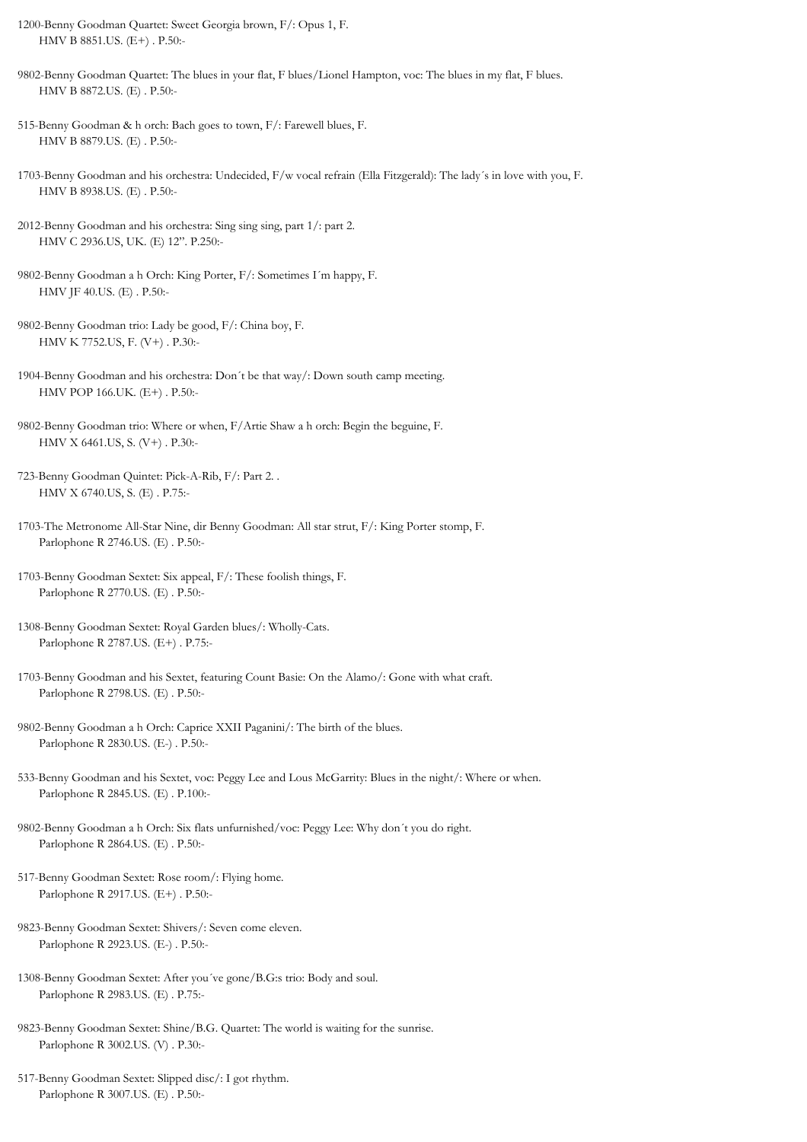- 1200-Benny Goodman Quartet: Sweet Georgia brown, F/: Opus 1, F. HMV B 8851.US. (E+) . P.50:-
- 9802-Benny Goodman Quartet: The blues in your flat, F blues/Lionel Hampton, voc: The blues in my flat, F blues. HMV B 8872.US. (E) . P.50:-
- 515-Benny Goodman & h orch: Bach goes to town, F/: Farewell blues, F. HMV B 8879.US. (E) . P.50:-
- 1703-Benny Goodman and his orchestra: Undecided, F/w vocal refrain (Ella Fitzgerald): The lady´s in love with you, F. HMV B 8938.US. (E) . P.50:-
- 2012-Benny Goodman and his orchestra: Sing sing sing, part 1/: part 2. HMV C 2936.US, UK. (E) 12". P.250:-
- 9802-Benny Goodman a h Orch: King Porter, F/: Sometimes I´m happy, F. HMV JF 40.US. (E) . P.50:-
- 9802-Benny Goodman trio: Lady be good, F/: China boy, F. HMV K 7752.US, F. (V+) . P.30:-
- 1904-Benny Goodman and his orchestra: Don´t be that way/: Down south camp meeting. HMV POP 166.UK. (E+) . P.50:-
- 9802-Benny Goodman trio: Where or when, F/Artie Shaw a h orch: Begin the beguine, F. HMV X 6461.US, S. (V+) . P.30:-
- 723-Benny Goodman Quintet: Pick-A-Rib, F/: Part 2. . HMV X 6740.US, S. (E) . P.75:-
- 1703-The Metronome All-Star Nine, dir Benny Goodman: All star strut, F/: King Porter stomp, F. Parlophone R 2746.US. (E) . P.50:-
- 1703-Benny Goodman Sextet: Six appeal, F/: These foolish things, F. Parlophone R 2770.US. (E) . P.50:-
- 1308-Benny Goodman Sextet: Royal Garden blues/: Wholly-Cats. Parlophone R 2787.US. (E+) . P.75:-
- 1703-Benny Goodman and his Sextet, featuring Count Basie: On the Alamo/: Gone with what craft. Parlophone R 2798.US. (E) . P.50:-
- 9802-Benny Goodman a h Orch: Caprice XXII Paganini/: The birth of the blues. Parlophone R 2830.US. (E-) . P.50:-
- 533-Benny Goodman and his Sextet, voc: Peggy Lee and Lous McGarrity: Blues in the night/: Where or when. Parlophone R 2845.US. (E) . P.100:-
- 9802-Benny Goodman a h Orch: Six flats unfurnished/voc: Peggy Lee: Why don´t you do right. Parlophone R 2864.US. (E) . P.50:-
- 517-Benny Goodman Sextet: Rose room/: Flying home. Parlophone R 2917.US. (E+) . P.50:-
- 9823-Benny Goodman Sextet: Shivers/: Seven come eleven. Parlophone R 2923.US. (E-) . P.50:-
- 1308-Benny Goodman Sextet: After you´ve gone/B.G:s trio: Body and soul. Parlophone R 2983.US. (E) . P.75:-
- 9823-Benny Goodman Sextet: Shine/B.G. Quartet: The world is waiting for the sunrise. Parlophone R 3002.US. (V) . P.30:-
- 517-Benny Goodman Sextet: Slipped disc/: I got rhythm. Parlophone R 3007.US. (E) . P.50:-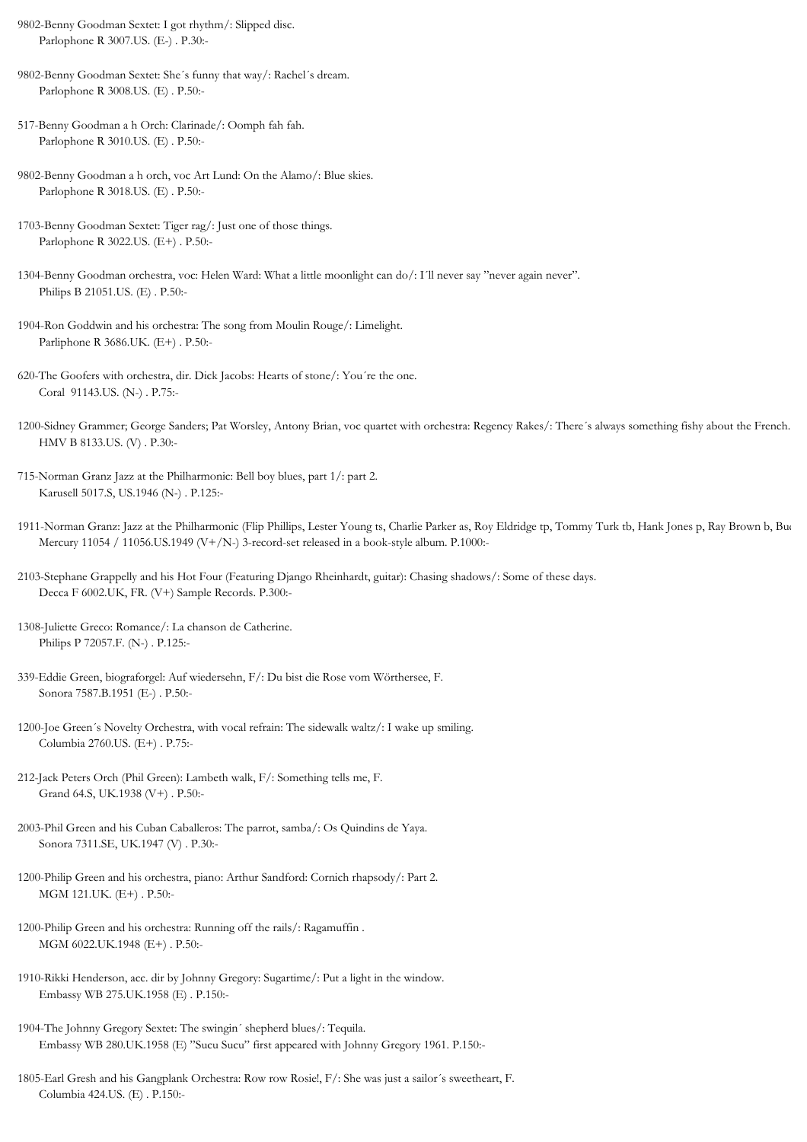- 9802-Benny Goodman Sextet: I got rhythm/: Slipped disc. Parlophone R 3007.US. (E-) . P.30:-
- 9802-Benny Goodman Sextet: She´s funny that way/: Rachel´s dream. Parlophone R 3008.US. (E) . P.50:-
- 517-Benny Goodman a h Orch: Clarinade/: Oomph fah fah. Parlophone R 3010.US. (E) . P.50:-
- 9802-Benny Goodman a h orch, voc Art Lund: On the Alamo/: Blue skies. Parlophone R 3018.US. (E) . P.50:-
- 1703-Benny Goodman Sextet: Tiger rag/: Just one of those things. Parlophone R 3022.US. (E+) . P.50:-
- 1304-Benny Goodman orchestra, voc: Helen Ward: What a little moonlight can do/: I´ll never say "never again never". Philips B 21051.US. (E) . P.50:-
- 1904-Ron Goddwin and his orchestra: The song from Moulin Rouge/: Limelight. Parliphone R 3686.UK. (E+) . P.50:-
- 620-The Goofers with orchestra, dir. Dick Jacobs: Hearts of stone/: You´re the one. Coral 91143.US. (N-) . P.75:-
- 1200-Sidney Grammer; George Sanders; Pat Worsley, Antony Brian, voc quartet with orchestra: Regency Rakes/: There´s always something fishy about the French. HMV B 8133.US. (V) . P.30:-
- 715-Norman Granz Jazz at the Philharmonic: Bell boy blues, part 1/: part 2. Karusell 5017.S, US.1946 (N-) . P.125:-
- 1911-Norman Granz: Jazz at the Philharmonic (Flip Phillips, Lester Young ts, Charlie Parker as, Roy Eldridge tp, Tommy Turk tb, Hank Jones p, Ray Brown b, Bud Mercury 11054 / 11056.US.1949 (V+/N-) 3-record-set released in a book-style album. P.1000:-
- 2103-Stephane Grappelly and his Hot Four (Featuring Django Rheinhardt, guitar): Chasing shadows/: Some of these days. Decca F 6002.UK, FR. (V+) Sample Records. P.300:-
- 1308-Juliette Greco: Romance/: La chanson de Catherine. Philips P 72057.F. (N-) . P.125:-
- 339-Eddie Green, biograforgel: Auf wiedersehn, F/: Du bist die Rose vom Wörthersee, F. Sonora 7587.B.1951 (E-) . P.50:-
- 1200-Joe Green´s Novelty Orchestra, with vocal refrain: The sidewalk waltz/: I wake up smiling. Columbia 2760.US. (E+) . P.75:-
- 212-Jack Peters Orch (Phil Green): Lambeth walk, F/: Something tells me, F. Grand 64.S, UK.1938 (V+) . P.50:-
- 2003-Phil Green and his Cuban Caballeros: The parrot, samba/: Os Quindins de Yaya. Sonora 7311.SE, UK.1947 (V) . P.30:-
- 1200-Philip Green and his orchestra, piano: Arthur Sandford: Cornich rhapsody/: Part 2. MGM 121.UK. (E+) . P.50:-
- 1200-Philip Green and his orchestra: Running off the rails/: Ragamuffin . MGM 6022.UK.1948 (E+) . P.50:-
- 1910-Rikki Henderson, acc. dir by Johnny Gregory: Sugartime/: Put a light in the window. Embassy WB 275.UK.1958 (E) . P.150:-
- 1904-The Johnny Gregory Sextet: The swingin´ shepherd blues/: Tequila. Embassy WB 280.UK.1958 (E) "Sucu Sucu" first appeared with Johnny Gregory 1961. P.150:-
- 1805-Earl Gresh and his Gangplank Orchestra: Row row Rosie!, F/: She was just a sailor´s sweetheart, F. Columbia 424.US. (E) . P.150:-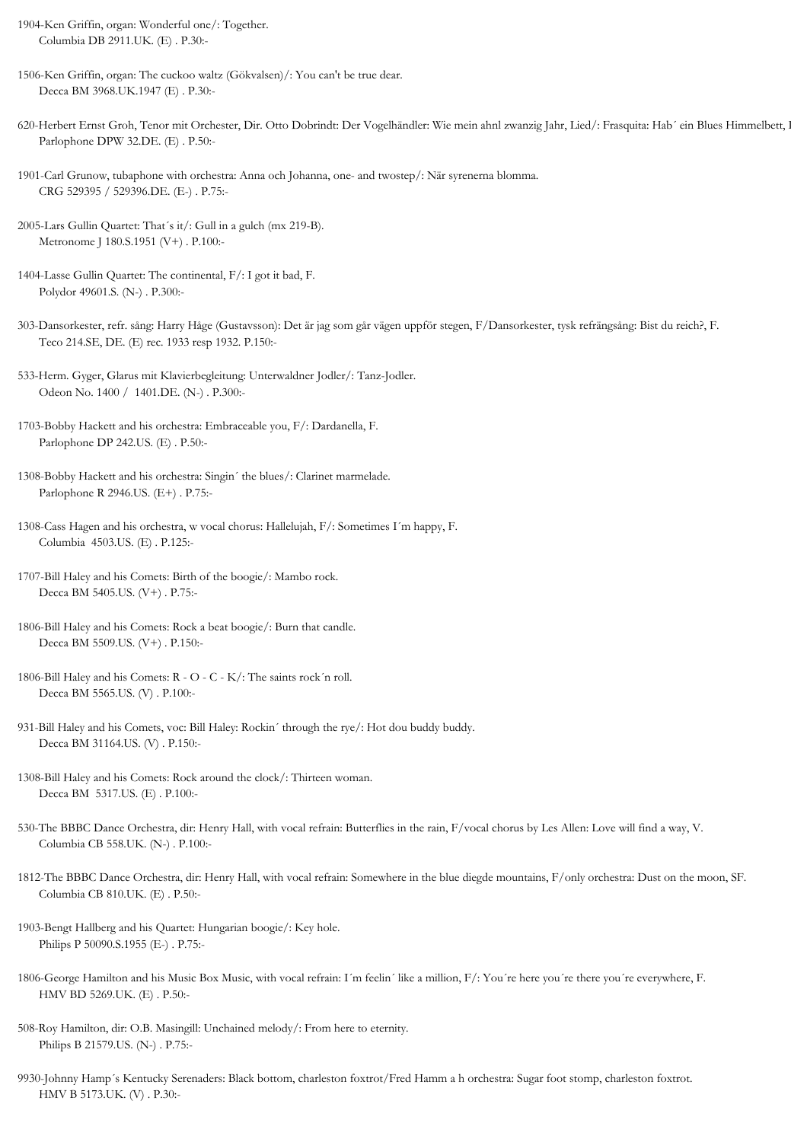- 1904-Ken Griffin, organ: Wonderful one/: Together. Columbia DB 2911.UK. (E) . P.30:-
- 1506-Ken Griffin, organ: The cuckoo waltz (Gökvalsen)/: You can't be true dear. Decca BM 3968.UK.1947 (E) . P.30:-
- 620-Herbert Ernst Groh, Tenor mit Orchester, Dir. Otto Dobrindt: Der Vogelhändler: Wie mein ahnl zwanzig Jahr, Lied/: Frasquita: Hab´ ein Blues Himmelbett, Lied. Parlophone DPW 32.DE. (E) . P.50:-
- 1901-Carl Grunow, tubaphone with orchestra: Anna och Johanna, one- and twostep/: När syrenerna blomma. CRG 529395 / 529396.DE. (E-) . P.75:-
- 2005-Lars Gullin Quartet: That´s it/: Gull in a gulch (mx 219-B). Metronome J 180.S.1951 (V+) . P.100:-
- 1404-Lasse Gullin Quartet: The continental, F/: I got it bad, F. Polydor 49601.S. (N-) . P.300:-
- 303-Dansorkester, refr. sång: Harry Håge (Gustavsson): Det är jag som går vägen uppför stegen, F/Dansorkester, tysk refrängsång: Bist du reich?, F. Teco 214.SE, DE. (E) rec. 1933 resp 1932. P.150:-
- 533-Herm. Gyger, Glarus mit Klavierbegleitung: Unterwaldner Jodler/: Tanz-Jodler. Odeon No. 1400 / 1401.DE. (N-) . P.300:-
- 1703-Bobby Hackett and his orchestra: Embraceable you, F/: Dardanella, F. Parlophone DP 242.US. (E) . P.50:-
- 1308-Bobby Hackett and his orchestra: Singin´ the blues/: Clarinet marmelade. Parlophone R 2946.US. (E+) . P.75:-
- 1308-Cass Hagen and his orchestra, w vocal chorus: Hallelujah, F/: Sometimes I´m happy, F. Columbia 4503.US. (E) . P.125:-
- 1707-Bill Haley and his Comets: Birth of the boogie/: Mambo rock. Decca BM 5405.US. (V+) . P.75:-
- 1806-Bill Haley and his Comets: Rock a beat boogie/: Burn that candle. Decca BM 5509.US. (V+) . P.150:-
- 1806-Bill Haley and his Comets: R O C K/: The saints rock´n roll. Decca BM 5565.US. (V) . P.100:-
- 931-Bill Haley and his Comets, voc: Bill Haley: Rockin´ through the rye/: Hot dou buddy buddy. Decca BM 31164.US. (V) . P.150:-
- 1308-Bill Haley and his Comets: Rock around the clock/: Thirteen woman. Decca BM 5317.US. (E) . P.100:-
- 530-The BBBC Dance Orchestra, dir: Henry Hall, with vocal refrain: Butterflies in the rain, F/vocal chorus by Les Allen: Love will find a way, V. Columbia CB 558.UK. (N-) . P.100:-
- 1812-The BBBC Dance Orchestra, dir: Henry Hall, with vocal refrain: Somewhere in the blue diegde mountains, F/only orchestra: Dust on the moon, SF. Columbia CB 810.UK. (E) . P.50:-
- 1903-Bengt Hallberg and his Quartet: Hungarian boogie/: Key hole. Philips P 50090.S.1955 (E-) . P.75:-
- 1806-George Hamilton and his Music Box Music, with vocal refrain: I´m feelin´ like a million, F/: You´re here you´re there you´re everywhere, F. HMV BD 5269.UK. (E) . P.50:-
- 508-Roy Hamilton, dir: O.B. Masingill: Unchained melody/: From here to eternity. Philips B 21579.US. (N-) . P.75:-
- 9930-Johnny Hamp´s Kentucky Serenaders: Black bottom, charleston foxtrot/Fred Hamm a h orchestra: Sugar foot stomp, charleston foxtrot. HMV B 5173.UK. (V) . P.30:-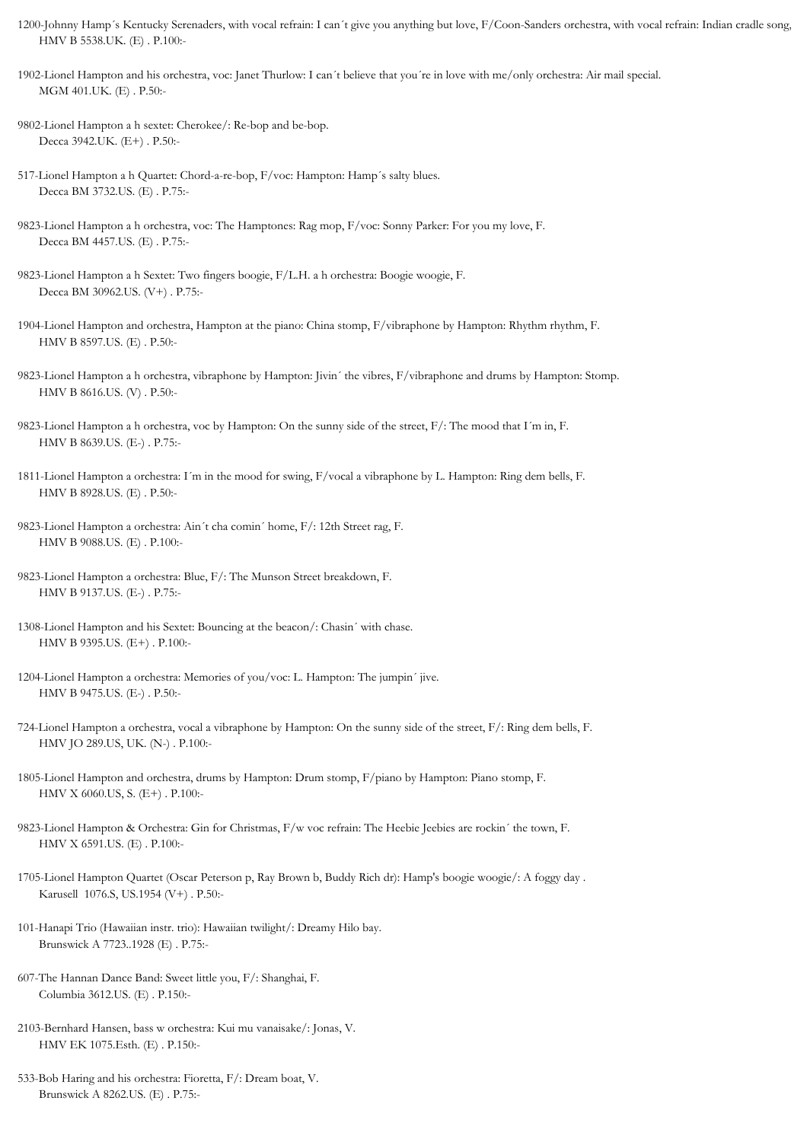- 1200-Johnny Hamp´s Kentucky Serenaders, with vocal refrain: I can´t give you anything but love, F/Coon-Sanders orchestra, with vocal refrain: Indian cradle song, HMV B 5538.UK. (E) . P.100:-
- 1902-Lionel Hampton and his orchestra, voc: Janet Thurlow: I can´t believe that you´re in love with me/only orchestra: Air mail special. MGM 401.UK. (E) . P.50:-
- 9802-Lionel Hampton a h sextet: Cherokee/: Re-bop and be-bop. Decca 3942.UK. (E+) . P.50:-
- 517-Lionel Hampton a h Quartet: Chord-a-re-bop, F/voc: Hampton: Hamp´s salty blues. Decca BM 3732.US. (E) . P.75:-
- 9823-Lionel Hampton a h orchestra, voc: The Hamptones: Rag mop, F/voc: Sonny Parker: For you my love, F. Decca BM 4457.US. (E) . P.75:-
- 9823-Lionel Hampton a h Sextet: Two fingers boogie, F/L.H. a h orchestra: Boogie woogie, F. Decca BM 30962.US. (V+) . P.75:-
- 1904-Lionel Hampton and orchestra, Hampton at the piano: China stomp, F/vibraphone by Hampton: Rhythm rhythm, F. HMV B 8597.US. (E) . P.50:-
- 9823-Lionel Hampton a h orchestra, vibraphone by Hampton: Jivin´ the vibres, F/vibraphone and drums by Hampton: Stomp. HMV B 8616.US. (V) . P.50:-
- 9823-Lionel Hampton a h orchestra, voc by Hampton: On the sunny side of the street, F/: The mood that I´m in, F. HMV B 8639.US. (E-) . P.75:-
- 1811-Lionel Hampton a orchestra: I´m in the mood for swing, F/vocal a vibraphone by L. Hampton: Ring dem bells, F. HMV B 8928.US. (E) . P.50:-
- 9823-Lionel Hampton a orchestra: Ain´t cha comin´ home, F/: 12th Street rag, F. HMV B 9088.US. (E) . P.100:-
- 9823-Lionel Hampton a orchestra: Blue, F/: The Munson Street breakdown, F. HMV B 9137.US. (E-) . P.75:-
- 1308-Lionel Hampton and his Sextet: Bouncing at the beacon/: Chasin´ with chase. HMV B 9395.US. (E+) . P.100:-
- 1204-Lionel Hampton a orchestra: Memories of you/voc: L. Hampton: The jumpin´ jive. HMV B 9475.US. (E-) . P.50:-
- 724-Lionel Hampton a orchestra, vocal a vibraphone by Hampton: On the sunny side of the street, F/: Ring dem bells, F. HMV JO 289.US, UK. (N-) . P.100:-
- 1805-Lionel Hampton and orchestra, drums by Hampton: Drum stomp, F/piano by Hampton: Piano stomp, F. HMV X 6060.US, S. (E+) . P.100:-
- 9823-Lionel Hampton & Orchestra: Gin for Christmas, F/w voc refrain: The Heebie Jeebies are rockin´ the town, F. HMV X 6591.US. (E) . P.100:-
- 1705-Lionel Hampton Quartet (Oscar Peterson p, Ray Brown b, Buddy Rich dr): Hamp's boogie woogie/: A foggy day . Karusell 1076.S, US.1954 (V+) . P.50:-
- 101-Hanapi Trio (Hawaiian instr. trio): Hawaiian twilight/: Dreamy Hilo bay. Brunswick A 7723..1928 (E) . P.75:-
- 607-The Hannan Dance Band: Sweet little you, F/: Shanghai, F. Columbia 3612.US. (E) . P.150:-
- 2103-Bernhard Hansen, bass w orchestra: Kui mu vanaisake/: Jonas, V. HMV EK 1075.Esth. (E) . P.150:-
- 533-Bob Haring and his orchestra: Fioretta, F/: Dream boat, V. Brunswick A 8262.US. (E) . P.75:-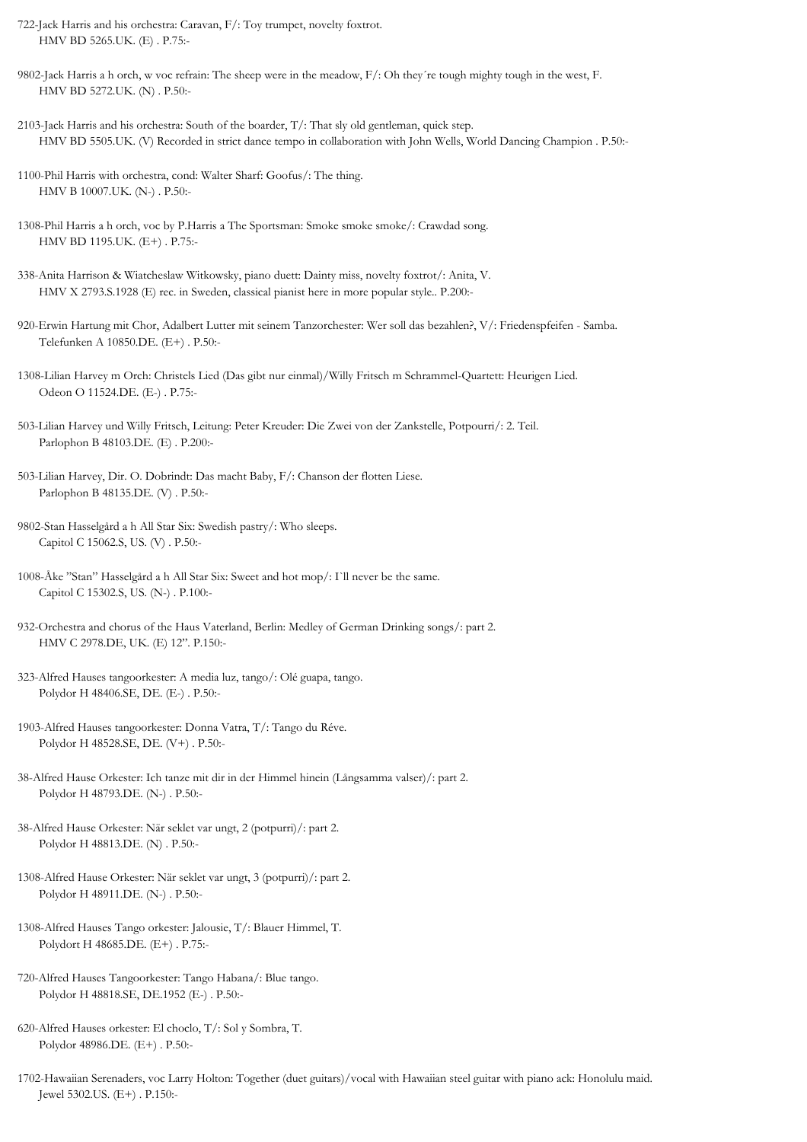- 722-Jack Harris and his orchestra: Caravan, F/: Toy trumpet, novelty foxtrot. HMV BD 5265.UK. (E) . P.75:-
- 9802-Jack Harris a h orch, w voc refrain: The sheep were in the meadow, F/: Oh they´re tough mighty tough in the west, F. HMV BD 5272.UK. (N) . P.50:-
- 2103-Jack Harris and his orchestra: South of the boarder, T/: That sly old gentleman, quick step. HMV BD 5505.UK. (V) Recorded in strict dance tempo in collaboration with John Wells, World Dancing Champion . P.50:-
- 1100-Phil Harris with orchestra, cond: Walter Sharf: Goofus/: The thing. HMV B 10007.UK. (N-) . P.50:-
- 1308-Phil Harris a h orch, voc by P.Harris a The Sportsman: Smoke smoke smoke/: Crawdad song. HMV BD 1195.UK. (E+) . P.75:-
- 338-Anita Harrison & Wiatcheslaw Witkowsky, piano duett: Dainty miss, novelty foxtrot/: Anita, V. HMV X 2793.S.1928 (E) rec. in Sweden, classical pianist here in more popular style.. P.200:-
- 920-Erwin Hartung mit Chor, Adalbert Lutter mit seinem Tanzorchester: Wer soll das bezahlen?, V/: Friedenspfeifen Samba. Telefunken A 10850.DE. (E+) . P.50:-
- 1308-Lilian Harvey m Orch: Christels Lied (Das gibt nur einmal)/Willy Fritsch m Schrammel-Quartett: Heurigen Lied. Odeon O 11524.DE. (E-) . P.75:-
- 503-Lilian Harvey und Willy Fritsch, Leitung: Peter Kreuder: Die Zwei von der Zankstelle, Potpourri/: 2. Teil. Parlophon B 48103.DE. (E) . P.200:-
- 503-Lilian Harvey, Dir. O. Dobrindt: Das macht Baby, F/: Chanson der flotten Liese. Parlophon B 48135.DE. (V) . P.50:-
- 9802-Stan Hasselgård a h All Star Six: Swedish pastry/: Who sleeps. Capitol C 15062.S, US. (V) . P.50:-
- 1008-Åke "Stan" Hasselgård a h All Star Six: Sweet and hot mop/: I`ll never be the same. Capitol C 15302.S, US. (N-) . P.100:-
- 932-Orchestra and chorus of the Haus Vaterland, Berlin: Medley of German Drinking songs/: part 2. HMV C 2978.DE, UK. (E) 12". P.150:-
- 323-Alfred Hauses tangoorkester: A media luz, tango/: Olé guapa, tango. Polydor H 48406.SE, DE. (E-) . P.50:-
- 1903-Alfred Hauses tangoorkester: Donna Vatra, T/: Tango du Réve. Polydor H 48528.SE, DE. (V+) . P.50:-
- 38-Alfred Hause Orkester: Ich tanze mit dir in der Himmel hinein (Långsamma valser)/: part 2. Polydor H 48793.DE. (N-) . P.50:-
- 38-Alfred Hause Orkester: När seklet var ungt, 2 (potpurri)/: part 2. Polydor H 48813.DE. (N) . P.50:-
- 1308-Alfred Hause Orkester: När seklet var ungt, 3 (potpurri)/: part 2. Polydor H 48911.DE. (N-) . P.50:-
- 1308-Alfred Hauses Tango orkester: Jalousie, T/: Blauer Himmel, T. Polydort H 48685.DE. (E+) . P.75:-
- 720-Alfred Hauses Tangoorkester: Tango Habana/: Blue tango. Polydor H 48818.SE, DE.1952 (E-) . P.50:-
- 620-Alfred Hauses orkester: El choclo, T/: Sol y Sombra, T. Polydor 48986.DE. (E+) . P.50:-
- 1702-Hawaiian Serenaders, voc Larry Holton: Together (duet guitars)/vocal with Hawaiian steel guitar with piano ack: Honolulu maid. Jewel 5302.US. (E+) . P.150:-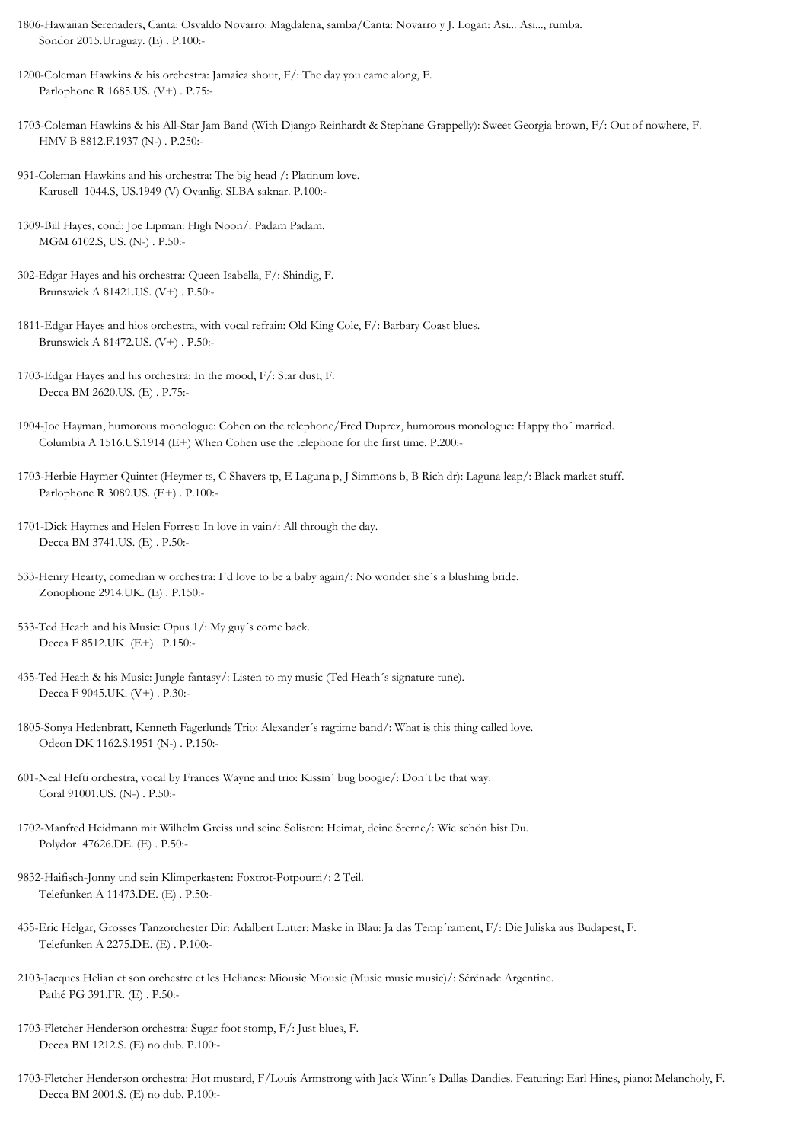- 1806-Hawaiian Serenaders, Canta: Osvaldo Novarro: Magdalena, samba/Canta: Novarro y J. Logan: Asi... Asi..., rumba. Sondor 2015.Uruguay. (E) . P.100:-
- 1200-Coleman Hawkins & his orchestra: Jamaica shout, F/: The day you came along, F. Parlophone R 1685.US. (V+) . P.75:-
- 1703-Coleman Hawkins & his All-Star Jam Band (With Django Reinhardt & Stephane Grappelly): Sweet Georgia brown, F/: Out of nowhere, F. HMV B 8812.F.1937 (N-) . P.250:-
- 931-Coleman Hawkins and his orchestra: The big head /: Platinum love. Karusell 1044.S, US.1949 (V) Ovanlig. SLBA saknar. P.100:-
- 1309-Bill Hayes, cond: Joe Lipman: High Noon/: Padam Padam. MGM 6102.S, US. (N-) . P.50:-
- 302-Edgar Hayes and his orchestra: Queen Isabella, F/: Shindig, F. Brunswick A 81421.US. (V+) . P.50:-
- 1811-Edgar Hayes and hios orchestra, with vocal refrain: Old King Cole, F/: Barbary Coast blues. Brunswick A 81472.US. (V+) . P.50:-
- 1703-Edgar Hayes and his orchestra: In the mood, F/: Star dust, F. Decca BM 2620.US. (E) . P.75:-
- 1904-Joe Hayman, humorous monologue: Cohen on the telephone/Fred Duprez, humorous monologue: Happy tho´ married. Columbia A 1516.US.1914 (E+) When Cohen use the telephone for the first time. P.200:-
- 1703-Herbie Haymer Quintet (Heymer ts, C Shavers tp, E Laguna p, J Simmons b, B Rich dr): Laguna leap/: Black market stuff. Parlophone R 3089.US. (E+) . P.100:-
- 1701-Dick Haymes and Helen Forrest: In love in vain/: All through the day. Decca BM 3741.US. (E) . P.50:-
- 533-Henry Hearty, comedian w orchestra: I´d love to be a baby again/: No wonder she´s a blushing bride. Zonophone 2914.UK. (E) . P.150:-
- 533-Ted Heath and his Music: Opus 1/: My guy´s come back. Decca F 8512.UK. (E+) . P.150:-
- 435-Ted Heath & his Music: Jungle fantasy/: Listen to my music (Ted Heath´s signature tune). Decca F 9045.UK. (V+) . P.30:-
- 1805-Sonya Hedenbratt, Kenneth Fagerlunds Trio: Alexander´s ragtime band/: What is this thing called love. Odeon DK 1162.S.1951 (N-) . P.150:-
- 601-Neal Hefti orchestra, vocal by Frances Wayne and trio: Kissin´ bug boogie/: Don´t be that way. Coral 91001.US. (N-) . P.50:-
- 1702-Manfred Heidmann mit Wilhelm Greiss und seine Solisten: Heimat, deine Sterne/: Wie schön bist Du. Polydor 47626.DE. (E) . P.50:-
- 9832-Haifisch-Jonny und sein Klimperkasten: Foxtrot-Potpourri/: 2 Teil. Telefunken A 11473.DE. (E) . P.50:-
- 435-Eric Helgar, Grosses Tanzorchester Dir: Adalbert Lutter: Maske in Blau: Ja das Temp´rament, F/: Die Juliska aus Budapest, F. Telefunken A 2275.DE. (E) . P.100:-
- 2103-Jacques Helian et son orchestre et les Helianes: Miousic Miousic (Music music music)/: Sérénade Argentine. Pathé PG 391.FR. (E) . P.50:-
- 1703-Fletcher Henderson orchestra: Sugar foot stomp, F/: Just blues, F. Decca BM 1212.S. (E) no dub. P.100:-
- 1703-Fletcher Henderson orchestra: Hot mustard, F/Louis Armstrong with Jack Winn´s Dallas Dandies. Featuring: Earl Hines, piano: Melancholy, F. Decca BM 2001.S. (E) no dub. P.100:-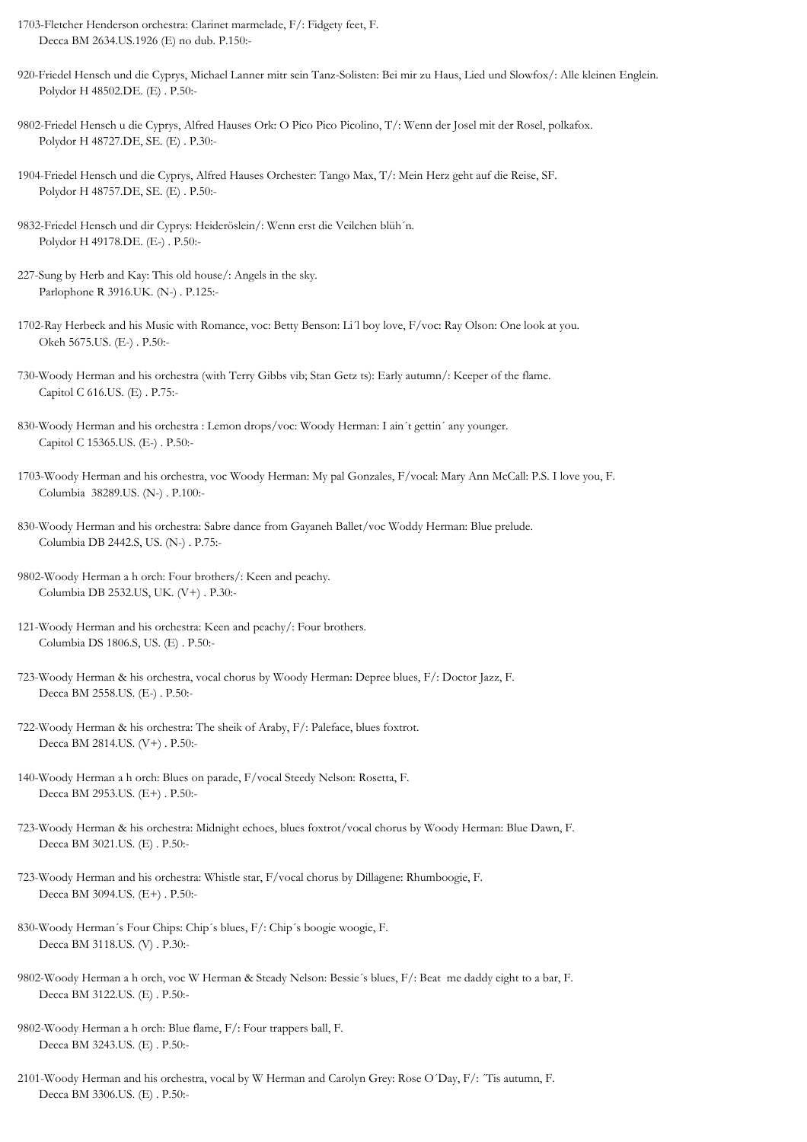- 1703-Fletcher Henderson orchestra: Clarinet marmelade, F/: Fidgety feet, F. Decca BM 2634.US.1926 (E) no dub. P.150:-
- 920-Friedel Hensch und die Cyprys, Michael Lanner mitr sein Tanz-Solisten: Bei mir zu Haus, Lied und Slowfox/: Alle kleinen Englein. Polydor H 48502.DE. (E) . P.50:-
- 9802-Friedel Hensch u die Cyprys, Alfred Hauses Ork: O Pico Pico Picolino, T/: Wenn der Josel mit der Rosel, polkafox. Polydor H 48727.DE, SE. (E) . P.30:-
- 1904-Friedel Hensch und die Cyprys, Alfred Hauses Orchester: Tango Max, T/: Mein Herz geht auf die Reise, SF. Polydor H 48757.DE, SE. (E) . P.50:-
- 9832-Friedel Hensch und dir Cyprys: Heideröslein/: Wenn erst die Veilchen blüh´n. Polydor H 49178.DE. (E-) . P.50:-
- 227-Sung by Herb and Kay: This old house/: Angels in the sky. Parlophone R 3916.UK. (N-) . P.125:-
- 1702-Ray Herbeck and his Music with Romance, voc: Betty Benson: Li´l boy love, F/voc: Ray Olson: One look at you. Okeh 5675.US. (E-) . P.50:-
- 730-Woody Herman and his orchestra (with Terry Gibbs vib; Stan Getz ts): Early autumn/: Keeper of the flame. Capitol C 616.US. (E) . P.75:-
- 830-Woody Herman and his orchestra : Lemon drops/voc: Woody Herman: I ain´t gettin´ any younger. Capitol C 15365.US. (E-) . P.50:-
- 1703-Woody Herman and his orchestra, voc Woody Herman: My pal Gonzales, F/vocal: Mary Ann McCall: P.S. I love you, F. Columbia 38289.US. (N-) . P.100:-
- 830-Woody Herman and his orchestra: Sabre dance from Gayaneh Ballet/voc Woddy Herman: Blue prelude. Columbia DB 2442.S, US. (N-) . P.75:-
- 9802-Woody Herman a h orch: Four brothers/: Keen and peachy. Columbia DB 2532.US, UK. (V+) . P.30:-
- 121-Woody Herman and his orchestra: Keen and peachy/: Four brothers. Columbia DS 1806.S, US. (E) . P.50:-
- 723-Woody Herman & his orchestra, vocal chorus by Woody Herman: Depree blues, F/: Doctor Jazz, F. Decca BM 2558.US. (E-) . P.50:-
- 722-Woody Herman & his orchestra: The sheik of Araby, F/: Paleface, blues foxtrot. Decca BM 2814.US. (V+) . P.50:-
- 140-Woody Herman a h orch: Blues on parade, F/vocal Steedy Nelson: Rosetta, F. Decca BM 2953.US. (E+) . P.50:-
- 723-Woody Herman & his orchestra: Midnight echoes, blues foxtrot/vocal chorus by Woody Herman: Blue Dawn, F. Decca BM 3021.US. (E) . P.50:-
- 723-Woody Herman and his orchestra: Whistle star, F/vocal chorus by Dillagene: Rhumboogie, F. Decca BM 3094.US. (E+) . P.50:-
- 830-Woody Herman´s Four Chips: Chip´s blues, F/: Chip´s boogie woogie, F. Decca BM 3118.US. (V) . P.30:-
- 9802-Woody Herman a h orch, voc W Herman & Steady Nelson: Bessie´s blues, F/: Beat me daddy eight to a bar, F. Decca BM 3122.US. (E) . P.50:-
- 9802-Woody Herman a h orch: Blue flame, F/: Four trappers ball, F. Decca BM 3243.US. (E) . P.50:-
- 2101-Woody Herman and his orchestra, vocal by W Herman and Carolyn Grey: Rose O´Day, F/: ´Tis autumn, F. Decca BM 3306.US. (E) . P.50:-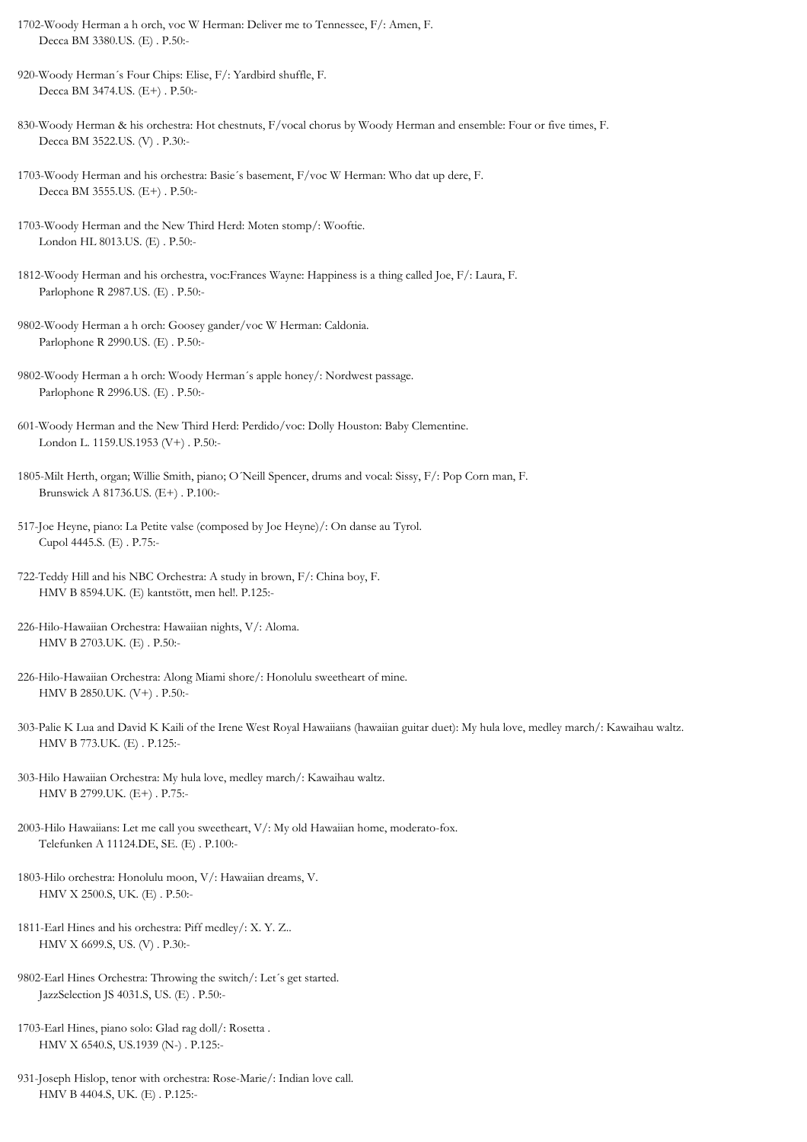- 1702-Woody Herman a h orch, voc W Herman: Deliver me to Tennessee, F/: Amen, F. Decca BM 3380.US. (E) . P.50:-
- 920-Woody Herman´s Four Chips: Elise, F/: Yardbird shuffle, F. Decca BM 3474.US. (E+) . P.50:-
- 830-Woody Herman & his orchestra: Hot chestnuts, F/vocal chorus by Woody Herman and ensemble: Four or five times, F. Decca BM 3522.US. (V) . P.30:-
- 1703-Woody Herman and his orchestra: Basie´s basement, F/voc W Herman: Who dat up dere, F. Decca BM 3555.US. (E+) . P.50:-
- 1703-Woody Herman and the New Third Herd: Moten stomp/: Wooftie. London HL 8013.US. (E) . P.50:-
- 1812-Woody Herman and his orchestra, voc:Frances Wayne: Happiness is a thing called Joe, F/: Laura, F. Parlophone R 2987.US. (E) . P.50:-
- 9802-Woody Herman a h orch: Goosey gander/voc W Herman: Caldonia. Parlophone R 2990.US. (E) . P.50:-
- 9802-Woody Herman a h orch: Woody Herman´s apple honey/: Nordwest passage. Parlophone R 2996.US. (E) . P.50:-
- 601-Woody Herman and the New Third Herd: Perdido/voc: Dolly Houston: Baby Clementine. London L. 1159.US.1953 (V+) . P.50:-
- 1805-Milt Herth, organ; Willie Smith, piano; O´Neill Spencer, drums and vocal: Sissy, F/: Pop Corn man, F. Brunswick A 81736.US. (E+) . P.100:-
- 517-Joe Heyne, piano: La Petite valse (composed by Joe Heyne)/: On danse au Tyrol. Cupol 4445.S. (E) . P.75:-
- 722-Teddy Hill and his NBC Orchestra: A study in brown, F/: China boy, F. HMV B 8594.UK. (E) kantstött, men hel!. P.125:-
- 226-Hilo-Hawaiian Orchestra: Hawaiian nights, V/: Aloma. HMV B 2703.UK. (E) . P.50:-
- 226-Hilo-Hawaiian Orchestra: Along Miami shore/: Honolulu sweetheart of mine. HMV B 2850.UK. (V+) . P.50:-
- 303-Palie K Lua and David K Kaili of the Irene West Royal Hawaiians (hawaiian guitar duet): My hula love, medley march/: Kawaihau waltz. HMV B 773.UK. (E) . P.125:-
- 303-Hilo Hawaiian Orchestra: My hula love, medley march/: Kawaihau waltz. HMV B 2799.UK. (E+) . P.75:-
- 2003-Hilo Hawaiians: Let me call you sweetheart, V/: My old Hawaiian home, moderato-fox. Telefunken A 11124.DE, SE. (E) . P.100:-
- 1803-Hilo orchestra: Honolulu moon, V/: Hawaiian dreams, V. HMV X 2500.S, UK. (E) . P.50:-
- 1811-Earl Hines and his orchestra: Piff medley/: X. Y. Z.. HMV X 6699.S, US. (V) . P.30:-
- 9802-Earl Hines Orchestra: Throwing the switch/: Let´s get started. JazzSelection JS 4031.S, US. (E) . P.50:-
- 1703-Earl Hines, piano solo: Glad rag doll/: Rosetta . HMV X 6540.S, US.1939 (N-) . P.125:-
- 931-Joseph Hislop, tenor with orchestra: Rose-Marie/: Indian love call. HMV B 4404.S, UK. (E) . P.125:-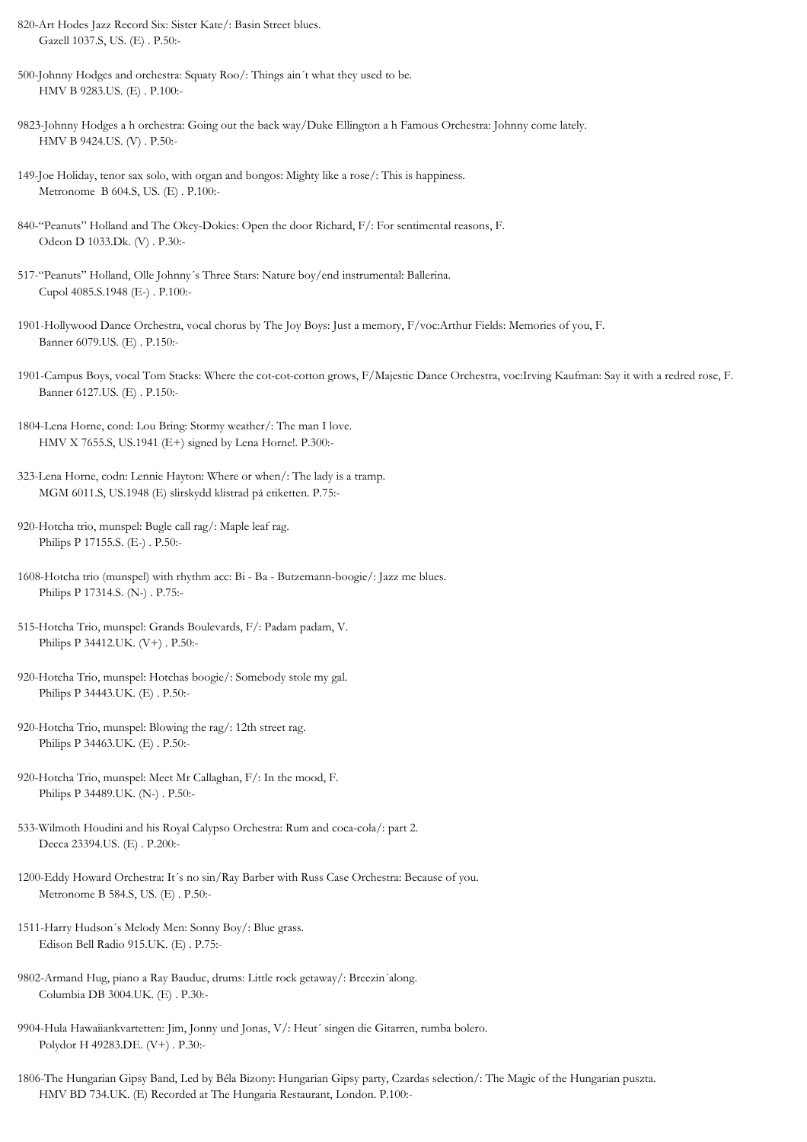- 820-Art Hodes Jazz Record Six: Sister Kate/: Basin Street blues. Gazell 1037.S, US. (E) . P.50:-
- 500-Johnny Hodges and orchestra: Squaty Roo/: Things ain´t what they used to be. HMV B 9283.US. (E) . P.100:-
- 9823-Johnny Hodges a h orchestra: Going out the back way/Duke Ellington a h Famous Orchestra: Johnny come lately. HMV B 9424.US. (V) . P.50:-
- 149-Joe Holiday, tenor sax solo, with organ and bongos: Mighty like a rose/: This is happiness. Metronome B 604.S, US. (E) . P.100:-
- 840-"Peanuts" Holland and The Okey-Dokies: Open the door Richard, F/: For sentimental reasons, F. Odeon D 1033.Dk. (V) . P.30:-
- 517-"Peanuts" Holland, Olle Johnny´s Three Stars: Nature boy/end instrumental: Ballerina. Cupol 4085.S.1948 (E-) . P.100:-
- 1901-Hollywood Dance Orchestra, vocal chorus by The Joy Boys: Just a memory, F/voc:Arthur Fields: Memories of you, F. Banner 6079.US. (E) . P.150:-
- 1901-Campus Boys, vocal Tom Stacks: Where the cot-cot-cotton grows, F/Majestic Dance Orchestra, voc:Irving Kaufman: Say it with a redred rose, F. Banner 6127.US. (E) . P.150:-
- 1804-Lena Horne, cond: Lou Bring: Stormy weather/: The man I love. HMV X 7655.S, US.1941 (E+) signed by Lena Horne!. P.300:-
- 323-Lena Horne, codn: Lennie Hayton: Where or when/: The lady is a tramp. MGM 6011.S, US.1948 (E) slirskydd klistrad på etiketten. P.75:-
- 920-Hotcha trio, munspel: Bugle call rag/: Maple leaf rag. Philips P 17155.S. (E-) . P.50:-
- 1608-Hotcha trio (munspel) with rhythm acc: Bi Ba Butzemann-boogie/: Jazz me blues. Philips P 17314.S. (N-) . P.75:-
- 515-Hotcha Trio, munspel: Grands Boulevards, F/: Padam padam, V. Philips P 34412.UK. (V+) . P.50:-
- 920-Hotcha Trio, munspel: Hotchas boogie/: Somebody stole my gal. Philips P 34443.UK. (E) . P.50:-
- 920-Hotcha Trio, munspel: Blowing the rag/: 12th street rag. Philips P 34463.UK. (E) . P.50:-
- 920-Hotcha Trio, munspel: Meet Mr Callaghan, F/: In the mood, F. Philips P 34489.UK. (N-) . P.50:-
- 533-Wilmoth Houdini and his Royal Calypso Orchestra: Rum and coca-cola/: part 2. Decca 23394.US. (E) . P.200:-
- 1200-Eddy Howard Orchestra: It´s no sin/Ray Barber with Russ Case Orchestra: Because of you. Metronome B 584.S, US. (E) . P.50:-
- 1511-Harry Hudson´s Melody Men: Sonny Boy/: Blue grass. Edison Bell Radio 915.UK. (E) . P.75:-
- 9802-Armand Hug, piano a Ray Bauduc, drums: Little rock getaway/: Breezin´along. Columbia DB 3004.UK. (E) . P.30:-
- 9904-Hula Hawaiiankvartetten: Jim, Jonny und Jonas, V/: Heut´ singen die Gitarren, rumba bolero. Polydor H 49283.DE. (V+) . P.30:-
- 1806-The Hungarian Gipsy Band, Led by Béla Bizony: Hungarian Gipsy party, Czardas selection/: The Magic of the Hungarian puszta. HMV BD 734.UK. (E) Recorded at The Hungaria Restaurant, London. P.100:-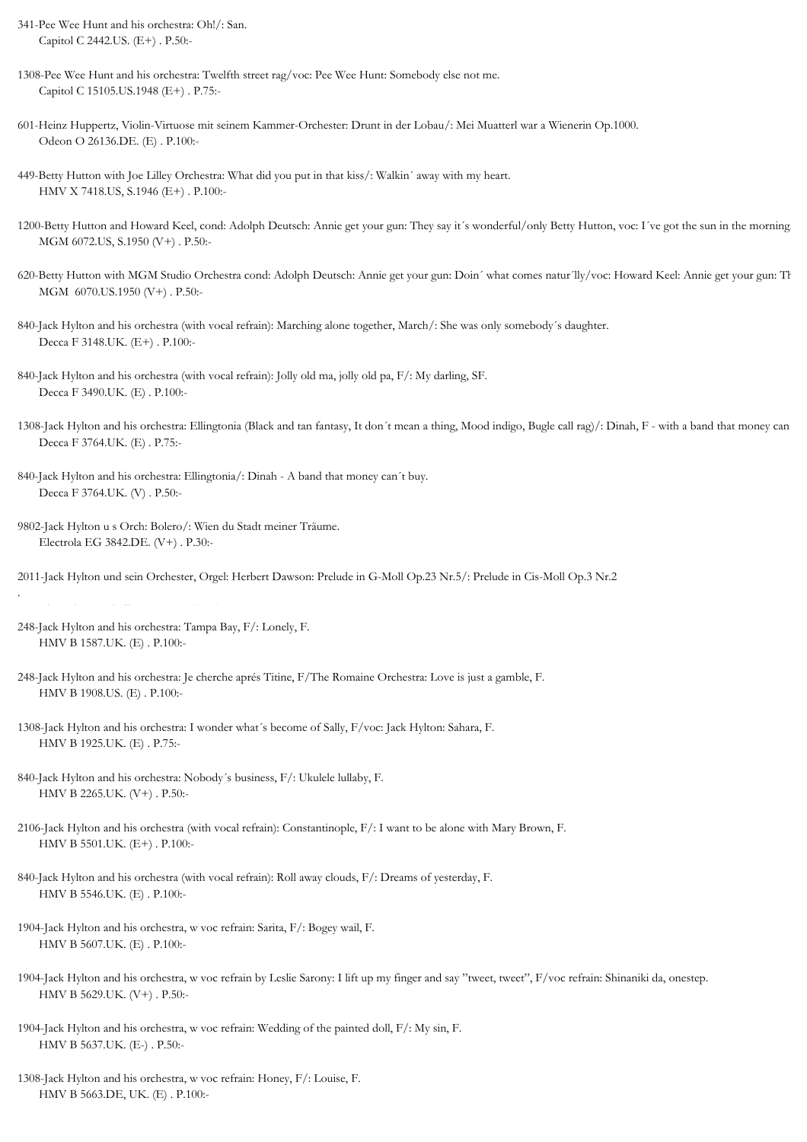- 341-Pee Wee Hunt and his orchestra: Oh!/: San. Capitol C 2442.US. (E+) . P.50:-
- 1308-Pee Wee Hunt and his orchestra: Twelfth street rag/voc: Pee Wee Hunt: Somebody else not me. Capitol C 15105.US.1948 (E+) . P.75:-
- 601-Heinz Huppertz, Violin-Virtuose mit seinem Kammer-Orchester: Drunt in der Lobau/: Mei Muatterl war a Wienerin Op.1000. Odeon O 26136.DE. (E) . P.100:-
- 449-Betty Hutton with Joe Lilley Orchestra: What did you put in that kiss/: Walkin´ away with my heart. HMV X 7418.US, S.1946 (E+) . P.100:-
- 1200-Betty Hutton and Howard Keel, cond: Adolph Deutsch: Annie get your gun: They say it´s wonderful/only Betty Hutton, voc: I´ve got the sun in the morning. MGM 6072.US, S.1950 (V+) . P.50:-
- 620-Betty Hutton with MGM Studio Orchestra cond: Adolph Deutsch: Annie get your gun: Doin´ what comes natur´lly/voc: Howard Keel: Annie get your gun: Th MGM 6070.US.1950 (V+) . P.50:-
- 840-Jack Hylton and his orchestra (with vocal refrain): Marching alone together, March/: She was only somebody´s daughter. Decca F 3148.UK. (E+) . P.100:-
- 840-Jack Hylton and his orchestra (with vocal refrain): Jolly old ma, jolly old pa, F/: My darling, SF. Decca F 3490.UK. (E) . P.100:-
- 1308-Jack Hylton and his orchestra: Ellingtonia (Black and tan fantasy, It don't mean a thing, Mood indigo, Bugle call rag)/: Dinah, F with a band that money can Decca F 3764.UK. (E) . P.75:-
- 840-Jack Hylton and his orchestra: Ellingtonia/: Dinah A band that money can´t buy. Decca F 3764.UK. (V) . P.50:-
- 9802-Jack Hylton u s Orch: Bolero/: Wien du Stadt meiner Träume. Electrola EG 3842.DE. (V+) . P.30:-
- 2011-Jack Hylton und sein Orchester, Orgel: Herbert Dawson: Prelude in G-Moll Op.23 Nr.5/: Prelude in Cis-Moll Op.3 Nr.2
- 248-Jack Hylton and his orchestra: Tampa Bay, F/: Lonely, F. HMV B 1587.UK. (E) . P.100:-

.

- 248-Jack Hylton and his orchestra: Je cherche aprés Titine, F/The Romaine Orchestra: Love is just a gamble, F. HMV B 1908.US. (E) . P.100:-
- 1308-Jack Hylton and his orchestra: I wonder what´s become of Sally, F/voc: Jack Hylton: Sahara, F. HMV B 1925.UK. (E) . P.75:-
- 840-Jack Hylton and his orchestra: Nobody´s business, F/: Ukulele lullaby, F. HMV B 2265.UK. (V+) . P.50:-
- 2106-Jack Hylton and his orchestra (with vocal refrain): Constantinople, F/: I want to be alone with Mary Brown, F. HMV B 5501.UK. (E+) . P.100:-
- 840-Jack Hylton and his orchestra (with vocal refrain): Roll away clouds, F/: Dreams of yesterday, F. HMV B 5546.UK. (E) . P.100:-
- 1904-Jack Hylton and his orchestra, w voc refrain: Sarita, F/: Bogey wail, F. HMV B 5607.UK. (E) . P.100:-
- 1904-Jack Hylton and his orchestra, w voc refrain by Leslie Sarony: I lift up my finger and say "tweet, tweet", F/voc refrain: Shinaniki da, onestep. HMV B 5629.UK. (V+) . P.50:-
- 1904-Jack Hylton and his orchestra, w voc refrain: Wedding of the painted doll, F/: My sin, F. HMV B 5637.UK. (E-) . P.50:-
- 1308-Jack Hylton and his orchestra, w voc refrain: Honey, F/: Louise, F. HMV B 5663.DE, UK. (E) . P.100:-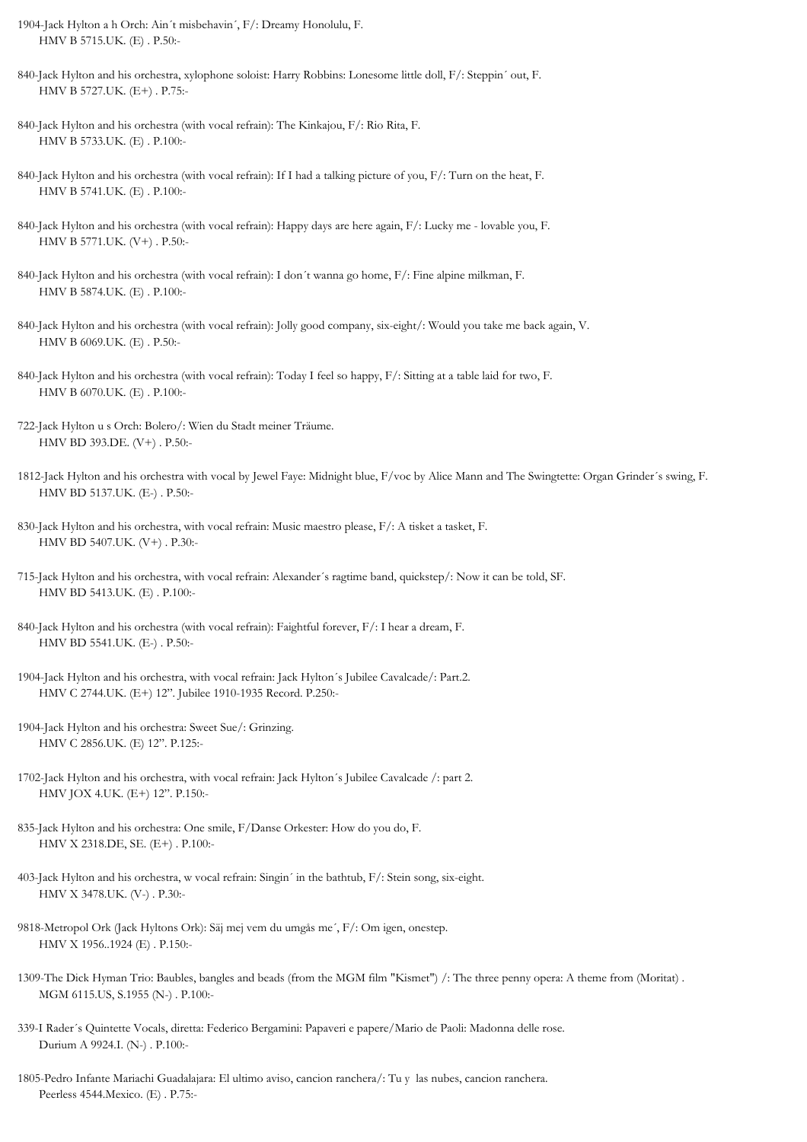- 1904-Jack Hylton a h Orch: Ain´t misbehavin´, F/: Dreamy Honolulu, F. HMV B 5715.UK. (E) . P.50:-
- 840-Jack Hylton and his orchestra, xylophone soloist: Harry Robbins: Lonesome little doll, F/: Steppin´ out, F. HMV B 5727.UK. (E+) . P.75:-
- 840-Jack Hylton and his orchestra (with vocal refrain): The Kinkajou, F/: Rio Rita, F. HMV B 5733.UK. (E) . P.100:-
- 840-Jack Hylton and his orchestra (with vocal refrain): If I had a talking picture of you, F/: Turn on the heat, F. HMV B 5741.UK. (E) . P.100:-
- 840-Jack Hylton and his orchestra (with vocal refrain): Happy days are here again, F/: Lucky me lovable you, F. HMV B 5771.UK. (V+) . P.50:-
- 840-Jack Hylton and his orchestra (with vocal refrain): I don´t wanna go home, F/: Fine alpine milkman, F. HMV B 5874.UK. (E) . P.100:-
- 840-Jack Hylton and his orchestra (with vocal refrain): Jolly good company, six-eight/: Would you take me back again, V. HMV B 6069.UK. (E) . P.50:-
- 840-Jack Hylton and his orchestra (with vocal refrain): Today I feel so happy, F/: Sitting at a table laid for two, F. HMV B 6070.UK. (E) . P.100:-
- 722-Jack Hylton u s Orch: Bolero/: Wien du Stadt meiner Träume. HMV BD 393.DE. (V+) . P.50:-
- 1812-Jack Hylton and his orchestra with vocal by Jewel Faye: Midnight blue, F/voc by Alice Mann and The Swingtette: Organ Grinder´s swing, F. HMV BD 5137.UK. (E-) . P.50:-
- 830-Jack Hylton and his orchestra, with vocal refrain: Music maestro please, F/: A tisket a tasket, F. HMV BD 5407.UK. (V+) . P.30:-
- 715-Jack Hylton and his orchestra, with vocal refrain: Alexander´s ragtime band, quickstep/: Now it can be told, SF. HMV BD 5413.UK. (E) . P.100:-
- 840-Jack Hylton and his orchestra (with vocal refrain): Faightful forever, F/: I hear a dream, F. HMV BD 5541.UK. (E-) . P.50:-
- 1904-Jack Hylton and his orchestra, with vocal refrain: Jack Hylton´s Jubilee Cavalcade/: Part.2. HMV C 2744.UK. (E+) 12". Jubilee 1910-1935 Record. P.250:-
- 1904-Jack Hylton and his orchestra: Sweet Sue/: Grinzing. HMV C 2856.UK. (E) 12". P.125:-
- 1702-Jack Hylton and his orchestra, with vocal refrain: Jack Hylton´s Jubilee Cavalcade /: part 2. HMV JOX 4.UK. (E+) 12". P.150:-
- 835-Jack Hylton and his orchestra: One smile, F/Danse Orkester: How do you do, F. HMV X 2318.DE, SE. (E+) . P.100:-
- 403-Jack Hylton and his orchestra, w vocal refrain: Singin´ in the bathtub, F/: Stein song, six-eight. HMV X 3478.UK. (V-) . P.30:-
- 9818-Metropol Ork (Jack Hyltons Ork): Säj mej vem du umgås me´, F/: Om igen, onestep. HMV X 1956..1924 (E) . P.150:-
- 1309-The Dick Hyman Trio: Baubles, bangles and beads (from the MGM film "Kismet") /: The three penny opera: A theme from (Moritat) . MGM 6115.US, S.1955 (N-) . P.100:-
- 339-I Rader´s Quintette Vocals, diretta: Federico Bergamini: Papaveri e papere/Mario de Paoli: Madonna delle rose. Durium A 9924.I. (N-) . P.100:-
- 1805-Pedro Infante Mariachi Guadalajara: El ultimo aviso, cancion ranchera/: Tu y las nubes, cancion ranchera. Peerless 4544.Mexico. (E) . P.75:-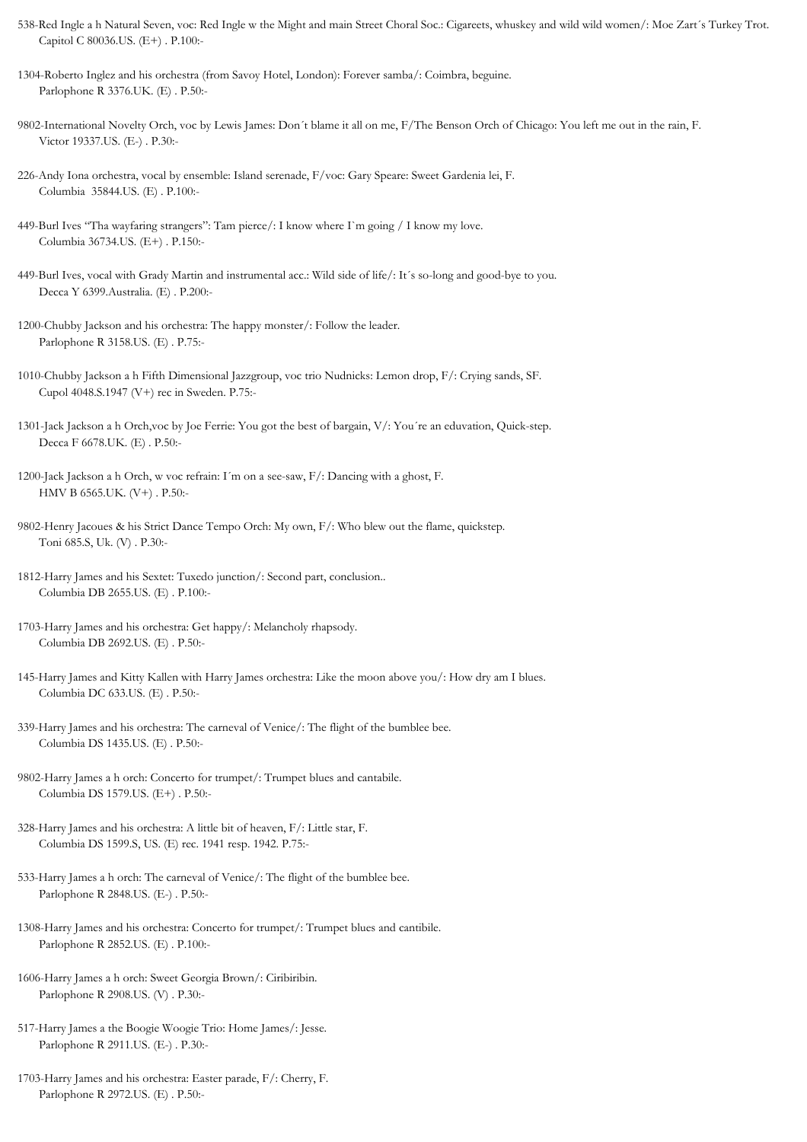- 538-Red Ingle a h Natural Seven, voc: Red Ingle w the Might and main Street Choral Soc.: Cigareets, whuskey and wild wild women/: Moe Zart´s Turkey Trot. Capitol C 80036.US. (E+) . P.100:-
- 1304-Roberto Inglez and his orchestra (from Savoy Hotel, London): Forever samba/: Coimbra, beguine. Parlophone R 3376.UK. (E) . P.50:-
- 9802-International Novelty Orch, voc by Lewis James: Don´t blame it all on me, F/The Benson Orch of Chicago: You left me out in the rain, F. Victor 19337.US. (E-) . P.30:-
- 226-Andy Iona orchestra, vocal by ensemble: Island serenade, F/voc: Gary Speare: Sweet Gardenia lei, F. Columbia 35844.US. (E) . P.100:-
- 449-Burl Ives "Tha wayfaring strangers": Tam pierce/: I know where I`m going / I know my love. Columbia 36734.US. (E+) . P.150:-
- 449-Burl Ives, vocal with Grady Martin and instrumental acc.: Wild side of life/: It´s so-long and good-bye to you. Decca Y 6399.Australia. (E) . P.200:-
- 1200-Chubby Jackson and his orchestra: The happy monster/: Follow the leader. Parlophone R 3158.US. (E) . P.75:-
- 1010-Chubby Jackson a h Fifth Dimensional Jazzgroup, voc trio Nudnicks: Lemon drop, F/: Crying sands, SF. Cupol 4048.S.1947 (V+) rec in Sweden. P.75:-
- 1301-Jack Jackson a h Orch,voc by Joe Ferrie: You got the best of bargain, V/: You´re an eduvation, Quick-step. Decca F 6678.UK. (E) . P.50:-
- 1200-Jack Jackson a h Orch, w voc refrain: I´m on a see-saw, F/: Dancing with a ghost, F. HMV B 6565.UK. (V+) . P.50:-
- 9802-Henry Jacoues & his Strict Dance Tempo Orch: My own, F/: Who blew out the flame, quickstep. Toni 685.S, Uk. (V) . P.30:-
- 1812-Harry James and his Sextet: Tuxedo junction/: Second part, conclusion.. Columbia DB 2655.US. (E) . P.100:-
- 1703-Harry James and his orchestra: Get happy/: Melancholy rhapsody. Columbia DB 2692.US. (E) . P.50:-
- 145-Harry James and Kitty Kallen with Harry James orchestra: Like the moon above you/: How dry am I blues. Columbia DC 633.US. (E) . P.50:-
- 339-Harry James and his orchestra: The carneval of Venice/: The flight of the bumblee bee. Columbia DS 1435.US. (E) . P.50:-
- 9802-Harry James a h orch: Concerto for trumpet/: Trumpet blues and cantabile. Columbia DS 1579.US. (E+) . P.50:-
- 328-Harry James and his orchestra: A little bit of heaven, F/: Little star, F. Columbia DS 1599.S, US. (E) rec. 1941 resp. 1942. P.75:-
- 533-Harry James a h orch: The carneval of Venice/: The flight of the bumblee bee. Parlophone R 2848.US. (E-) . P.50:-
- 1308-Harry James and his orchestra: Concerto for trumpet/: Trumpet blues and cantibile. Parlophone R 2852.US. (E) . P.100:-
- 1606-Harry James a h orch: Sweet Georgia Brown/: Ciribiribin. Parlophone R 2908.US. (V) . P.30:-
- 517-Harry James a the Boogie Woogie Trio: Home James/: Jesse. Parlophone R 2911.US. (E-) . P.30:-
- 1703-Harry James and his orchestra: Easter parade, F/: Cherry, F. Parlophone R 2972.US. (E) . P.50:-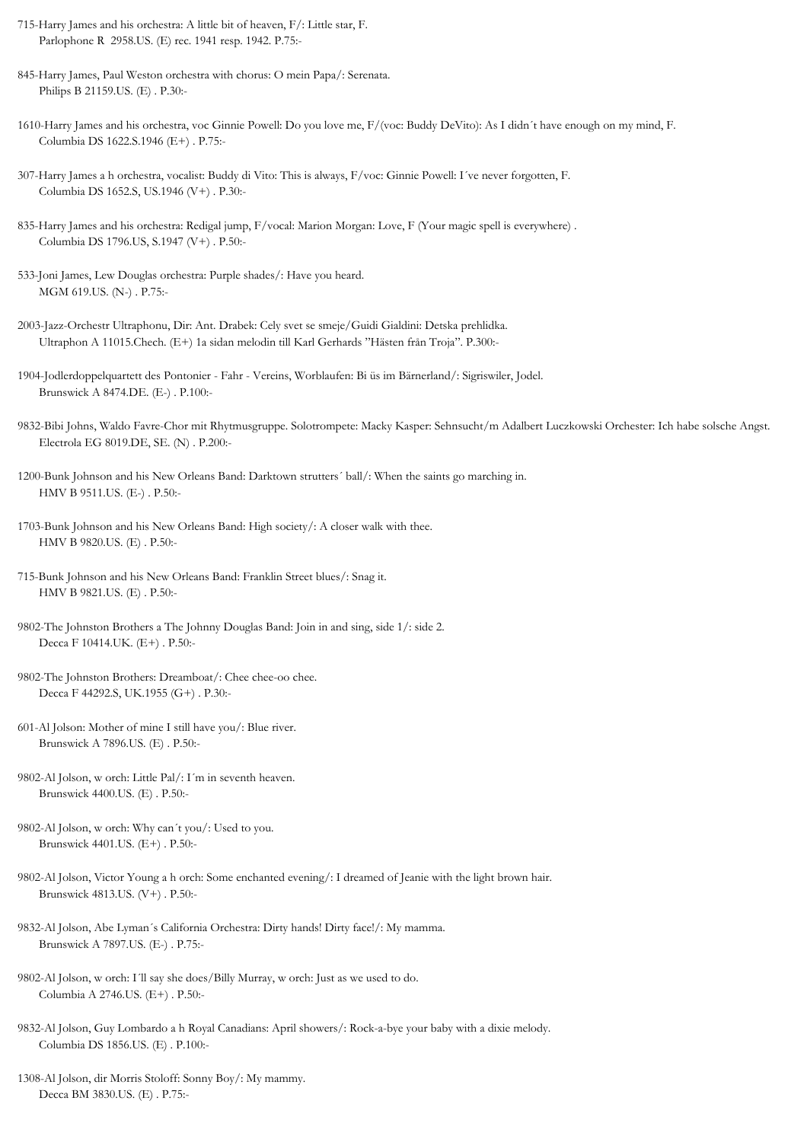- 715-Harry James and his orchestra: A little bit of heaven, F/: Little star, F. Parlophone R 2958.US. (E) rec. 1941 resp. 1942. P.75:-
- 845-Harry James, Paul Weston orchestra with chorus: O mein Papa/: Serenata. Philips B 21159.US. (E) . P.30:-
- 1610-Harry James and his orchestra, voc Ginnie Powell: Do you love me, F/(voc: Buddy DeVito): As I didn´t have enough on my mind, F. Columbia DS 1622.S.1946 (E+) . P.75:-
- 307-Harry James a h orchestra, vocalist: Buddy di Vito: This is always, F/voc: Ginnie Powell: I´ve never forgotten, F. Columbia DS 1652.S, US.1946 (V+) . P.30:-
- 835-Harry James and his orchestra: Redigal jump, F/vocal: Marion Morgan: Love, F (Your magic spell is everywhere) . Columbia DS 1796.US, S.1947 (V+) . P.50:-
- 533-Joni James, Lew Douglas orchestra: Purple shades/: Have you heard. MGM 619.US. (N-) . P.75:-
- 2003-Jazz-Orchestr Ultraphonu, Dir: Ant. Drabek: Cely svet se smeje/Guidi Gialdini: Detska prehlidka. Ultraphon A 11015.Chech. (E+) 1a sidan melodin till Karl Gerhards "Hästen från Troja". P.300:-
- 1904-Jodlerdoppelquartett des Pontonier Fahr Vereins, Worblaufen: Bi üs im Bärnerland/: Sigriswiler, Jodel. Brunswick A 8474.DE. (E-) . P.100:-
- 9832-Bibi Johns, Waldo Favre-Chor mit Rhytmusgruppe. Solotrompete: Macky Kasper: Sehnsucht/m Adalbert Luczkowski Orchester: Ich habe solsche Angst. Electrola EG 8019.DE, SE. (N) . P.200:-
- 1200-Bunk Johnson and his New Orleans Band: Darktown strutters´ ball/: When the saints go marching in. HMV B 9511.US. (E-) . P.50:-
- 1703-Bunk Johnson and his New Orleans Band: High society/: A closer walk with thee. HMV B 9820.US. (E) . P.50:-
- 715-Bunk Johnson and his New Orleans Band: Franklin Street blues/: Snag it. HMV B 9821.US. (E) . P.50:-
- 9802-The Johnston Brothers a The Johnny Douglas Band: Join in and sing, side 1/: side 2. Decca F 10414.UK. (E+) . P.50:-
- 9802-The Johnston Brothers: Dreamboat/: Chee chee-oo chee. Decca F 44292.S, UK.1955 (G+) . P.30:-
- 601-Al Jolson: Mother of mine I still have you/: Blue river. Brunswick A 7896.US. (E) . P.50:-
- 9802-Al Jolson, w orch: Little Pal/: I´m in seventh heaven. Brunswick 4400.US. (E) . P.50:-
- 9802-Al Jolson, w orch: Why can´t you/: Used to you. Brunswick 4401.US. (E+) . P.50:-
- 9802-Al Jolson, Victor Young a h orch: Some enchanted evening/: I dreamed of Jeanie with the light brown hair. Brunswick 4813.US. (V+) . P.50:-
- 9832-Al Jolson, Abe Lyman´s California Orchestra: Dirty hands! Dirty face!/: My mamma. Brunswick A 7897.US. (E-) . P.75:-
- 9802-Al Jolson, w orch: I´ll say she does/Billy Murray, w orch: Just as we used to do. Columbia A 2746.US. (E+) . P.50:-
- 9832-Al Jolson, Guy Lombardo a h Royal Canadians: April showers/: Rock-a-bye your baby with a dixie melody. Columbia DS 1856.US. (E) . P.100:-
- 1308-Al Jolson, dir Morris Stoloff: Sonny Boy/: My mammy. Decca BM 3830.US. (E) . P.75:-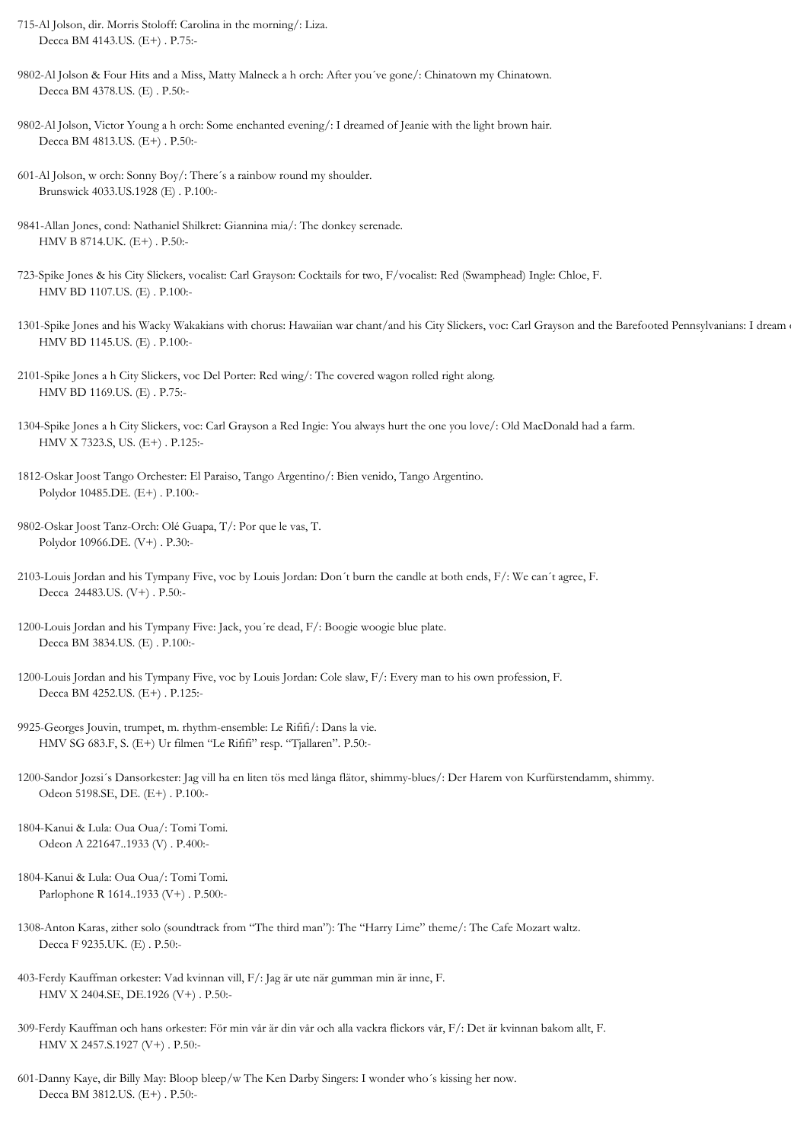- 715-Al Jolson, dir. Morris Stoloff: Carolina in the morning/: Liza. Decca BM 4143.US. (E+) . P.75:-
- 9802-Al Jolson & Four Hits and a Miss, Matty Malneck a h orch: After you´ve gone/: Chinatown my Chinatown. Decca BM 4378.US. (E) . P.50:-
- 9802-Al Jolson, Victor Young a h orch: Some enchanted evening/: I dreamed of Jeanie with the light brown hair. Decca BM 4813.US. (E+) . P.50:-
- 601-Al Jolson, w orch: Sonny Boy/: There´s a rainbow round my shoulder. Brunswick 4033.US.1928 (E) . P.100:-
- 9841-Allan Jones, cond: Nathaniel Shilkret: Giannina mia/: The donkey serenade. HMV B 8714.UK. (E+) . P.50:-
- 723-Spike Jones & his City Slickers, vocalist: Carl Grayson: Cocktails for two, F/vocalist: Red (Swamphead) Ingle: Chloe, F. HMV BD 1107.US. (E) . P.100:-
- 1301-Spike Jones and his Wacky Wakakians with chorus: Hawaiian war chant/and his City Slickers, voc: Carl Grayson and the Barefooted Pennsylvanians: I dream of HMV BD 1145.US. (E) . P.100:-
- 2101-Spike Jones a h City Slickers, voc Del Porter: Red wing/: The covered wagon rolled right along. HMV BD 1169.US. (E) . P.75:-
- 1304-Spike Jones a h City Slickers, voc: Carl Grayson a Red Ingie: You always hurt the one you love/: Old MacDonald had a farm. HMV X 7323.S, US. (E+) . P.125:-
- 1812-Oskar Joost Tango Orchester: El Paraiso, Tango Argentino/: Bien venido, Tango Argentino. Polydor 10485.DE. (E+) . P.100:-
- 9802-Oskar Joost Tanz-Orch: Olé Guapa, T/: Por que le vas, T. Polydor 10966.DE. (V+) . P.30:-
- 2103-Louis Jordan and his Tympany Five, voc by Louis Jordan: Don´t burn the candle at both ends, F/: We can´t agree, F. Decca 24483.US. (V+) . P.50:-
- 1200-Louis Jordan and his Tympany Five: Jack, you´re dead, F/: Boogie woogie blue plate. Decca BM 3834.US. (E) . P.100:-
- 1200-Louis Jordan and his Tympany Five, voc by Louis Jordan: Cole slaw, F/: Every man to his own profession, F. Decca BM 4252.US. (E+) . P.125:-
- 9925-Georges Jouvin, trumpet, m. rhythm-ensemble: Le Rififi/: Dans la vie. HMV SG 683.F, S. (E+) Ur filmen "Le Rififi" resp. "Tjallaren". P.50:-
- 1200-Sandor Jozsi´s Dansorkester: Jag vill ha en liten tös med långa flätor, shimmy-blues/: Der Harem von Kurfürstendamm, shimmy. Odeon 5198.SE, DE. (E+) . P.100:-
- 1804-Kanui & Lula: Oua Oua/: Tomi Tomi. Odeon A 221647..1933 (V) . P.400:-
- 1804-Kanui & Lula: Oua Oua/: Tomi Tomi. Parlophone R 1614..1933 (V+) . P.500:-
- 1308-Anton Karas, zither solo (soundtrack from "The third man"): The "Harry Lime" theme/: The Cafe Mozart waltz. Decca F 9235.UK. (E) . P.50:-
- 403-Ferdy Kauffman orkester: Vad kvinnan vill, F/: Jag är ute när gumman min är inne, F. HMV X 2404.SE, DE.1926 (V+) . P.50:-
- 309-Ferdy Kauffman och hans orkester: För min vår är din vår och alla vackra flickors vår, F/: Det är kvinnan bakom allt, F. HMV X 2457.S.1927 (V+) . P.50:-
- 601-Danny Kaye, dir Billy May: Bloop bleep/w The Ken Darby Singers: I wonder who´s kissing her now. Decca BM 3812.US. (E+) . P.50:-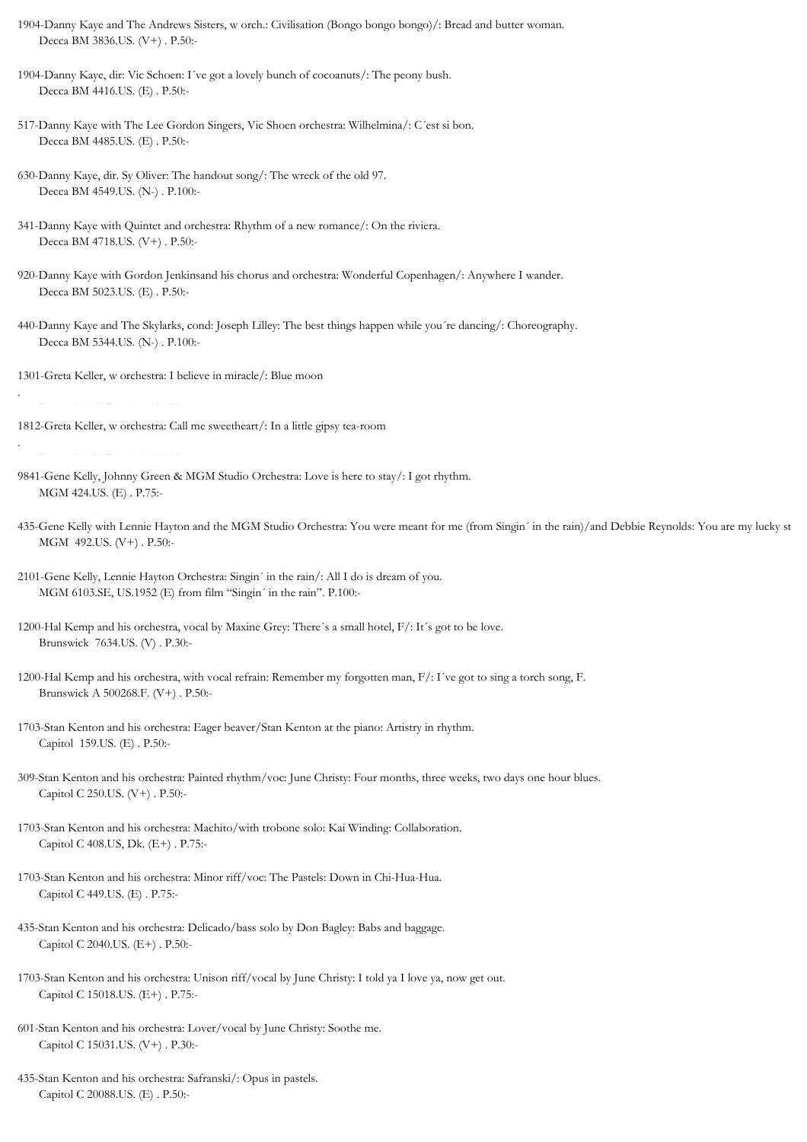1904-Danny Kaye and The Andrews Sisters, w orch.: Civilisation (Bongo bongo bongo)/: Bread and butter woman. Decca BM 3836.US. (V+) . P.50:-

1904-Danny Kaye, dir: Vic Schoen: I´ve got a lovely bunch of cocoanuts/: The peony bush. Decca BM 4416.US. (E) . P.50:-

- 517-Danny Kaye with The Lee Gordon Singers, Vic Shoen orchestra: Wilhelmina/: C´est si bon. Decca BM 4485.US. (E) . P.50:-
- 630-Danny Kaye, dir. Sy Oliver: The handout song/: The wreck of the old 97. Decca BM 4549.US. (N-) . P.100:-
- 341-Danny Kaye with Quintet and orchestra: Rhythm of a new romance/: On the riviera. Decca BM 4718.US. (V+) . P.50:-
- 920-Danny Kaye with Gordon Jenkinsand his chorus and orchestra: Wonderful Copenhagen/: Anywhere I wander. Decca BM 5023.US. (E) . P.50:-
- 440-Danny Kaye and The Skylarks, cond: Joseph Lilley: The best things happen while you´re dancing/: Choreography. Decca BM 5344.US. (N-) . P.100:-
- 1301-Greta Keller, w orchestra: I believe in miracle/: Blue moon

Decca F 5460.DE. (E) . P.100:-

.

1812-Greta Keller, w orchestra: Call me sweetheart/: In a little gipsy tea-room .

- 9841-Gene Kelly, Johnny Green & MGM Studio Orchestra: Love is here to stay/: I got rhythm. MGM 424.US. (E) . P.75:-
- 435-Gene Kelly with Lennie Hayton and the MGM Studio Orchestra: You were meant for me (from Singin' in the rain)/and Debbie Reynolds: You are my lucky st MGM 492.US. (V+) . P.50:-
- 2101-Gene Kelly, Lennie Hayton Orchestra: Singin´ in the rain/: All I do is dream of you. MGM 6103.SE, US.1952 (E) from film "Singin´ in the rain". P.100:-
- 1200-Hal Kemp and his orchestra, vocal by Maxine Grey: There´s a small hotel, F/: It´s got to be love. Brunswick 7634.US. (V) . P.30:-
- 1200-Hal Kemp and his orchestra, with vocal refrain: Remember my forgotten man, F/: I´ve got to sing a torch song, F. Brunswick A 500268.F. (V+) . P.50:-
- 1703-Stan Kenton and his orchestra: Eager beaver/Stan Kenton at the piano: Artistry in rhythm. Capitol 159.US. (E) . P.50:-
- 309-Stan Kenton and his orchestra: Painted rhythm/voc: June Christy: Four months, three weeks, two days one hour blues. Capitol C 250.US. (V+) . P.50:-
- 1703-Stan Kenton and his orchestra: Machito/with trobone solo: Kai Winding: Collaboration. Capitol C 408.US, Dk. (E+) . P.75:-
- 1703-Stan Kenton and his orchestra: Minor riff/voc: The Pastels: Down in Chi-Hua-Hua. Capitol C 449.US. (E) . P.75:-
- 435-Stan Kenton and his orchestra: Delicado/bass solo by Don Bagley: Babs and baggage. Capitol C 2040.US. (E+) . P.50:-
- 1703-Stan Kenton and his orchestra: Unison riff/vocal by June Christy: I told ya I love ya, now get out. Capitol C 15018.US. (E+) . P.75:-
- 601-Stan Kenton and his orchestra: Lover/vocal by June Christy: Soothe me. Capitol C 15031.US. (V+) . P.30:-
- 435-Stan Kenton and his orchestra: Safranski/: Opus in pastels. Capitol C 20088.US. (E) . P.50:-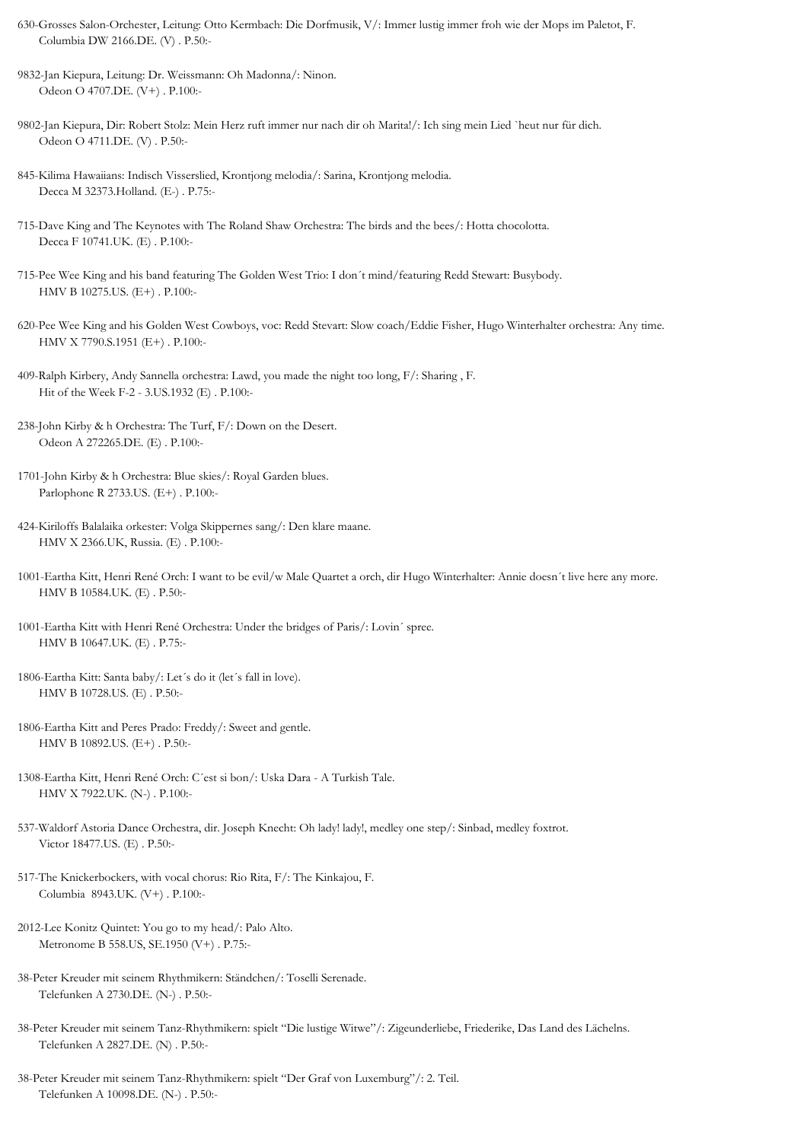- 630-Grosses Salon-Orchester, Leitung: Otto Kermbach: Die Dorfmusik, V/: Immer lustig immer froh wie der Mops im Paletot, F. Columbia DW 2166.DE. (V) . P.50:-
- 9832-Jan Kiepura, Leitung: Dr. Weissmann: Oh Madonna/: Ninon. Odeon O 4707.DE. (V+) . P.100:-
- 9802-Jan Kiepura, Dir: Robert Stolz: Mein Herz ruft immer nur nach dir oh Marita!/: Ich sing mein Lied `heut nur für dich. Odeon O 4711.DE. (V) . P.50:-
- 845-Kilima Hawaiians: Indisch Visserslied, Krontjong melodia/: Sarina, Krontjong melodia. Decca M 32373.Holland. (E-) . P.75:-
- 715-Dave King and The Keynotes with The Roland Shaw Orchestra: The birds and the bees/: Hotta chocolotta. Decca F 10741.UK. (E) . P.100:-
- 715-Pee Wee King and his band featuring The Golden West Trio: I don´t mind/featuring Redd Stewart: Busybody. HMV B 10275.US. (E+) . P.100:-
- 620-Pee Wee King and his Golden West Cowboys, voc: Redd Stevart: Slow coach/Eddie Fisher, Hugo Winterhalter orchestra: Any time. HMV X 7790.S.1951 (E+) . P.100:-
- 409-Ralph Kirbery, Andy Sannella orchestra: Lawd, you made the night too long, F/: Sharing , F. Hit of the Week F-2 - 3.US.1932 (E) . P.100:-
- 238-John Kirby & h Orchestra: The Turf, F/: Down on the Desert. Odeon A 272265.DE. (E) . P.100:-
- 1701-John Kirby & h Orchestra: Blue skies/: Royal Garden blues. Parlophone R 2733.US. (E+) . P.100:-
- 424-Kiriloffs Balalaika orkester: Volga Skippernes sang/: Den klare maane. HMV X 2366.UK, Russia. (E) . P.100:-
- 1001-Eartha Kitt, Henri René Orch: I want to be evil/w Male Quartet a orch, dir Hugo Winterhalter: Annie doesn´t live here any more. HMV B 10584.UK. (E) . P.50:-
- 1001-Eartha Kitt with Henri René Orchestra: Under the bridges of Paris/: Lovin´ spree. HMV B 10647.UK. (E) . P.75:-
- 1806-Eartha Kitt: Santa baby/: Let´s do it (let´s fall in love). HMV B 10728.US. (E) . P.50:-
- 1806-Eartha Kitt and Peres Prado: Freddy/: Sweet and gentle. HMV B 10892.US. (E+) . P.50:-
- 1308-Eartha Kitt, Henri René Orch: C´est si bon/: Uska Dara A Turkish Tale. HMV X 7922.UK. (N-) . P.100:-
- 537-Waldorf Astoria Dance Orchestra, dir. Joseph Knecht: Oh lady! lady!, medley one step/: Sinbad, medley foxtrot. Victor 18477.US. (E) . P.50:-
- 517-The Knickerbockers, with vocal chorus: Rio Rita, F/: The Kinkajou, F. Columbia 8943.UK. (V+) . P.100:-
- 2012-Lee Konitz Quintet: You go to my head/: Palo Alto. Metronome B 558.US, SE.1950 (V+) . P.75:-
- 38-Peter Kreuder mit seinem Rhythmikern: Ständchen/: Toselli Serenade. Telefunken A 2730.DE. (N-) . P.50:-
- 38-Peter Kreuder mit seinem Tanz-Rhythmikern: spielt "Die lustige Witwe"/: Zigeunderliebe, Friederike, Das Land des Lächelns. Telefunken A 2827.DE. (N) . P.50:-
- 38-Peter Kreuder mit seinem Tanz-Rhythmikern: spielt "Der Graf von Luxemburg"/: 2. Teil. Telefunken A 10098.DE. (N-) . P.50:-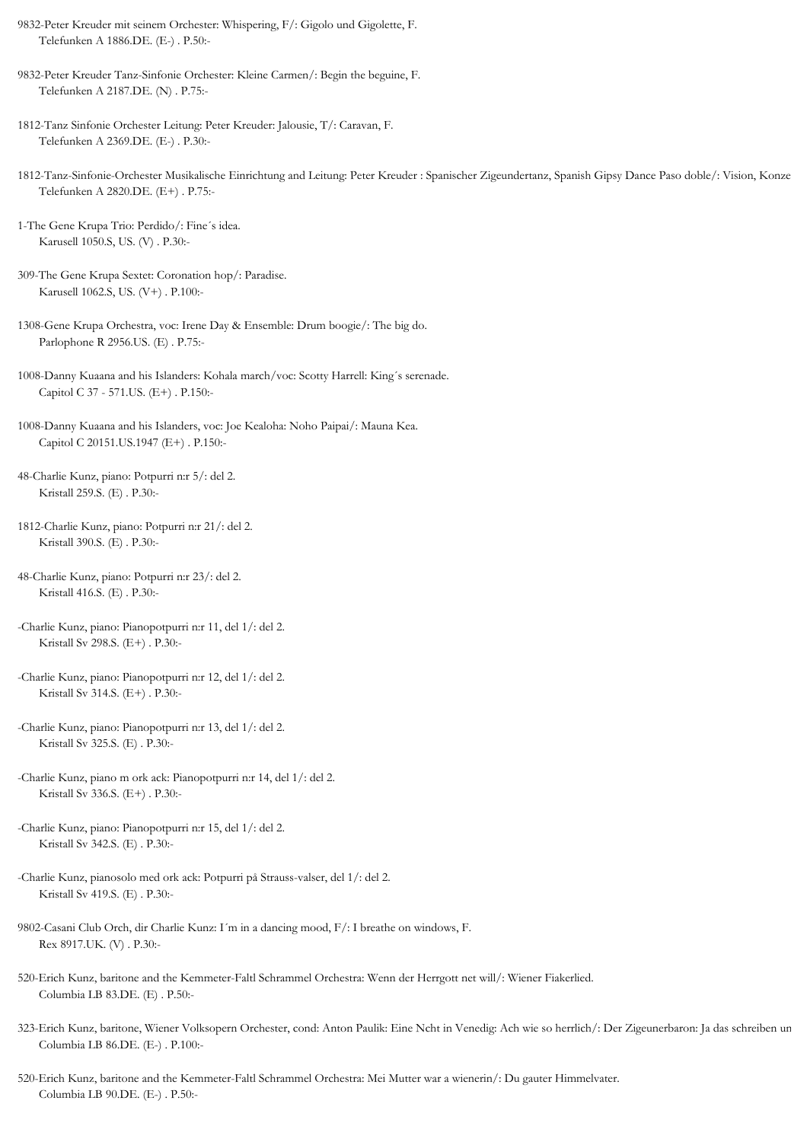- 9832-Peter Kreuder mit seinem Orchester: Whispering, F/: Gigolo und Gigolette, F. Telefunken A 1886.DE. (E-) . P.50:-
- 9832-Peter Kreuder Tanz-Sinfonie Orchester: Kleine Carmen/: Begin the beguine, F. Telefunken A 2187.DE. (N) . P.75:-
- 1812-Tanz Sinfonie Orchester Leitung: Peter Kreuder: Jalousie, T/: Caravan, F. Telefunken A 2369.DE. (E-) . P.30:-
- 1812-Tanz-Sinfonie-Orchester Musikalische Einrichtung and Leitung: Peter Kreuder : Spanischer Zigeundertanz, Spanish Gipsy Dance Paso doble/: Vision, Konze Telefunken A 2820.DE. (E+) . P.75:-
- 1-The Gene Krupa Trio: Perdido/: Fine´s idea. Karusell 1050.S, US. (V) . P.30:-
- 309-The Gene Krupa Sextet: Coronation hop/: Paradise. Karusell 1062.S, US. (V+) . P.100:-
- 1308-Gene Krupa Orchestra, voc: Irene Day & Ensemble: Drum boogie/: The big do. Parlophone R 2956.US. (E) . P.75:-
- 1008-Danny Kuaana and his Islanders: Kohala march/voc: Scotty Harrell: King´s serenade. Capitol C 37 - 571.US. (E+) . P.150:-
- 1008-Danny Kuaana and his Islanders, voc: Joe Kealoha: Noho Paipai/: Mauna Kea. Capitol C 20151.US.1947 (E+) . P.150:-
- 48-Charlie Kunz, piano: Potpurri n:r 5/: del 2. Kristall 259.S. (E) . P.30:-
- 1812-Charlie Kunz, piano: Potpurri n:r 21/: del 2. Kristall 390.S. (E) . P.30:-
- 48-Charlie Kunz, piano: Potpurri n:r 23/: del 2. Kristall 416.S. (E) . P.30:-
- -Charlie Kunz, piano: Pianopotpurri n:r 11, del 1/: del 2. Kristall Sv 298.S. (E+) . P.30:-
- -Charlie Kunz, piano: Pianopotpurri n:r 12, del 1/: del 2. Kristall Sv 314.S. (E+) . P.30:-
- -Charlie Kunz, piano: Pianopotpurri n:r 13, del 1/: del 2. Kristall Sv 325.S. (E) . P.30:-
- -Charlie Kunz, piano m ork ack: Pianopotpurri n:r 14, del 1/: del 2. Kristall Sv 336.S. (E+) . P.30:-
- -Charlie Kunz, piano: Pianopotpurri n:r 15, del 1/: del 2. Kristall Sv 342.S. (E) . P.30:-
- -Charlie Kunz, pianosolo med ork ack: Potpurri på Strauss-valser, del 1/: del 2. Kristall Sv 419.S. (E) . P.30:-
- 9802-Casani Club Orch, dir Charlie Kunz: I´m in a dancing mood, F/: I breathe on windows, F. Rex 8917.UK. (V) . P.30:-
- 520-Erich Kunz, baritone and the Kemmeter-Faltl Schrammel Orchestra: Wenn der Herrgott net will/: Wiener Fiakerlied. Columbia LB 83.DE. (E) . P.50:-
- 323-Erich Kunz, baritone, Wiener Volksopern Orchester, cond: Anton Paulik: Eine Ncht in Venedig: Ach wie so herrlich/: Der Zigeunerbaron: Ja das schreiben un Columbia LB 86.DE. (E-) . P.100:-
- 520-Erich Kunz, baritone and the Kemmeter-Faltl Schrammel Orchestra: Mei Mutter war a wienerin/: Du gauter Himmelvater. Columbia LB 90.DE. (E-) . P.50:-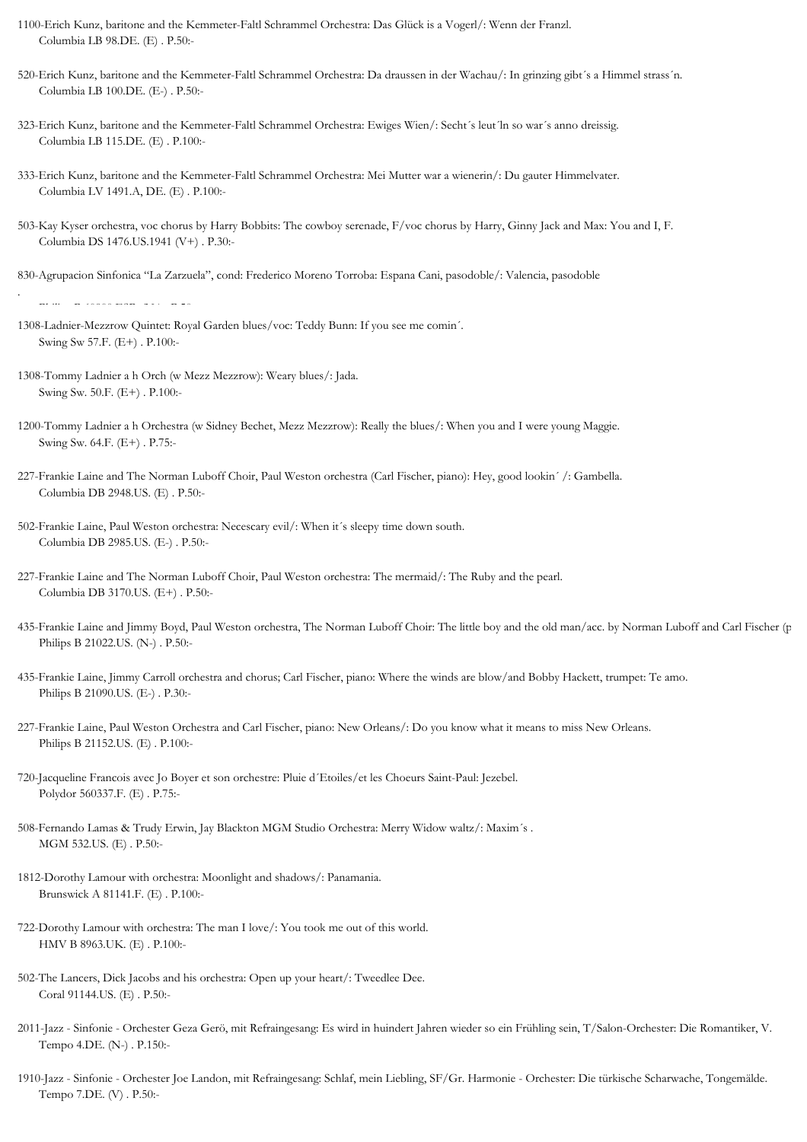- 1100-Erich Kunz, baritone and the Kemmeter-Faltl Schrammel Orchestra: Das Glück is a Vogerl/: Wenn der Franzl. Columbia LB 98.DE. (E) . P.50:-
- 520-Erich Kunz, baritone and the Kemmeter-Faltl Schrammel Orchestra: Da draussen in der Wachau/: In grinzing gibt´s a Himmel strass´n. Columbia LB 100.DE. (E-) . P.50:-
- 323-Erich Kunz, baritone and the Kemmeter-Faltl Schrammel Orchestra: Ewiges Wien/: Secht´s leut´ln so war´s anno dreissig. Columbia LB 115.DE. (E) . P.100:-
- 333-Erich Kunz, baritone and the Kemmeter-Faltl Schrammel Orchestra: Mei Mutter war a wienerin/: Du gauter Himmelvater. Columbia LV 1491.A, DE. (E) . P.100:-
- 503-Kay Kyser orchestra, voc chorus by Harry Bobbits: The cowboy serenade, F/voc chorus by Harry, Ginny Jack and Max: You and I, F. Columbia DS 1476.US.1941 (V+) . P.30:-

830-Agrupacion Sinfonica "La Zarzuela", cond: Frederico Moreno Torroba: Espana Cani, pasodoble/: Valencia, pasodoble

- 1308-Ladnier-Mezzrow Quintet: Royal Garden blues/voc: Teddy Bunn: If you see me comin´. Swing Sw 57.F. (E+) . P.100:-
- 1308-Tommy Ladnier a h Orch (w Mezz Mezzrow): Weary blues/: Jada. Swing Sw. 50.F. (E+) . P.100:-

.

- 1200-Tommy Ladnier a h Orchestra (w Sidney Bechet, Mezz Mezzrow): Really the blues/: When you and I were young Maggie. Swing Sw. 64.F. (E+) . P.75:-
- 227-Frankie Laine and The Norman Luboff Choir, Paul Weston orchestra (Carl Fischer, piano): Hey, good lookin´ /: Gambella. Columbia DB 2948.US. (E) . P.50:-
- 502-Frankie Laine, Paul Weston orchestra: Necescary evil/: When it´s sleepy time down south. Columbia DB 2985.US. (E-) . P.50:-
- 227-Frankie Laine and The Norman Luboff Choir, Paul Weston orchestra: The mermaid/: The Ruby and the pearl. Columbia DB 3170.US. (E+) . P.50:-
- 435-Frankie Laine and Jimmy Boyd, Paul Weston orchestra, The Norman Luboff Choir: The little boy and the old man/acc. by Norman Luboff and Carl Fischer (p Philips B 21022.US. (N-) . P.50:-
- 435-Frankie Laine, Jimmy Carroll orchestra and chorus; Carl Fischer, piano: Where the winds are blow/and Bobby Hackett, trumpet: Te amo. Philips B 21090.US. (E-) . P.30:-
- 227-Frankie Laine, Paul Weston Orchestra and Carl Fischer, piano: New Orleans/: Do you know what it means to miss New Orleans. Philips B 21152.US. (E) . P.100:-
- 720-Jacqueline Francois avec Jo Boyer et son orchestre: Pluie d´Etoiles/et les Choeurs Saint-Paul: Jezebel. Polydor 560337.F. (E) . P.75:-
- 508-Fernando Lamas & Trudy Erwin, Jay Blackton MGM Studio Orchestra: Merry Widow waltz/: Maxim´s . MGM 532.US. (E) . P.50:-
- 1812-Dorothy Lamour with orchestra: Moonlight and shadows/: Panamania. Brunswick A 81141.F. (E) . P.100:-
- 722-Dorothy Lamour with orchestra: The man I love/: You took me out of this world. HMV B 8963.UK. (E) . P.100:-
- 502-The Lancers, Dick Jacobs and his orchestra: Open up your heart/: Tweedlee Dee. Coral 91144.US. (E) . P.50:-
- 2011-Jazz Sinfonie Orchester Geza Gerö, mit Refraingesang: Es wird in huindert Jahren wieder so ein Frühling sein, T/Salon-Orchester: Die Romantiker, V. Tempo 4.DE. (N-) . P.150:-
- 1910-Jazz Sinfonie Orchester Joe Landon, mit Refraingesang: Schlaf, mein Liebling, SF/Gr. Harmonie Orchester: Die türkische Scharwache, Tongemälde. Tempo 7.DE. (V) . P.50:-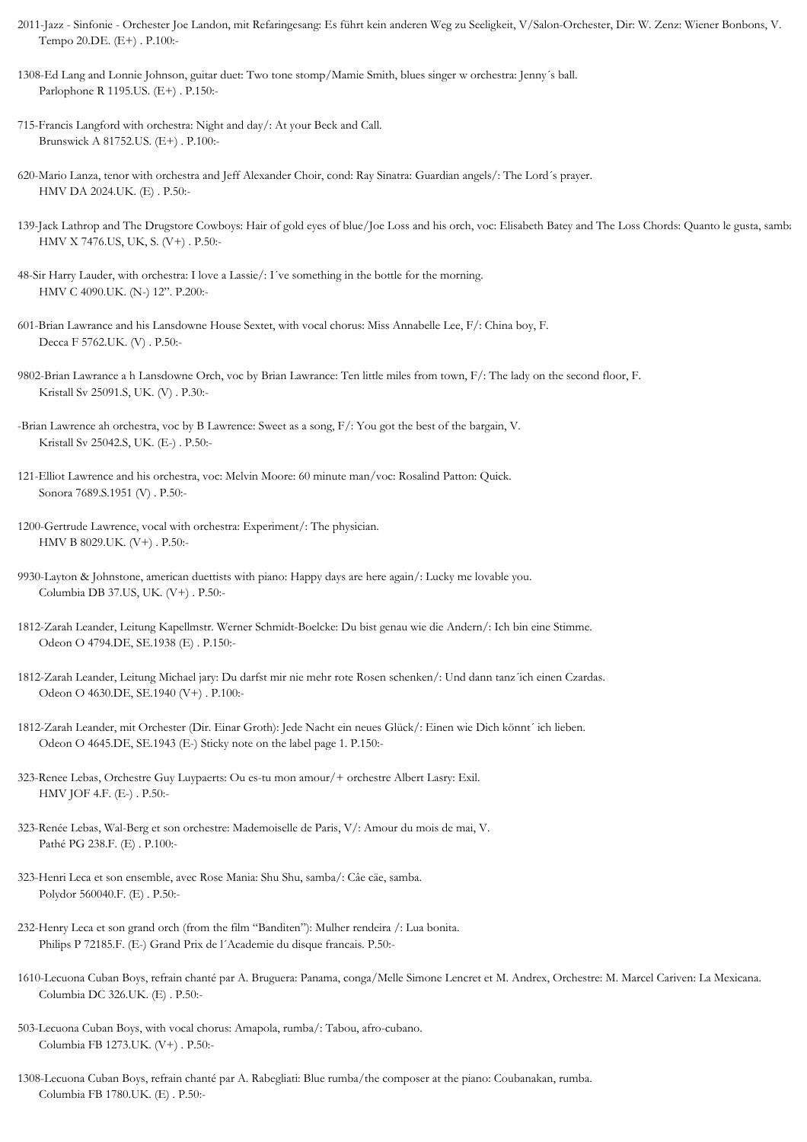- 2011-Jazz Sinfonie Orchester Joe Landon, mit Refaringesang: Es führt kein anderen Weg zu Seeligkeit, V/Salon-Orchester, Dir: W. Zenz: Wiener Bonbons, V. Tempo 20.DE. (E+) . P.100:-
- 1308-Ed Lang and Lonnie Johnson, guitar duet: Two tone stomp/Mamie Smith, blues singer w orchestra: Jenny´s ball. Parlophone R 1195.US. (E+) . P.150:-
- 715-Francis Langford with orchestra: Night and day/: At your Beck and Call. Brunswick A 81752.US. (E+) . P.100:-
- 620-Mario Lanza, tenor with orchestra and Jeff Alexander Choir, cond: Ray Sinatra: Guardian angels/: The Lord´s prayer. HMV DA 2024.UK. (E) . P.50:-
- 139-Jack Lathrop and The Drugstore Cowboys: Hair of gold eyes of blue/Joe Loss and his orch, voc: Elisabeth Batey and The Loss Chords: Quanto le gusta, samba. HMV X 7476.US, UK, S. (V+) . P.50:-
- 48-Sir Harry Lauder, with orchestra: I love a Lassie/: I´ve something in the bottle for the morning. HMV C 4090.UK. (N-) 12". P.200:-
- 601-Brian Lawrance and his Lansdowne House Sextet, with vocal chorus: Miss Annabelle Lee, F/: China boy, F. Decca F 5762.UK. (V) . P.50:-
- 9802-Brian Lawrance a h Lansdowne Orch, voc by Brian Lawrance: Ten little miles from town, F/: The lady on the second floor, F. Kristall Sv 25091.S, UK. (V) . P.30:-
- -Brian Lawrence ah orchestra, voc by B Lawrence: Sweet as a song, F/: You got the best of the bargain, V. Kristall Sv 25042.S, UK. (E-) . P.50:-
- 121-Elliot Lawrence and his orchestra, voc: Melvin Moore: 60 minute man/voc: Rosalind Patton: Quick. Sonora 7689.S.1951 (V) . P.50:-
- 1200-Gertrude Lawrence, vocal with orchestra: Experiment/: The physician. HMV B 8029.UK. (V+) . P.50:-
- 9930-Layton & Johnstone, american duettists with piano: Happy days are here again/: Lucky me lovable you. Columbia DB 37.US, UK. (V+) . P.50:-
- 1812-Zarah Leander, Leitung Kapellmstr. Werner Schmidt-Boelcke: Du bist genau wie die Andern/: Ich bin eine Stimme. Odeon O 4794.DE, SE.1938 (E) . P.150:-
- 1812-Zarah Leander, Leitung Michael jary: Du darfst mir nie mehr rote Rosen schenken/: Und dann tanz´ich einen Czardas. Odeon O 4630.DE, SE.1940 (V+) . P.100:-
- 1812-Zarah Leander, mit Orchester (Dir. Einar Groth): Jede Nacht ein neues Glück/: Einen wie Dich könnt´ ich lieben. Odeon O 4645.DE, SE.1943 (E-) Sticky note on the label page 1. P.150:-
- 323-Renee Lebas, Orchestre Guy Luypaerts: Ou es-tu mon amour/+ orchestre Albert Lasry: Exil. HMV JOF 4.F. (E-) . P.50:-
- 323-Renée Lebas, Wal-Berg et son orchestre: Mademoiselle de Paris, V/: Amour du mois de mai, V. Pathé PG 238.F. (E) . P.100:-
- 323-Henri Leca et son ensemble, avec Rose Mania: Shu Shu, samba/: Câe cäe, samba. Polydor 560040.F. (E) . P.50:-
- 232-Henry Leca et son grand orch (from the film "Banditen"): Mulher rendeira /: Lua bonita. Philips P 72185.F. (E-) Grand Prix de l´Academie du disque francais. P.50:-
- 1610-Lecuona Cuban Boys, refrain chanté par A. Bruguera: Panama, conga/Melle Simone Lencret et M. Andrex, Orchestre: M. Marcel Cariven: La Mexicana. Columbia DC 326.UK. (E) . P.50:-
- 503-Lecuona Cuban Boys, with vocal chorus: Amapola, rumba/: Tabou, afro-cubano. Columbia FB 1273.UK. (V+) . P.50:-
- 1308-Lecuona Cuban Boys, refrain chanté par A. Rabegliati: Blue rumba/the composer at the piano: Coubanakan, rumba. Columbia FB 1780.UK. (E) . P.50:-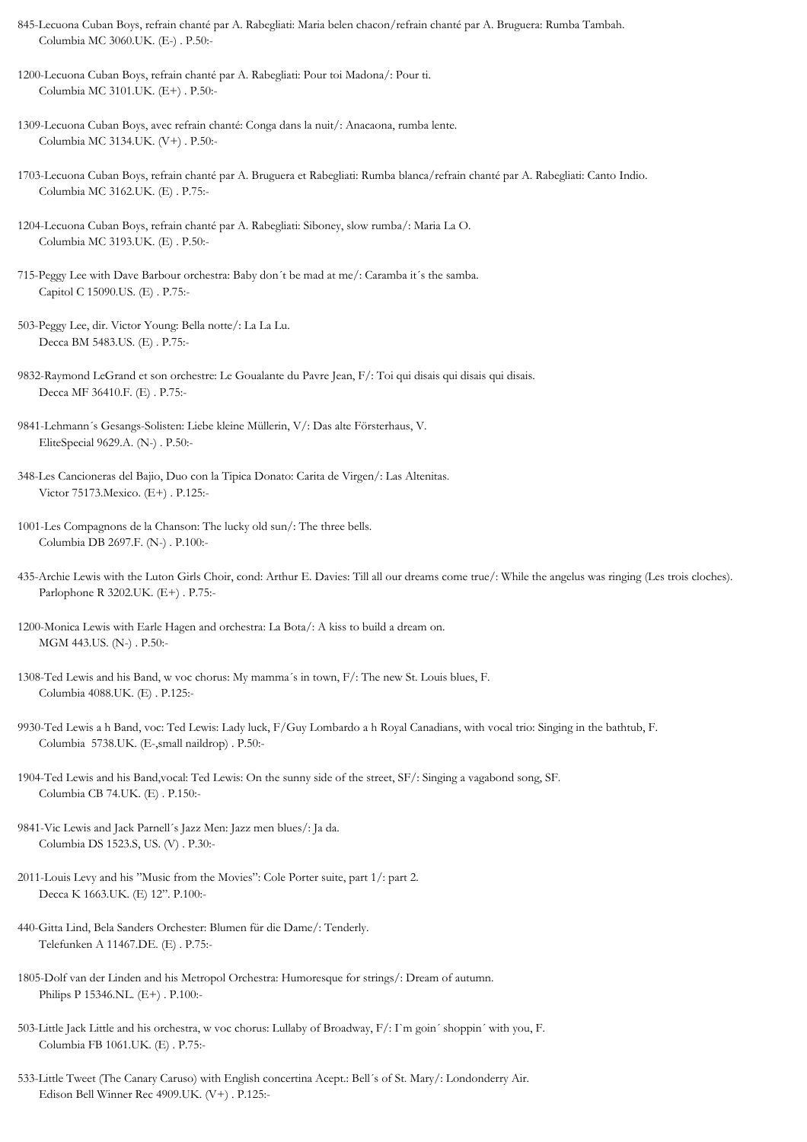- 845-Lecuona Cuban Boys, refrain chanté par A. Rabegliati: Maria belen chacon/refrain chanté par A. Bruguera: Rumba Tambah. Columbia MC 3060.UK. (E-) . P.50:-
- 1200-Lecuona Cuban Boys, refrain chanté par A. Rabegliati: Pour toi Madona/: Pour ti. Columbia MC 3101.UK. (E+) . P.50:-
- 1309-Lecuona Cuban Boys, avec refrain chanté: Conga dans la nuit/: Anacaona, rumba lente. Columbia MC 3134.UK. (V+) . P.50:-
- 1703-Lecuona Cuban Boys, refrain chanté par A. Bruguera et Rabegliati: Rumba blanca/refrain chanté par A. Rabegliati: Canto Indio. Columbia MC 3162.UK. (E) . P.75:-
- 1204-Lecuona Cuban Boys, refrain chanté par A. Rabegliati: Siboney, slow rumba/: Maria La O. Columbia MC 3193.UK. (E) . P.50:-
- 715-Peggy Lee with Dave Barbour orchestra: Baby don´t be mad at me/: Caramba it´s the samba. Capitol C 15090.US. (E) . P.75:-
- 503-Peggy Lee, dir. Victor Young: Bella notte/: La La Lu. Decca BM 5483.US. (E) . P.75:-
- 9832-Raymond LeGrand et son orchestre: Le Goualante du Pavre Jean, F/: Toi qui disais qui disais qui disais. Decca MF 36410.F. (E) . P.75:-
- 9841-Lehmann´s Gesangs-Solisten: Liebe kleine Müllerin, V/: Das alte Försterhaus, V. EliteSpecial 9629.A. (N-) . P.50:-
- 348-Les Cancioneras del Bajio, Duo con la Tipica Donato: Carita de Virgen/: Las Altenitas. Victor 75173.Mexico. (E+) . P.125:-
- 1001-Les Compagnons de la Chanson: The lucky old sun/: The three bells. Columbia DB 2697.F. (N-) . P.100:-
- 435-Archie Lewis with the Luton Girls Choir, cond: Arthur E. Davies: Till all our dreams come true/: While the angelus was ringing (Les trois cloches). Parlophone R 3202.UK. (E+) . P.75:-
- 1200-Monica Lewis with Earle Hagen and orchestra: La Bota/: A kiss to build a dream on. MGM 443.US. (N-) . P.50:-
- 1308-Ted Lewis and his Band, w voc chorus: My mamma´s in town, F/: The new St. Louis blues, F. Columbia 4088.UK. (E) . P.125:-
- 9930-Ted Lewis a h Band, voc: Ted Lewis: Lady luck, F/Guy Lombardo a h Royal Canadians, with vocal trio: Singing in the bathtub, F. Columbia 5738.UK. (E-,small naildrop) . P.50:-
- 1904-Ted Lewis and his Band,vocal: Ted Lewis: On the sunny side of the street, SF/: Singing a vagabond song, SF. Columbia CB 74.UK. (E) . P.150:-
- 9841-Vic Lewis and Jack Parnell´s Jazz Men: Jazz men blues/: Ja da. Columbia DS 1523.S, US. (V) . P.30:-
- 2011-Louis Levy and his "Music from the Movies": Cole Porter suite, part 1/: part 2. Decca K 1663.UK. (E) 12". P.100:-
- 440-Gitta Lind, Bela Sanders Orchester: Blumen für die Dame/: Tenderly. Telefunken A 11467.DE. (E) . P.75:-
- 1805-Dolf van der Linden and his Metropol Orchestra: Humoresque for strings/: Dream of autumn. Philips P 15346.NL. (E+) . P.100:-
- 503-Little Jack Little and his orchestra, w voc chorus: Lullaby of Broadway, F/: I`m goin´ shoppin´ with you, F. Columbia FB 1061.UK. (E) . P.75:-
- 533-Little Tweet (The Canary Caruso) with English concertina Acept.: Bell´s of St. Mary/: Londonderry Air. Edison Bell Winner Rec 4909.UK. (V+) . P.125:-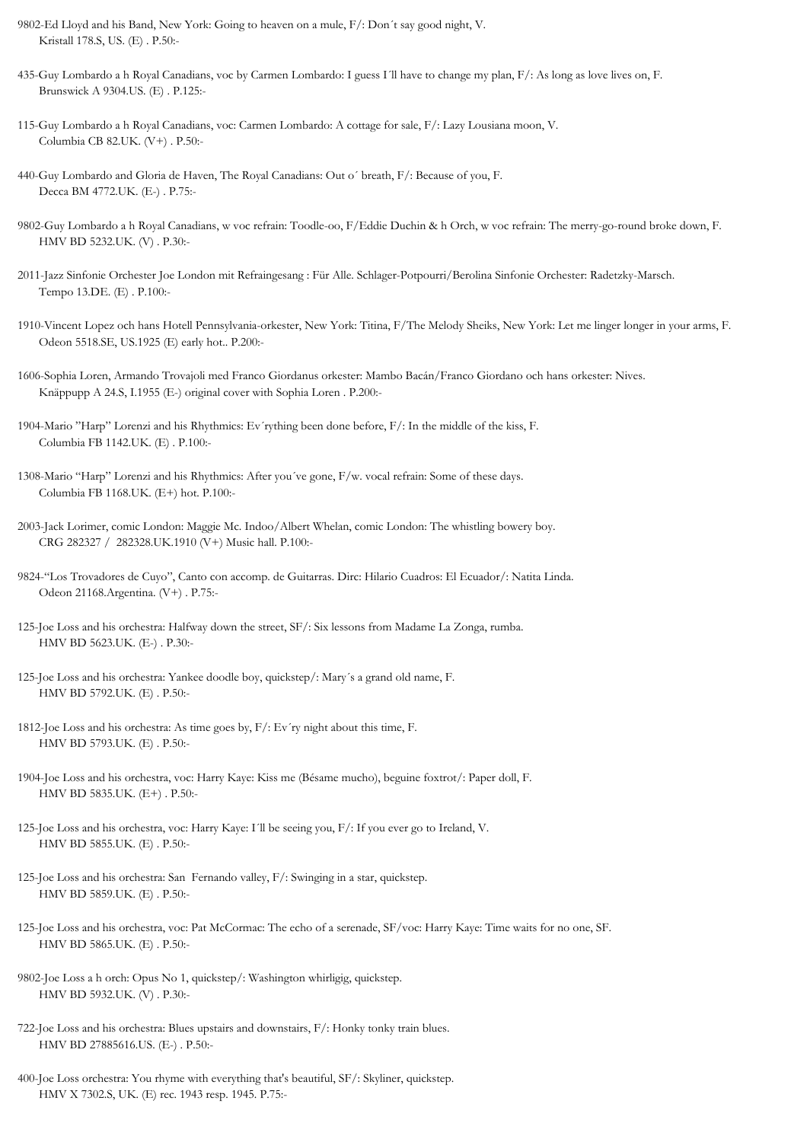- 9802-Ed Lloyd and his Band, New York: Going to heaven on a mule, F/: Don´t say good night, V. Kristall 178.S, US. (E) . P.50:-
- 435-Guy Lombardo a h Royal Canadians, voc by Carmen Lombardo: I guess I´ll have to change my plan, F/: As long as love lives on, F. Brunswick A 9304.US. (E) . P.125:-
- 115-Guy Lombardo a h Royal Canadians, voc: Carmen Lombardo: A cottage for sale, F/: Lazy Lousiana moon, V. Columbia CB 82.UK. (V+) . P.50:-
- 440-Guy Lombardo and Gloria de Haven, The Royal Canadians: Out o´ breath, F/: Because of you, F. Decca BM 4772.UK. (E-) . P.75:-
- 9802-Guy Lombardo a h Royal Canadians, w voc refrain: Toodle-oo, F/Eddie Duchin & h Orch, w voc refrain: The merry-go-round broke down, F. HMV BD 5232.UK. (V) . P.30:-
- 2011-Jazz Sinfonie Orchester Joe London mit Refraingesang : Für Alle. Schlager-Potpourri/Berolina Sinfonie Orchester: Radetzky-Marsch. Tempo 13.DE. (E) . P.100:-
- 1910-Vincent Lopez och hans Hotell Pennsylvania-orkester, New York: Titina, F/The Melody Sheiks, New York: Let me linger longer in your arms, F. Odeon 5518.SE, US.1925 (E) early hot.. P.200:-
- 1606-Sophia Loren, Armando Trovajoli med Franco Giordanus orkester: Mambo Bacán/Franco Giordano och hans orkester: Nives. Knäppupp A 24.S, I.1955 (E-) original cover with Sophia Loren . P.200:-
- 1904-Mario "Harp" Lorenzi and his Rhythmics: Ev´rything been done before, F/: In the middle of the kiss, F. Columbia FB 1142.UK. (E) . P.100:-
- 1308-Mario "Harp" Lorenzi and his Rhythmics: After you´ve gone, F/w. vocal refrain: Some of these days. Columbia FB 1168.UK. (E+) hot. P.100:-
- 2003-Jack Lorimer, comic London: Maggie Mc. Indoo/Albert Whelan, comic London: The whistling bowery boy. CRG 282327 / 282328.UK.1910 (V+) Music hall. P.100:-
- 9824-"Los Trovadores de Cuyo", Canto con accomp. de Guitarras. Dirc: Hilario Cuadros: El Ecuador/: Natita Linda. Odeon 21168.Argentina. (V+) . P.75:-
- 125-Joe Loss and his orchestra: Halfway down the street, SF/: Six lessons from Madame La Zonga, rumba. HMV BD 5623.UK. (E-) . P.30:-
- 125-Joe Loss and his orchestra: Yankee doodle boy, quickstep/: Mary´s a grand old name, F. HMV BD 5792.UK. (E) . P.50:-
- 1812-Joe Loss and his orchestra: As time goes by, F/: Ev´ry night about this time, F. HMV BD 5793.UK. (E) . P.50:-
- 1904-Joe Loss and his orchestra, voc: Harry Kaye: Kiss me (Bésame mucho), beguine foxtrot/: Paper doll, F. HMV BD 5835.UK. (E+) . P.50:-
- 125-Joe Loss and his orchestra, voc: Harry Kaye: I´ll be seeing you, F/: If you ever go to Ireland, V. HMV BD 5855.UK. (E) . P.50:-
- 125-Joe Loss and his orchestra: San Fernando valley, F/: Swinging in a star, quickstep. HMV BD 5859.UK. (E) . P.50:-
- 125-Joe Loss and his orchestra, voc: Pat McCormac: The echo of a serenade, SF/voc: Harry Kaye: Time waits for no one, SF. HMV BD 5865.UK. (E) . P.50:-
- 9802-Joe Loss a h orch: Opus No 1, quickstep/: Washington whirligig, quickstep. HMV BD 5932.UK. (V) . P.30:-
- 722-Joe Loss and his orchestra: Blues upstairs and downstairs, F/: Honky tonky train blues. HMV BD 27885616.US. (E-) . P.50:-
- 400-Joe Loss orchestra: You rhyme with everything that's beautiful, SF/: Skyliner, quickstep. HMV X 7302.S, UK. (E) rec. 1943 resp. 1945. P.75:-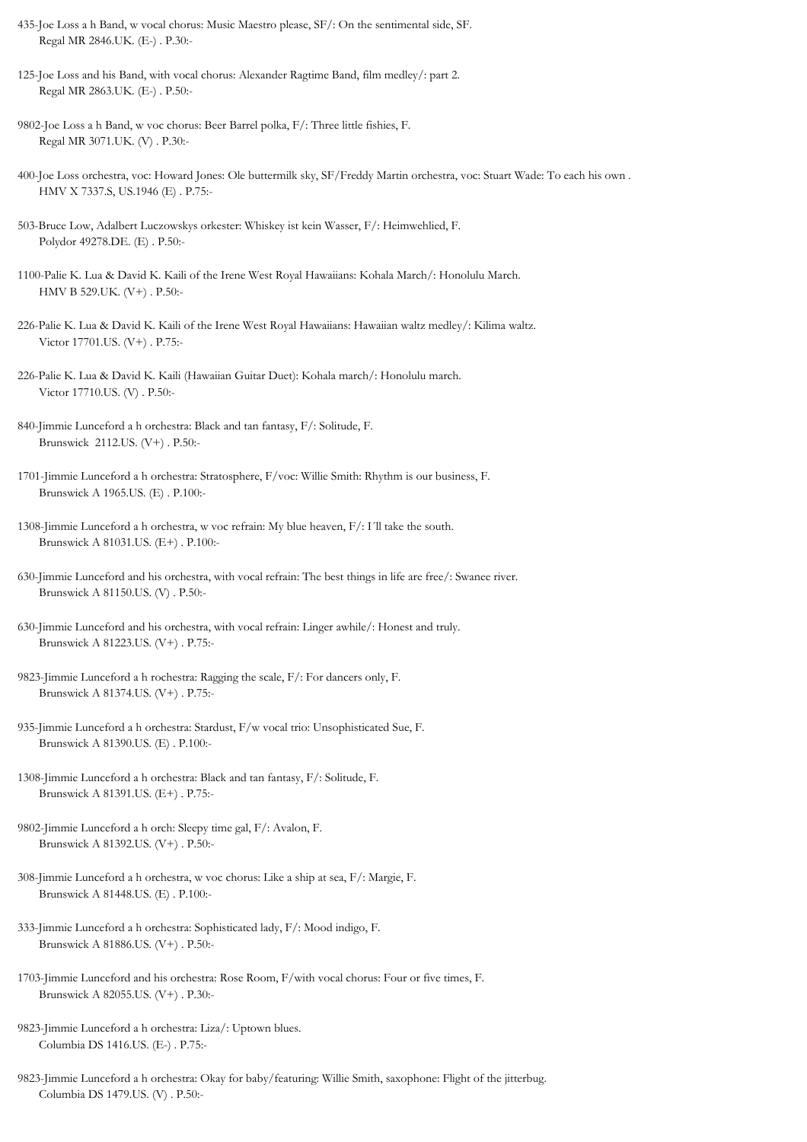- 435-Joe Loss a h Band, w vocal chorus: Music Maestro please, SF/: On the sentimental side, SF. Regal MR 2846.UK. (E-) . P.30:-
- 125-Joe Loss and his Band, with vocal chorus: Alexander Ragtime Band, film medley/: part 2. Regal MR 2863.UK. (E-) . P.50:-
- 9802-Joe Loss a h Band, w voc chorus: Beer Barrel polka, F/: Three little fishies, F. Regal MR 3071.UK. (V) . P.30:-
- 400-Joe Loss orchestra, voc: Howard Jones: Ole buttermilk sky, SF/Freddy Martin orchestra, voc: Stuart Wade: To each his own . HMV X 7337.S, US.1946 (E) . P.75:-
- 503-Bruce Low, Adalbert Luczowskys orkester: Whiskey ist kein Wasser, F/: Heimwehlied, F. Polydor 49278.DE. (E) . P.50:-
- 1100-Palie K. Lua & David K. Kaili of the Irene West Royal Hawaiians: Kohala March/: Honolulu March. HMV B 529.UK. (V+) . P.50:-
- 226-Palie K. Lua & David K. Kaili of the Irene West Royal Hawaiians: Hawaiian waltz medley/: Kilima waltz. Victor 17701.US. (V+) . P.75:-
- 226-Palie K. Lua & David K. Kaili (Hawaiian Guitar Duet): Kohala march/: Honolulu march. Victor 17710.US. (V) . P.50:-
- 840-Jimmie Lunceford a h orchestra: Black and tan fantasy, F/: Solitude, F. Brunswick 2112.US. (V+) . P.50:-
- 1701-Jimmie Lunceford a h orchestra: Stratosphere, F/voc: Willie Smith: Rhythm is our business, F. Brunswick A 1965.US. (E) . P.100:-
- 1308-Jimmie Lunceford a h orchestra, w voc refrain: My blue heaven, F/: I´ll take the south. Brunswick A 81031.US. (E+) . P.100:-
- 630-Jimmie Lunceford and his orchestra, with vocal refrain: The best things in life are free/: Swanee river. Brunswick A 81150.US. (V) . P.50:-
- 630-Jimmie Lunceford and his orchestra, with vocal refrain: Linger awhile/: Honest and truly. Brunswick A 81223.US. (V+) . P.75:-
- 9823-Jimmie Lunceford a h rochestra: Ragging the scale, F/: For dancers only, F. Brunswick A 81374.US. (V+) . P.75:-
- 935-Jimmie Lunceford a h orchestra: Stardust, F/w vocal trio: Unsophisticated Sue, F. Brunswick A 81390.US. (E) . P.100:-
- 1308-Jimmie Lunceford a h orchestra: Black and tan fantasy, F/: Solitude, F. Brunswick A 81391.US. (E+) . P.75:-
- 9802-Jimmie Lunceford a h orch: Sleepy time gal, F/: Avalon, F. Brunswick A 81392.US. (V+) . P.50:-
- 308-Jimmie Lunceford a h orchestra, w voc chorus: Like a ship at sea, F/: Margie, F. Brunswick A 81448.US. (E) . P.100:-
- 333-Jimmie Lunceford a h orchestra: Sophisticated lady, F/: Mood indigo, F. Brunswick A 81886.US. (V+) . P.50:-
- 1703-Jimmie Lunceford and his orchestra: Rose Room, F/with vocal chorus: Four or five times, F. Brunswick A 82055.US. (V+) . P.30:-
- 9823-Jimmie Lunceford a h orchestra: Liza/: Uptown blues. Columbia DS 1416.US. (E-) . P.75:-
- 9823-Jimmie Lunceford a h orchestra: Okay for baby/featuring: Willie Smith, saxophone: Flight of the jitterbug. Columbia DS 1479.US. (V) . P.50:-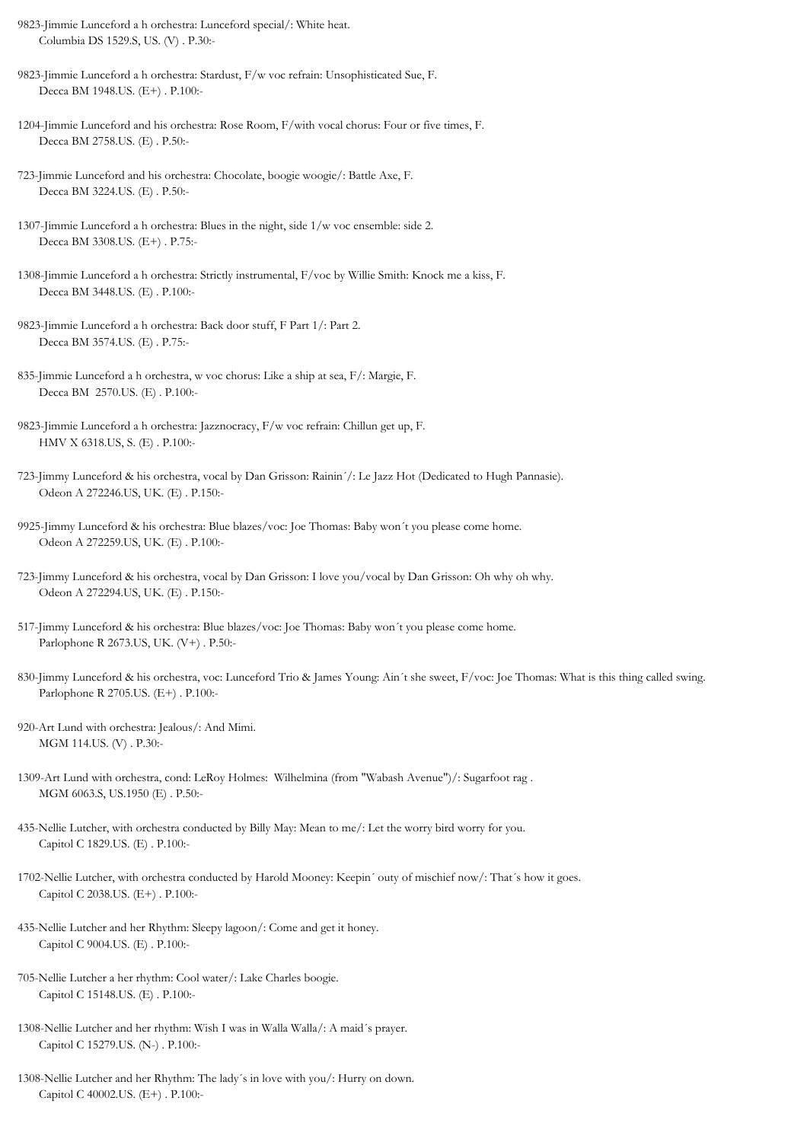- 9823-Jimmie Lunceford a h orchestra: Lunceford special/: White heat. Columbia DS 1529.S, US. (V) . P.30:-
- 9823-Jimmie Lunceford a h orchestra: Stardust, F/w voc refrain: Unsophisticated Sue, F. Decca BM 1948.US. (E+) . P.100:-
- 1204-Jimmie Lunceford and his orchestra: Rose Room, F/with vocal chorus: Four or five times, F. Decca BM 2758.US. (E) . P.50:-
- 723-Jimmie Lunceford and his orchestra: Chocolate, boogie woogie/: Battle Axe, F. Decca BM 3224.US. (E) . P.50:-
- 1307-Jimmie Lunceford a h orchestra: Blues in the night, side 1/w voc ensemble: side 2. Decca BM 3308.US. (E+) . P.75:-
- 1308-Jimmie Lunceford a h orchestra: Strictly instrumental, F/voc by Willie Smith: Knock me a kiss, F. Decca BM 3448.US. (E) . P.100:-
- 9823-Jimmie Lunceford a h orchestra: Back door stuff, F Part 1/: Part 2. Decca BM 3574.US. (E) . P.75:-
- 835-Jimmie Lunceford a h orchestra, w voc chorus: Like a ship at sea, F/: Margie, F. Decca BM 2570.US. (E) . P.100:-
- 9823-Jimmie Lunceford a h orchestra: Jazznocracy, F/w voc refrain: Chillun get up, F. HMV X 6318.US, S. (E) . P.100:-
- 723-Jimmy Lunceford & his orchestra, vocal by Dan Grisson: Rainin´/: Le Jazz Hot (Dedicated to Hugh Pannasie). Odeon A 272246.US, UK. (E) . P.150:-
- 9925-Jimmy Lunceford & his orchestra: Blue blazes/voc: Joe Thomas: Baby won´t you please come home. Odeon A 272259.US, UK. (E) . P.100:-
- 723-Jimmy Lunceford & his orchestra, vocal by Dan Grisson: I love you/vocal by Dan Grisson: Oh why oh why. Odeon A 272294.US, UK. (E) . P.150:-
- 517-Jimmy Lunceford & his orchestra: Blue blazes/voc: Joe Thomas: Baby won´t you please come home. Parlophone R 2673.US, UK. (V+) . P.50:-
- 830-Jimmy Lunceford & his orchestra, voc: Lunceford Trio & James Young: Ain´t she sweet, F/voc: Joe Thomas: What is this thing called swing. Parlophone R 2705.US. (E+) . P.100:-
- 920-Art Lund with orchestra: Jealous/: And Mimi. MGM 114.US. (V) . P.30:-
- 1309-Art Lund with orchestra, cond: LeRoy Holmes: Wilhelmina (from "Wabash Avenue")/: Sugarfoot rag . MGM 6063.S, US.1950 (E) . P.50:-
- 435-Nellie Lutcher, with orchestra conducted by Billy May: Mean to me/: Let the worry bird worry for you. Capitol C 1829.US. (E) . P.100:-
- 1702-Nellie Lutcher, with orchestra conducted by Harold Mooney: Keepin´ outy of mischief now/: That´s how it goes. Capitol C 2038.US. (E+) . P.100:-
- 435-Nellie Lutcher and her Rhythm: Sleepy lagoon/: Come and get it honey. Capitol C 9004.US. (E) . P.100:-
- 705-Nellie Lutcher a her rhythm: Cool water/: Lake Charles boogie. Capitol C 15148.US. (E) . P.100:-
- 1308-Nellie Lutcher and her rhythm: Wish I was in Walla Walla/: A maid´s prayer. Capitol C 15279.US. (N-) . P.100:-
- 1308-Nellie Lutcher and her Rhythm: The lady´s in love with you/: Hurry on down. Capitol C 40002.US. (E+) . P.100:-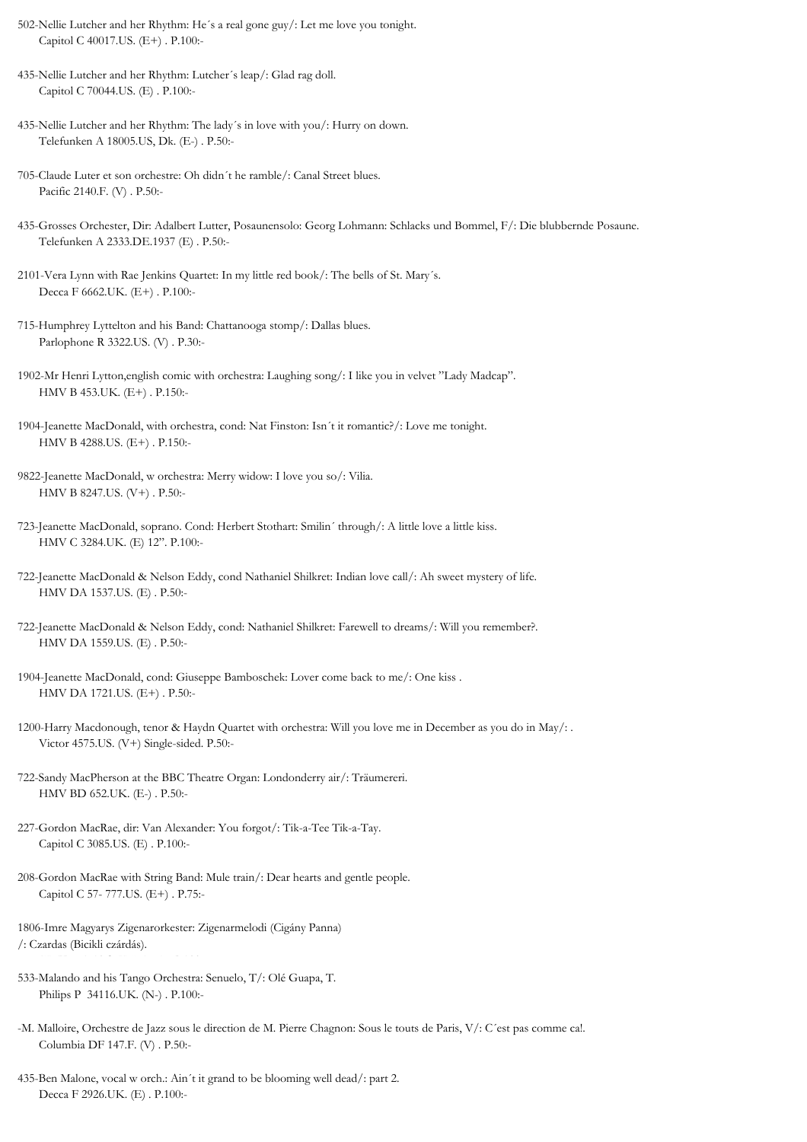- 502-Nellie Lutcher and her Rhythm: He´s a real gone guy/: Let me love you tonight. Capitol C 40017.US. (E+) . P.100:-
- 435-Nellie Lutcher and her Rhythm: Lutcher´s leap/: Glad rag doll. Capitol C 70044.US. (E) . P.100:-
- 435-Nellie Lutcher and her Rhythm: The lady´s in love with you/: Hurry on down. Telefunken A 18005.US, Dk. (E-) . P.50:-
- 705-Claude Luter et son orchestre: Oh didn´t he ramble/: Canal Street blues. Pacific 2140.F. (V) . P.50:-
- 435-Grosses Orchester, Dir: Adalbert Lutter, Posaunensolo: Georg Lohmann: Schlacks und Bommel, F/: Die blubbernde Posaune. Telefunken A 2333.DE.1937 (E) . P.50:-
- 2101-Vera Lynn with Rae Jenkins Quartet: In my little red book/: The bells of St. Mary´s. Decca F 6662.UK. (E+) . P.100:-
- 715-Humphrey Lyttelton and his Band: Chattanooga stomp/: Dallas blues. Parlophone R 3322.US. (V) . P.30:-
- 1902-Mr Henri Lytton,english comic with orchestra: Laughing song/: I like you in velvet "Lady Madcap". HMV B 453.UK. (E+) . P.150:-
- 1904-Jeanette MacDonald, with orchestra, cond: Nat Finston: Isn´t it romantic?/: Love me tonight. HMV B 4288.US. (E+) . P.150:-
- 9822-Jeanette MacDonald, w orchestra: Merry widow: I love you so/: Vilia. HMV B 8247.US. (V+) . P.50:-
- 723-Jeanette MacDonald, soprano. Cond: Herbert Stothart: Smilin´ through/: A little love a little kiss. HMV C 3284.UK. (E) 12". P.100:-
- 722-Jeanette MacDonald & Nelson Eddy, cond Nathaniel Shilkret: Indian love call/: Ah sweet mystery of life. HMV DA 1537.US. (E) . P.50:-
- 722-Jeanette MacDonald & Nelson Eddy, cond: Nathaniel Shilkret: Farewell to dreams/: Will you remember?. HMV DA 1559.US. (E) . P.50:-
- 1904-Jeanette MacDonald, cond: Giuseppe Bamboschek: Lover come back to me/: One kiss . HMV DA 1721.US. (E+) . P.50:-
- 1200-Harry Macdonough, tenor & Haydn Quartet with orchestra: Will you love me in December as you do in May/: . Victor 4575.US. (V+) Single-sided. P.50:-
- 722-Sandy MacPherson at the BBC Theatre Organ: Londonderry air/: Träumereri. HMV BD 652.UK. (E-) . P.50:-
- 227-Gordon MacRae, dir: Van Alexander: You forgot/: Tik-a-Tee Tik-a-Tay. Capitol C 3085.US. (E) . P.100:-
- 208-Gordon MacRae with String Band: Mule train/: Dear hearts and gentle people. Capitol C 57- 777.US. (E+) . P.75:-
- 1806-Imre Magyarys Zigenarorkester: Zigenarmelodi (Cigány Panna) /: Czardas (Bicikli czárdás).
- 533-Malando and his Tango Orchestra: Senuelo, T/: Olé Guapa, T. Philips P 34116.UK. (N-) . P.100:-

 $H_{\rm{max}}$ 

- -M. Malloire, Orchestre de Jazz sous le direction de M. Pierre Chagnon: Sous le touts de Paris, V/: C´est pas comme ca!. Columbia DF 147.F. (V) . P.50:-
- 435-Ben Malone, vocal w orch.: Ain´t it grand to be blooming well dead/: part 2. Decca F 2926.UK. (E) . P.100:-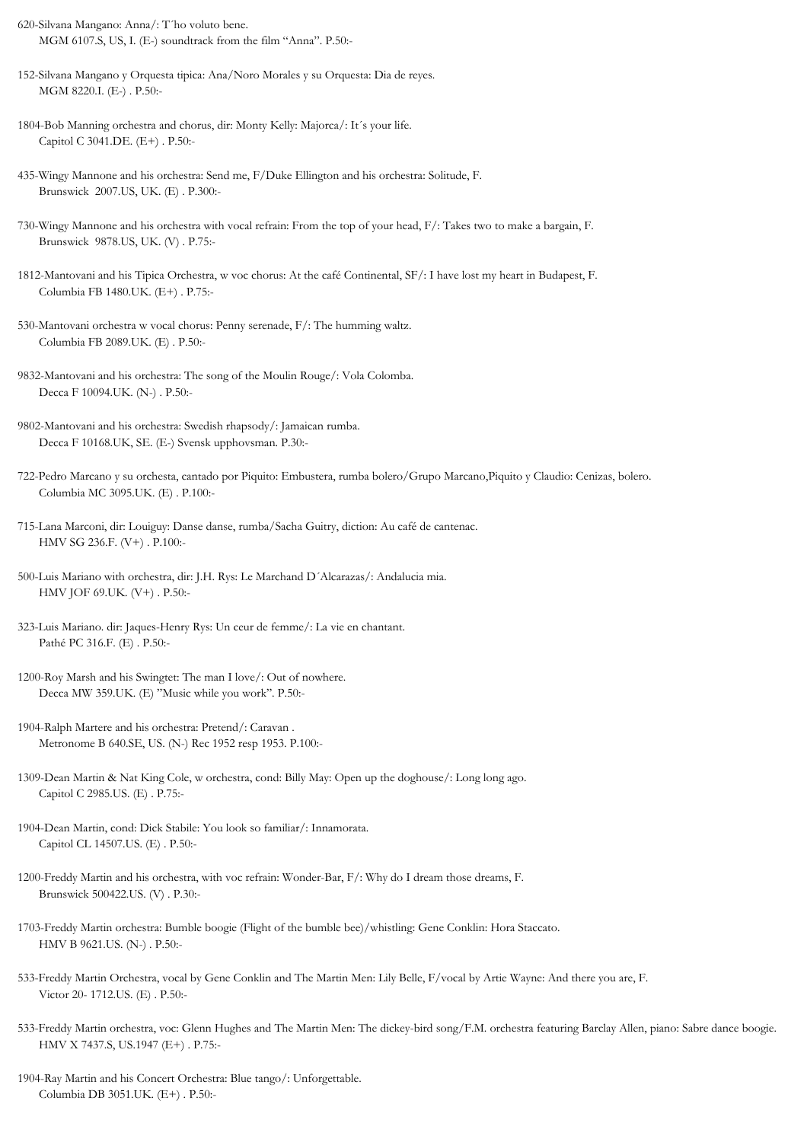- 620-Silvana Mangano: Anna/: T´ho voluto bene. MGM 6107.S, US, I. (E-) soundtrack from the film "Anna". P.50:-
- 152-Silvana Mangano y Orquesta tipica: Ana/Noro Morales y su Orquesta: Dia de reyes. MGM 8220.I. (E-) . P.50:-
- 1804-Bob Manning orchestra and chorus, dir: Monty Kelly: Majorca/: It´s your life. Capitol C 3041.DE. (E+) . P.50:-
- 435-Wingy Mannone and his orchestra: Send me, F/Duke Ellington and his orchestra: Solitude, F. Brunswick 2007.US, UK. (E) . P.300:-
- 730-Wingy Mannone and his orchestra with vocal refrain: From the top of your head, F/: Takes two to make a bargain, F. Brunswick 9878.US, UK. (V) . P.75:-
- 1812-Mantovani and his Tipica Orchestra, w voc chorus: At the café Continental, SF/: I have lost my heart in Budapest, F. Columbia FB 1480.UK. (E+) . P.75:-
- 530-Mantovani orchestra w vocal chorus: Penny serenade, F/: The humming waltz. Columbia FB 2089.UK. (E) . P.50:-
- 9832-Mantovani and his orchestra: The song of the Moulin Rouge/: Vola Colomba. Decca F 10094.UK. (N-) . P.50:-
- 9802-Mantovani and his orchestra: Swedish rhapsody/: Jamaican rumba. Decca F 10168.UK, SE. (E-) Svensk upphovsman. P.30:-
- 722-Pedro Marcano y su orchesta, cantado por Piquito: Embustera, rumba bolero/Grupo Marcano,Piquito y Claudio: Cenizas, bolero. Columbia MC 3095.UK. (E) . P.100:-
- 715-Lana Marconi, dir: Louiguy: Danse danse, rumba/Sacha Guitry, diction: Au café de cantenac. HMV SG 236.F. (V+) . P.100:-
- 500-Luis Mariano with orchestra, dir: J.H. Rys: Le Marchand D´Alcarazas/: Andalucia mia. HMV JOF 69.UK. (V+) . P.50:-
- 323-Luis Mariano. dir: Jaques-Henry Rys: Un ceur de femme/: La vie en chantant. Pathé PC 316.F. (E) . P.50:-
- 1200-Roy Marsh and his Swingtet: The man I love/: Out of nowhere. Decca MW 359.UK. (E) "Music while you work". P.50:-
- 1904-Ralph Martere and his orchestra: Pretend/: Caravan . Metronome B 640.SE, US. (N-) Rec 1952 resp 1953. P.100:-
- 1309-Dean Martin & Nat King Cole, w orchestra, cond: Billy May: Open up the doghouse/: Long long ago. Capitol C 2985.US. (E) . P.75:-
- 1904-Dean Martin, cond: Dick Stabile: You look so familiar/: Innamorata. Capitol CL 14507.US. (E) . P.50:-
- 1200-Freddy Martin and his orchestra, with voc refrain: Wonder-Bar, F/: Why do I dream those dreams, F. Brunswick 500422.US. (V) . P.30:-
- 1703-Freddy Martin orchestra: Bumble boogie (Flight of the bumble bee)/whistling: Gene Conklin: Hora Staccato. HMV B 9621.US. (N-) . P.50:-
- 533-Freddy Martin Orchestra, vocal by Gene Conklin and The Martin Men: Lily Belle, F/vocal by Artie Wayne: And there you are, F. Victor 20- 1712.US. (E) . P.50:-
- 533-Freddy Martin orchestra, voc: Glenn Hughes and The Martin Men: The dickey-bird song/F.M. orchestra featuring Barclay Allen, piano: Sabre dance boogie. HMV X 7437.S, US.1947 (E+) . P.75:-
- 1904-Ray Martin and his Concert Orchestra: Blue tango/: Unforgettable. Columbia DB 3051.UK. (E+) . P.50:-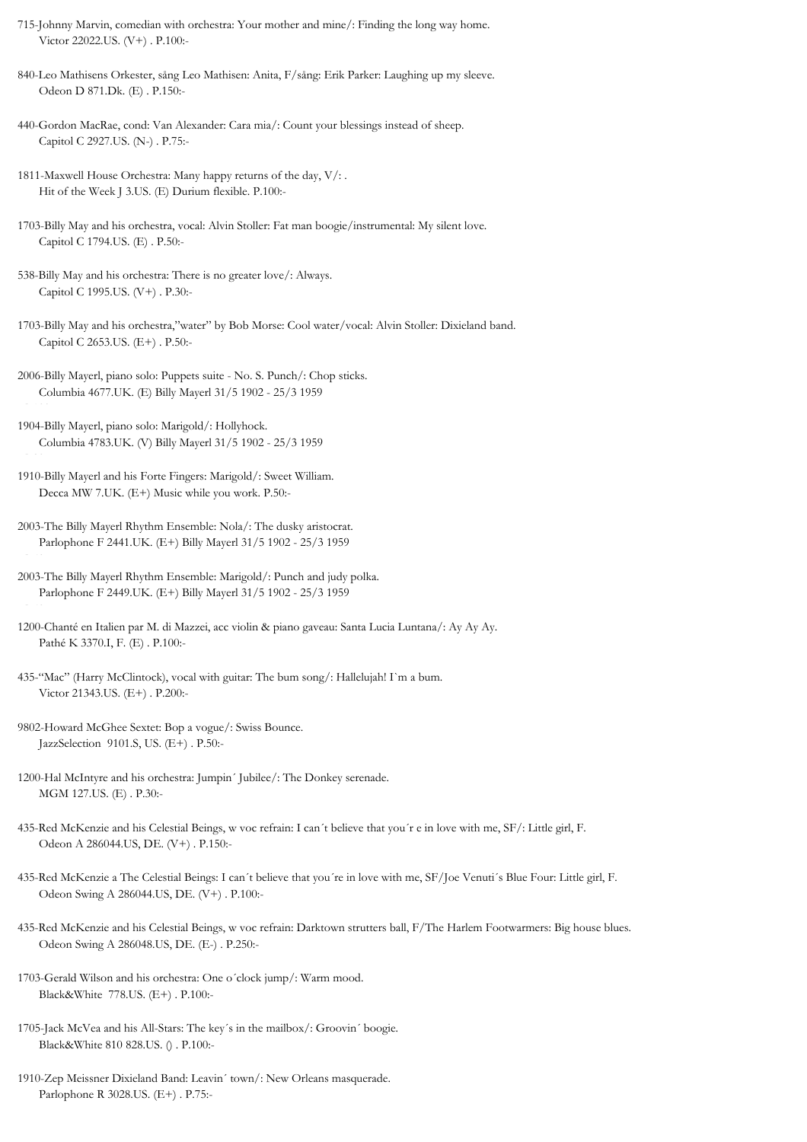- 715-Johnny Marvin, comedian with orchestra: Your mother and mine/: Finding the long way home. Victor 22022.US. (V+) . P.100:-
- 840-Leo Mathisens Orkester, sång Leo Mathisen: Anita, F/sång: Erik Parker: Laughing up my sleeve. Odeon D 871.Dk. (E) . P.150:-
- 440-Gordon MacRae, cond: Van Alexander: Cara mia/: Count your blessings instead of sheep. Capitol C 2927.US. (N-) . P.75:-
- 1811-Maxwell House Orchestra: Many happy returns of the day, V/: . Hit of the Week J 3.US. (E) Durium flexible. P.100:-
- 1703-Billy May and his orchestra, vocal: Alvin Stoller: Fat man boogie/instrumental: My silent love. Capitol C 1794.US. (E) . P.50:-
- 538-Billy May and his orchestra: There is no greater love/: Always. Capitol C 1995.US. (V+) . P.30:-
- 1703-Billy May and his orchestra,"water" by Bob Morse: Cool water/vocal: Alvin Stoller: Dixieland band. Capitol C 2653.US. (E+) . P.50:-
- 2006-Billy Mayerl, piano solo: Puppets suite No. S. Punch/: Chop sticks. Columbia 4677.UK. (E) Billy Mayerl 31/5 1902 - 25/3 1959
- 1904-Billy Mayerl, piano solo: Marigold/: Hollyhock. Columbia 4783.UK. (V) Billy Mayerl 31/5 1902 - 25/3 1959

. P.100:-

- 1910-Billy Mayerl and his Forte Fingers: Marigold/: Sweet William. Decca MW 7.UK. (E+) Music while you work. P.50:-
- 2003-The Billy Mayerl Rhythm Ensemble: Nola/: The dusky aristocrat. Parlophone F 2441.UK. (E+) Billy Mayerl 31/5 1902 - 25/3 1959 . P.50:-
- 2003-The Billy Mayerl Rhythm Ensemble: Marigold/: Punch and judy polka. Parlophone F 2449.UK. (E+) Billy Mayerl 31/5 1902 - 25/3 1959
- 1200-Chanté en Italien par M. di Mazzei, acc violin & piano gaveau: Santa Lucia Luntana/: Ay Ay Ay. Pathé K 3370.I, F. (E) . P.100:-
- 435-"Mac" (Harry McClintock), vocal with guitar: The bum song/: Hallelujah! I`m a bum. Victor 21343.US. (E+) . P.200:-
- 9802-Howard McGhee Sextet: Bop a vogue/: Swiss Bounce. JazzSelection 9101.S, US. (E+) . P.50:-
- 1200-Hal McIntyre and his orchestra: Jumpin´ Jubilee/: The Donkey serenade. MGM 127.US. (E) . P.30:-
- 435-Red McKenzie and his Celestial Beings, w voc refrain: I can´t believe that you´r e in love with me, SF/: Little girl, F. Odeon A 286044.US, DE. (V+) . P.150:-
- 435-Red McKenzie a The Celestial Beings: I can´t believe that you´re in love with me, SF/Joe Venuti´s Blue Four: Little girl, F. Odeon Swing A 286044.US, DE. (V+) . P.100:-
- 435-Red McKenzie and his Celestial Beings, w voc refrain: Darktown strutters ball, F/The Harlem Footwarmers: Big house blues. Odeon Swing A 286048.US, DE. (E-) . P.250:-
- 1703-Gerald Wilson and his orchestra: One o´clock jump/: Warm mood. Black&White 778.US. (E+) . P.100:-
- 1705-Jack McVea and his All-Stars: The key´s in the mailbox/: Groovin´ boogie. Black&White 810 828.US. () . P.100:-
- 1910-Zep Meissner Dixieland Band: Leavin´ town/: New Orleans masquerade. Parlophone R 3028.US. (E+) . P.75:-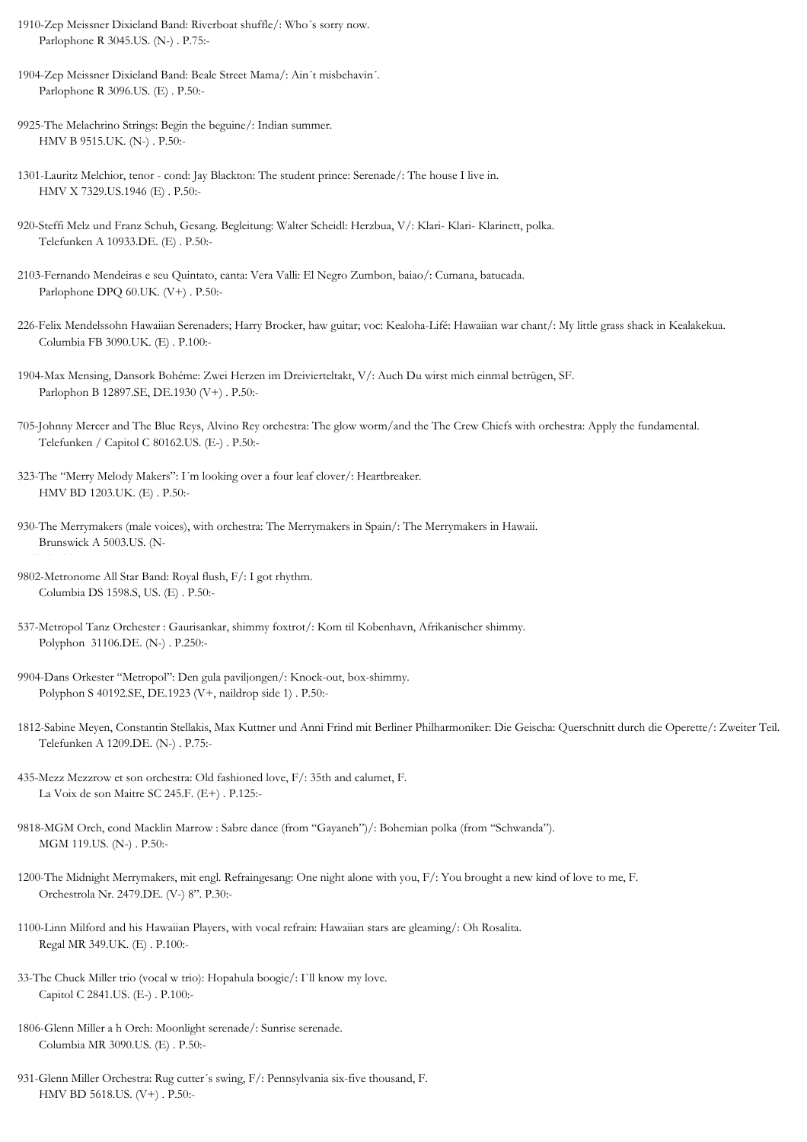- 1910-Zep Meissner Dixieland Band: Riverboat shuffle/: Who´s sorry now. Parlophone R 3045.US. (N-) . P.75:-
- 1904-Zep Meissner Dixieland Band: Beale Street Mama/: Ain´t misbehavin´. Parlophone R 3096.US. (E) . P.50:-
- 9925-The Melachrino Strings: Begin the beguine/: Indian summer. HMV B 9515.UK. (N-) . P.50:-
- 1301-Lauritz Melchior, tenor cond: Jay Blackton: The student prince: Serenade/: The house I live in. HMV X 7329.US.1946 (E) . P.50:-
- 920-Steffi Melz und Franz Schuh, Gesang. Begleitung: Walter Scheidl: Herzbua, V/: Klari- Klari- Klarinett, polka. Telefunken A 10933.DE. (E) . P.50:-
- 2103-Fernando Mendeiras e seu Quintato, canta: Vera Valli: El Negro Zumbon, baiao/: Cumana, batucada. Parlophone DPO 60.UK. (V+) . P.50:-
- 226-Felix Mendelssohn Hawaiian Serenaders; Harry Brocker, haw guitar; voc: Kealoha-Lifé: Hawaiian war chant/: My little grass shack in Kealakekua. Columbia FB 3090.UK. (E) . P.100:-
- 1904-Max Mensing, Dansork Bohéme: Zwei Herzen im Dreivierteltakt, V/: Auch Du wirst mich einmal betrügen, SF. Parlophon B 12897.SE, DE.1930 (V+) . P.50:-
- 705-Johnny Mercer and The Blue Reys, Alvino Rey orchestra: The glow worm/and the The Crew Chiefs with orchestra: Apply the fundamental. Telefunken / Capitol C 80162.US. (E-) . P.50:-
- 323-The "Merry Melody Makers": I´m looking over a four leaf clover/: Heartbreaker. HMV BD 1203.UK. (E) . P.50:-
- 930-The Merrymakers (male voices), with orchestra: The Merrymakers in Spain/: The Merrymakers in Hawaii. Brunswick A 5003.US. (N-
- 9802-Metronome All Star Band: Royal flush, F/: I got rhythm. Columbia DS 1598.S, US. (E) . P.50:-

) 12". P.100:-

- 537-Metropol Tanz Orchester : Gaurisankar, shimmy foxtrot/: Kom til Kobenhavn, Afrikanischer shimmy. Polyphon 31106.DE. (N-) . P.250:-
- 9904-Dans Orkester "Metropol": Den gula paviljongen/: Knock-out, box-shimmy. Polyphon S 40192.SE, DE.1923 (V+, naildrop side 1) . P.50:-
- 1812-Sabine Meyen, Constantin Stellakis, Max Kuttner und Anni Frind mit Berliner Philharmoniker: Die Geischa: Querschnitt durch die Operette/: Zweiter Teil. Telefunken A 1209.DE. (N-) . P.75:-
- 435-Mezz Mezzrow et son orchestra: Old fashioned love, F/: 35th and calumet, F. La Voix de son Maitre SC 245.F. (E+) . P.125:-
- 9818-MGM Orch, cond Macklin Marrow : Sabre dance (from "Gayaneh")/: Bohemian polka (from "Schwanda"). MGM 119.US. (N-) . P.50:-
- 1200-The Midnight Merrymakers, mit engl. Refraingesang: One night alone with you, F/: You brought a new kind of love to me, F. Orchestrola Nr. 2479.DE. (V-) 8". P.30:-
- 1100-Linn Milford and his Hawaiian Players, with vocal refrain: Hawaiian stars are gleaming/: Oh Rosalita. Regal MR 349.UK. (E) . P.100:-
- 33-The Chuck Miller trio (vocal w trio): Hopahula boogie/: I`ll know my love. Capitol C 2841.US. (E-) . P.100:-
- 1806-Glenn Miller a h Orch: Moonlight serenade/: Sunrise serenade. Columbia MR 3090.US. (E) . P.50:-
- 931-Glenn Miller Orchestra: Rug cutter´s swing, F/: Pennsylvania six-five thousand, F. HMV BD 5618.US. (V+) . P.50:-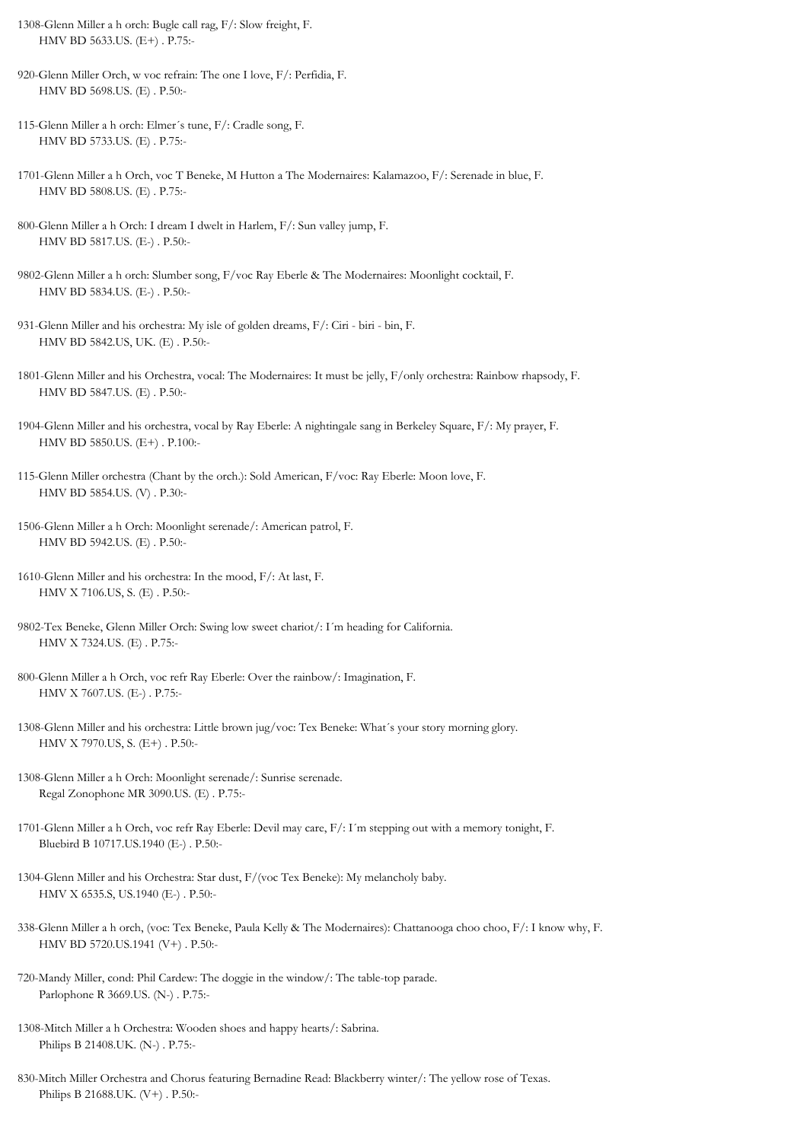- 1308-Glenn Miller a h orch: Bugle call rag, F/: Slow freight, F. HMV BD 5633.US. (E+) . P.75:-
- 920-Glenn Miller Orch, w voc refrain: The one I love, F/: Perfidia, F. HMV BD 5698.US. (E) . P.50:-
- 115-Glenn Miller a h orch: Elmer´s tune, F/: Cradle song, F. HMV BD 5733.US. (E) . P.75:-
- 1701-Glenn Miller a h Orch, voc T Beneke, M Hutton a The Modernaires: Kalamazoo, F/: Serenade in blue, F. HMV BD 5808.US. (E) . P.75:-
- 800-Glenn Miller a h Orch: I dream I dwelt in Harlem, F/: Sun valley jump, F. HMV BD 5817.US. (E-) . P.50:-
- 9802-Glenn Miller a h orch: Slumber song, F/voc Ray Eberle & The Modernaires: Moonlight cocktail, F. HMV BD 5834.US. (E-) . P.50:-
- 931-Glenn Miller and his orchestra: My isle of golden dreams, F/: Ciri biri bin, F. HMV BD 5842.US, UK. (E) . P.50:-
- 1801-Glenn Miller and his Orchestra, vocal: The Modernaires: It must be jelly, F/only orchestra: Rainbow rhapsody, F. HMV BD 5847.US. (E) . P.50:-
- 1904-Glenn Miller and his orchestra, vocal by Ray Eberle: A nightingale sang in Berkeley Square, F/: My prayer, F. HMV BD 5850.US. (E+) . P.100:-
- 115-Glenn Miller orchestra (Chant by the orch.): Sold American, F/voc: Ray Eberle: Moon love, F. HMV BD 5854.US. (V) . P.30:-
- 1506-Glenn Miller a h Orch: Moonlight serenade/: American patrol, F. HMV BD 5942.US. (E) . P.50:-
- 1610-Glenn Miller and his orchestra: In the mood, F/: At last, F. HMV X 7106.US, S. (E) . P.50:-
- 9802-Tex Beneke, Glenn Miller Orch: Swing low sweet chariot/: I´m heading for California. HMV X 7324.US. (E) . P.75:-
- 800-Glenn Miller a h Orch, voc refr Ray Eberle: Over the rainbow/: Imagination, F. HMV X 7607.US. (E-) . P.75:-
- 1308-Glenn Miller and his orchestra: Little brown jug/voc: Tex Beneke: What´s your story morning glory. HMV X 7970.US, S. (E+) . P.50:-
- 1308-Glenn Miller a h Orch: Moonlight serenade/: Sunrise serenade. Regal Zonophone MR 3090.US. (E) . P.75:-
- 1701-Glenn Miller a h Orch, voc refr Ray Eberle: Devil may care, F/: I´m stepping out with a memory tonight, F. Bluebird B 10717.US.1940 (E-) . P.50:-
- 1304-Glenn Miller and his Orchestra: Star dust, F/(voc Tex Beneke): My melancholy baby. HMV X 6535.S, US.1940 (E-) . P.50:-
- 338-Glenn Miller a h orch, (voc: Tex Beneke, Paula Kelly & The Modernaires): Chattanooga choo choo, F/: I know why, F. HMV BD 5720.US.1941 (V+) . P.50:-
- 720-Mandy Miller, cond: Phil Cardew: The doggie in the window/: The table-top parade. Parlophone R 3669.US. (N-) . P.75:-
- 1308-Mitch Miller a h Orchestra: Wooden shoes and happy hearts/: Sabrina. Philips B 21408.UK. (N-) . P.75:-
- 830-Mitch Miller Orchestra and Chorus featuring Bernadine Read: Blackberry winter/: The yellow rose of Texas. Philips B 21688.UK. (V+) . P.50:-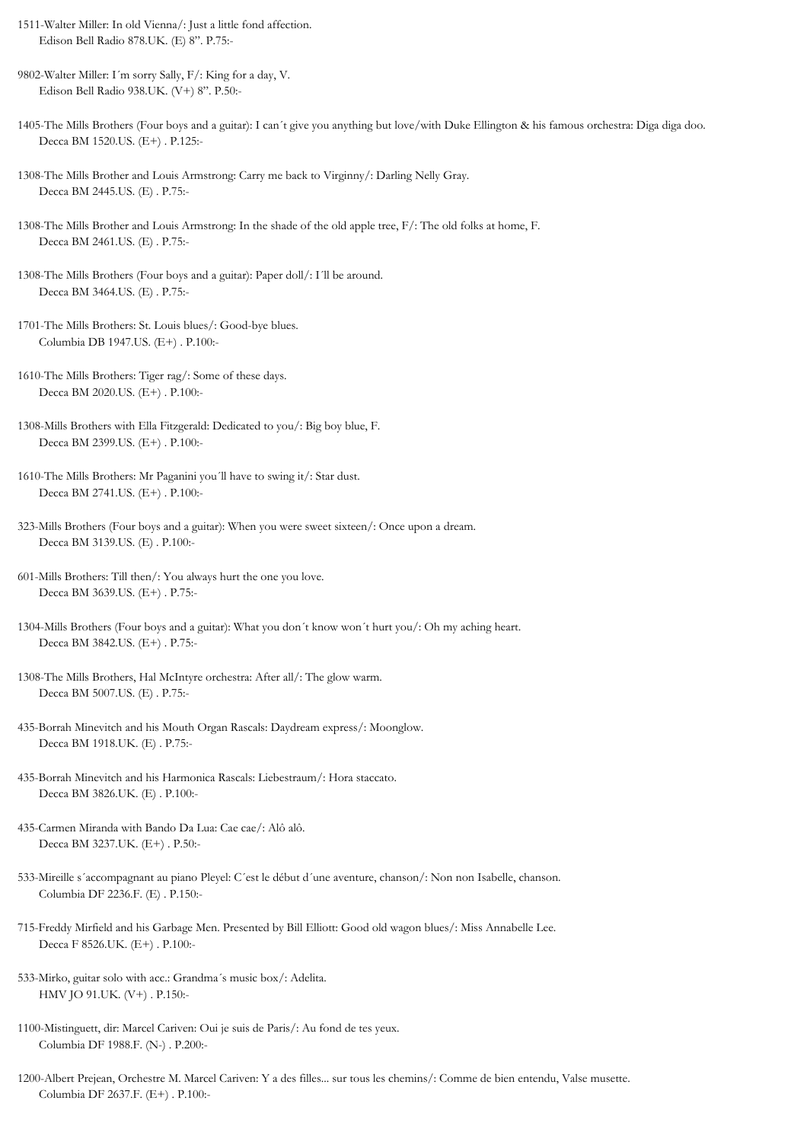- 1511-Walter Miller: In old Vienna/: Just a little fond affection. Edison Bell Radio 878.UK. (E) 8". P.75:-
- 9802-Walter Miller: I´m sorry Sally, F/: King for a day, V. Edison Bell Radio 938.UK. (V+) 8". P.50:-
- 1405-The Mills Brothers (Four boys and a guitar): I can´t give you anything but love/with Duke Ellington & his famous orchestra: Diga diga doo. Decca BM 1520.US. (E+) . P.125:-
- 1308-The Mills Brother and Louis Armstrong: Carry me back to Virginny/: Darling Nelly Gray. Decca BM 2445.US. (E) . P.75:-
- 1308-The Mills Brother and Louis Armstrong: In the shade of the old apple tree, F/: The old folks at home, F. Decca BM 2461.US. (E) . P.75:-
- 1308-The Mills Brothers (Four boys and a guitar): Paper doll/: I´ll be around. Decca BM 3464.US. (E) . P.75:-
- 1701-The Mills Brothers: St. Louis blues/: Good-bye blues. Columbia DB 1947.US. (E+) . P.100:-
- 1610-The Mills Brothers: Tiger rag/: Some of these days. Decca BM 2020.US. (E+) . P.100:-
- 1308-Mills Brothers with Ella Fitzgerald: Dedicated to you/: Big boy blue, F. Decca BM 2399.US. (E+) . P.100:-
- 1610-The Mills Brothers: Mr Paganini you´ll have to swing it/: Star dust. Decca BM 2741.US. (E+) . P.100:-
- 323-Mills Brothers (Four boys and a guitar): When you were sweet sixteen/: Once upon a dream. Decca BM 3139.US. (E) . P.100:-
- 601-Mills Brothers: Till then/: You always hurt the one you love. Decca BM 3639.US. (E+) . P.75:-
- 1304-Mills Brothers (Four boys and a guitar): What you don´t know won´t hurt you/: Oh my aching heart. Decca BM 3842.US. (E+) . P.75:-
- 1308-The Mills Brothers, Hal McIntyre orchestra: After all/: The glow warm. Decca BM 5007.US. (E) . P.75:-
- 435-Borrah Minevitch and his Mouth Organ Rascals: Daydream express/: Moonglow. Decca BM 1918.UK. (E) . P.75:-
- 435-Borrah Minevitch and his Harmonica Rascals: Liebestraum/: Hora staccato. Decca BM 3826.UK. (E) . P.100:-
- 435-Carmen Miranda with Bando Da Lua: Cae cae/: Alô alô. Decca BM 3237.UK. (E+) . P.50:-
- 533-Mireille s´accompagnant au piano Pleyel: C´est le début d´une aventure, chanson/: Non non Isabelle, chanson. Columbia DF 2236.F. (E) . P.150:-
- 715-Freddy Mirfield and his Garbage Men. Presented by Bill Elliott: Good old wagon blues/: Miss Annabelle Lee. Decca F 8526.UK. (E+) . P.100:-
- 533-Mirko, guitar solo with acc.: Grandma´s music box/: Adelita. HMV JO 91.UK. (V+) . P.150:-
- 1100-Mistinguett, dir: Marcel Cariven: Oui je suis de Paris/: Au fond de tes yeux. Columbia DF 1988.F. (N-) . P.200:-
- 1200-Albert Prejean, Orchestre M. Marcel Cariven: Y a des filles... sur tous les chemins/: Comme de bien entendu, Valse musette. Columbia DF 2637.F. (E+) . P.100:-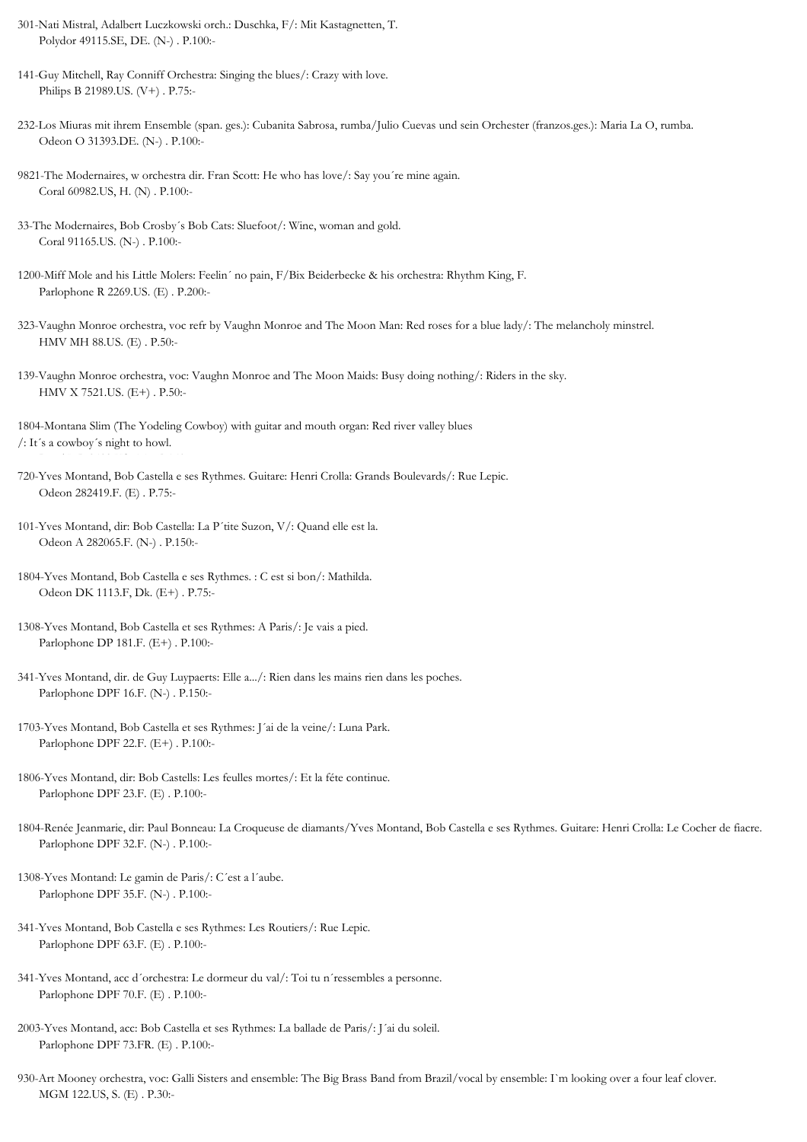- 301-Nati Mistral, Adalbert Luczkowski orch.: Duschka, F/: Mit Kastagnetten, T. Polydor 49115.SE, DE. (N-) . P.100:-
- 141-Guy Mitchell, Ray Conniff Orchestra: Singing the blues/: Crazy with love. Philips B 21989.US. (V+) . P.75:-
- 232-Los Miuras mit ihrem Ensemble (span. ges.): Cubanita Sabrosa, rumba/Julio Cuevas und sein Orchester (franzos.ges.): Maria La O, rumba. Odeon O 31393.DE. (N-) . P.100:-
- 9821-The Modernaires, w orchestra dir. Fran Scott: He who has love/: Say you´re mine again. Coral 60982.US, H. (N) . P.100:-
- 33-The Modernaires, Bob Crosby´s Bob Cats: Sluefoot/: Wine, woman and gold. Coral 91165.US. (N-) . P.100:-
- 1200-Miff Mole and his Little Molers: Feelin´ no pain, F/Bix Beiderbecke & his orchestra: Rhythm King, F. Parlophone R 2269.US. (E) . P.200:-
- 323-Vaughn Monroe orchestra, voc refr by Vaughn Monroe and The Moon Man: Red roses for a blue lady/: The melancholy minstrel. HMV MH 88.US. (E) . P.50:-
- 139-Vaughn Monroe orchestra, voc: Vaughn Monroe and The Moon Maids: Busy doing nothing/: Riders in the sky. HMV X 7521.US. (E+) . P.50:-
- 1804-Montana Slim (The Yodeling Cowboy) with guitar and mouth organ: Red river valley blues /: It´s a cowboy´s night to howl.
- 720-Yves Montand, Bob Castella e ses Rythmes. Guitare: Henri Crolla: Grands Boulevards/: Rue Lepic. Odeon 282419.F. (E) . P.75:-
- 101-Yves Montand, dir: Bob Castella: La P´tite Suzon, V/: Quand elle est la. Odeon A 282065.F. (N-) . P.150:-
- 1804-Yves Montand, Bob Castella e ses Rythmes. : C est si bon/: Mathilda. Odeon DK 1113.F, Dk. (E+) . P.75:-
- 1308-Yves Montand, Bob Castella et ses Rythmes: A Paris/: Je vais a pied. Parlophone DP 181.F. (E+) . P.100:-
- 341-Yves Montand, dir. de Guy Luypaerts: Elle a.../: Rien dans les mains rien dans les poches. Parlophone DPF 16.F. (N-) . P.150:-
- 1703-Yves Montand, Bob Castella et ses Rythmes: J´ai de la veine/: Luna Park. Parlophone DPF 22.F. (E+) . P.100:-
- 1806-Yves Montand, dir: Bob Castells: Les feulles mortes/: Et la féte continue. Parlophone DPF 23.F. (E) . P.100:-
- 1804-Renée Jeanmarie, dir: Paul Bonneau: La Croqueuse de diamants/Yves Montand, Bob Castella e ses Rythmes. Guitare: Henri Crolla: Le Cocher de fiacre. Parlophone DPF 32.F. (N-) . P.100:-
- 1308-Yves Montand: Le gamin de Paris/: C´est a l´aube. Parlophone DPF 35.F. (N-) . P.100:-
- 341-Yves Montand, Bob Castella e ses Rythmes: Les Routiers/: Rue Lepic. Parlophone DPF 63.F. (E) . P.100:-
- 341-Yves Montand, acc d´orchestra: Le dormeur du val/: Toi tu n´ressembles a personne. Parlophone DPF 70.F. (E) . P.100:-
- 2003-Yves Montand, acc: Bob Castella et ses Rythmes: La ballade de Paris/: J´ai du soleil. Parlophone DPF 73.FR. (E) . P.100:-
- 930-Art Mooney orchestra, voc: Galli Sisters and ensemble: The Big Brass Band from Brazil/vocal by ensemble: I`m looking over a four leaf clover. MGM 122.US, S. (E) . P.30:-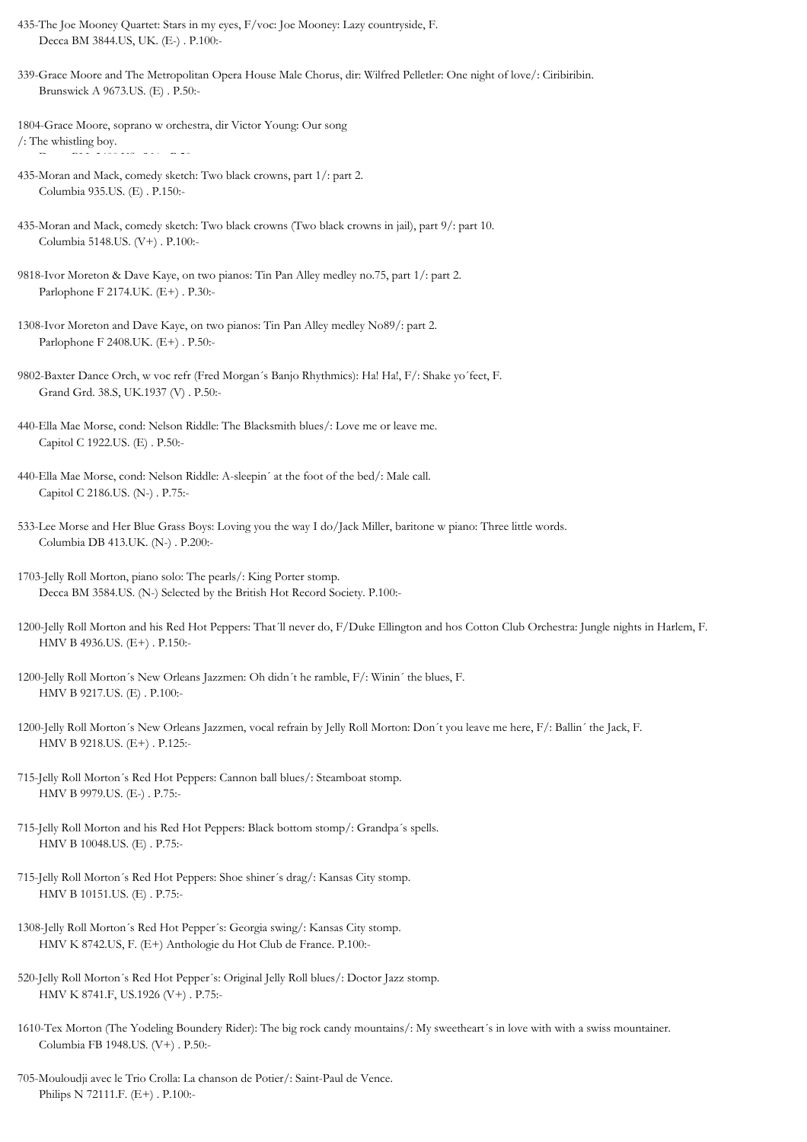- 435-The Joe Mooney Quartet: Stars in my eyes, F/voc: Joe Mooney: Lazy countryside, F. Decca BM 3844.US, UK. (E-) . P.100:-
- 339-Grace Moore and The Metropolitan Opera House Male Chorus, dir: Wilfred Pelletler: One night of love/: Ciribiribin. Brunswick A 9673.US. (E) . P.50:-
- 1804-Grace Moore, soprano w orchestra, dir Victor Young: Our song /: The whistling boy.
- 435-Moran and Mack, comedy sketch: Two black crowns, part 1/: part 2. Columbia 935.US. (E) . P.150:-
- 435-Moran and Mack, comedy sketch: Two black crowns (Two black crowns in jail), part 9/: part 10. Columbia 5148.US. (V+) . P.100:-
- 9818-Ivor Moreton & Dave Kaye, on two pianos: Tin Pan Alley medley no.75, part 1/: part 2. Parlophone F 2174.UK. (E+) . P.30:-
- 1308-Ivor Moreton and Dave Kaye, on two pianos: Tin Pan Alley medley No89/: part 2. Parlophone F 2408.UK. (E+) . P.50:-
- 9802-Baxter Dance Orch, w voc refr (Fred Morgan´s Banjo Rhythmics): Ha! Ha!, F/: Shake yo´feet, F. Grand Grd. 38.S, UK.1937 (V) . P.50:-
- 440-Ella Mae Morse, cond: Nelson Riddle: The Blacksmith blues/: Love me or leave me. Capitol C 1922.US. (E) . P.50:-
- 440-Ella Mae Morse, cond: Nelson Riddle: A-sleepin´ at the foot of the bed/: Male call. Capitol C 2186.US. (N-) . P.75:-
- 533-Lee Morse and Her Blue Grass Boys: Loving you the way I do/Jack Miller, baritone w piano: Three little words. Columbia DB 413.UK. (N-) . P.200:-
- 1703-Jelly Roll Morton, piano solo: The pearls/: King Porter stomp. Decca BM 3584.US. (N-) Selected by the British Hot Record Society. P.100:-
- 1200-Jelly Roll Morton and his Red Hot Peppers: That´ll never do, F/Duke Ellington and hos Cotton Club Orchestra: Jungle nights in Harlem, F. HMV B 4936.US. (E+) . P.150:-
- 1200-Jelly Roll Morton´s New Orleans Jazzmen: Oh didn´t he ramble, F/: Winin´ the blues, F. HMV B 9217.US. (E) . P.100:-
- 1200-Jelly Roll Morton´s New Orleans Jazzmen, vocal refrain by Jelly Roll Morton: Don´t you leave me here, F/: Ballin´ the Jack, F. HMV B 9218.US. (E+) . P.125:-
- 715-Jelly Roll Morton´s Red Hot Peppers: Cannon ball blues/: Steamboat stomp. HMV B 9979.US. (E-) . P.75:-
- 715-Jelly Roll Morton and his Red Hot Peppers: Black bottom stomp/: Grandpa´s spells. HMV B 10048.US. (E) . P.75:-
- 715-Jelly Roll Morton´s Red Hot Peppers: Shoe shiner´s drag/: Kansas City stomp. HMV B 10151.US. (E) . P.75:-
- 1308-Jelly Roll Morton´s Red Hot Pepper´s: Georgia swing/: Kansas City stomp. HMV K 8742.US, F. (E+) Anthologie du Hot Club de France. P.100:-
- 520-Jelly Roll Morton´s Red Hot Pepper´s: Original Jelly Roll blues/: Doctor Jazz stomp. HMV K 8741.F, US.1926 (V+) . P.75:-
- 1610-Tex Morton (The Yodeling Boundery Rider): The big rock candy mountains/: My sweetheart´s in love with with a swiss mountainer. Columbia FB 1948.US. (V+) . P.50:-
- 705-Mouloudji avec le Trio Crolla: La chanson de Potier/: Saint-Paul de Vence. Philips N 72111.F. (E+) . P.100:-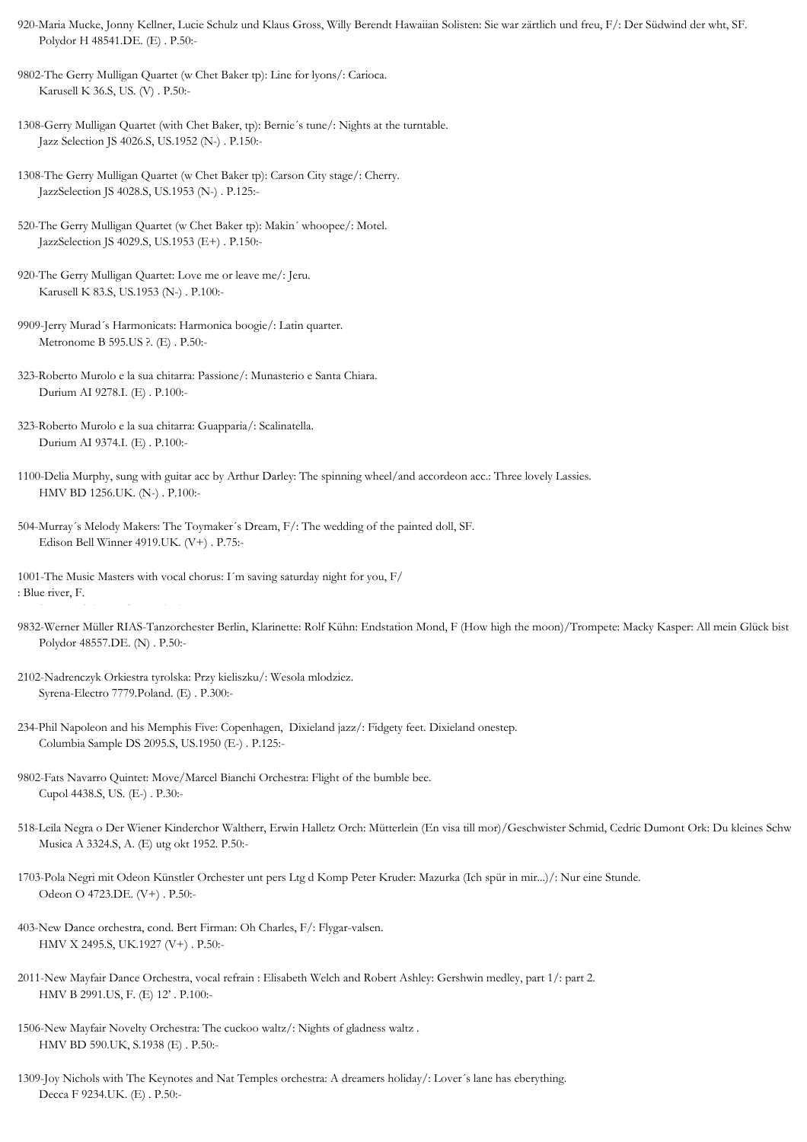920-Maria Mucke, Jonny Kellner, Lucie Schulz und Klaus Gross, Willy Berendt Hawaiian Solisten: Sie war zärtlich und freu, F/: Der Südwind der wht, SF. Polydor H 48541.DE. (E) . P.50:-

9802-The Gerry Mulligan Quartet (w Chet Baker tp): Line for lyons/: Carioca. Karusell K 36.S, US. (V) . P.50:-

1308-Gerry Mulligan Quartet (with Chet Baker, tp): Bernie´s tune/: Nights at the turntable. Jazz Selection JS 4026.S, US.1952 (N-) . P.150:-

1308-The Gerry Mulligan Quartet (w Chet Baker tp): Carson City stage/: Cherry. JazzSelection JS 4028.S, US.1953 (N-) . P.125:-

520-The Gerry Mulligan Quartet (w Chet Baker tp): Makin´ whoopee/: Motel. JazzSelection JS 4029.S, US.1953 (E+) . P.150:-

920-The Gerry Mulligan Quartet: Love me or leave me/: Jeru. Karusell K 83.S, US.1953 (N-) . P.100:-

9909-Jerry Murad´s Harmonicats: Harmonica boogie/: Latin quarter. Metronome B 595.US ?. (E) . P.50:-

323-Roberto Murolo e la sua chitarra: Passione/: Munasterio e Santa Chiara. Durium AI 9278.I. (E) . P.100:-

323-Roberto Murolo e la sua chitarra: Guapparia/: Scalinatella. Durium AI 9374.I. (E) . P.100:-

1100-Delia Murphy, sung with guitar acc by Arthur Darley: The spinning wheel/and accordeon acc.: Three lovely Lassies. HMV BD 1256.UK. (N-) . P.100:-

504-Murray´s Melody Makers: The Toymaker´s Dream, F/: The wedding of the painted doll, SF. Edison Bell Winner 4919.UK. (V+) . P.75:-

1001-The Music Masters with vocal chorus: I´m saving saturday night for you, F/ : Blue river, F.

9832-Werner Müller RIAS-Tanzorchester Berlin, Klarinette: Rolf Kühn: Endstation Mond, F (How high the moon)/Trompete: Macky Kasper: All mein Glück bist Polydor 48557.DE. (N) . P.50:-

2102-Nadrenczyk Orkiestra tyrolska: Przy kieliszku/: Wesola mlodziez. Syrena-Electro 7779.Poland. (E) . P.300:-

- 234-Phil Napoleon and his Memphis Five: Copenhagen, Dixieland jazz/: Fidgety feet. Dixieland onestep. Columbia Sample DS 2095.S, US.1950 (E-) . P.125:-
- 9802-Fats Navarro Quintet: Move/Marcel Bianchi Orchestra: Flight of the bumble bee. Cupol 4438.S, US. (E-) . P.30:-
- 518-Leila Negra o Der Wiener Kinderchor Waltherr, Erwin Halletz Orch: Mütterlein (En visa till mor)/Geschwister Schmid, Cedric Dumont Ork: Du kleines Schw Musica A 3324.S, A. (E) utg okt 1952. P.50:-

1703-Pola Negri mit Odeon Künstler Orchester unt pers Ltg d Komp Peter Kruder: Mazurka (Ich spür in mir...)/: Nur eine Stunde. Odeon O 4723.DE. (V+) . P.50:-

- 403-New Dance orchestra, cond. Bert Firman: Oh Charles, F/: Flygar-valsen. HMV X 2495.S, UK.1927 (V+) . P.50:-
- 2011-New Mayfair Dance Orchestra, vocal refrain : Elisabeth Welch and Robert Ashley: Gershwin medley, part 1/: part 2. HMV B 2991.US, F. (E) 12' . P.100:-
- 1506-New Mayfair Novelty Orchestra: The cuckoo waltz/: Nights of gladness waltz . HMV BD 590.UK, S.1938 (E) . P.50:-

1309-Joy Nichols with The Keynotes and Nat Temples orchestra: A dreamers holiday/: Lover´s lane has eberything. Decca F 9234.UK. (E) . P.50:-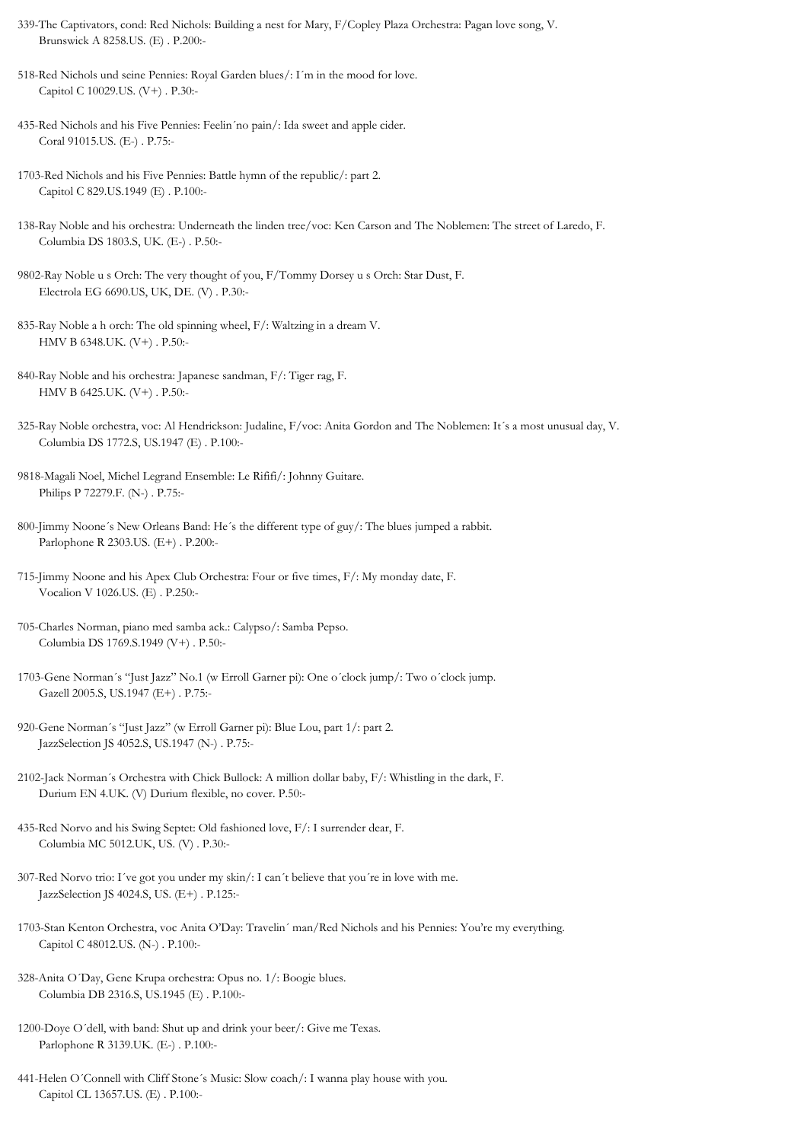- 339-The Captivators, cond: Red Nichols: Building a nest for Mary, F/Copley Plaza Orchestra: Pagan love song, V. Brunswick A 8258.US. (E) . P.200:-
- 518-Red Nichols und seine Pennies: Royal Garden blues/: I´m in the mood for love. Capitol C 10029.US. (V+) . P.30:-
- 435-Red Nichols and his Five Pennies: Feelin´no pain/: Ida sweet and apple cider. Coral 91015.US. (E-) . P.75:-
- 1703-Red Nichols and his Five Pennies: Battle hymn of the republic/: part 2. Capitol C 829.US.1949 (E) . P.100:-
- 138-Ray Noble and his orchestra: Underneath the linden tree/voc: Ken Carson and The Noblemen: The street of Laredo, F. Columbia DS 1803.S, UK. (E-) . P.50:-
- 9802-Ray Noble u s Orch: The very thought of you, F/Tommy Dorsey u s Orch: Star Dust, F. Electrola EG 6690.US, UK, DE. (V) . P.30:-
- 835-Ray Noble a h orch: The old spinning wheel, F/: Waltzing in a dream V. HMV B 6348.UK. (V+) . P.50:-
- 840-Ray Noble and his orchestra: Japanese sandman, F/: Tiger rag, F. HMV B 6425.UK. (V+) . P.50:-
- 325-Ray Noble orchestra, voc: Al Hendrickson: Judaline, F/voc: Anita Gordon and The Noblemen: It´s a most unusual day, V. Columbia DS 1772.S, US.1947 (E) . P.100:-
- 9818-Magali Noel, Michel Legrand Ensemble: Le Rififi/: Johnny Guitare. Philips P 72279.F. (N-) . P.75:-
- 800-Jimmy Noone´s New Orleans Band: He´s the different type of guy/: The blues jumped a rabbit. Parlophone R 2303.US. (E+) . P.200:-
- 715-Jimmy Noone and his Apex Club Orchestra: Four or five times, F/: My monday date, F. Vocalion V 1026.US. (E) . P.250:-
- 705-Charles Norman, piano med samba ack.: Calypso/: Samba Pepso. Columbia DS 1769.S.1949 (V+) . P.50:-
- 1703-Gene Norman´s "Just Jazz" No.1 (w Erroll Garner pi): One o´clock jump/: Two o´clock jump. Gazell 2005.S, US.1947 (E+) . P.75:-
- 920-Gene Norman´s "Just Jazz" (w Erroll Garner pi): Blue Lou, part 1/: part 2. JazzSelection JS 4052.S, US.1947 (N-) . P.75:-
- 2102-Jack Norman´s Orchestra with Chick Bullock: A million dollar baby, F/: Whistling in the dark, F. Durium EN 4.UK. (V) Durium flexible, no cover. P.50:-
- 435-Red Norvo and his Swing Septet: Old fashioned love, F/: I surrender dear, F. Columbia MC 5012.UK, US. (V) . P.30:-
- 307-Red Norvo trio: I´ve got you under my skin/: I can´t believe that you´re in love with me. JazzSelection JS 4024.S, US. (E+) . P.125:-
- 1703-Stan Kenton Orchestra, voc Anita O'Day: Travelin´ man/Red Nichols and his Pennies: You're my everything. Capitol C 48012.US. (N-) . P.100:-
- 328-Anita O´Day, Gene Krupa orchestra: Opus no. 1/: Boogie blues. Columbia DB 2316.S, US.1945 (E) . P.100:-
- 1200-Doye O´dell, with band: Shut up and drink your beer/: Give me Texas. Parlophone R 3139.UK. (E-) . P.100:-
- 441-Helen O´Connell with Cliff Stone´s Music: Slow coach/: I wanna play house with you. Capitol CL 13657.US. (E) . P.100:-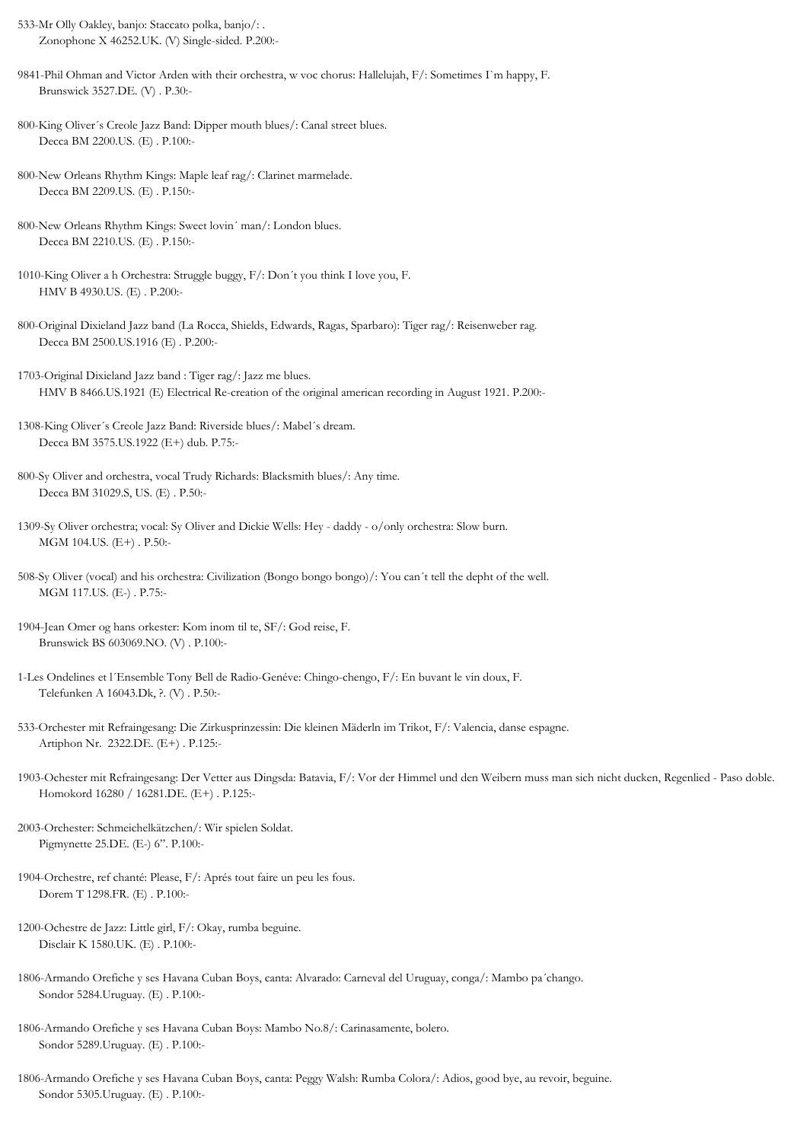- 533-Mr Olly Oakley, banjo: Staccato polka, banjo/: . Zonophone X 46252.UK. (V) Single-sided. P.200:-
- 9841-Phil Ohman and Victor Arden with their orchestra, w voc chorus: Hallelujah, F/: Sometimes I`m happy, F. Brunswick 3527.DE. (V) . P.30:-
- 800-King Oliver´s Creole Jazz Band: Dipper mouth blues/: Canal street blues. Decca BM 2200.US. (E) . P.100:-
- 800-New Orleans Rhythm Kings: Maple leaf rag/: Clarinet marmelade. Decca BM 2209.US. (E) . P.150:-
- 800-New Orleans Rhythm Kings: Sweet lovin´ man/: London blues. Decca BM 2210.US. (E) . P.150:-
- 1010-King Oliver a h Orchestra: Struggle buggy, F/: Don´t you think I love you, F. HMV B 4930.US. (E) . P.200:-
- 800-Original Dixieland Jazz band (La Rocca, Shields, Edwards, Ragas, Sparbaro): Tiger rag/: Reisenweber rag. Decca BM 2500.US.1916 (E) . P.200:-
- 1703-Original Dixieland Jazz band : Tiger rag/: Jazz me blues. HMV B 8466.US.1921 (E) Electrical Re-creation of the original american recording in August 1921. P.200:-
- 1308-King Oliver´s Creole Jazz Band: Riverside blues/: Mabel´s dream. Decca BM 3575.US.1922 (E+) dub. P.75:-
- 800-Sy Oliver and orchestra, vocal Trudy Richards: Blacksmith blues/: Any time. Decca BM 31029.S, US. (E) . P.50:-
- 1309-Sy Oliver orchestra; vocal: Sy Oliver and Dickie Wells: Hey daddy o/only orchestra: Slow burn. MGM 104.US. (E+) . P.50:-
- 508-Sy Oliver (vocal) and his orchestra: Civilization (Bongo bongo bongo)/: You can´t tell the depht of the well. MGM 117.US. (E-) . P.75:-
- 1904-Jean Omer og hans orkester: Kom inom til te, SF/: God reise, F. Brunswick BS 603069.NO. (V) . P.100:-
- 1-Les Ondelines et l´Ensemble Tony Bell de Radio-Genéve: Chingo-chengo, F/: En buvant le vin doux, F. Telefunken A 16043.Dk, ?. (V) . P.50:-
- 533-Orchester mit Refraingesang: Die Zirkusprinzessin: Die kleinen Mäderln im Trikot, F/: Valencia, danse espagne. Artiphon Nr. 2322.DE. (E+) . P.125:-
- 1903-Ochester mit Refraingesang: Der Vetter aus Dingsda: Batavia, F/: Vor der Himmel und den Weibern muss man sich nicht ducken, Regenlied Paso doble. Homokord 16280 / 16281.DE. (E+) . P.125:-
- 2003-Orchester: Schmeichelkätzchen/: Wir spielen Soldat. Pigmynette 25.DE. (E-) 6". P.100:-
- 1904-Orchestre, ref chanté: Please, F/: Aprés tout faire un peu les fous. Dorem T 1298.FR. (E) . P.100:-
- 1200-Ochestre de Jazz: Little girl, F/: Okay, rumba beguine. Disclair K 1580.UK. (E) . P.100:-
- 1806-Armando Orefiche y ses Havana Cuban Boys, canta: Alvarado: Carneval del Uruguay, conga/: Mambo pa´chango. Sondor 5284.Uruguay. (E) . P.100:-
- 1806-Armando Orefiche y ses Havana Cuban Boys: Mambo No.8/: Carinasamente, bolero. Sondor 5289.Uruguay. (E) . P.100:-
- 1806-Armando Orefiche y ses Havana Cuban Boys, canta: Peggy Walsh: Rumba Colora/: Adios, good bye, au revoir, beguine. Sondor 5305.Uruguay. (E) . P.100:-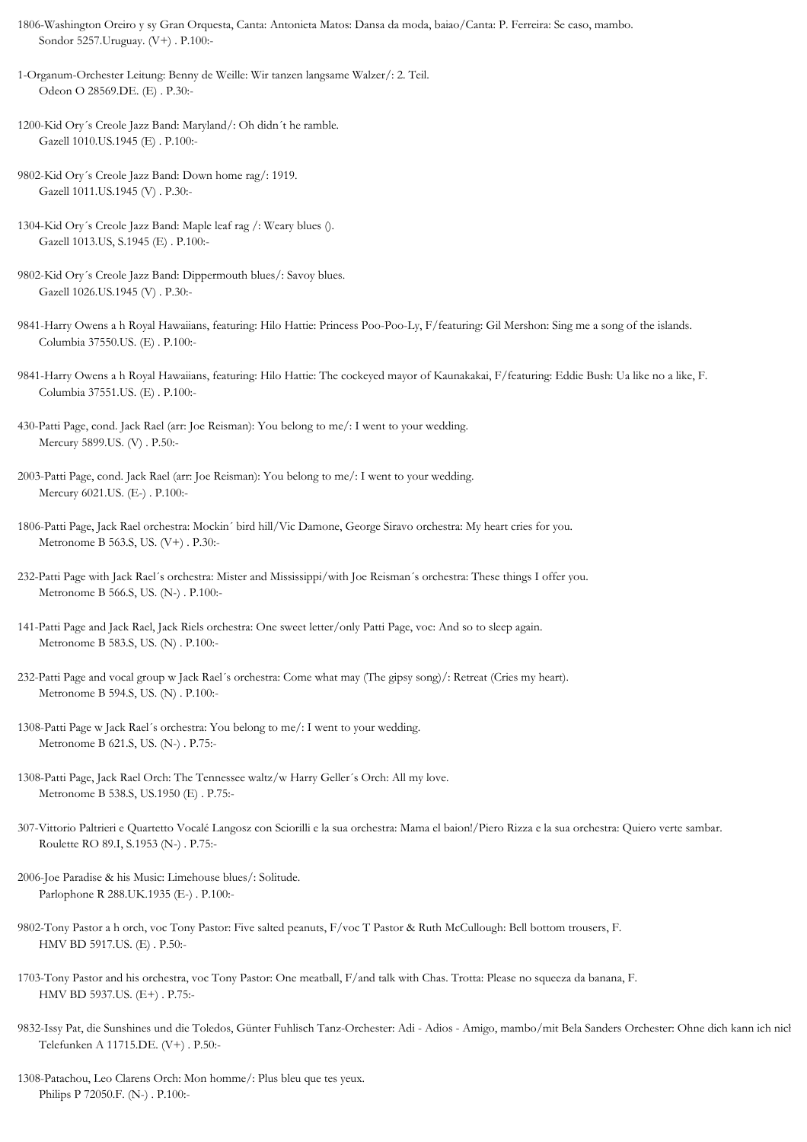1806-Washington Oreiro y sy Gran Orquesta, Canta: Antonieta Matos: Dansa da moda, baiao/Canta: P. Ferreira: Se caso, mambo. Sondor 5257.Uruguay. (V+) . P.100:-

1-Organum-Orchester Leitung: Benny de Weille: Wir tanzen langsame Walzer/: 2. Teil. Odeon O 28569.DE. (E) . P.30:-

- 1200-Kid Ory´s Creole Jazz Band: Maryland/: Oh didn´t he ramble. Gazell 1010.US.1945 (E) . P.100:-
- 9802-Kid Ory´s Creole Jazz Band: Down home rag/: 1919. Gazell 1011.US.1945 (V) . P.30:-
- 1304-Kid Ory´s Creole Jazz Band: Maple leaf rag /: Weary blues (). Gazell 1013.US, S.1945 (E) . P.100:-
- 9802-Kid Ory´s Creole Jazz Band: Dippermouth blues/: Savoy blues. Gazell 1026.US.1945 (V) . P.30:-
- 9841-Harry Owens a h Royal Hawaiians, featuring: Hilo Hattie: Princess Poo-Poo-Ly, F/featuring: Gil Mershon: Sing me a song of the islands. Columbia 37550.US. (E) . P.100:-
- 9841-Harry Owens a h Royal Hawaiians, featuring: Hilo Hattie: The cockeyed mayor of Kaunakakai, F/featuring: Eddie Bush: Ua like no a like, F. Columbia 37551.US. (E) . P.100:-
- 430-Patti Page, cond. Jack Rael (arr: Joe Reisman): You belong to me/: I went to your wedding. Mercury 5899.US. (V) . P.50:-
- 2003-Patti Page, cond. Jack Rael (arr: Joe Reisman): You belong to me/: I went to your wedding. Mercury 6021.US. (E-) . P.100:-
- 1806-Patti Page, Jack Rael orchestra: Mockin´ bird hill/Vic Damone, George Siravo orchestra: My heart cries for you. Metronome B 563.S, US. (V+) . P.30:-
- 232-Patti Page with Jack Rael´s orchestra: Mister and Mississippi/with Joe Reisman´s orchestra: These things I offer you. Metronome B 566.S, US. (N-) . P.100:-
- 141-Patti Page and Jack Rael, Jack Riels orchestra: One sweet letter/only Patti Page, voc: And so to sleep again. Metronome B 583.S, US. (N) . P.100:-
- 232-Patti Page and vocal group w Jack Rael´s orchestra: Come what may (The gipsy song)/: Retreat (Cries my heart). Metronome B 594.S, US. (N) . P.100:-
- 1308-Patti Page w Jack Rael´s orchestra: You belong to me/: I went to your wedding. Metronome B 621.S, US. (N-) . P.75:-
- 1308-Patti Page, Jack Rael Orch: The Tennessee waltz/w Harry Geller´s Orch: All my love. Metronome B 538.S, US.1950 (E) . P.75:-
- 307-Vittorio Paltrieri e Quartetto Vocalé Langosz con Sciorilli e la sua orchestra: Mama el baion!/Piero Rizza e la sua orchestra: Quiero verte sambar. Roulette RO 89.I, S.1953 (N-) . P.75:-
- 2006-Joe Paradise & his Music: Limehouse blues/: Solitude. Parlophone R 288.UK.1935 (E-) . P.100:-
- 9802-Tony Pastor a h orch, voc Tony Pastor: Five salted peanuts, F/voc T Pastor & Ruth McCullough: Bell bottom trousers, F. HMV BD 5917.US. (E) . P.50:-
- 1703-Tony Pastor and his orchestra, voc Tony Pastor: One meatball, F/and talk with Chas. Trotta: Please no squeeza da banana, F. HMV BD 5937.US. (E+) . P.75:-
- 9832-Issy Pat, die Sunshines und die Toledos, Günter Fuhlisch Tanz-Orchester: Adi Adios Amigo, mambo/mit Bela Sanders Orchester: Ohne dich kann ich nich Telefunken A 11715.DE. (V+) . P.50:-
- 1308-Patachou, Leo Clarens Orch: Mon homme/: Plus bleu que tes yeux. Philips P 72050.F. (N-) . P.100:-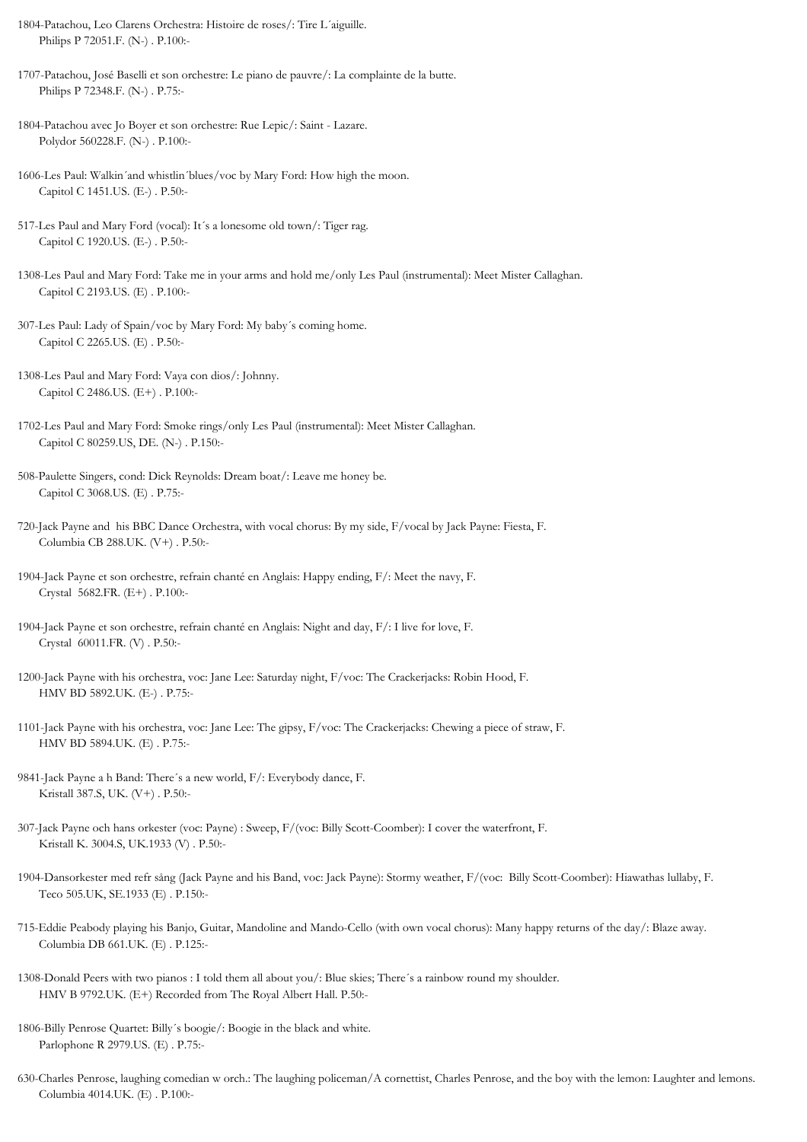1804-Patachou, Leo Clarens Orchestra: Histoire de roses/: Tire L´aiguille. Philips P 72051.F. (N-) . P.100:-

1707-Patachou, José Baselli et son orchestre: Le piano de pauvre/: La complainte de la butte. Philips P 72348.F. (N-) . P.75:-

- 1804-Patachou avec Jo Boyer et son orchestre: Rue Lepic/: Saint Lazare. Polydor 560228.F. (N-) . P.100:-
- 1606-Les Paul: Walkin´and whistlin´blues/voc by Mary Ford: How high the moon. Capitol C 1451.US. (E-) . P.50:-
- 517-Les Paul and Mary Ford (vocal): It´s a lonesome old town/: Tiger rag. Capitol C 1920.US. (E-) . P.50:-
- 1308-Les Paul and Mary Ford: Take me in your arms and hold me/only Les Paul (instrumental): Meet Mister Callaghan. Capitol C 2193.US. (E) . P.100:-
- 307-Les Paul: Lady of Spain/voc by Mary Ford: My baby´s coming home. Capitol C 2265.US. (E) . P.50:-
- 1308-Les Paul and Mary Ford: Vaya con dios/: Johnny. Capitol C 2486.US. (E+) . P.100:-
- 1702-Les Paul and Mary Ford: Smoke rings/only Les Paul (instrumental): Meet Mister Callaghan. Capitol C 80259.US, DE. (N-) . P.150:-
- 508-Paulette Singers, cond: Dick Reynolds: Dream boat/: Leave me honey be. Capitol C 3068.US. (E) . P.75:-
- 720-Jack Payne and his BBC Dance Orchestra, with vocal chorus: By my side, F/vocal by Jack Payne: Fiesta, F. Columbia CB 288.UK. (V+) . P.50:-
- 1904-Jack Payne et son orchestre, refrain chanté en Anglais: Happy ending, F/: Meet the navy, F. Crystal 5682.FR. (E+) . P.100:-
- 1904-Jack Payne et son orchestre, refrain chanté en Anglais: Night and day, F/: I live for love, F. Crystal 60011.FR. (V) . P.50:-
- 1200-Jack Payne with his orchestra, voc: Jane Lee: Saturday night, F/voc: The Crackerjacks: Robin Hood, F. HMV BD 5892.UK. (E-) . P.75:-
- 1101-Jack Payne with his orchestra, voc: Jane Lee: The gipsy, F/voc: The Crackerjacks: Chewing a piece of straw, F. HMV BD 5894.UK. (E) . P.75:-
- 9841-Jack Payne a h Band: There´s a new world, F/: Everybody dance, F. Kristall 387.S, UK. (V+) . P.50:-
- 307-Jack Payne och hans orkester (voc: Payne) : Sweep, F/(voc: Billy Scott-Coomber): I cover the waterfront, F. Kristall K. 3004.S, UK.1933 (V) . P.50:-
- 1904-Dansorkester med refr sång (Jack Payne and his Band, voc: Jack Payne): Stormy weather, F/(voc: Billy Scott-Coomber): Hiawathas lullaby, F. Teco 505.UK, SE.1933 (E) . P.150:-
- 715-Eddie Peabody playing his Banjo, Guitar, Mandoline and Mando-Cello (with own vocal chorus): Many happy returns of the day/: Blaze away. Columbia DB 661.UK. (E) . P.125:-
- 1308-Donald Peers with two pianos : I told them all about you/: Blue skies; There´s a rainbow round my shoulder. HMV B 9792.UK. (E+) Recorded from The Royal Albert Hall. P.50:-
- 1806-Billy Penrose Quartet: Billy´s boogie/: Boogie in the black and white. Parlophone R 2979.US. (E) . P.75:-
- 630-Charles Penrose, laughing comedian w orch.: The laughing policeman/A cornettist, Charles Penrose, and the boy with the lemon: Laughter and lemons. Columbia 4014.UK. (E) . P.100:-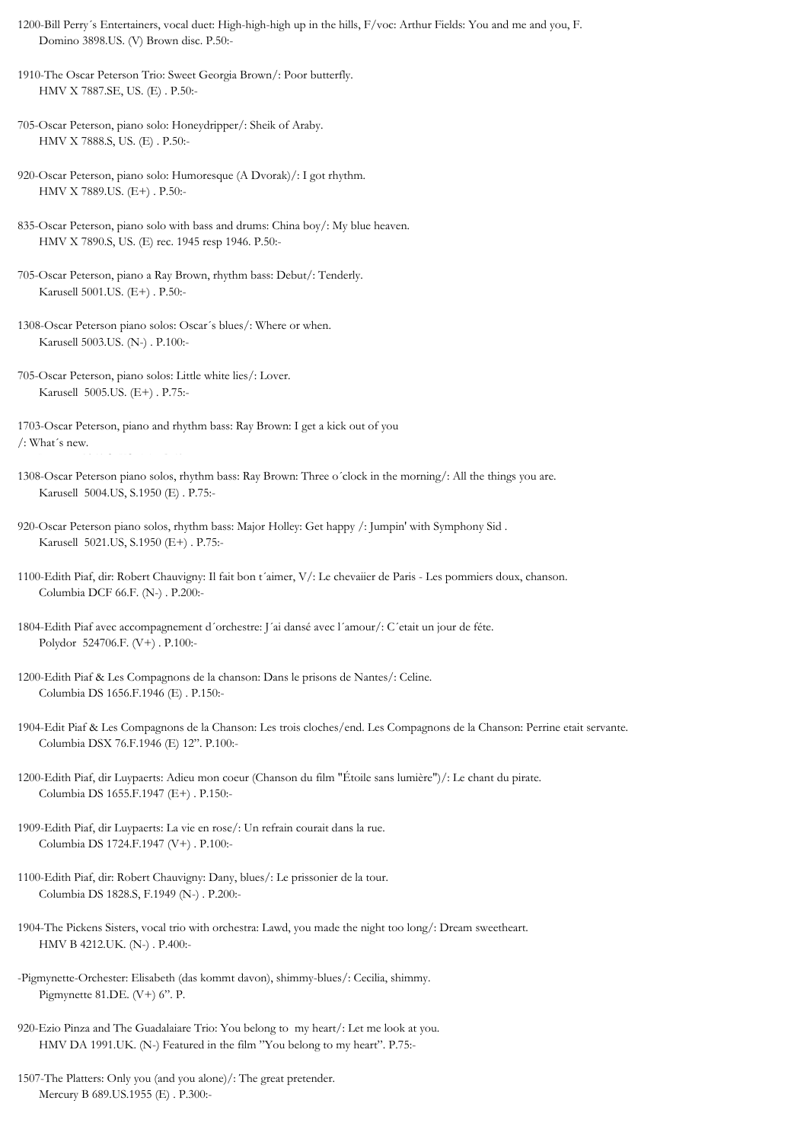- 1200-Bill Perry´s Entertainers, vocal duet: High-high-high up in the hills, F/voc: Arthur Fields: You and me and you, F. Domino 3898.US. (V) Brown disc. P.50:-
- 1910-The Oscar Peterson Trio: Sweet Georgia Brown/: Poor butterfly. HMV X 7887.SE, US. (E) . P.50:-
- 705-Oscar Peterson, piano solo: Honeydripper/: Sheik of Araby. HMV X 7888.S, US. (E) . P.50:-
- 920-Oscar Peterson, piano solo: Humoresque (A Dvorak)/: I got rhythm. HMV X 7889.US. (E+) . P.50:-
- 835-Oscar Peterson, piano solo with bass and drums: China boy/: My blue heaven. HMV X 7890.S, US. (E) rec. 1945 resp 1946. P.50:-
- 705-Oscar Peterson, piano a Ray Brown, rhythm bass: Debut/: Tenderly. Karusell 5001.US. (E+) . P.50:-
- 1308-Oscar Peterson piano solos: Oscar´s blues/: Where or when. Karusell 5003.US. (N-) . P.100:-
- 705-Oscar Peterson, piano solos: Little white lies/: Lover. Karusell 5005.US. (E+) . P.75:-
- 1703-Oscar Peterson, piano and rhythm bass: Ray Brown: I get a kick out of you /: What´s new.
- 1308-Oscar Peterson piano solos, rhythm bass: Ray Brown: Three o´clock in the morning/: All the things you are. Karusell 5004.US, S.1950 (E) . P.75:-
- 920-Oscar Peterson piano solos, rhythm bass: Major Holley: Get happy /: Jumpin' with Symphony Sid . Karusell 5021.US, S.1950 (E+) . P.75:-
- 1100-Edith Piaf, dir: Robert Chauvigny: Il fait bon t´aimer, V/: Le chevaiier de Paris Les pommiers doux, chanson. Columbia DCF 66.F. (N-) . P.200:-
- 1804-Edith Piaf avec accompagnement d´orchestre: J´ai dansé avec l´amour/: C´etait un jour de féte. Polydor 524706.F. (V+) . P.100:-
- 1200-Edith Piaf & Les Compagnons de la chanson: Dans le prisons de Nantes/: Celine. Columbia DS 1656.F.1946 (E) . P.150:-
- 1904-Edit Piaf & Les Compagnons de la Chanson: Les trois cloches/end. Les Compagnons de la Chanson: Perrine etait servante. Columbia DSX 76.F.1946 (E) 12". P.100:-
- 1200-Edith Piaf, dir Luypaerts: Adieu mon coeur (Chanson du film "Étoile sans lumière")/: Le chant du pirate. Columbia DS 1655.F.1947 (E+) . P.150:-
- 1909-Edith Piaf, dir Luypaerts: La vie en rose/: Un refrain courait dans la rue. Columbia DS 1724.F.1947 (V+) . P.100:-
- 1100-Edith Piaf, dir: Robert Chauvigny: Dany, blues/: Le prissonier de la tour. Columbia DS 1828.S, F.1949 (N-) . P.200:-
- 1904-The Pickens Sisters, vocal trio with orchestra: Lawd, you made the night too long/: Dream sweetheart. HMV B 4212.UK. (N-) . P.400:-
- -Pigmynette-Orchester: Elisabeth (das kommt davon), shimmy-blues/: Cecilia, shimmy. Pigmynette 81.DE. (V+) 6". P.
- 920-Ezio Pinza and The Guadalaiare Trio: You belong to my heart/: Let me look at you. HMV DA 1991.UK. (N-) Featured in the film "You belong to my heart". P.75:-
- 1507-The Platters: Only you (and you alone)/: The great pretender. Mercury B 689.US.1955 (E) . P.300:-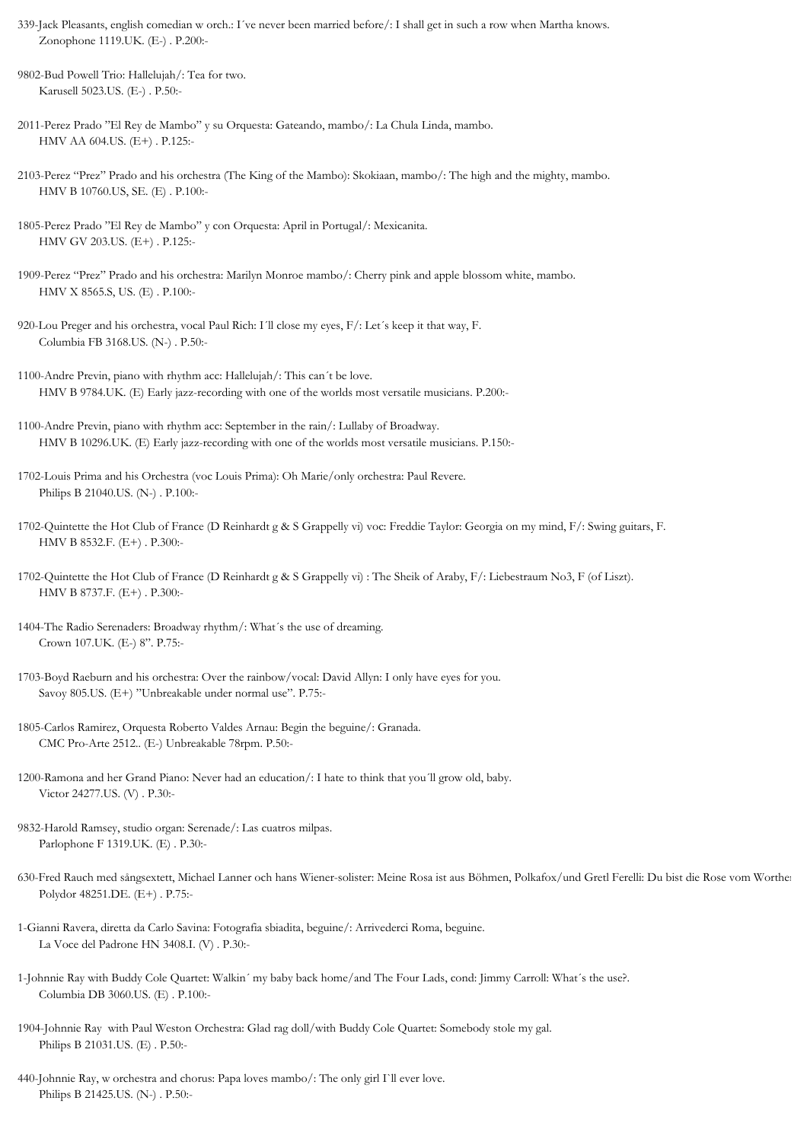- 339-Jack Pleasants, english comedian w orch.: I´ve never been married before/: I shall get in such a row when Martha knows. Zonophone 1119.UK. (E-) . P.200:-
- 9802-Bud Powell Trio: Hallelujah/: Tea for two. Karusell 5023.US. (E-) . P.50:-
- 2011-Perez Prado "El Rey de Mambo" y su Orquesta: Gateando, mambo/: La Chula Linda, mambo. HMV AA 604.US. (E+) . P.125:-
- 2103-Perez "Prez" Prado and his orchestra (The King of the Mambo): Skokiaan, mambo/: The high and the mighty, mambo. HMV B 10760.US, SE. (E) . P.100:-
- 1805-Perez Prado "El Rey de Mambo" y con Orquesta: April in Portugal/: Mexicanita. HMV GV 203.US. (E+) . P.125:-
- 1909-Perez "Prez" Prado and his orchestra: Marilyn Monroe mambo/: Cherry pink and apple blossom white, mambo. HMV X 8565.S, US. (E) . P.100:-
- 920-Lou Preger and his orchestra, vocal Paul Rich: I´ll close my eyes, F/: Let´s keep it that way, F. Columbia FB 3168.US. (N-) . P.50:-
- 1100-Andre Previn, piano with rhythm acc: Hallelujah/: This can´t be love. HMV B 9784.UK. (E) Early jazz-recording with one of the worlds most versatile musicians. P.200:-
- 1100-Andre Previn, piano with rhythm acc: September in the rain/: Lullaby of Broadway. HMV B 10296.UK. (E) Early jazz-recording with one of the worlds most versatile musicians. P.150:-
- 1702-Louis Prima and his Orchestra (voc Louis Prima): Oh Marie/only orchestra: Paul Revere. Philips B 21040.US. (N-) . P.100:-
- 1702-Quintette the Hot Club of France (D Reinhardt g & S Grappelly vi) voc: Freddie Taylor: Georgia on my mind, F/: Swing guitars, F. HMV B 8532.F. (E+) . P.300:-
- 1702-Quintette the Hot Club of France (D Reinhardt g & S Grappelly vi) : The Sheik of Araby, F/: Liebestraum No3, F (of Liszt). HMV B 8737.F. (E+) . P.300:-
- 1404-The Radio Serenaders: Broadway rhythm/: What´s the use of dreaming. Crown 107.UK. (E-) 8". P.75:-
- 1703-Boyd Raeburn and his orchestra: Over the rainbow/vocal: David Allyn: I only have eyes for you. Savoy 805.US. (E+) "Unbreakable under normal use". P.75:-
- 1805-Carlos Ramirez, Orquesta Roberto Valdes Arnau: Begin the beguine/: Granada. CMC Pro-Arte 2512.. (E-) Unbreakable 78rpm. P.50:-
- 1200-Ramona and her Grand Piano: Never had an education/: I hate to think that you´ll grow old, baby. Victor 24277.US. (V) . P.30:-
- 9832-Harold Ramsey, studio organ: Serenade/: Las cuatros milpas. Parlophone F 1319.UK. (E) . P.30:-
- 630-Fred Rauch med sångsextett, Michael Lanner och hans Wiener-solister: Meine Rosa ist aus Böhmen, Polkafox/und Gretl Ferelli: Du bist die Rose vom Worther Polydor 48251.DE. (E+) . P.75:-
- 1-Gianni Ravera, diretta da Carlo Savina: Fotografia sbiadita, beguine/: Arrivederci Roma, beguine. La Voce del Padrone HN 3408.I. (V) . P.30:-
- 1-Johnnie Ray with Buddy Cole Quartet: Walkin´ my baby back home/and The Four Lads, cond: Jimmy Carroll: What´s the use?. Columbia DB 3060.US. (E) . P.100:-
- 1904-Johnnie Ray with Paul Weston Orchestra: Glad rag doll/with Buddy Cole Quartet: Somebody stole my gal. Philips B 21031.US. (E) . P.50:-
- 440-Johnnie Ray, w orchestra and chorus: Papa loves mambo/: The only girl I`ll ever love. Philips B 21425.US. (N-) . P.50:-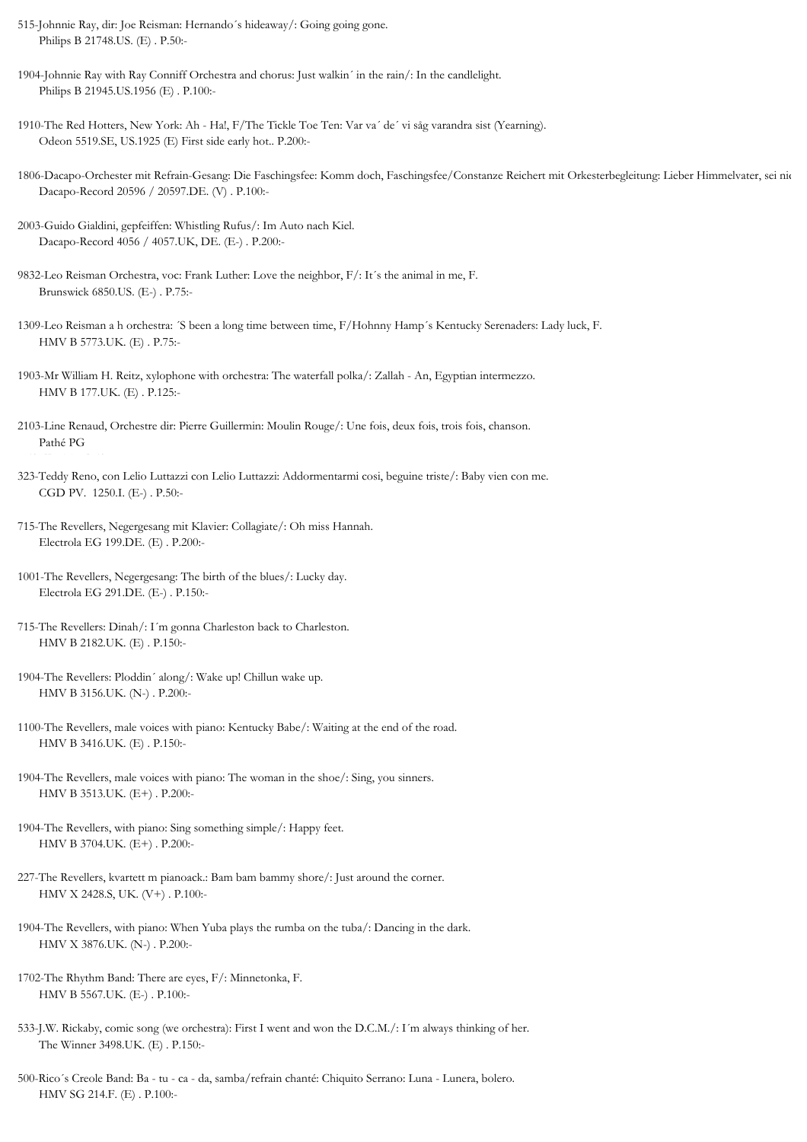- 515-Johnnie Ray, dir: Joe Reisman: Hernando´s hideaway/: Going going gone. Philips B 21748.US. (E) . P.50:-
- 1904-Johnnie Ray with Ray Conniff Orchestra and chorus: Just walkin´ in the rain/: In the candlelight. Philips B 21945.US.1956 (E) . P.100:-
- 1910-The Red Hotters, New York: Ah Ha!, F/The Tickle Toe Ten: Var va´ de´ vi såg varandra sist (Yearning). Odeon 5519.SE, US.1925 (E) First side early hot.. P.200:-
- 1806-Dacapo-Orchester mit Refrain-Gesang: Die Faschingsfee: Komm doch, Faschingsfee/Constanze Reichert mit Orkesterbegleitung: Lieber Himmelvater, sei nic Dacapo-Record 20596 / 20597.DE. (V) . P.100:-
- 2003-Guido Gialdini, gepfeiffen: Whistling Rufus/: Im Auto nach Kiel. Dacapo-Record 4056 / 4057.UK, DE. (E-) . P.200:-
- 9832-Leo Reisman Orchestra, voc: Frank Luther: Love the neighbor, F/: It´s the animal in me, F. Brunswick 6850.US. (E-) . P.75:-
- 1309-Leo Reisman a h orchestra: ´S been a long time between time, F/Hohnny Hamp´s Kentucky Serenaders: Lady luck, F. HMV B 5773.UK. (E) . P.75:-
- 1903-Mr William H. Reitz, xylophone with orchestra: The waterfall polka/: Zallah An, Egyptian intermezzo. HMV B 177.UK. (E) . P.125:-
- 2103-Line Renaud, Orchestre dir: Pierre Guillermin: Moulin Rouge/: Une fois, deux fois, trois fois, chanson. Pathé PG
- 323-Teddy Reno, con Lelio Luttazzi con Lelio Luttazzi: Addormentarmi cosi, beguine triste/: Baby vien con me. CGD PV. 1250.I. (E-) . P.50:-
- 715-The Revellers, Negergesang mit Klavier: Collagiate/: Oh miss Hannah. Electrola EG 199.DE. (E) . P.200:-
- 1001-The Revellers, Negergesang: The birth of the blues/: Lucky day. Electrola EG 291.DE. (E-) . P.150:-
- 715-The Revellers: Dinah/: I´m gonna Charleston back to Charleston. HMV B 2182.UK. (E) . P.150:-
- 1904-The Revellers: Ploddin´ along/: Wake up! Chillun wake up. HMV B 3156.UK. (N-) . P.200:-
- 1100-The Revellers, male voices with piano: Kentucky Babe/: Waiting at the end of the road. HMV B 3416.UK. (E) . P.150:-
- 1904-The Revellers, male voices with piano: The woman in the shoe/: Sing, you sinners. HMV B 3513.UK. (E+) . P.200:-
- 1904-The Revellers, with piano: Sing something simple/: Happy feet. HMV B 3704.UK. (E+) . P.200:-
- 227-The Revellers, kvartett m pianoack.: Bam bam bammy shore/: Just around the corner. HMV X 2428.S, UK. (V+) . P.100:-
- 1904-The Revellers, with piano: When Yuba plays the rumba on the tuba/: Dancing in the dark. HMV X 3876.UK. (N-) . P.200:-
- 1702-The Rhythm Band: There are eyes, F/: Minnetonka, F. HMV B 5567.UK. (E-) . P.100:-
- 533-J.W. Rickaby, comic song (we orchestra): First I went and won the D.C.M./: I´m always thinking of her. The Winner 3498.UK. (E) . P.150:-
- 500-Rico´s Creole Band: Ba tu ca da, samba/refrain chanté: Chiquito Serrano: Luna Lunera, bolero. HMV SG 214.F. (E) . P.100:-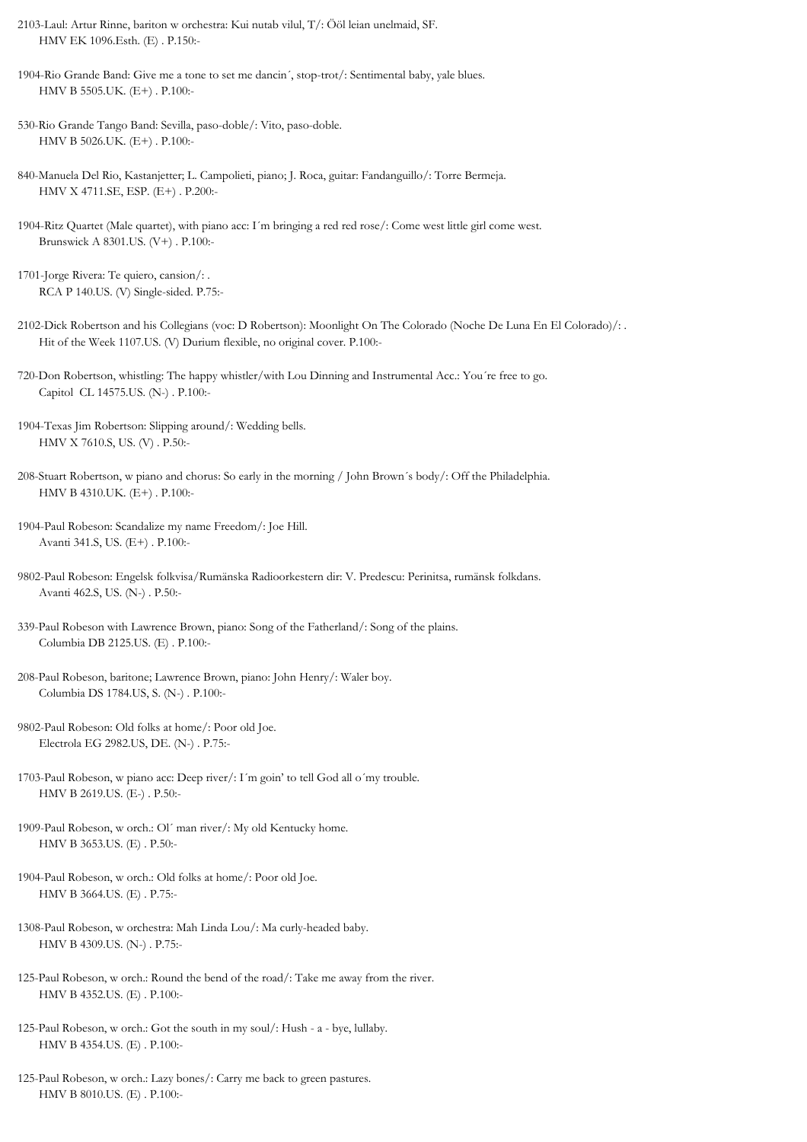2103-Laul: Artur Rinne, bariton w orchestra: Kui nutab vilul, T/: Ööl leian unelmaid, SF. HMV EK 1096.Esth. (E) . P.150:-

1904-Rio Grande Band: Give me a tone to set me dancin´, stop-trot/: Sentimental baby, yale blues. HMV B 5505.UK. (E+) . P.100:-

- 530-Rio Grande Tango Band: Sevilla, paso-doble/: Vito, paso-doble. HMV B 5026.UK. (E+) . P.100:-
- 840-Manuela Del Rio, Kastanjetter; L. Campolieti, piano; J. Roca, guitar: Fandanguillo/: Torre Bermeja. HMV X 4711.SE, ESP. (E+) . P.200:-
- 1904-Ritz Quartet (Male quartet), with piano acc: I´m bringing a red red rose/: Come west little girl come west. Brunswick A 8301.US. (V+) . P.100:-
- 1701-Jorge Rivera: Te quiero, cansion/: . RCA P 140.US. (V) Single-sided. P.75:-
- 2102-Dick Robertson and his Collegians (voc: D Robertson): Moonlight On The Colorado (Noche De Luna En El Colorado)/: . Hit of the Week 1107.US. (V) Durium flexible, no original cover. P.100:-
- 720-Don Robertson, whistling: The happy whistler/with Lou Dinning and Instrumental Acc.: You´re free to go. Capitol CL 14575.US. (N-) . P.100:-
- 1904-Texas Jim Robertson: Slipping around/: Wedding bells. HMV X 7610.S, US. (V) . P.50:-
- 208-Stuart Robertson, w piano and chorus: So early in the morning / John Brown´s body/: Off the Philadelphia. HMV B 4310.UK. (E+) . P.100:-
- 1904-Paul Robeson: Scandalize my name Freedom/: Joe Hill. Avanti 341.S, US. (E+) . P.100:-
- 9802-Paul Robeson: Engelsk folkvisa/Rumänska Radioorkestern dir: V. Predescu: Perinitsa, rumänsk folkdans. Avanti 462.S, US. (N-) . P.50:-
- 339-Paul Robeson with Lawrence Brown, piano: Song of the Fatherland/: Song of the plains. Columbia DB 2125.US. (E) . P.100:-
- 208-Paul Robeson, baritone; Lawrence Brown, piano: John Henry/: Waler boy. Columbia DS 1784.US, S. (N-) . P.100:-
- 9802-Paul Robeson: Old folks at home/: Poor old Joe. Electrola EG 2982.US, DE. (N-) . P.75:-
- 1703-Paul Robeson, w piano acc: Deep river/: I´m goin' to tell God all o´my trouble. HMV B 2619.US. (E-) . P.50:-

1909-Paul Robeson, w orch.: Ol´ man river/: My old Kentucky home. HMV B 3653.US. (E) . P.50:-

- 1904-Paul Robeson, w orch.: Old folks at home/: Poor old Joe. HMV B 3664.US. (E) . P.75:-
- 1308-Paul Robeson, w orchestra: Mah Linda Lou/: Ma curly-headed baby. HMV B 4309.US. (N-) . P.75:-
- 125-Paul Robeson, w orch.: Round the bend of the road/: Take me away from the river. HMV B 4352.US. (E) . P.100:-
- 125-Paul Robeson, w orch.: Got the south in my soul/: Hush a bye, lullaby. HMV B 4354.US. (E) . P.100:-
- 125-Paul Robeson, w orch.: Lazy bones/: Carry me back to green pastures. HMV B 8010.US. (E) . P.100:-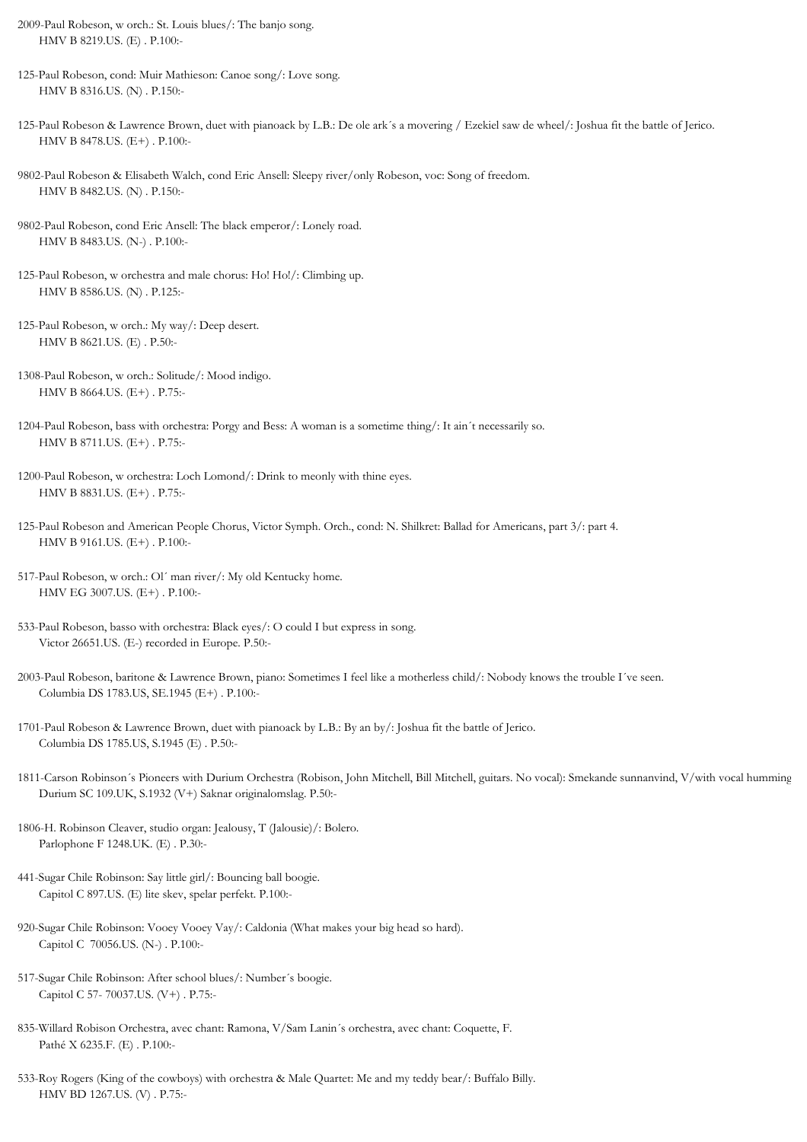- 2009-Paul Robeson, w orch.: St. Louis blues/: The banjo song. HMV B 8219.US. (E) . P.100:-
- 125-Paul Robeson, cond: Muir Mathieson: Canoe song/: Love song. HMV B 8316.US. (N) . P.150:-
- 125-Paul Robeson & Lawrence Brown, duet with pianoack by L.B.: De ole ark´s a movering / Ezekiel saw de wheel/: Joshua fit the battle of Jerico. HMV B 8478.US. (E+) . P.100:-
- 9802-Paul Robeson & Elisabeth Walch, cond Eric Ansell: Sleepy river/only Robeson, voc: Song of freedom. HMV B 8482.US. (N) . P.150:-
- 9802-Paul Robeson, cond Eric Ansell: The black emperor/: Lonely road. HMV B 8483.US. (N-) . P.100:-
- 125-Paul Robeson, w orchestra and male chorus: Ho! Ho!/: Climbing up. HMV B 8586.US. (N) . P.125:-
- 125-Paul Robeson, w orch.: My way/: Deep desert. HMV B 8621.US. (E) . P.50:-
- 1308-Paul Robeson, w orch.: Solitude/: Mood indigo. HMV B 8664.US. (E+) . P.75:-
- 1204-Paul Robeson, bass with orchestra: Porgy and Bess: A woman is a sometime thing/: It ain´t necessarily so. HMV B 8711.US. (E+) . P.75:-
- 1200-Paul Robeson, w orchestra: Loch Lomond/: Drink to meonly with thine eyes. HMV B 8831.US. (E+) . P.75:-
- 125-Paul Robeson and American People Chorus, Victor Symph. Orch., cond: N. Shilkret: Ballad for Americans, part 3/: part 4. HMV B 9161.US. (E+) . P.100:-
- 517-Paul Robeson, w orch.: Ol´ man river/: My old Kentucky home. HMV EG 3007.US. (E+) . P.100:-
- 533-Paul Robeson, basso with orchestra: Black eyes/: O could I but express in song. Victor 26651.US. (E-) recorded in Europe. P.50:-
- 2003-Paul Robeson, baritone & Lawrence Brown, piano: Sometimes I feel like a motherless child/: Nobody knows the trouble I´ve seen. Columbia DS 1783.US, SE.1945 (E+) . P.100:-
- 1701-Paul Robeson & Lawrence Brown, duet with pianoack by L.B.: By an by/: Joshua fit the battle of Jerico. Columbia DS 1785.US, S.1945 (E) . P.50:-
- 1811-Carson Robinson´s Pioneers with Durium Orchestra (Robison, John Mitchell, Bill Mitchell, guitars. No vocal): Smekande sunnanvind, V/with vocal humming Durium SC 109.UK, S.1932 (V+) Saknar originalomslag. P.50:-
- 1806-H. Robinson Cleaver, studio organ: Jealousy, T (Jalousie)/: Bolero. Parlophone F 1248.UK. (E) . P.30:-
- 441-Sugar Chile Robinson: Say little girl/: Bouncing ball boogie. Capitol C 897.US. (E) lite skev, spelar perfekt. P.100:-
- 920-Sugar Chile Robinson: Vooey Vooey Vay/: Caldonia (What makes your big head so hard). Capitol C 70056.US. (N-) . P.100:-
- 517-Sugar Chile Robinson: After school blues/: Number´s boogie. Capitol C 57- 70037.US. (V+) . P.75:-
- 835-Willard Robison Orchestra, avec chant: Ramona, V/Sam Lanin´s orchestra, avec chant: Coquette, F. Pathé X 6235.F. (E) . P.100:-
- 533-Roy Rogers (King of the cowboys) with orchestra & Male Quartet: Me and my teddy bear/: Buffalo Billy. HMV BD 1267.US. (V) . P.75:-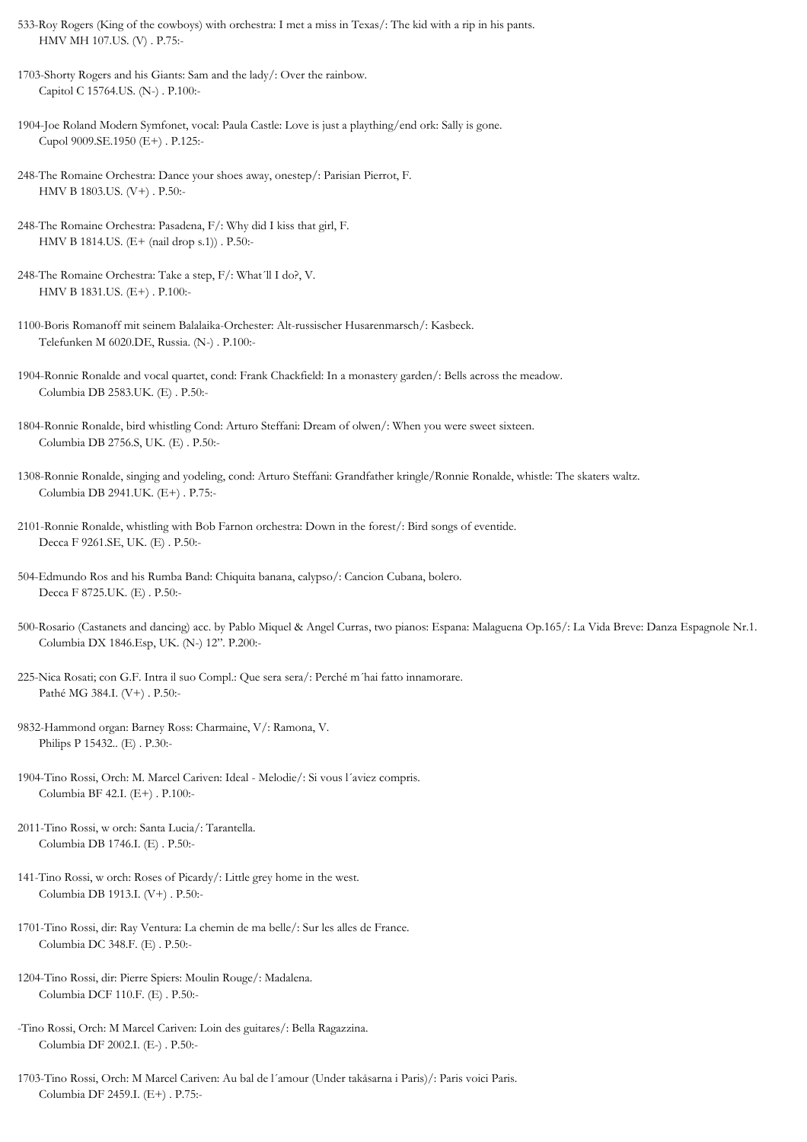- 533-Roy Rogers (King of the cowboys) with orchestra: I met a miss in Texas/: The kid with a rip in his pants. HMV MH 107.US. (V) . P.75:-
- 1703-Shorty Rogers and his Giants: Sam and the lady/: Over the rainbow. Capitol C 15764.US. (N-) . P.100:-
- 1904-Joe Roland Modern Symfonet, vocal: Paula Castle: Love is just a plaything/end ork: Sally is gone. Cupol 9009.SE.1950 (E+) . P.125:-
- 248-The Romaine Orchestra: Dance your shoes away, onestep/: Parisian Pierrot, F. HMV B 1803.US. (V+) . P.50:-
- 248-The Romaine Orchestra: Pasadena, F/: Why did I kiss that girl, F. HMV B 1814.US. (E+ (nail drop s.1)) . P.50:-
- 248-The Romaine Orchestra: Take a step, F/: What´ll I do?, V. HMV B 1831.US. (E+) . P.100:-
- 1100-Boris Romanoff mit seinem Balalaika-Orchester: Alt-russischer Husarenmarsch/: Kasbeck. Telefunken M 6020.DE, Russia. (N-) . P.100:-
- 1904-Ronnie Ronalde and vocal quartet, cond: Frank Chackfield: In a monastery garden/: Bells across the meadow. Columbia DB 2583.UK. (E) . P.50:-
- 1804-Ronnie Ronalde, bird whistling Cond: Arturo Steffani: Dream of olwen/: When you were sweet sixteen. Columbia DB 2756.S, UK. (E) . P.50:-
- 1308-Ronnie Ronalde, singing and yodeling, cond: Arturo Steffani: Grandfather kringle/Ronnie Ronalde, whistle: The skaters waltz. Columbia DB 2941.UK. (E+) . P.75:-
- 2101-Ronnie Ronalde, whistling with Bob Farnon orchestra: Down in the forest/: Bird songs of eventide. Decca F 9261.SE, UK. (E) . P.50:-
- 504-Edmundo Ros and his Rumba Band: Chiquita banana, calypso/: Cancion Cubana, bolero. Decca F 8725.UK. (E) . P.50:-
- 500-Rosario (Castanets and dancing) acc. by Pablo Miquel & Angel Curras, two pianos: Espana: Malaguena Op.165/: La Vida Breve: Danza Espagnole Nr.1. Columbia DX 1846.Esp, UK. (N-) 12". P.200:-
- 225-Nica Rosati; con G.F. Intra il suo Compl.: Que sera sera/: Perché m´hai fatto innamorare. Pathé MG 384.I. (V+) . P.50:-
- 9832-Hammond organ: Barney Ross: Charmaine, V/: Ramona, V. Philips P 15432.. (E) . P.30:-
- 1904-Tino Rossi, Orch: M. Marcel Cariven: Ideal Melodie/: Si vous l´aviez compris. Columbia BF 42.I. (E+) . P.100:-
- 2011-Tino Rossi, w orch: Santa Lucia/: Tarantella. Columbia DB 1746.I. (E) . P.50:-
- 141-Tino Rossi, w orch: Roses of Picardy/: Little grey home in the west. Columbia DB 1913.I. (V+) . P.50:-
- 1701-Tino Rossi, dir: Ray Ventura: La chemin de ma belle/: Sur les alles de France. Columbia DC 348.F. (E) . P.50:-
- 1204-Tino Rossi, dir: Pierre Spiers: Moulin Rouge/: Madalena. Columbia DCF 110.F. (E) . P.50:-
- -Tino Rossi, Orch: M Marcel Cariven: Loin des guitares/: Bella Ragazzina. Columbia DF 2002.I. (E-) . P.50:-
- 1703-Tino Rossi, Orch: M Marcel Cariven: Au bal de l´amour (Under takåsarna i Paris)/: Paris voici Paris. Columbia DF 2459.I. (E+) . P.75:-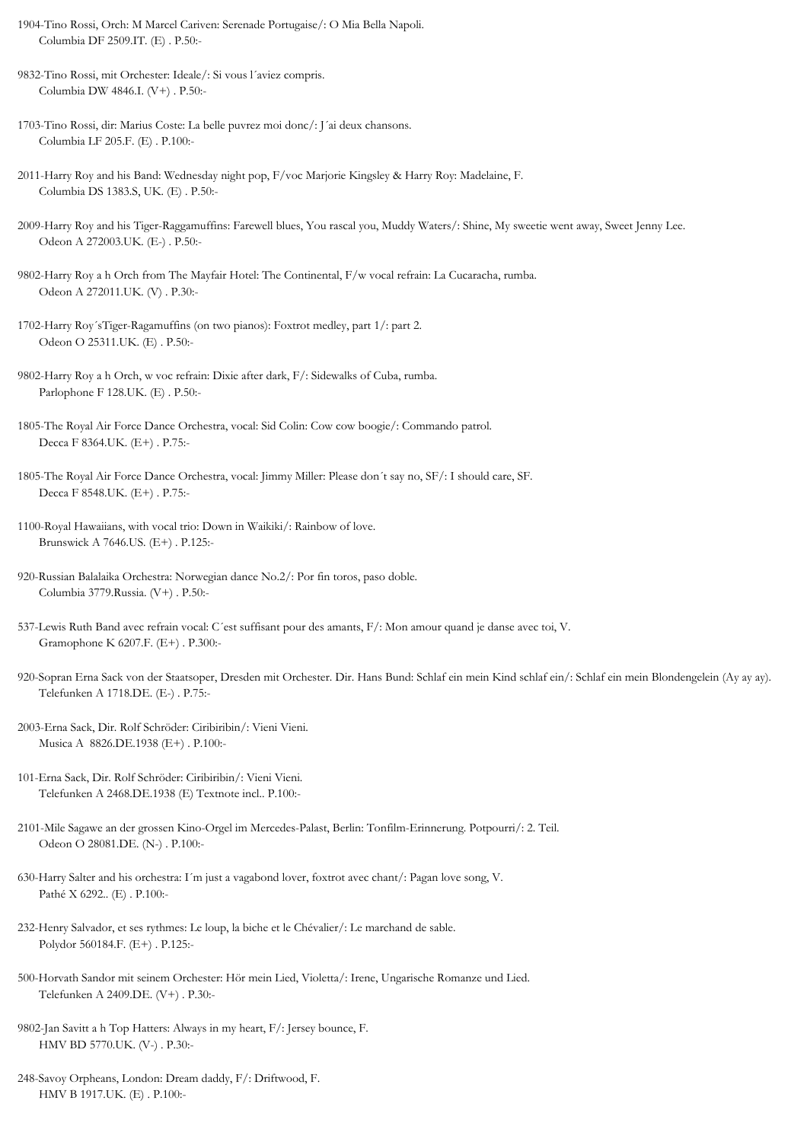- 1904-Tino Rossi, Orch: M Marcel Cariven: Serenade Portugaise/: O Mia Bella Napoli. Columbia DF 2509.IT. (E) . P.50:-
- 9832-Tino Rossi, mit Orchester: Ideale/: Si vous l´aviez compris. Columbia DW 4846.I. (V+) . P.50:-
- 1703-Tino Rossi, dir: Marius Coste: La belle puvrez moi donc/: J´ai deux chansons. Columbia LF 205.F. (E) . P.100:-
- 2011-Harry Roy and his Band: Wednesday night pop, F/voc Marjorie Kingsley & Harry Roy: Madelaine, F. Columbia DS 1383.S, UK. (E) . P.50:-
- 2009-Harry Roy and his Tiger-Raggamuffins: Farewell blues, You rascal you, Muddy Waters/: Shine, My sweetie went away, Sweet Jenny Lee. Odeon A 272003.UK. (E-) . P.50:-
- 9802-Harry Roy a h Orch from The Mayfair Hotel: The Continental, F/w vocal refrain: La Cucaracha, rumba. Odeon A 272011.UK. (V) . P.30:-
- 1702-Harry Roy´sTiger-Ragamuffins (on two pianos): Foxtrot medley, part 1/: part 2. Odeon O 25311.UK. (E) . P.50:-
- 9802-Harry Roy a h Orch, w voc refrain: Dixie after dark, F/: Sidewalks of Cuba, rumba. Parlophone F 128.UK. (E) . P.50:-
- 1805-The Royal Air Force Dance Orchestra, vocal: Sid Colin: Cow cow boogie/: Commando patrol. Decca F 8364.UK. (E+) . P.75:-
- 1805-The Royal Air Force Dance Orchestra, vocal: Jimmy Miller: Please don´t say no, SF/: I should care, SF. Decca F 8548.UK. (E+) . P.75:-
- 1100-Royal Hawaiians, with vocal trio: Down in Waikiki/: Rainbow of love. Brunswick A 7646.US. (E+) . P.125:-
- 920-Russian Balalaika Orchestra: Norwegian dance No.2/: Por fin toros, paso doble. Columbia 3779.Russia. (V+) . P.50:-
- 537-Lewis Ruth Band avec refrain vocal: C´est suffisant pour des amants, F/: Mon amour quand je danse avec toi, V. Gramophone K 6207.F. (E+) . P.300:-
- 920-Sopran Erna Sack von der Staatsoper, Dresden mit Orchester. Dir. Hans Bund: Schlaf ein mein Kind schlaf ein/: Schlaf ein mein Blondengelein (Ay ay ay). Telefunken A 1718.DE. (E-) . P.75:-
- 2003-Erna Sack, Dir. Rolf Schröder: Ciribiribin/: Vieni Vieni. Musica A 8826.DE.1938 (E+) . P.100:-
- 101-Erna Sack, Dir. Rolf Schröder: Ciribiribin/: Vieni Vieni. Telefunken A 2468.DE.1938 (E) Textnote incl.. P.100:-
- 2101-Mile Sagawe an der grossen Kino-Orgel im Mercedes-Palast, Berlin: Tonfilm-Erinnerung. Potpourri/: 2. Teil. Odeon O 28081.DE. (N-) . P.100:-
- 630-Harry Salter and his orchestra: I´m just a vagabond lover, foxtrot avec chant/: Pagan love song, V. Pathé X 6292.. (E) . P.100:-
- 232-Henry Salvador, et ses rythmes: Le loup, la biche et le Chévalier/: Le marchand de sable. Polydor 560184.F. (E+) . P.125:-
- 500-Horvath Sandor mit seinem Orchester: Hör mein Lied, Violetta/: Irene, Ungarische Romanze und Lied. Telefunken A 2409.DE. (V+) . P.30:-
- 9802-Jan Savitt a h Top Hatters: Always in my heart, F/: Jersey bounce, F. HMV BD 5770.UK. (V-) . P.30:-
- 248-Savoy Orpheans, London: Dream daddy, F/: Driftwood, F. HMV B 1917.UK. (E) . P.100:-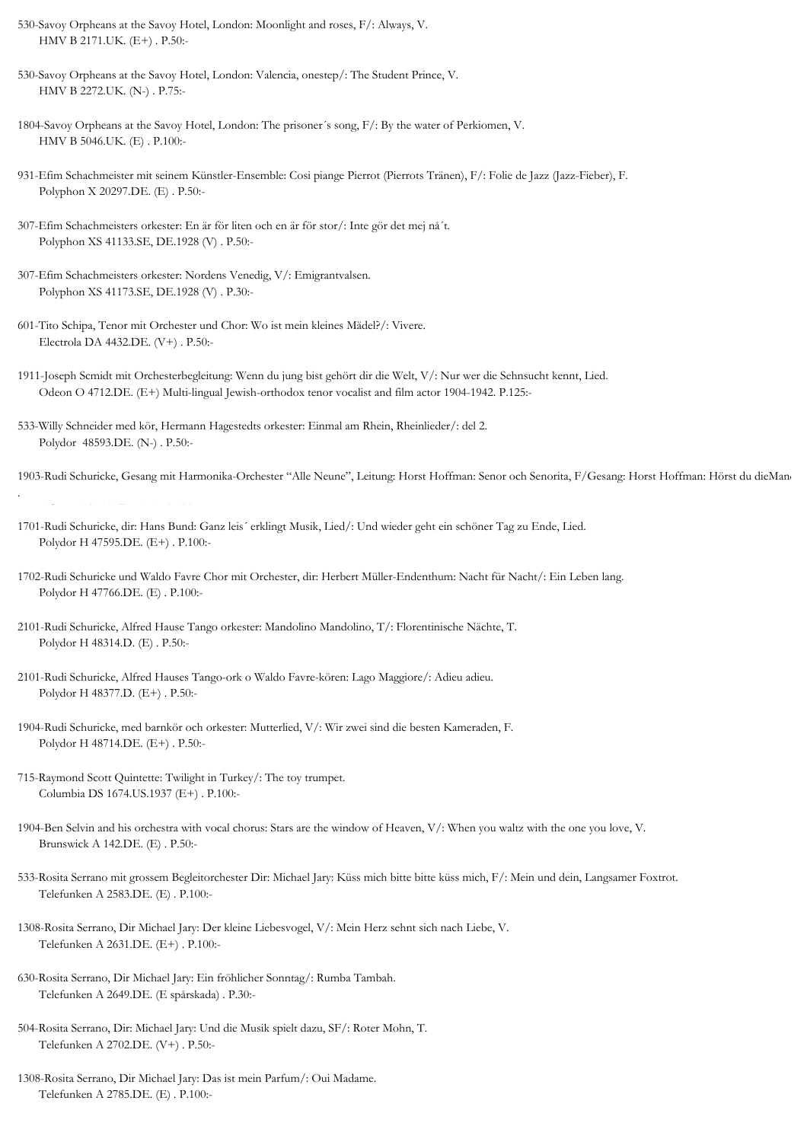- 530-Savoy Orpheans at the Savoy Hotel, London: Moonlight and roses, F/: Always, V. HMV B 2171.UK. (E+) . P.50:-
- 530-Savoy Orpheans at the Savoy Hotel, London: Valencia, onestep/: The Student Prince, V. HMV B 2272.UK. (N-) . P.75:-
- 1804-Savoy Orpheans at the Savoy Hotel, London: The prisoner´s song, F/: By the water of Perkiomen, V. HMV B 5046.UK. (E) . P.100:-
- 931-Efim Schachmeister mit seinem Künstler-Ensemble: Cosi piange Pierrot (Pierrots Tränen), F/: Folie de Jazz (Jazz-Fieber), F. Polyphon X 20297.DE. (E) . P.50:-
- 307-Efim Schachmeisters orkester: En är för liten och en är för stor/: Inte gör det mej nå´t. Polyphon XS 41133.SE, DE.1928 (V) . P.50:-
- 307-Efim Schachmeisters orkester: Nordens Venedig, V/: Emigrantvalsen. Polyphon XS 41173.SE, DE.1928 (V) . P.30:-
- 601-Tito Schipa, Tenor mit Orchester und Chor: Wo ist mein kleines Mädel?/: Vivere. Electrola DA 4432.DE. (V+) . P.50:-
- 1911-Joseph Scmidt mit Orchesterbegleitung: Wenn du jung bist gehört dir die Welt, V/: Nur wer die Sehnsucht kennt, Lied. Odeon O 4712.DE. (E+) Multi-lingual Jewish-orthodox tenor vocalist and film actor 1904-1942. P.125:-
- 533-Willy Schneider med kör, Hermann Hagestedts orkester: Einmal am Rhein, Rheinlieder/: del 2. Polydor 48593.DE. (N-) . P.50:-
- 1903-Rudi Schuricke, Gesang mit Harmonika-Orchester "Alle Neune", Leitung: Horst Hoffman: Senor och Senorita, F/Gesang: Horst Hoffman: Hörst du dieMan

. Odeon O 31645.DE. (E) . P.100:-

- 1701-Rudi Schuricke, dir: Hans Bund: Ganz leis´ erklingt Musik, Lied/: Und wieder geht ein schöner Tag zu Ende, Lied. Polydor H 47595.DE. (E+) . P.100:-
- 1702-Rudi Schuricke und Waldo Favre Chor mit Orchester, dir: Herbert Müller-Endenthum: Nacht für Nacht/: Ein Leben lang. Polydor H 47766.DE. (E) . P.100:-
- 2101-Rudi Schuricke, Alfred Hause Tango orkester: Mandolino Mandolino, T/: Florentinische Nächte, T. Polydor H 48314.D. (E) . P.50:-
- 2101-Rudi Schuricke, Alfred Hauses Tango-ork o Waldo Favre-kören: Lago Maggiore/: Adieu adieu. Polydor H 48377.D. (E+) . P.50:-
- 1904-Rudi Schuricke, med barnkör och orkester: Mutterlied, V/: Wir zwei sind die besten Kameraden, F. Polydor H 48714.DE. (E+) . P.50:-
- 715-Raymond Scott Quintette: Twilight in Turkey/: The toy trumpet. Columbia DS 1674.US.1937 (E+) . P.100:-
- 1904-Ben Selvin and his orchestra with vocal chorus: Stars are the window of Heaven, V/: When you waltz with the one you love, V. Brunswick A 142.DE. (E) . P.50:-
- 533-Rosita Serrano mit grossem Begleitorchester Dir: Michael Jary: Küss mich bitte bitte küss mich, F/: Mein und dein, Langsamer Foxtrot. Telefunken A 2583.DE. (E) . P.100:-
- 1308-Rosita Serrano, Dir Michael Jary: Der kleine Liebesvogel, V/: Mein Herz sehnt sich nach Liebe, V. Telefunken A 2631.DE. (E+) . P.100:-
- 630-Rosita Serrano, Dir Michael Jary: Ein fröhlicher Sonntag/: Rumba Tambah. Telefunken A 2649.DE. (E spårskada) . P.30:-
- 504-Rosita Serrano, Dir: Michael Jary: Und die Musik spielt dazu, SF/: Roter Mohn, T. Telefunken A 2702.DE. (V+) . P.50:-
- 1308-Rosita Serrano, Dir Michael Jary: Das ist mein Parfum/: Oui Madame. Telefunken A 2785.DE. (E) . P.100:-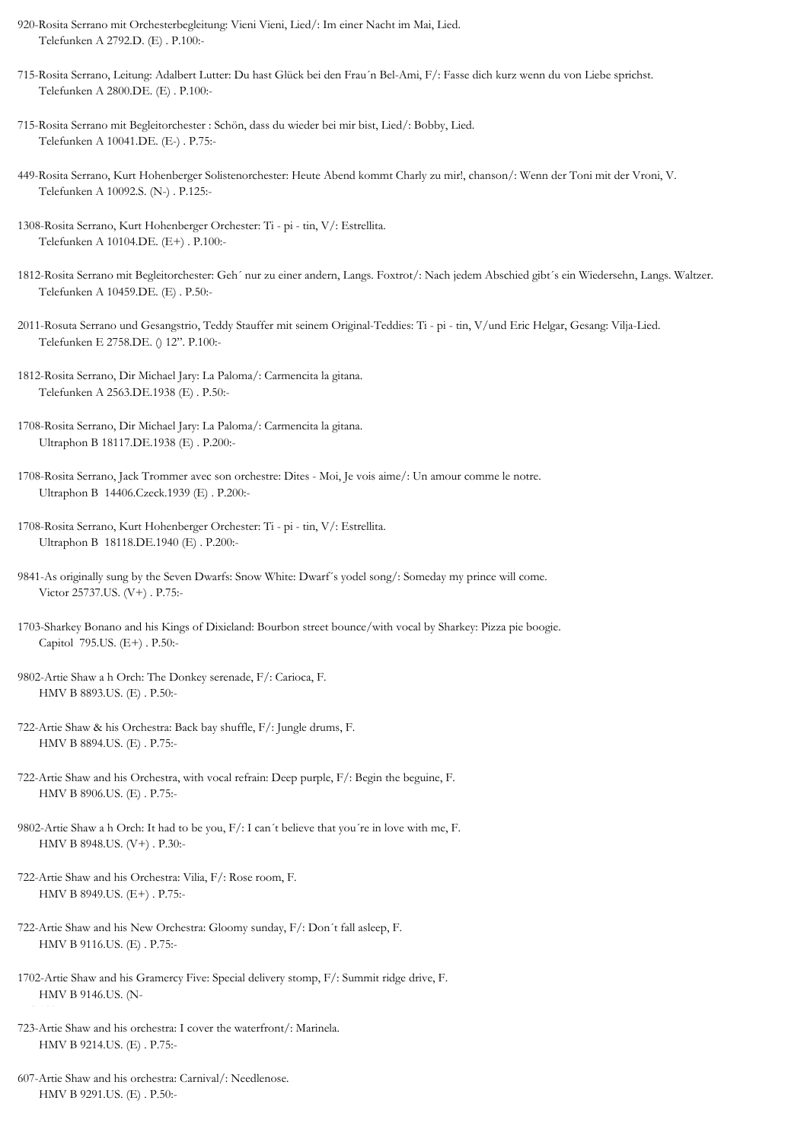- 920-Rosita Serrano mit Orchesterbegleitung: Vieni Vieni, Lied/: Im einer Nacht im Mai, Lied. Telefunken A 2792.D. (E) . P.100:-
- 715-Rosita Serrano, Leitung: Adalbert Lutter: Du hast Glück bei den Frau´n Bel-Ami, F/: Fasse dich kurz wenn du von Liebe sprichst. Telefunken A 2800.DE. (E) . P.100:-
- 715-Rosita Serrano mit Begleitorchester : Schön, dass du wieder bei mir bist, Lied/: Bobby, Lied. Telefunken A 10041.DE. (E-) . P.75:-
- 449-Rosita Serrano, Kurt Hohenberger Solistenorchester: Heute Abend kommt Charly zu mir!, chanson/: Wenn der Toni mit der Vroni, V. Telefunken A 10092.S. (N-) . P.125:-
- 1308-Rosita Serrano, Kurt Hohenberger Orchester: Ti pi tin, V/: Estrellita. Telefunken A 10104.DE. (E+) . P.100:-
- 1812-Rosita Serrano mit Begleitorchester: Geh´ nur zu einer andern, Langs. Foxtrot/: Nach jedem Abschied gibt´s ein Wiedersehn, Langs. Waltzer. Telefunken A 10459.DE. (E) . P.50:-
- 2011-Rosuta Serrano und Gesangstrio, Teddy Stauffer mit seinem Original-Teddies: Ti pi tin, V/und Eric Helgar, Gesang: Vilja-Lied. Telefunken E 2758.DE. () 12". P.100:-
- 1812-Rosita Serrano, Dir Michael Jary: La Paloma/: Carmencita la gitana. Telefunken A 2563.DE.1938 (E) . P.50:-
- 1708-Rosita Serrano, Dir Michael Jary: La Paloma/: Carmencita la gitana. Ultraphon B 18117.DE.1938 (E) . P.200:-
- 1708-Rosita Serrano, Jack Trommer avec son orchestre: Dites Moi, Je vois aime/: Un amour comme le notre. Ultraphon B 14406.Czeck.1939 (E) . P.200:-
- 1708-Rosita Serrano, Kurt Hohenberger Orchester: Ti pi tin, V/: Estrellita. Ultraphon B 18118.DE.1940 (E) . P.200:-
- 9841-As originally sung by the Seven Dwarfs: Snow White: Dwarf´s yodel song/: Someday my prince will come. Victor 25737.US. (V+) . P.75:-
- 1703-Sharkey Bonano and his Kings of Dixieland: Bourbon street bounce/with vocal by Sharkey: Pizza pie boogie. Capitol 795.US. (E+) . P.50:-
- 9802-Artie Shaw a h Orch: The Donkey serenade, F/: Carioca, F. HMV B 8893.US. (E) . P.50:-
- 722-Artie Shaw & his Orchestra: Back bay shuffle, F/: Jungle drums, F. HMV B 8894.US. (E) . P.75:-
- 722-Artie Shaw and his Orchestra, with vocal refrain: Deep purple, F/: Begin the beguine, F. HMV B 8906.US. (E) . P.75:-
- 9802-Artie Shaw a h Orch: It had to be you, F/: I can´t believe that you´re in love with me, F. HMV B 8948.US. (V+) . P.30:-
- 722-Artie Shaw and his Orchestra: Vilia, F/: Rose room, F. HMV B 8949.US. (E+) . P.75:-
- 722-Artie Shaw and his New Orchestra: Gloomy sunday, F/: Don´t fall asleep, F. HMV B 9116.US. (E) . P.75:-
- 1702-Artie Shaw and his Gramercy Five: Special delivery stomp, F/: Summit ridge drive, F. HMV B 9146.US. (N-
- 723-Artie Shaw and his orchestra: I cover the waterfront/: Marinela. HMV B 9214.US. (E) . P.75:-
- 607-Artie Shaw and his orchestra: Carnival/: Needlenose. HMV B 9291.US. (E) . P.50:-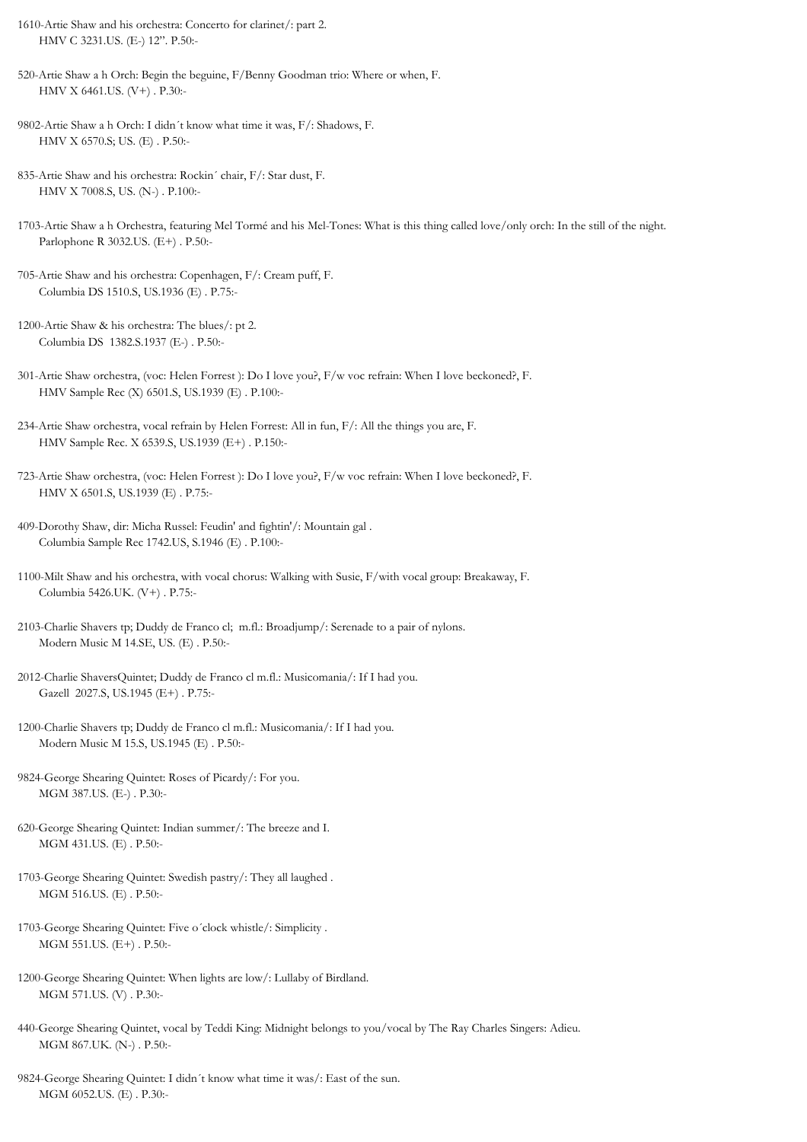1610-Artie Shaw and his orchestra: Concerto for clarinet/: part 2. HMV C 3231.US. (E-) 12". P.50:-

520-Artie Shaw a h Orch: Begin the beguine, F/Benny Goodman trio: Where or when, F. HMV X 6461.US. (V+) . P.30:-

9802-Artie Shaw a h Orch: I didn´t know what time it was, F/: Shadows, F. HMV X 6570.S; US. (E) . P.50:-

835-Artie Shaw and his orchestra: Rockin´ chair, F/: Star dust, F. HMV X 7008.S, US. (N-) . P.100:-

1703-Artie Shaw a h Orchestra, featuring Mel Tormé and his Mel-Tones: What is this thing called love/only orch: In the still of the night. Parlophone R 3032.US. (E+) . P.50:-

705-Artie Shaw and his orchestra: Copenhagen, F/: Cream puff, F. Columbia DS 1510.S, US.1936 (E) . P.75:-

1200-Artie Shaw & his orchestra: The blues/: pt 2. Columbia DS 1382.S.1937 (E-) . P.50:-

301-Artie Shaw orchestra, (voc: Helen Forrest ): Do I love you?, F/w voc refrain: When I love beckoned?, F. HMV Sample Rec (X) 6501.S, US.1939 (E) . P.100:-

234-Artie Shaw orchestra, vocal refrain by Helen Forrest: All in fun, F/: All the things you are, F. HMV Sample Rec. X 6539.S, US.1939 (E+) . P.150:-

723-Artie Shaw orchestra, (voc: Helen Forrest ): Do I love you?, F/w voc refrain: When I love beckoned?, F. HMV X 6501.S, US.1939 (E) . P.75:-

409-Dorothy Shaw, dir: Micha Russel: Feudin' and fightin'/: Mountain gal . Columbia Sample Rec 1742.US, S.1946 (E) . P.100:-

1100-Milt Shaw and his orchestra, with vocal chorus: Walking with Susie, F/with vocal group: Breakaway, F. Columbia 5426.UK. (V+) . P.75:-

2012-Charlie ShaversQuintet; Duddy de Franco cl m.fl.: Musicomania/: If I had you. Gazell 2027.S, US.1945 (E+) . P.75:-

1200-Charlie Shavers tp; Duddy de Franco cl m.fl.: Musicomania/: If I had you. Modern Music M 15.S, US.1945 (E) . P.50:-

9824-George Shearing Quintet: Roses of Picardy/: For you. MGM 387.US. (E-) . P.30:-

620-George Shearing Quintet: Indian summer/: The breeze and I. MGM 431.US. (E) . P.50:-

1703-George Shearing Quintet: Swedish pastry/: They all laughed . MGM 516.US. (E) . P.50:-

1703-George Shearing Quintet: Five o´clock whistle/: Simplicity . MGM 551.US. (E+) . P.50:-

1200-George Shearing Quintet: When lights are low/: Lullaby of Birdland. MGM 571.US. (V) . P.30:-

440-George Shearing Quintet, vocal by Teddi King: Midnight belongs to you/vocal by The Ray Charles Singers: Adieu. MGM 867.UK. (N-) . P.50:-

9824-George Shearing Quintet: I didn´t know what time it was/: East of the sun. MGM 6052.US. (E) . P.30:-

<sup>2103-</sup>Charlie Shavers tp; Duddy de Franco cl; m.fl.: Broadjump/: Serenade to a pair of nylons. Modern Music M 14.SE, US. (E) . P.50:-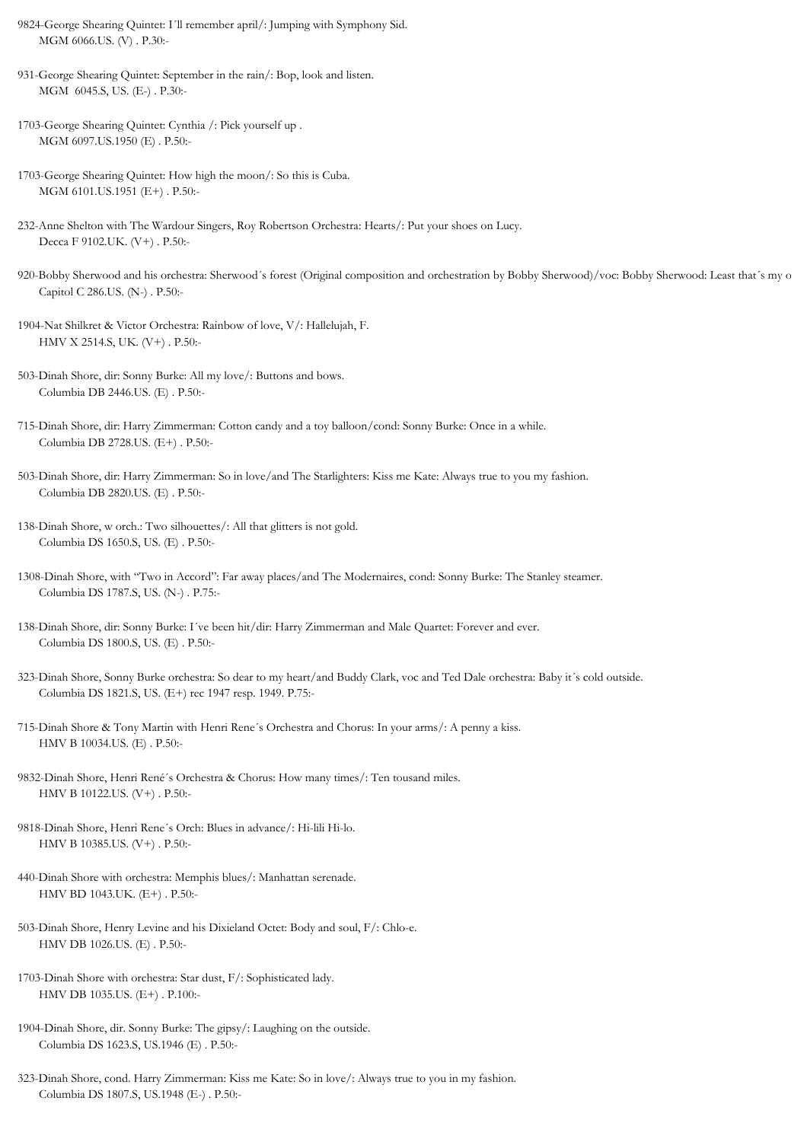- 9824-George Shearing Quintet: I´ll remember april/: Jumping with Symphony Sid. MGM 6066.US. (V) . P.30:-
- 931-George Shearing Quintet: September in the rain/: Bop, look and listen. MGM 6045.S, US. (E-) . P.30:-
- 1703-George Shearing Quintet: Cynthia /: Pick yourself up . MGM 6097.US.1950 (E) . P.50:-
- 1703-George Shearing Quintet: How high the moon/: So this is Cuba. MGM 6101.US.1951 (E+) . P.50:-
- 232-Anne Shelton with The Wardour Singers, Roy Robertson Orchestra: Hearts/: Put your shoes on Lucy. Decca F 9102.UK. (V+) . P.50:-
- 920-Bobby Sherwood and his orchestra: Sherwood´s forest (Original composition and orchestration by Bobby Sherwood)/voc: Bobby Sherwood: Least that´s my o Capitol C 286.US. (N-) . P.50:-
- 1904-Nat Shilkret & Victor Orchestra: Rainbow of love, V/: Hallelujah, F. HMV X 2514.S, UK. (V+) . P.50:-
- 503-Dinah Shore, dir: Sonny Burke: All my love/: Buttons and bows. Columbia DB 2446.US. (E) . P.50:-
- 715-Dinah Shore, dir: Harry Zimmerman: Cotton candy and a toy balloon/cond: Sonny Burke: Once in a while. Columbia DB 2728.US. (E+) . P.50:-
- 503-Dinah Shore, dir: Harry Zimmerman: So in love/and The Starlighters: Kiss me Kate: Always true to you my fashion. Columbia DB 2820.US. (E) . P.50:-
- 138-Dinah Shore, w orch.: Two silhouettes/: All that glitters is not gold. Columbia DS 1650.S, US. (E) . P.50:-
- 1308-Dinah Shore, with "Two in Accord": Far away places/and The Modernaires, cond: Sonny Burke: The Stanley steamer. Columbia DS 1787.S, US. (N-) . P.75:-
- 138-Dinah Shore, dir: Sonny Burke: I´ve been hit/dir: Harry Zimmerman and Male Quartet: Forever and ever. Columbia DS 1800.S, US. (E) . P.50:-
- 323-Dinah Shore, Sonny Burke orchestra: So dear to my heart/and Buddy Clark, voc and Ted Dale orchestra: Baby it´s cold outside. Columbia DS 1821.S, US. (E+) rec 1947 resp. 1949. P.75:-
- 715-Dinah Shore & Tony Martin with Henri Rene´s Orchestra and Chorus: In your arms/: A penny a kiss. HMV B 10034.US. (E) . P.50:-
- 9832-Dinah Shore, Henri René´s Orchestra & Chorus: How many times/: Ten tousand miles. HMV B 10122.US. (V+) . P.50:-
- 9818-Dinah Shore, Henri Rene´s Orch: Blues in advance/: Hi-lili Hi-lo. HMV B 10385.US. (V+) . P.50:-
- 440-Dinah Shore with orchestra: Memphis blues/: Manhattan serenade. HMV BD 1043.UK. (E+) . P.50:-
- 503-Dinah Shore, Henry Levine and his Dixieland Octet: Body and soul, F/: Chlo-e. HMV DB 1026.US. (E) . P.50:-
- 1703-Dinah Shore with orchestra: Star dust, F/: Sophisticated lady. HMV DB 1035.US. (E+) . P.100:-
- 1904-Dinah Shore, dir. Sonny Burke: The gipsy/: Laughing on the outside. Columbia DS 1623.S, US.1946 (E) . P.50:-
- 323-Dinah Shore, cond. Harry Zimmerman: Kiss me Kate: So in love/: Always true to you in my fashion. Columbia DS 1807.S, US.1948 (E-) . P.50:-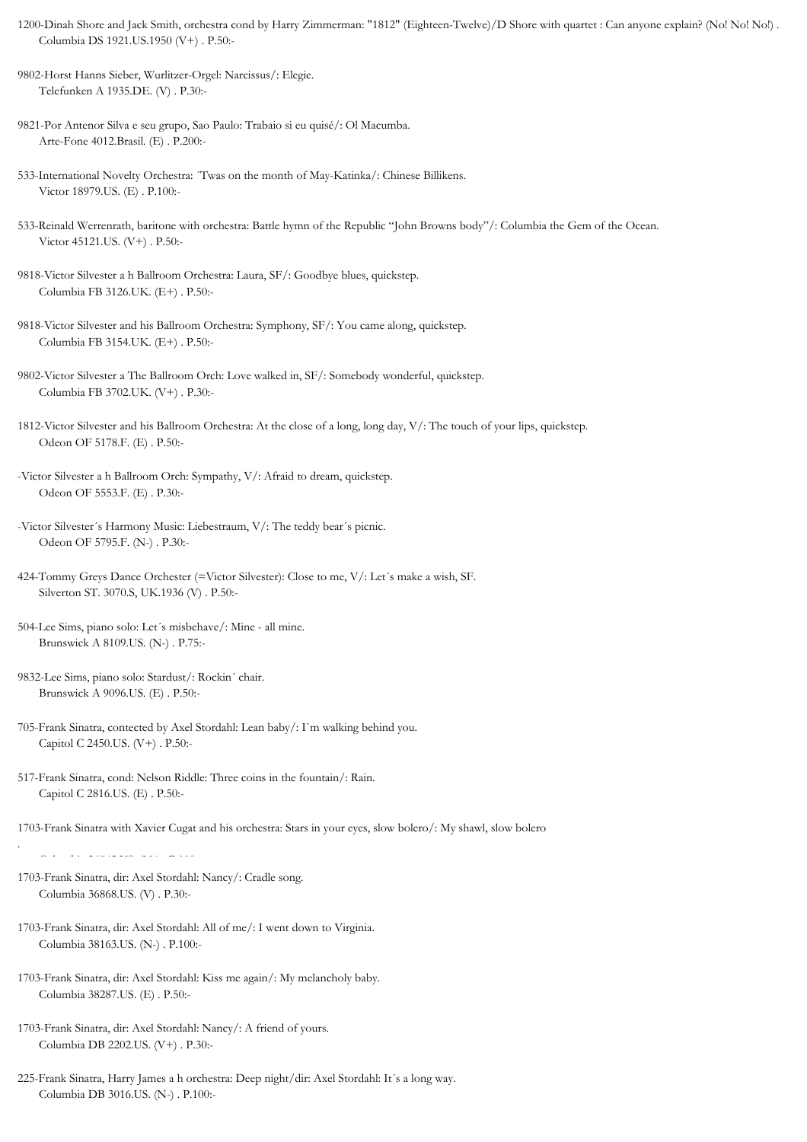- 1200-Dinah Shore and Jack Smith, orchestra cond by Harry Zimmerman: "1812" (Eighteen-Twelve)/D Shore with quartet : Can anyone explain? (No! No! No!) . Columbia DS 1921.US.1950 (V+) . P.50:-
- 9802-Horst Hanns Sieber, Wurlitzer-Orgel: Narcissus/: Elegie. Telefunken A 1935.DE. (V) . P.30:-
- 9821-Por Antenor Silva e seu grupo, Sao Paulo: Trabaio si eu quisé/: Ol Macumba. Arte-Fone 4012.Brasil. (E) . P.200:-
- 533-International Novelty Orchestra: ´Twas on the month of May-Katinka/: Chinese Billikens. Victor 18979.US. (E) . P.100:-
- 533-Reinald Werrenrath, baritone with orchestra: Battle hymn of the Republic "John Browns body"/: Columbia the Gem of the Ocean. Victor 45121.US. (V+) . P.50:-
- 9818-Victor Silvester a h Ballroom Orchestra: Laura, SF/: Goodbye blues, quickstep. Columbia FB 3126.UK. (E+) . P.50:-
- 9818-Victor Silvester and his Ballroom Orchestra: Symphony, SF/: You came along, quickstep. Columbia FB 3154.UK. (E+) . P.50:-
- 9802-Victor Silvester a The Ballroom Orch: Love walked in, SF/: Somebody wonderful, quickstep. Columbia FB 3702.UK. (V+) . P.30:-
- 1812-Victor Silvester and his Ballroom Orchestra: At the close of a long, long day, V/: The touch of your lips, quickstep. Odeon OF 5178.F. (E) . P.50:-
- -Victor Silvester a h Ballroom Orch: Sympathy, V/: Afraid to dream, quickstep. Odeon OF 5553.F. (E) . P.30:-
- -Victor Silvester´s Harmony Music: Liebestraum, V/: The teddy bear´s picnic. Odeon OF 5795.F. (N-) . P.30:-
- 424-Tommy Greys Dance Orchester (=Victor Silvester): Close to me, V/: Let´s make a wish, SF. Silverton ST. 3070.S, UK.1936 (V) . P.50:-
- 504-Lee Sims, piano solo: Let´s misbehave/: Mine all mine. Brunswick A 8109.US. (N-) . P.75:-
- 9832-Lee Sims, piano solo: Stardust/: Rockin´ chair. Brunswick A 9096.US. (E) . P.50:-
- 705-Frank Sinatra, contected by Axel Stordahl: Lean baby/: I`m walking behind you. Capitol C 2450.US. (V+) . P.50:-
- 517-Frank Sinatra, cond: Nelson Riddle: Three coins in the fountain/: Rain. Capitol C 2816.US. (E) . P.50:-

1703-Frank Sinatra with Xavier Cugat and his orchestra: Stars in your eyes, slow bolero/: My shawl, slow bolero

1703-Frank Sinatra, dir: Axel Stordahl: Nancy/: Cradle song. Columbia 36868.US. (V) . P.30:-

.

- 1703-Frank Sinatra, dir: Axel Stordahl: All of me/: I went down to Virginia. Columbia 38163.US. (N-) . P.100:-
- 1703-Frank Sinatra, dir: Axel Stordahl: Kiss me again/: My melancholy baby. Columbia 38287.US. (E) . P.50:-
- 1703-Frank Sinatra, dir: Axel Stordahl: Nancy/: A friend of yours. Columbia DB 2202.US. (V+) . P.30:-
- 225-Frank Sinatra, Harry James a h orchestra: Deep night/dir: Axel Stordahl: It´s a long way. Columbia DB 3016.US. (N-) . P.100:-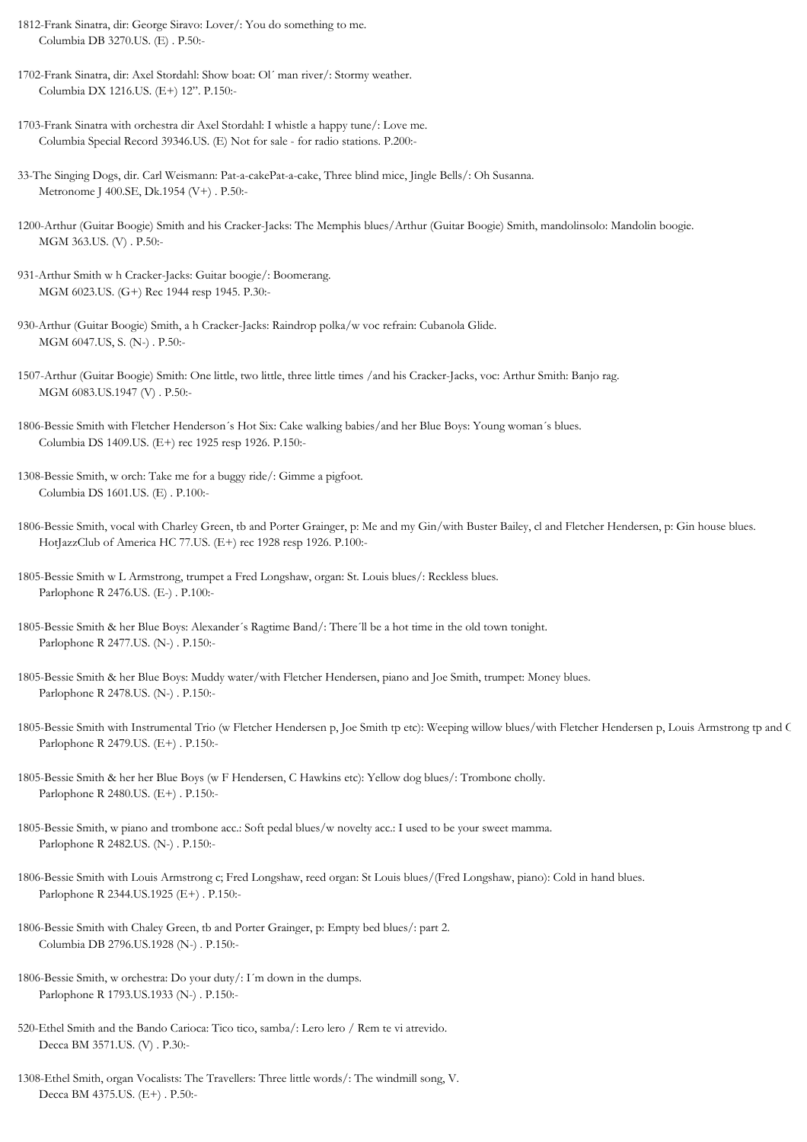- 1812-Frank Sinatra, dir: George Siravo: Lover/: You do something to me. Columbia DB 3270.US. (E) . P.50:-
- 1702-Frank Sinatra, dir: Axel Stordahl: Show boat: Ol´ man river/: Stormy weather. Columbia DX 1216.US. (E+) 12". P.150:-
- 1703-Frank Sinatra with orchestra dir Axel Stordahl: I whistle a happy tune/: Love me. Columbia Special Record 39346.US. (E) Not for sale - for radio stations. P.200:-
- 33-The Singing Dogs, dir. Carl Weismann: Pat-a-cakePat-a-cake, Three blind mice, Jingle Bells/: Oh Susanna. Metronome J 400.SE, Dk.1954 (V+) . P.50:-
- 1200-Arthur (Guitar Boogie) Smith and his Cracker-Jacks: The Memphis blues/Arthur (Guitar Boogie) Smith, mandolinsolo: Mandolin boogie. MGM 363.US. (V) . P.50:-
- 931-Arthur Smith w h Cracker-Jacks: Guitar boogie/: Boomerang. MGM 6023.US. (G+) Rec 1944 resp 1945. P.30:-
- 930-Arthur (Guitar Boogie) Smith, a h Cracker-Jacks: Raindrop polka/w voc refrain: Cubanola Glide. MGM 6047.US, S. (N-) . P.50:-
- 1507-Arthur (Guitar Boogie) Smith: One little, two little, three little times /and his Cracker-Jacks, voc: Arthur Smith: Banjo rag. MGM 6083.US.1947 (V) . P.50:-
- 1806-Bessie Smith with Fletcher Henderson´s Hot Six: Cake walking babies/and her Blue Boys: Young woman´s blues. Columbia DS 1409.US. (E+) rec 1925 resp 1926. P.150:-
- 1308-Bessie Smith, w orch: Take me for a buggy ride/: Gimme a pigfoot. Columbia DS 1601.US. (E) . P.100:-
- 1806-Bessie Smith, vocal with Charley Green, tb and Porter Grainger, p: Me and my Gin/with Buster Bailey, cl and Fletcher Hendersen, p: Gin house blues. HotJazzClub of America HC 77.US. (E+) rec 1928 resp 1926. P.100:-
- 1805-Bessie Smith w L Armstrong, trumpet a Fred Longshaw, organ: St. Louis blues/: Reckless blues. Parlophone R 2476.US. (E-) . P.100:-
- 1805-Bessie Smith & her Blue Boys: Alexander´s Ragtime Band/: There´ll be a hot time in the old town tonight. Parlophone R 2477.US. (N-) . P.150:-
- 1805-Bessie Smith & her Blue Boys: Muddy water/with Fletcher Hendersen, piano and Joe Smith, trumpet: Money blues. Parlophone R 2478.US. (N-) . P.150:-
- 1805-Bessie Smith with Instrumental Trio (w Fletcher Hendersen p, Joe Smith tp etc): Weeping willow blues/with Fletcher Hendersen p, Louis Armstrong tp and C Parlophone R 2479.US. (E+) . P.150:-
- 1805-Bessie Smith & her her Blue Boys (w F Hendersen, C Hawkins etc): Yellow dog blues/: Trombone cholly. Parlophone R 2480.US. (E+) . P.150:-
- 1805-Bessie Smith, w piano and trombone acc.: Soft pedal blues/w novelty acc.: I used to be your sweet mamma. Parlophone R 2482.US. (N-) . P.150:-
- 1806-Bessie Smith with Louis Armstrong c; Fred Longshaw, reed organ: St Louis blues/(Fred Longshaw, piano): Cold in hand blues. Parlophone R 2344.US.1925 (E+) . P.150:-
- 1806-Bessie Smith with Chaley Green, tb and Porter Grainger, p: Empty bed blues/: part 2. Columbia DB 2796.US.1928 (N-) . P.150:-
- 1806-Bessie Smith, w orchestra: Do your duty/: I´m down in the dumps. Parlophone R 1793.US.1933 (N-) . P.150:-
- 520-Ethel Smith and the Bando Carioca: Tico tico, samba/: Lero lero / Rem te vi atrevido. Decca BM 3571.US. (V) . P.30:-
- 1308-Ethel Smith, organ Vocalists: The Travellers: Three little words/: The windmill song, V. Decca BM 4375.US. (E+) . P.50:-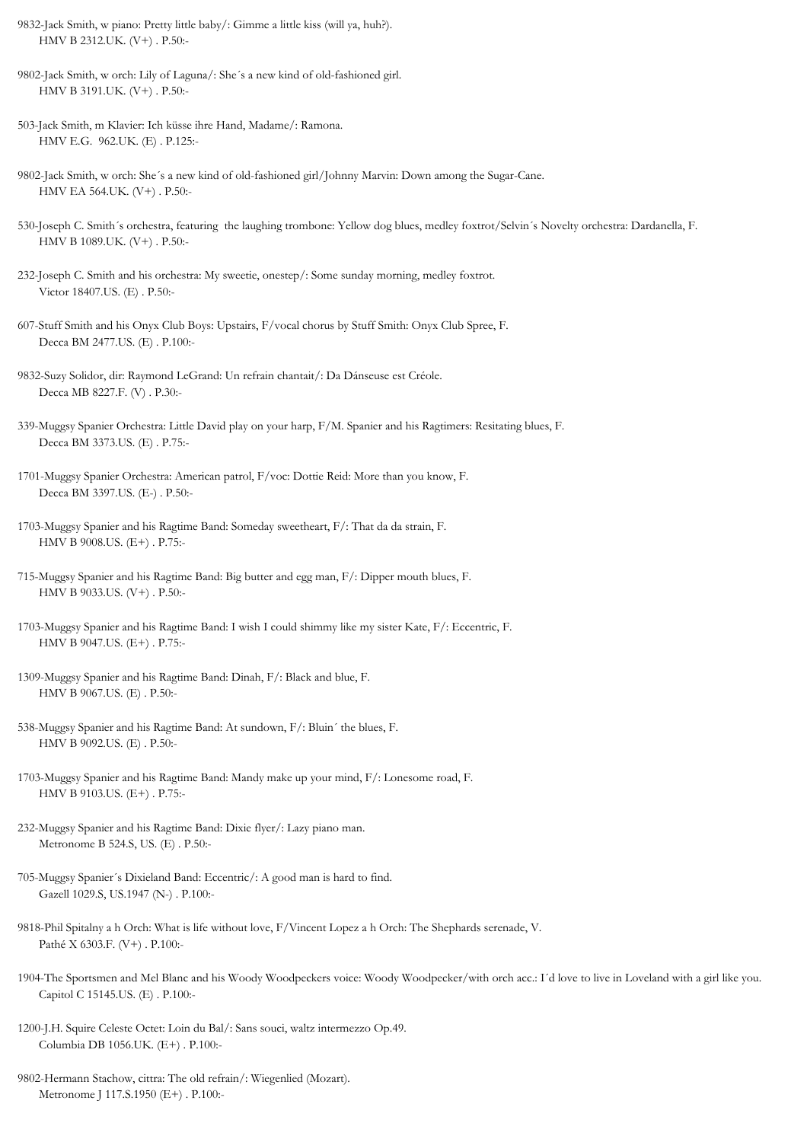- 9832-Jack Smith, w piano: Pretty little baby/: Gimme a little kiss (will ya, huh?). HMV B 2312.UK. (V+) . P.50:-
- 9802-Jack Smith, w orch: Lily of Laguna/: She´s a new kind of old-fashioned girl. HMV B 3191.UK. (V+) . P.50:-
- 503-Jack Smith, m Klavier: Ich küsse ihre Hand, Madame/: Ramona. HMV E.G. 962.UK. (E) . P.125:-
- 9802-Jack Smith, w orch: She´s a new kind of old-fashioned girl/Johnny Marvin: Down among the Sugar-Cane. HMV EA 564.UK. (V+) . P.50:-
- 530-Joseph C. Smith´s orchestra, featuring the laughing trombone: Yellow dog blues, medley foxtrot/Selvin´s Novelty orchestra: Dardanella, F. HMV B 1089.UK. (V+) . P.50:-
- 232-Joseph C. Smith and his orchestra: My sweetie, onestep/: Some sunday morning, medley foxtrot. Victor 18407.US. (E) . P.50:-
- 607-Stuff Smith and his Onyx Club Boys: Upstairs, F/vocal chorus by Stuff Smith: Onyx Club Spree, F. Decca BM 2477.US. (E) . P.100:-
- 9832-Suzy Solidor, dir: Raymond LeGrand: Un refrain chantait/: Da Dánseuse est Créole. Decca MB 8227.F. (V) . P.30:-
- 339-Muggsy Spanier Orchestra: Little David play on your harp, F/M. Spanier and his Ragtimers: Resitating blues, F. Decca BM 3373.US. (E) . P.75:-
- 1701-Muggsy Spanier Orchestra: American patrol, F/voc: Dottie Reid: More than you know, F. Decca BM 3397.US. (E-) . P.50:-
- 1703-Muggsy Spanier and his Ragtime Band: Someday sweetheart, F/: That da da strain, F. HMV B 9008.US. (E+) . P.75:-
- 715-Muggsy Spanier and his Ragtime Band: Big butter and egg man, F/: Dipper mouth blues, F. HMV B 9033.US. (V+) . P.50:-
- 1703-Muggsy Spanier and his Ragtime Band: I wish I could shimmy like my sister Kate, F/: Eccentric, F. HMV B 9047.US. (E+) . P.75:-
- 1309-Muggsy Spanier and his Ragtime Band: Dinah, F/: Black and blue, F. HMV B 9067.US. (E) . P.50:-
- 538-Muggsy Spanier and his Ragtime Band: At sundown, F/: Bluin´ the blues, F. HMV B 9092.US. (E) . P.50:-
- 1703-Muggsy Spanier and his Ragtime Band: Mandy make up your mind, F/: Lonesome road, F. HMV B 9103.US. (E+) . P.75:-
- 232-Muggsy Spanier and his Ragtime Band: Dixie flyer/: Lazy piano man. Metronome B 524.S, US. (E) . P.50:-
- 705-Muggsy Spanier´s Dixieland Band: Eccentric/: A good man is hard to find. Gazell 1029.S, US.1947 (N-) . P.100:-
- 9818-Phil Spitalny a h Orch: What is life without love, F/Vincent Lopez a h Orch: The Shephards serenade, V. Pathé X 6303.F. (V+) . P.100:-
- 1904-The Sportsmen and Mel Blanc and his Woody Woodpeckers voice: Woody Woodpecker/with orch acc.: I´d love to live in Loveland with a girl like you. Capitol C 15145.US. (E) . P.100:-
- 1200-J.H. Squire Celeste Octet: Loin du Bal/: Sans souci, waltz intermezzo Op.49. Columbia DB 1056.UK. (E+) . P.100:-
- 9802-Hermann Stachow, cittra: The old refrain/: Wiegenlied (Mozart). Metronome J 117.S.1950 (E+) . P.100:-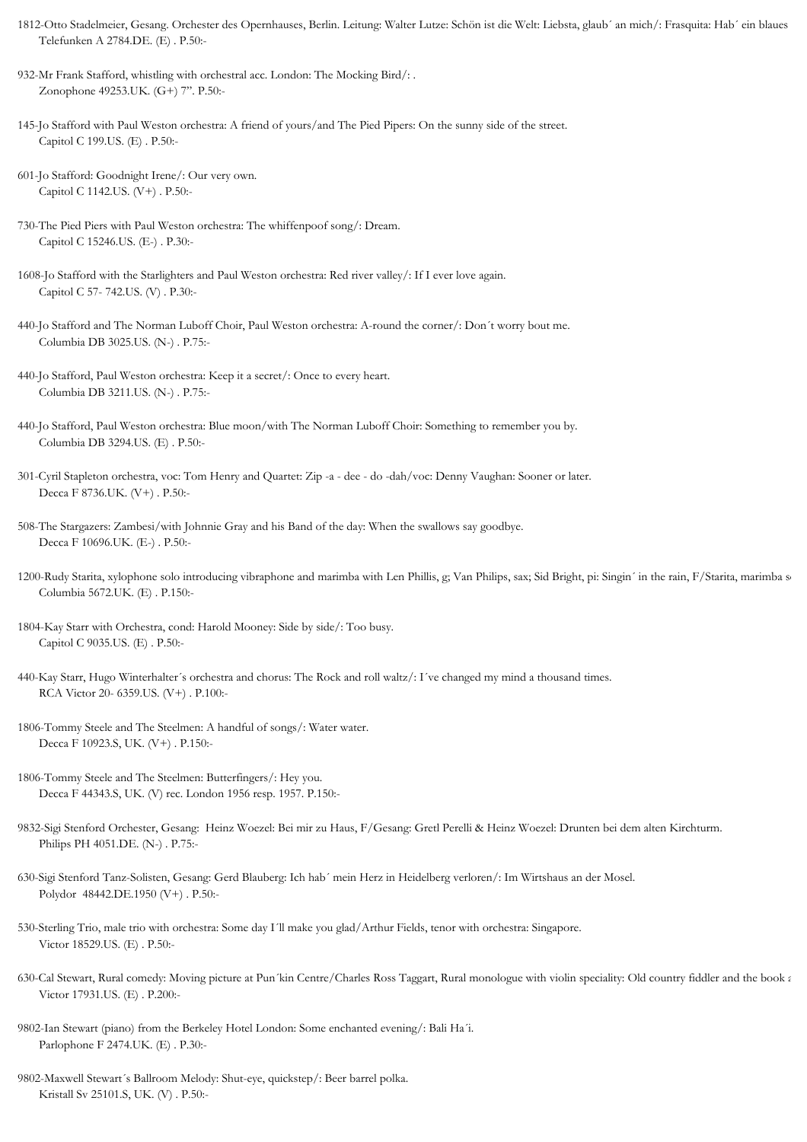- 1812-Otto Stadelmeier, Gesang. Orchester des Opernhauses, Berlin. Leitung: Walter Lutze: Schön ist die Welt: Liebsta, glaub´ an mich/: Frasquita: Hab´ ein blaues Telefunken A 2784.DE. (E) . P.50:-
- 932-Mr Frank Stafford, whistling with orchestral acc. London: The Mocking Bird/: . Zonophone 49253.UK. (G+) 7". P.50:-
- 145-Jo Stafford with Paul Weston orchestra: A friend of yours/and The Pied Pipers: On the sunny side of the street. Capitol C 199.US. (E) . P.50:-
- 601-Jo Stafford: Goodnight Irene/: Our very own. Capitol C 1142.US. (V+) . P.50:-
- 730-The Pied Piers with Paul Weston orchestra: The whiffenpoof song/: Dream. Capitol C 15246.US. (E-) . P.30:-
- 1608-Jo Stafford with the Starlighters and Paul Weston orchestra: Red river valley/: If I ever love again. Capitol C 57- 742.US. (V) . P.30:-
- 440-Jo Stafford and The Norman Luboff Choir, Paul Weston orchestra: A-round the corner/: Don´t worry bout me. Columbia DB 3025.US. (N-) . P.75:-
- 440-Jo Stafford, Paul Weston orchestra: Keep it a secret/: Once to every heart. Columbia DB 3211.US. (N-) . P.75:-
- 440-Jo Stafford, Paul Weston orchestra: Blue moon/with The Norman Luboff Choir: Something to remember you by. Columbia DB 3294.US. (E) . P.50:-
- 301-Cyril Stapleton orchestra, voc: Tom Henry and Quartet: Zip -a dee do -dah/voc: Denny Vaughan: Sooner or later. Decca F 8736.UK. (V+) . P.50:-
- 508-The Stargazers: Zambesi/with Johnnie Gray and his Band of the day: When the swallows say goodbye. Decca F 10696.UK. (E-) . P.50:-
- 1200-Rudy Starita, xylophone solo introducing vibraphone and marimba with Len Phillis, g; Van Philips, sax; Sid Bright, pi: Singin' in the rain, F/Starita, marimba s Columbia 5672.UK. (E) . P.150:-
- 1804-Kay Starr with Orchestra, cond: Harold Mooney: Side by side/: Too busy. Capitol C 9035.US. (E) . P.50:-
- 440-Kay Starr, Hugo Winterhalter´s orchestra and chorus: The Rock and roll waltz/: I´ve changed my mind a thousand times. RCA Victor 20- 6359.US. (V+) . P.100:-
- 1806-Tommy Steele and The Steelmen: A handful of songs/: Water water. Decca F 10923.S, UK. (V+) . P.150:-
- 1806-Tommy Steele and The Steelmen: Butterfingers/: Hey you. Decca F 44343.S, UK. (V) rec. London 1956 resp. 1957. P.150:-
- 9832-Sigi Stenford Orchester, Gesang: Heinz Woezel: Bei mir zu Haus, F/Gesang: Gretl Perelli & Heinz Woezel: Drunten bei dem alten Kirchturm. Philips PH 4051.DE. (N-) . P.75:-
- 630-Sigi Stenford Tanz-Solisten, Gesang: Gerd Blauberg: Ich hab´ mein Herz in Heidelberg verloren/: Im Wirtshaus an der Mosel. Polydor 48442.DE.1950 (V+) . P.50:-
- 530-Sterling Trio, male trio with orchestra: Some day I´ll make you glad/Arthur Fields, tenor with orchestra: Singapore. Victor 18529.US. (E) . P.50:-
- 630-Cal Stewart, Rural comedy: Moving picture at Pun´kin Centre/Charles Ross Taggart, Rural monologue with violin speciality: Old country fiddler and the book a Victor 17931.US. (E) . P.200:-
- 9802-Ian Stewart (piano) from the Berkeley Hotel London: Some enchanted evening/: Bali Ha´i. Parlophone F 2474.UK. (E) . P.30:-
- 9802-Maxwell Stewart´s Ballroom Melody: Shut-eye, quickstep/: Beer barrel polka. Kristall Sv 25101.S, UK. (V) . P.50:-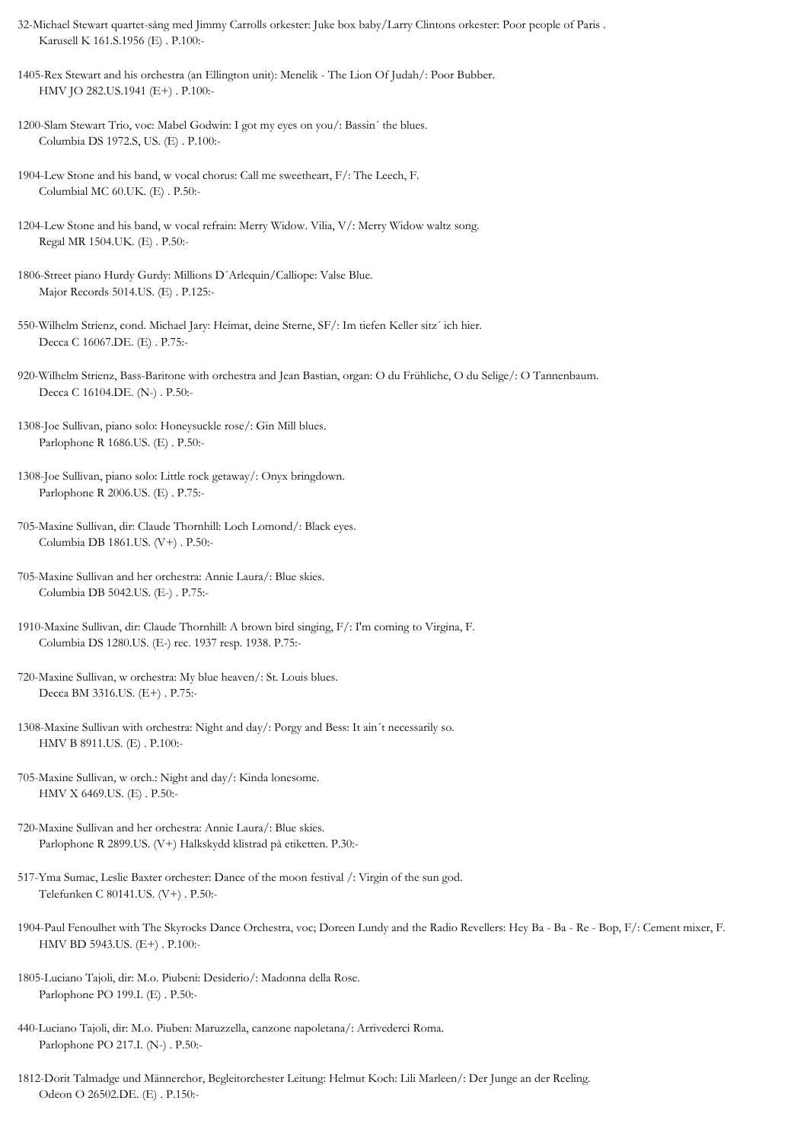- 32-Michael Stewart quartet-sång med Jimmy Carrolls orkester: Juke box baby/Larry Clintons orkester: Poor people of Paris . Karusell K 161.S.1956 (E) . P.100:-
- 1405-Rex Stewart and his orchestra (an Ellington unit): Menelik The Lion Of Judah/: Poor Bubber. HMV JO 282.US.1941 (E+) . P.100:-
- 1200-Slam Stewart Trio, voc: Mabel Godwin: I got my eyes on you/: Bassin´ the blues. Columbia DS 1972.S, US. (E) . P.100:-
- 1904-Lew Stone and his band, w vocal chorus: Call me sweetheart, F/: The Leech, F. Columbial MC 60.UK. (E) . P.50:-
- 1204-Lew Stone and his band, w vocal refrain: Merry Widow. Vilia, V/: Merry Widow waltz song. Regal MR 1504.UK. (E) . P.50:-
- 1806-Street piano Hurdy Gurdy: Millions D´Arlequin/Calliope: Valse Blue. Major Records 5014.US. (E) . P.125:-
- 550-Wilhelm Strienz, cond. Michael Jary: Heimat, deine Sterne, SF/: Im tiefen Keller sitz´ ich hier. Decca C 16067.DE. (E) . P.75:-
- 920-Wilhelm Strienz, Bass-Baritone with orchestra and Jean Bastian, organ: O du Frühliche, O du Selige/: O Tannenbaum. Decca C 16104.DE. (N-) . P.50:-
- 1308-Joe Sullivan, piano solo: Honeysuckle rose/: Gin Mill blues. Parlophone R 1686.US. (E) . P.50:-
- 1308-Joe Sullivan, piano solo: Little rock getaway/: Onyx bringdown. Parlophone R 2006.US. (E) . P.75:-
- 705-Maxine Sullivan, dir: Claude Thornhill: Loch Lomond/: Black eyes. Columbia DB 1861.US. (V+) . P.50:-
- 705-Maxine Sullivan and her orchestra: Annie Laura/: Blue skies. Columbia DB 5042.US. (E-) . P.75:-
- 1910-Maxine Sullivan, dir: Claude Thornhill: A brown bird singing, F/: I'm coming to Virgina, F. Columbia DS 1280.US. (E-) rec. 1937 resp. 1938. P.75:-
- 720-Maxine Sullivan, w orchestra: My blue heaven/: St. Louis blues. Decca BM 3316.US. (E+) . P.75:-
- 1308-Maxine Sullivan with orchestra: Night and day/: Porgy and Bess: It ain´t necessarily so. HMV B 8911.US. (E) . P.100:-
- 705-Maxine Sullivan, w orch.: Night and day/: Kinda lonesome. HMV X 6469.US. (E) . P.50:-
- 720-Maxine Sullivan and her orchestra: Annie Laura/: Blue skies. Parlophone R 2899.US. (V+) Halkskydd klistrad på etiketten. P.30:-
- 517-Yma Sumac, Leslie Baxter orchester: Dance of the moon festival /: Virgin of the sun god. Telefunken C 80141.US. (V+) . P.50:-
- 1904-Paul Fenoulhet with The Skyrocks Dance Orchestra, voc; Doreen Lundy and the Radio Revellers: Hey Ba Ba Re Bop, F/: Cement mixer, F. HMV BD 5943.US. (E+) . P.100:-
- 1805-Luciano Tajoli, dir: M.o. Piubeni: Desiderio/: Madonna della Rose. Parlophone PO 199.I. (E) . P.50:-
- 440-Luciano Tajoli, dir: M.o. Piuben: Maruzzella, canzone napoletana/: Arrivederci Roma. Parlophone PO 217.I. (N-) . P.50:-
- 1812-Dorit Talmadge und Männerchor, Begleitorchester Leitung: Helmut Koch: Lili Marleen/: Der Junge an der Reeling. Odeon O 26502.DE. (E) . P.150:-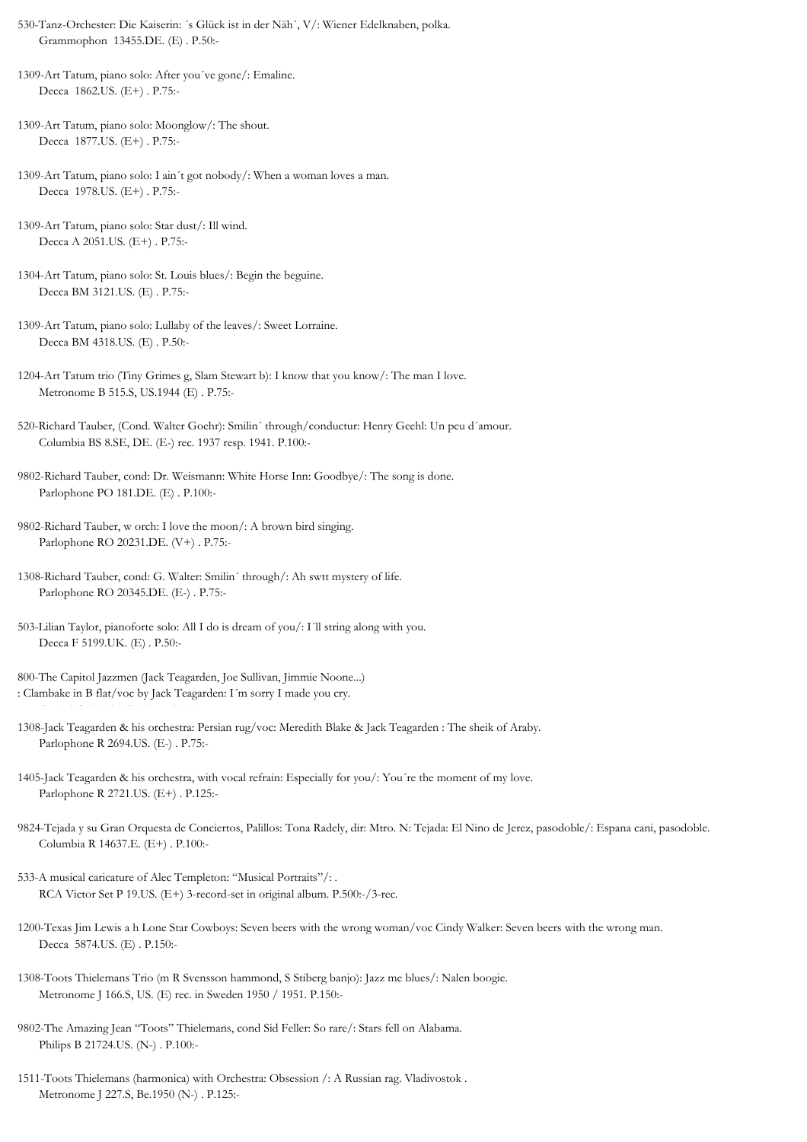530-Tanz-Orchester: Die Kaiserin: ´s Glück ist in der Näh´, V/: Wiener Edelknaben, polka. Grammophon 13455.DE. (E) . P.50:-

1309-Art Tatum, piano solo: After you´ve gone/: Emaline. Decca 1862.US. (E+) . P.75:-

1309-Art Tatum, piano solo: Moonglow/: The shout. Decca 1877.US. (E+) . P.75:-

1309-Art Tatum, piano solo: I ain´t got nobody/: When a woman loves a man. Decca 1978.US. (E+) . P.75:-

- 1309-Art Tatum, piano solo: Star dust/: Ill wind. Decca A 2051.US. (E+) . P.75:-
- 1304-Art Tatum, piano solo: St. Louis blues/: Begin the beguine. Decca BM 3121.US. (E) . P.75:-
- 1309-Art Tatum, piano solo: Lullaby of the leaves/: Sweet Lorraine. Decca BM 4318.US. (E) . P.50:-
- 1204-Art Tatum trio (Tiny Grimes g, Slam Stewart b): I know that you know/: The man I love. Metronome B 515.S, US.1944 (E) . P.75:-
- 520-Richard Tauber, (Cond. Walter Goehr): Smilin´ through/conductur: Henry Geehl: Un peu d´amour. Columbia BS 8.SE, DE. (E-) rec. 1937 resp. 1941. P.100:-
- 9802-Richard Tauber, cond: Dr. Weismann: White Horse Inn: Goodbye/: The song is done. Parlophone PO 181.DE. (E) . P.100:-
- 9802-Richard Tauber, w orch: I love the moon/: A brown bird singing. Parlophone RO 20231.DE. (V+) . P.75:-
- 1308-Richard Tauber, cond: G. Walter: Smilin´ through/: Ah swtt mystery of life. Parlophone RO 20345.DE. (E-) . P.75:-
- 503-Lilian Taylor, pianoforte solo: All I do is dream of you/: I´ll string along with you. Decca F 5199.UK. (E) . P.50:-
- 800-The Capitol Jazzmen (Jack Teagarden, Joe Sullivan, Jimmie Noone...) : Clambake in B flat/voc by Jack Teagarden: I´m sorry I made you cry.
- 1308-Jack Teagarden & his orchestra: Persian rug/voc: Meredith Blake & Jack Teagarden : The sheik of Araby. Parlophone R 2694.US. (E-) . P.75:-
- 1405-Jack Teagarden & his orchestra, with vocal refrain: Especially for you/: You´re the moment of my love. Parlophone R 2721.US. (E+) . P.125:-
- 9824-Tejada y su Gran Orquesta de Conciertos, Palillos: Tona Radely, dir: Mtro. N: Tejada: El Nino de Jerez, pasodoble/: Espana cani, pasodoble. Columbia R 14637.E. (E+) . P.100:-
- 533-A musical caricature of Alec Templeton: "Musical Portraits"/: . RCA Victor Set P 19.US. (E+) 3-record-set in original album. P.500:-/3-rec.
- 1200-Texas Jim Lewis a h Lone Star Cowboys: Seven beers with the wrong woman/voc Cindy Walker: Seven beers with the wrong man. Decca 5874.US. (E) . P.150:-
- 1308-Toots Thielemans Trio (m R Svensson hammond, S Stiberg banjo): Jazz me blues/: Nalen boogie. Metronome J 166.S, US. (E) rec. in Sweden 1950 / 1951. P.150:-
- 9802-The Amazing Jean "Toots" Thielemans, cond Sid Feller: So rare/: Stars fell on Alabama. Philips B 21724.US. (N-) . P.100:-
- 1511-Toots Thielemans (harmonica) with Orchestra: Obsession /: A Russian rag. Vladivostok . Metronome J 227.S, Be.1950 (N-) . P.125:-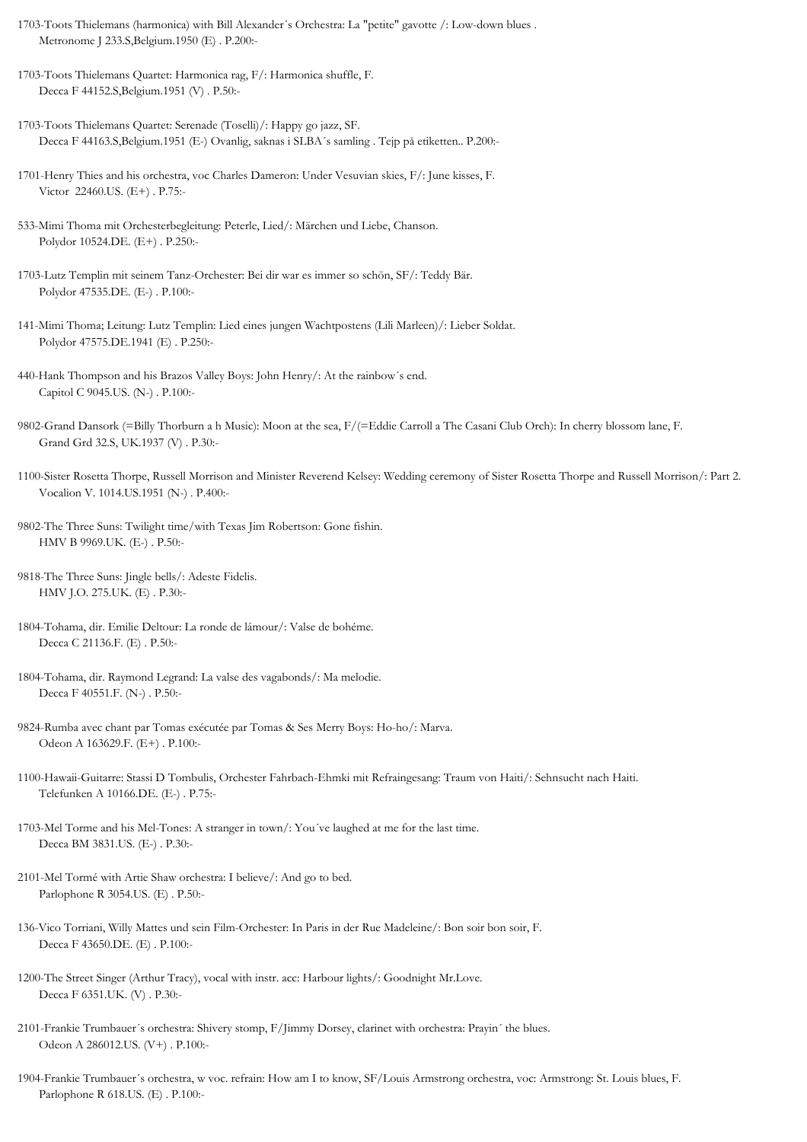- 1703-Toots Thielemans (harmonica) with Bill Alexander´s Orchestra: La "petite" gavotte /: Low-down blues . Metronome J 233.S,Belgium.1950 (E) . P.200:-
- 1703-Toots Thielemans Quartet: Harmonica rag, F/: Harmonica shuffle, F. Decca F 44152.S,Belgium.1951 (V) . P.50:-
- 1703-Toots Thielemans Quartet: Serenade (Toselli)/: Happy go jazz, SF. Decca F 44163.S,Belgium.1951 (E-) Ovanlig, saknas i SLBA´s samling . Tejp på etiketten.. P.200:-
- 1701-Henry Thies and his orchestra, voc Charles Dameron: Under Vesuvian skies, F/: June kisses, F. Victor 22460.US. (E+) . P.75:-
- 533-Mimi Thoma mit Orchesterbegleitung: Peterle, Lied/: Märchen und Liebe, Chanson. Polydor 10524.DE. (E+) . P.250:-
- 1703-Lutz Templin mit seinem Tanz-Orchester: Bei dir war es immer so schön, SF/: Teddy Bär. Polydor 47535.DE. (E-) . P.100:-
- 141-Mimi Thoma; Leitung: Lutz Templin: Lied eines jungen Wachtpostens (Lili Marleen)/: Lieber Soldat. Polydor 47575.DE.1941 (E) . P.250:-
- 440-Hank Thompson and his Brazos Valley Boys: John Henry/: At the rainbow´s end. Capitol C 9045.US. (N-) . P.100:-
- 9802-Grand Dansork (=Billy Thorburn a h Music): Moon at the sea, F/(=Eddie Carroll a The Casani Club Orch): In cherry blossom lane, F. Grand Grd 32.S, UK.1937 (V) . P.30:-
- 1100-Sister Rosetta Thorpe, Russell Morrison and Minister Reverend Kelsey: Wedding ceremony of Sister Rosetta Thorpe and Russell Morrison/: Part 2. Vocalion V. 1014.US.1951 (N-) . P.400:-
- 9802-The Three Suns: Twilight time/with Texas Jim Robertson: Gone fishin. HMV B 9969.UK. (E-) . P.50:-
- 9818-The Three Suns: Jingle bells/: Adeste Fidelis. HMV J.O. 275.UK. (E) . P.30:-
- 1804-Tohama, dir. Emilie Deltour: La ronde de lámour/: Valse de bohéme. Decca C 21136.F. (E) . P.50:-
- 1804-Tohama, dir. Raymond Legrand: La valse des vagabonds/: Ma melodie. Decca F 40551.F. (N-) . P.50:-
- 9824-Rumba avec chant par Tomas exécutée par Tomas & Ses Merry Boys: Ho-ho/: Marva. Odeon A 163629.F. (E+) . P.100:-
- 1100-Hawaii-Guitarre: Stassi D Tombulis, Orchester Fahrbach-Ehmki mit Refraingesang: Traum von Haiti/: Sehnsucht nach Haiti. Telefunken A 10166.DE. (E-) . P.75:-
- 1703-Mel Torme and his Mel-Tones: A stranger in town/: You´ve laughed at me for the last time. Decca BM 3831.US. (E-) . P.30:-
- 2101-Mel Tormé with Artie Shaw orchestra: I believe/: And go to bed. Parlophone R 3054.US. (E) . P.50:-
- 136-Vico Torriani, Willy Mattes und sein Film-Orchester: In Paris in der Rue Madeleine/: Bon soir bon soir, F. Decca F 43650.DE. (E) . P.100:-
- 1200-The Street Singer (Arthur Tracy), vocal with instr. acc: Harbour lights/: Goodnight Mr.Love. Decca F 6351.UK. (V) . P.30:-
- 2101-Frankie Trumbauer´s orchestra: Shivery stomp, F/Jimmy Dorsey, clarinet with orchestra: Prayin´ the blues. Odeon A 286012.US. (V+) . P.100:-
- 1904-Frankie Trumbauer´s orchestra, w voc. refrain: How am I to know, SF/Louis Armstrong orchestra, voc: Armstrong: St. Louis blues, F. Parlophone R 618.US. (E) . P.100:-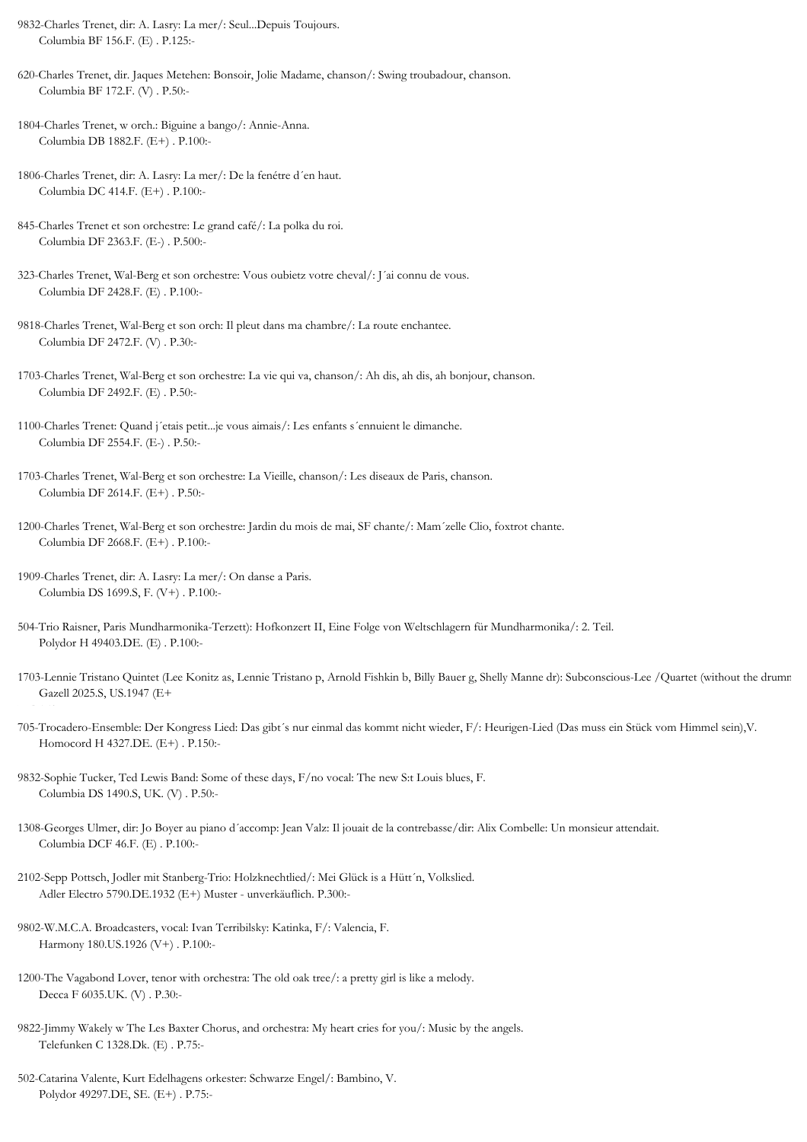9832-Charles Trenet, dir: A. Lasry: La mer/: Seul...Depuis Toujours. Columbia BF 156.F. (E) . P.125:-

620-Charles Trenet, dir. Jaques Metehen: Bonsoir, Jolie Madame, chanson/: Swing troubadour, chanson. Columbia BF 172.F. (V) . P.50:-

1804-Charles Trenet, w orch.: Biguine a bango/: Annie-Anna. Columbia DB 1882.F. (E+) . P.100:-

1806-Charles Trenet, dir: A. Lasry: La mer/: De la fenétre d´en haut. Columbia DC 414.F. (E+) . P.100:-

845-Charles Trenet et son orchestre: Le grand café/: La polka du roi. Columbia DF 2363.F. (E-) . P.500:-

- 323-Charles Trenet, Wal-Berg et son orchestre: Vous oubietz votre cheval/: J´ai connu de vous. Columbia DF 2428.F. (E) . P.100:-
- 9818-Charles Trenet, Wal-Berg et son orch: Il pleut dans ma chambre/: La route enchantee. Columbia DF 2472.F. (V) . P.30:-
- 1703-Charles Trenet, Wal-Berg et son orchestre: La vie qui va, chanson/: Ah dis, ah dis, ah bonjour, chanson. Columbia DF 2492.F. (E) . P.50:-
- 1100-Charles Trenet: Quand j´etais petit...je vous aimais/: Les enfants s´ennuient le dimanche. Columbia DF 2554.F. (E-) . P.50:-
- 1703-Charles Trenet, Wal-Berg et son orchestre: La Vieille, chanson/: Les diseaux de Paris, chanson. Columbia DF 2614.F. (E+) . P.50:-
- 1200-Charles Trenet, Wal-Berg et son orchestre: Jardin du mois de mai, SF chante/: Mam´zelle Clio, foxtrot chante. Columbia DF 2668.F. (E+) . P.100:-
- 1909-Charles Trenet, dir: A. Lasry: La mer/: On danse a Paris. Columbia DS 1699.S, F. (V+) . P.100:-
- 504-Trio Raisner, Paris Mundharmonika-Terzett): Hofkonzert II, Eine Folge von Weltschlagern für Mundharmonika/: 2. Teil. Polydor H 49403.DE. (E) . P.100:-
- 1703-Lennie Tristano Quintet (Lee Konitz as, Lennie Tristano p, Arnold Fishkin b, Billy Bauer g, Shelly Manne dr): Subconscious-Lee /Quartet (without the drummer) Gazell 2025.S, US.1947 (E+
- 705-Trocadero-Ensemble: Der Kongress Lied: Das gibt´s nur einmal das kommt nicht wieder, F/: Heurigen-Lied (Das muss ein Stück vom Himmel sein),V. Homocord H 4327.DE. (E+) . P.150:-
- 9832-Sophie Tucker, Ted Lewis Band: Some of these days, F/no vocal: The new S:t Louis blues, F. Columbia DS 1490.S, UK. (V) . P.50:-
- 1308-Georges Ulmer, dir: Jo Boyer au piano d´accomp: Jean Valz: Il jouait de la contrebasse/dir: Alix Combelle: Un monsieur attendait. Columbia DCF 46.F. (E) . P.100:-
- 2102-Sepp Pottsch, Jodler mit Stanberg-Trio: Holzknechtlied/: Mei Glück is a Hütt´n, Volkslied. Adler Electro 5790.DE.1932 (E+) Muster - unverkäuflich. P.300:-
- 9802-W.M.C.A. Broadcasters, vocal: Ivan Terribilsky: Katinka, F/: Valencia, F. Harmony 180.US.1926 (V+) . P.100:-
- 1200-The Vagabond Lover, tenor with orchestra: The old oak tree/: a pretty girl is like a melody. Decca F 6035.UK. (V) . P.30:-
- 9822-Jimmy Wakely w The Les Baxter Chorus, and orchestra: My heart cries for you/: Music by the angels. Telefunken C 1328.Dk. (E) . P.75:-
- 502-Catarina Valente, Kurt Edelhagens orkester: Schwarze Engel/: Bambino, V. Polydor 49297.DE, SE. (E+) . P.75:-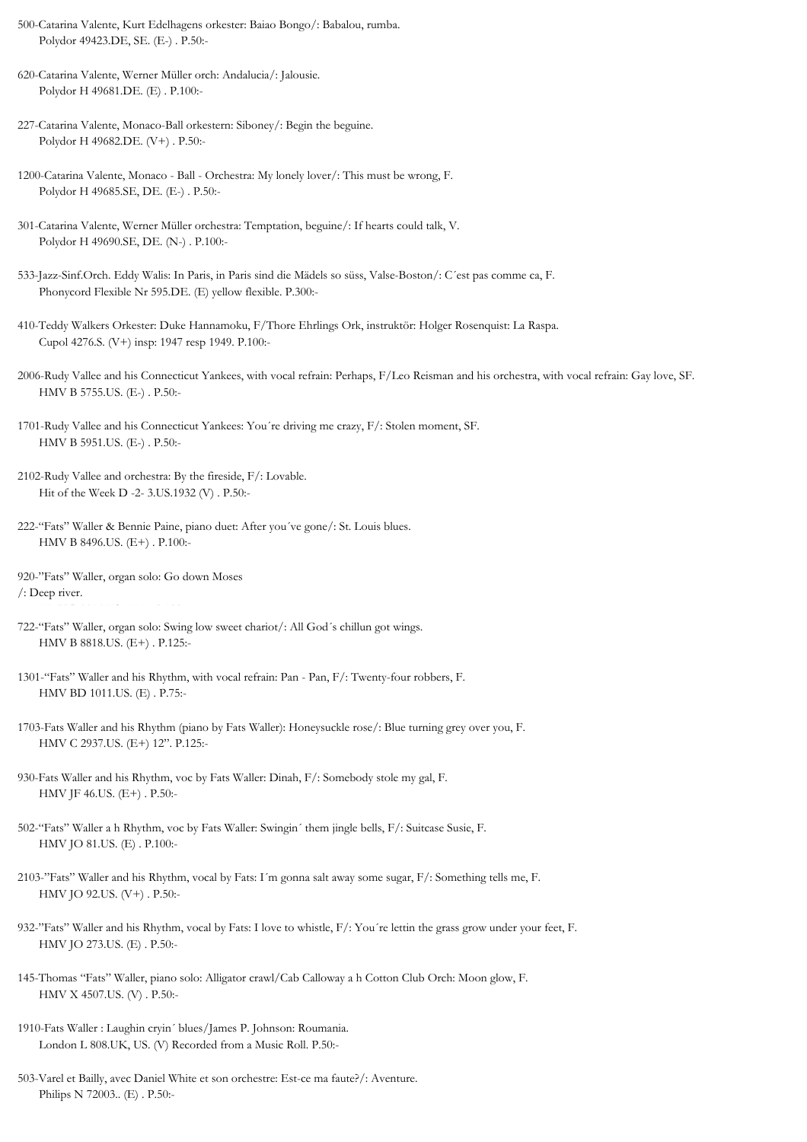- 500-Catarina Valente, Kurt Edelhagens orkester: Baiao Bongo/: Babalou, rumba. Polydor 49423.DE, SE. (E-) . P.50:-
- 620-Catarina Valente, Werner Müller orch: Andalucia/: Jalousie. Polydor H 49681.DE. (E) . P.100:-
- 227-Catarina Valente, Monaco-Ball orkestern: Siboney/: Begin the beguine. Polydor H 49682.DE. (V+) . P.50:-
- 1200-Catarina Valente, Monaco Ball Orchestra: My lonely lover/: This must be wrong, F. Polydor H 49685.SE, DE. (E-) . P.50:-
- 301-Catarina Valente, Werner Müller orchestra: Temptation, beguine/: If hearts could talk, V. Polydor H 49690.SE, DE. (N-) . P.100:-
- 533-Jazz-Sinf.Orch. Eddy Walis: In Paris, in Paris sind die Mädels so süss, Valse-Boston/: C´est pas comme ca, F. Phonycord Flexible Nr 595.DE. (E) yellow flexible. P.300:-
- 410-Teddy Walkers Orkester: Duke Hannamoku, F/Thore Ehrlings Ork, instruktör: Holger Rosenquist: La Raspa. Cupol 4276.S. (V+) insp: 1947 resp 1949. P.100:-
- 2006-Rudy Vallee and his Connecticut Yankees, with vocal refrain: Perhaps, F/Leo Reisman and his orchestra, with vocal refrain: Gay love, SF. HMV B 5755.US. (E-) . P.50:-
- 1701-Rudy Vallee and his Connecticut Yankees: You´re driving me crazy, F/: Stolen moment, SF. HMV B 5951.US. (E-) . P.50:-
- 2102-Rudy Vallee and orchestra: By the fireside, F/: Lovable. Hit of the Week D -2- 3.US.1932 (V) . P.50:-
- 222-"Fats" Waller & Bennie Paine, piano duet: After you´ve gone/: St. Louis blues. HMV B 8496.US. (E+) . P.100:-
- 920-"Fats" Waller, organ solo: Go down Moses /: Deep river.
- 722-"Fats" Waller, organ solo: Swing low sweet chariot/: All God´s chillun got wings. HMV B 8818.US. (E+) . P.125:-
- 1301-"Fats" Waller and his Rhythm, with vocal refrain: Pan Pan, F/: Twenty-four robbers, F. HMV BD 1011.US. (E) . P.75:-
- 1703-Fats Waller and his Rhythm (piano by Fats Waller): Honeysuckle rose/: Blue turning grey over you, F. HMV C 2937.US. (E+) 12". P.125:-
- 930-Fats Waller and his Rhythm, voc by Fats Waller: Dinah, F/: Somebody stole my gal, F. HMV JF 46.US. (E+) . P.50:-
- 502-"Fats" Waller a h Rhythm, voc by Fats Waller: Swingin´ them jingle bells, F/: Suitcase Susie, F. HMV JO 81.US. (E) . P.100:-
- 2103-"Fats" Waller and his Rhythm, vocal by Fats: I´m gonna salt away some sugar, F/: Something tells me, F. HMV JO 92.US. (V+) . P.50:-
- 932-"Fats" Waller and his Rhythm, vocal by Fats: I love to whistle, F/: You´re lettin the grass grow under your feet, F. HMV JO 273.US. (E) . P.50:-
- 145-Thomas "Fats" Waller, piano solo: Alligator crawl/Cab Calloway a h Cotton Club Orch: Moon glow, F. HMV X 4507.US. (V) . P.50:-
- 1910-Fats Waller : Laughin cryin´ blues/James P. Johnson: Roumania. London L 808.UK, US. (V) Recorded from a Music Roll. P.50:-
- 503-Varel et Bailly, avec Daniel White et son orchestre: Est-ce ma faute?/: Aventure. Philips N 72003.. (E) . P.50:-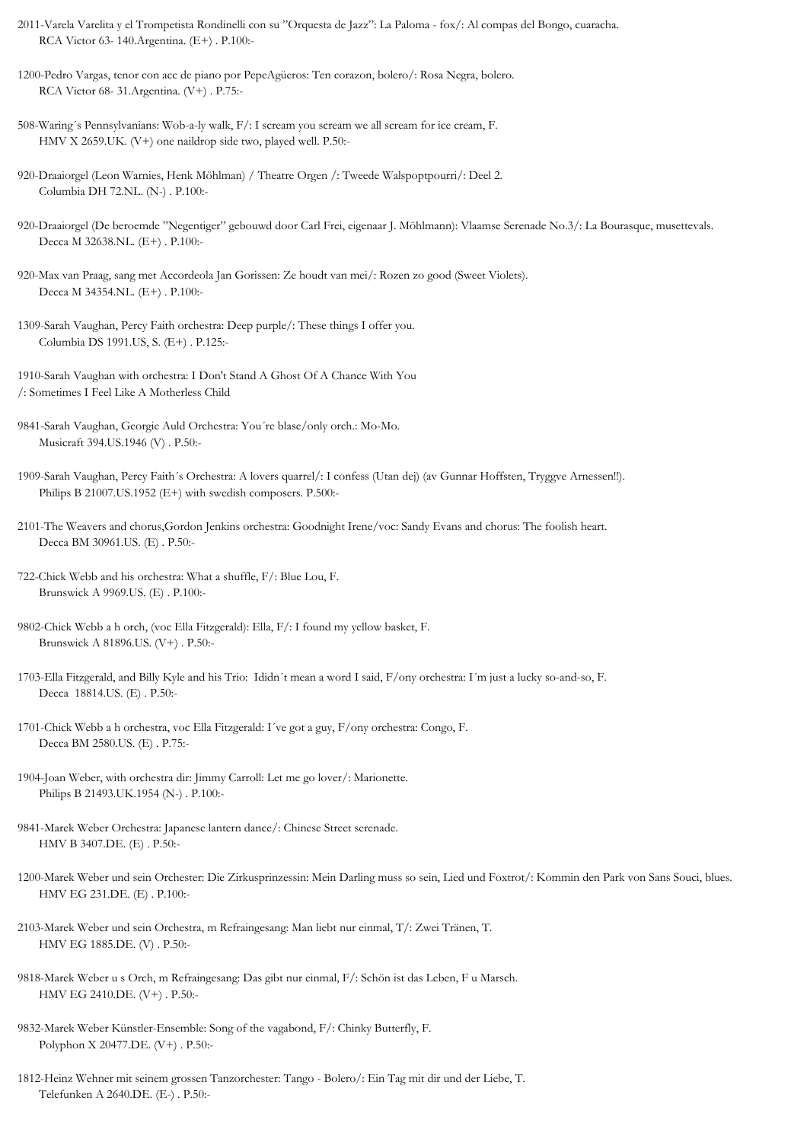- 2011-Varela Varelita y el Trompetista Rondinelli con su "Orquesta de Jazz": La Paloma fox/: Al compas del Bongo, cuaracha. RCA Victor 63- 140.Argentina. (E+) . P.100:-
- 1200-Pedro Vargas, tenor con acc de piano por PepeAgüeros: Ten corazon, bolero/: Rosa Negra, bolero. RCA Victor 68- 31.Argentina. (V+) . P.75:-
- 508-Waring´s Pennsylvanians: Wob-a-ly walk, F/: I scream you scream we all scream for ice cream, F. HMV X 2659.UK. (V+) one naildrop side two, played well. P.50:-
- 920-Draaiorgel (Leon Warnies, Henk Möhlman) / Theatre Orgen /: Tweede Walspoptpourri/: Deel 2. Columbia DH 72.NL. (N-) . P.100:-
- 920-Draaiorgel (De beroemde "Negentiger" gebouwd door Carl Frei, eigenaar J. Möhlmann): Vlaamse Serenade No.3/: La Bourasque, musettevals. Decca M 32638.NL. (E+) . P.100:-
- 920-Max van Praag, sang met Accordeola Jan Gorissen: Ze houdt van mei/: Rozen zo good (Sweet Violets). Decca M 34354.NL. (E+) . P.100:-
- 1309-Sarah Vaughan, Percy Faith orchestra: Deep purple/: These things I offer you. Columbia DS 1991.US, S. (E+) . P.125:-
- 1910-Sarah Vaughan with orchestra: I Don't Stand A Ghost Of A Chance With You /: Sometimes I Feel Like A Motherless Child
- 9841-Sarah Vaughan, Georgie Auld Orchestra: You´re blase/only orch.: Mo-Mo. Musicraft 394.US.1946 (V) . P.50:-
- 1909-Sarah Vaughan, Percy Faith´s Orchestra: A lovers quarrel/: I confess (Utan dej) (av Gunnar Hoffsten, Tryggve Arnessen!!). Philips B 21007.US.1952 (E+) with swedish composers. P.500:-
- 2101-The Weavers and chorus,Gordon Jenkins orchestra: Goodnight Irene/voc: Sandy Evans and chorus: The foolish heart. Decca BM 30961.US. (E) . P.50:-
- 722-Chick Webb and his orchestra: What a shuffle, F/: Blue Lou, F. Brunswick A 9969.US. (E) . P.100:-
- 9802-Chick Webb a h orch, (voc Ella Fitzgerald): Ella, F/: I found my yellow basket, F. Brunswick A 81896.US. (V+) . P.50:-
- 1703-Ella Fitzgerald, and Billy Kyle and his Trio: Ididn´t mean a word I said, F/ony orchestra: I´m just a lucky so-and-so, F. Decca 18814.US. (E) . P.50:-
- 1701-Chick Webb a h orchestra, voc Ella Fitzgerald: I´ve got a guy, F/ony orchestra: Congo, F. Decca BM 2580.US. (E) . P.75:-
- 1904-Joan Weber, with orchestra dir: Jimmy Carroll: Let me go lover/: Marionette. Philips B 21493.UK.1954 (N-) . P.100:-
- 9841-Marek Weber Orchestra: Japanese lantern dance/: Chinese Street serenade. HMV B 3407.DE. (E) . P.50:-
- 1200-Marek Weber und sein Orchester: Die Zirkusprinzessin: Mein Darling muss so sein, Lied und Foxtrot/: Kommin den Park von Sans Souci, blues. HMV EG 231.DE. (E) . P.100:-
- 2103-Marek Weber und sein Orchestra, m Refraingesang: Man liebt nur einmal, T/: Zwei Tränen, T. HMV EG 1885.DE. (V) . P.50:-
- 9818-Marek Weber u s Orch, m Refraingesang: Das gibt nur einmal, F/: Schön ist das Leben, F u Marsch. HMV EG 2410.DE. (V+) . P.50:-
- 9832-Marek Weber Künstler-Ensemble: Song of the vagabond, F/: Chinky Butterfly, F. Polyphon X 20477.DE. (V+) . P.50:-
- 1812-Heinz Wehner mit seinem grossen Tanzorchester: Tango Bolero/: Ein Tag mit dir und der Liebe, T. Telefunken A 2640.DE. (E-) . P.50:-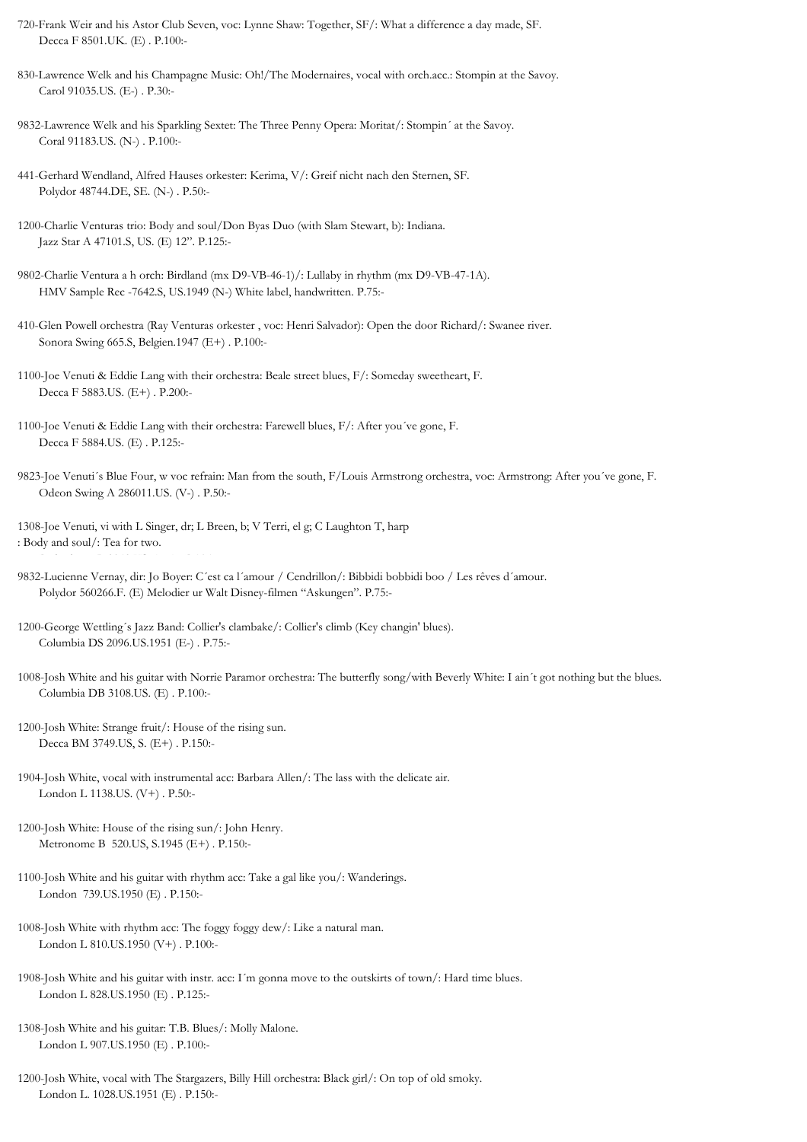- 720-Frank Weir and his Astor Club Seven, voc: Lynne Shaw: Together, SF/: What a difference a day made, SF. Decca F 8501.UK. (E) . P.100:-
- 830-Lawrence Welk and his Champagne Music: Oh!/The Modernaires, vocal with orch.acc.: Stompin at the Savoy. Carol 91035.US. (E-) . P.30:-
- 9832-Lawrence Welk and his Sparkling Sextet: The Three Penny Opera: Moritat/: Stompin´ at the Savoy. Coral 91183.US. (N-) . P.100:-
- 441-Gerhard Wendland, Alfred Hauses orkester: Kerima, V/: Greif nicht nach den Sternen, SF. Polydor 48744.DE, SE. (N-) . P.50:-
- 1200-Charlie Venturas trio: Body and soul/Don Byas Duo (with Slam Stewart, b): Indiana. Jazz Star A 47101.S, US. (E) 12". P.125:-
- 9802-Charlie Ventura a h orch: Birdland (mx D9-VB-46-1)/: Lullaby in rhythm (mx D9-VB-47-1A). HMV Sample Rec -7642.S, US.1949 (N-) White label, handwritten. P.75:-
- 410-Glen Powell orchestra (Ray Venturas orkester , voc: Henri Salvador): Open the door Richard/: Swanee river. Sonora Swing 665.S, Belgien.1947 (E+) . P.100:-
- 1100-Joe Venuti & Eddie Lang with their orchestra: Beale street blues, F/: Someday sweetheart, F. Decca F 5883.US. (E+) . P.200:-
- 1100-Joe Venuti & Eddie Lang with their orchestra: Farewell blues, F/: After you´ve gone, F. Decca F 5884.US. (E) . P.125:-
- 9823-Joe Venuti´s Blue Four, w voc refrain: Man from the south, F/Louis Armstrong orchestra, voc: Armstrong: After you´ve gone, F. Odeon Swing A 286011.US. (V-) . P.50:-
- 1308-Joe Venuti, vi with L Singer, dr; L Breen, b; V Terri, el g; C Laughton T, harp : Body and soul/: Tea for two. Parlophone R 3043.US. (E+) . P.125:-
- 9832-Lucienne Vernay, dir: Jo Boyer: C´est ca l´amour / Cendrillon/: Bibbidi bobbidi boo / Les rêves d´amour. Polydor 560266.F. (E) Melodier ur Walt Disney-filmen "Askungen". P.75:-
- 1200-George Wettling´s Jazz Band: Collier's clambake/: Collier's climb (Key changin' blues). Columbia DS 2096.US.1951 (E-) . P.75:-
- 1008-Josh White and his guitar with Norrie Paramor orchestra: The butterfly song/with Beverly White: I ain´t got nothing but the blues. Columbia DB 3108.US. (E) . P.100:-
- 1200-Josh White: Strange fruit/: House of the rising sun. Decca BM 3749.US, S. (E+) . P.150:-
- 1904-Josh White, vocal with instrumental acc: Barbara Allen/: The lass with the delicate air. London L 1138.US. (V+) . P.50:-
- 1200-Josh White: House of the rising sun/: John Henry. Metronome B 520.US, S.1945 (E+) . P.150:-
- 1100-Josh White and his guitar with rhythm acc: Take a gal like you/: Wanderings. London 739.US.1950 (E) . P.150:-
- 1008-Josh White with rhythm acc: The foggy foggy dew/: Like a natural man. London L 810.US.1950 (V+) . P.100:-
- 1908-Josh White and his guitar with instr. acc: I´m gonna move to the outskirts of town/: Hard time blues. London L 828.US.1950 (E) . P.125:-
- 1308-Josh White and his guitar: T.B. Blues/: Molly Malone. London L 907.US.1950 (E) . P.100:-
- 1200-Josh White, vocal with The Stargazers, Billy Hill orchestra: Black girl/: On top of old smoky. London L. 1028.US.1951 (E) . P.150:-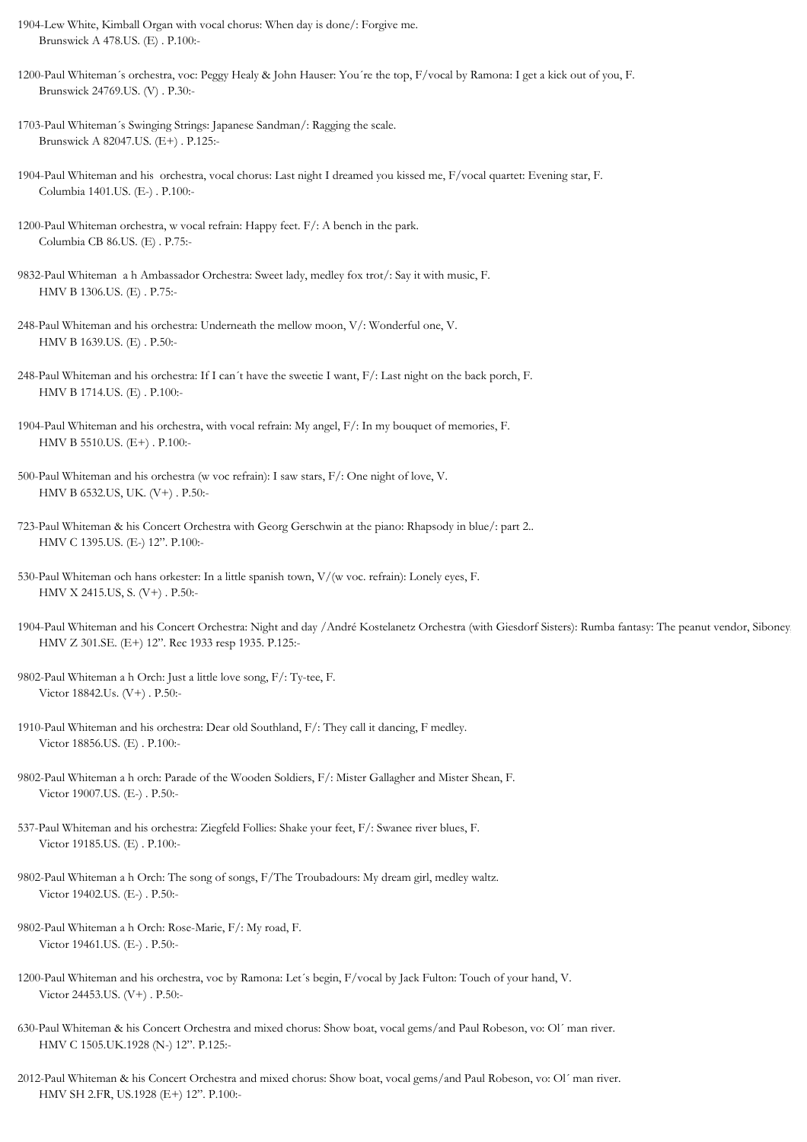- 1904-Lew White, Kimball Organ with vocal chorus: When day is done/: Forgive me. Brunswick A 478.US. (E) . P.100:-
- 1200-Paul Whiteman´s orchestra, voc: Peggy Healy & John Hauser: You´re the top, F/vocal by Ramona: I get a kick out of you, F. Brunswick 24769.US. (V) . P.30:-
- 1703-Paul Whiteman´s Swinging Strings: Japanese Sandman/: Ragging the scale. Brunswick A 82047.US. (E+) . P.125:-
- 1904-Paul Whiteman and his orchestra, vocal chorus: Last night I dreamed you kissed me, F/vocal quartet: Evening star, F. Columbia 1401.US. (E-) . P.100:-
- 1200-Paul Whiteman orchestra, w vocal refrain: Happy feet. F/: A bench in the park. Columbia CB 86.US. (E) . P.75:-
- 9832-Paul Whiteman a h Ambassador Orchestra: Sweet lady, medley fox trot/: Say it with music, F. HMV B 1306.US. (E) . P.75:-
- 248-Paul Whiteman and his orchestra: Underneath the mellow moon, V/: Wonderful one, V. HMV B 1639.US. (E) . P.50:-
- 248-Paul Whiteman and his orchestra: If I can´t have the sweetie I want, F/: Last night on the back porch, F. HMV B 1714.US. (E) . P.100:-
- 1904-Paul Whiteman and his orchestra, with vocal refrain: My angel, F/: In my bouquet of memories, F. HMV B 5510.US. (E+) . P.100:-
- 500-Paul Whiteman and his orchestra (w voc refrain): I saw stars, F/: One night of love, V. HMV B 6532.US, UK. (V+) . P.50:-
- 723-Paul Whiteman & his Concert Orchestra with Georg Gerschwin at the piano: Rhapsody in blue/: part 2.. HMV C 1395.US. (E-) 12". P.100:-
- 530-Paul Whiteman och hans orkester: In a little spanish town, V/(w voc. refrain): Lonely eyes, F. HMV X 2415.US, S. (V+) . P.50:-
- 1904-Paul Whiteman and his Concert Orchestra: Night and day /André Kostelanetz Orchestra (with Giesdorf Sisters): Rumba fantasy: The peanut vendor, Siboney, HMV Z 301.SE. (E+) 12". Rec 1933 resp 1935. P.125:-
- 9802-Paul Whiteman a h Orch: Just a little love song, F/: Ty-tee, F. Victor 18842.Us. (V+) . P.50:-
- 1910-Paul Whiteman and his orchestra: Dear old Southland, F/: They call it dancing, F medley. Victor 18856.US. (E) . P.100:-
- 9802-Paul Whiteman a h orch: Parade of the Wooden Soldiers, F/: Mister Gallagher and Mister Shean, F. Victor 19007.US. (E-) . P.50:-
- 537-Paul Whiteman and his orchestra: Ziegfeld Follies: Shake your feet, F/: Swanee river blues, F. Victor 19185.US. (E) . P.100:-
- 9802-Paul Whiteman a h Orch: The song of songs, F/The Troubadours: My dream girl, medley waltz. Victor 19402.US. (E-) . P.50:-
- 9802-Paul Whiteman a h Orch: Rose-Marie, F/: My road, F. Victor 19461.US. (E-) . P.50:-
- 1200-Paul Whiteman and his orchestra, voc by Ramona: Let´s begin, F/vocal by Jack Fulton: Touch of your hand, V. Victor 24453.US. (V+) . P.50:-
- 630-Paul Whiteman & his Concert Orchestra and mixed chorus: Show boat, vocal gems/and Paul Robeson, vo: Ol´ man river. HMV C 1505.UK.1928 (N-) 12". P.125:-
- 2012-Paul Whiteman & his Concert Orchestra and mixed chorus: Show boat, vocal gems/and Paul Robeson, vo: Ol´ man river. HMV SH 2.FR, US.1928 (E+) 12". P.100:-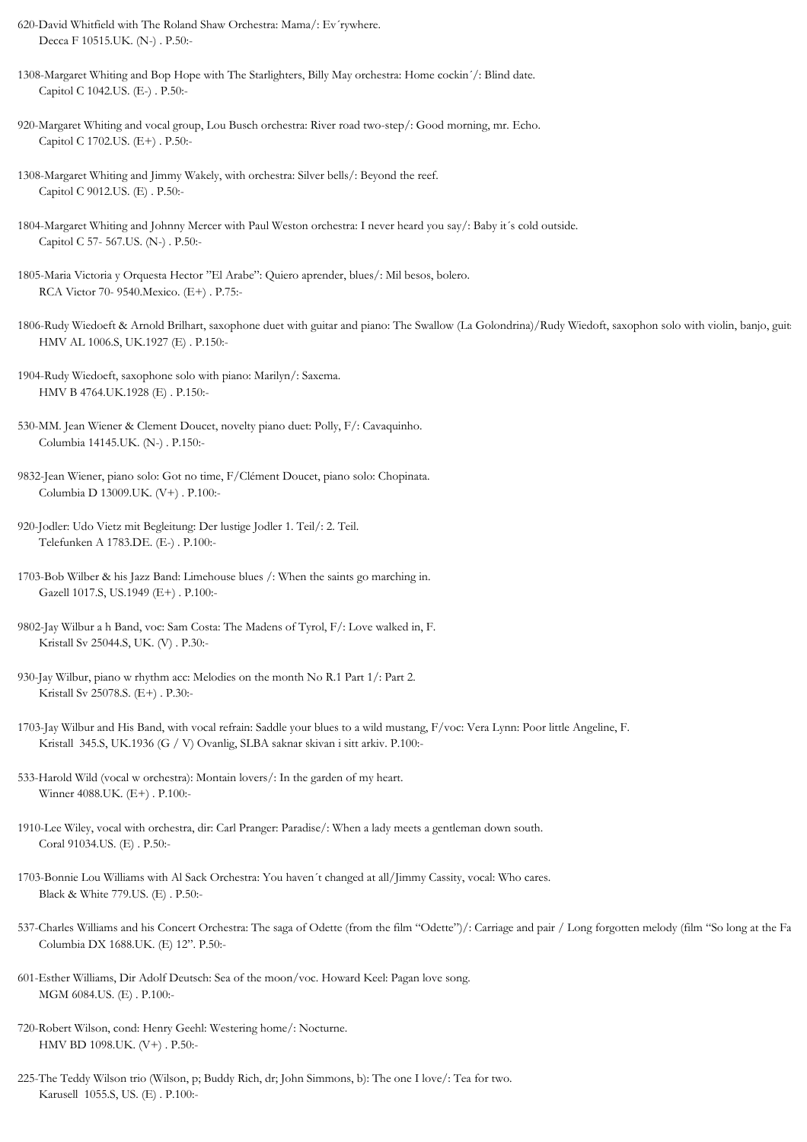- 620-David Whitfield with The Roland Shaw Orchestra: Mama/: Ev´rywhere. Decca F 10515.UK. (N-) . P.50:-
- 1308-Margaret Whiting and Bop Hope with The Starlighters, Billy May orchestra: Home cockin´/: Blind date. Capitol C 1042.US. (E-) . P.50:-
- 920-Margaret Whiting and vocal group, Lou Busch orchestra: River road two-step/: Good morning, mr. Echo. Capitol C 1702.US. (E+) . P.50:-
- 1308-Margaret Whiting and Jimmy Wakely, with orchestra: Silver bells/: Beyond the reef. Capitol C 9012.US. (E) . P.50:-
- 1804-Margaret Whiting and Johnny Mercer with Paul Weston orchestra: I never heard you say/: Baby it´s cold outside. Capitol C 57- 567.US. (N-) . P.50:-
- 1805-Maria Victoria y Orquesta Hector "El Arabe": Quiero aprender, blues/: Mil besos, bolero. RCA Victor 70- 9540.Mexico. (E+) . P.75:-
- 1806-Rudy Wiedoeft & Arnold Brilhart, saxophone duet with guitar and piano: The Swallow (La Golondrina)/Rudy Wiedoft, saxophon solo with violin, banjo, guit HMV AL 1006.S, UK.1927 (E) . P.150:-
- 1904-Rudy Wiedoeft, saxophone solo with piano: Marilyn/: Saxema. HMV B 4764.UK.1928 (E) . P.150:-
- 530-MM. Jean Wiener & Clement Doucet, novelty piano duet: Polly, F/: Cavaquinho. Columbia 14145.UK. (N-) . P.150:-
- 9832-Jean Wiener, piano solo: Got no time, F/Clément Doucet, piano solo: Chopinata. Columbia D 13009.UK. (V+) . P.100:-
- 920-Jodler: Udo Vietz mit Begleitung: Der lustige Jodler 1. Teil/: 2. Teil. Telefunken A 1783.DE. (E-) . P.100:-
- 1703-Bob Wilber & his Jazz Band: Limehouse blues /: When the saints go marching in. Gazell 1017.S, US.1949 (E+) . P.100:-
- 9802-Jay Wilbur a h Band, voc: Sam Costa: The Madens of Tyrol, F/: Love walked in, F. Kristall Sv 25044.S, UK. (V) . P.30:-
- 930-Jay Wilbur, piano w rhythm acc: Melodies on the month No R.1 Part 1/: Part 2. Kristall Sv 25078.S. (E+) . P.30:-
- 1703-Jay Wilbur and His Band, with vocal refrain: Saddle your blues to a wild mustang, F/voc: Vera Lynn: Poor little Angeline, F. Kristall 345.S, UK.1936 (G / V) Ovanlig, SLBA saknar skivan i sitt arkiv. P.100:-
- 533-Harold Wild (vocal w orchestra): Montain lovers/: In the garden of my heart. Winner 4088.UK. (E+) . P.100:-
- 1910-Lee Wiley, vocal with orchestra, dir: Carl Pranger: Paradise/: When a lady meets a gentleman down south. Coral 91034.US. (E) . P.50:-
- 1703-Bonnie Lou Williams with Al Sack Orchestra: You haven´t changed at all/Jimmy Cassity, vocal: Who cares. Black & White 779.US. (E) . P.50:-
- 537-Charles Williams and his Concert Orchestra: The saga of Odette (from the film "Odette")/: Carriage and pair / Long forgotten melody (film "So long at the Fa Columbia DX 1688.UK. (E) 12". P.50:-
- 601-Esther Williams, Dir Adolf Deutsch: Sea of the moon/voc. Howard Keel: Pagan love song. MGM 6084.US. (E) . P.100:-
- 720-Robert Wilson, cond: Henry Geehl: Westering home/: Nocturne. HMV BD 1098.UK. (V+) . P.50:-
- 225-The Teddy Wilson trio (Wilson, p; Buddy Rich, dr; John Simmons, b): The one I love/: Tea for two. Karusell 1055.S, US. (E) . P.100:-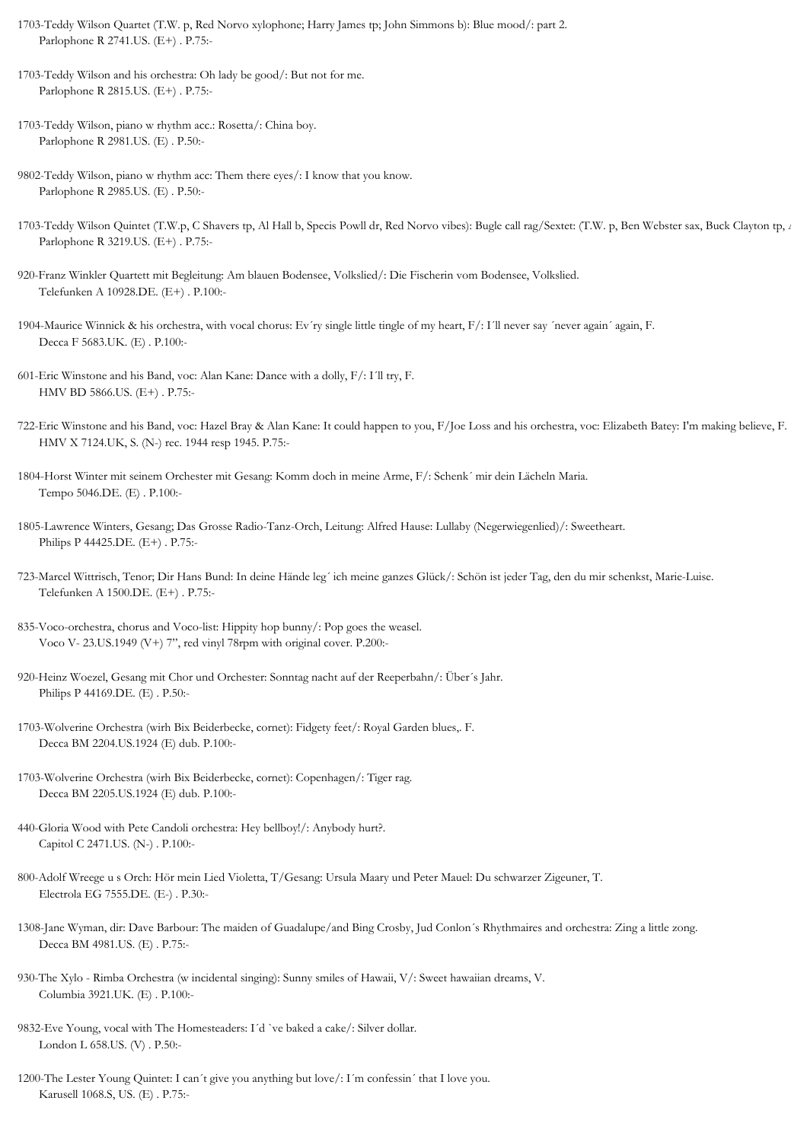1703-Teddy Wilson Quartet (T.W. p, Red Norvo xylophone; Harry James tp; John Simmons b): Blue mood/: part 2. Parlophone R 2741.US. (E+) . P.75:-

1703-Teddy Wilson and his orchestra: Oh lady be good/: But not for me. Parlophone R 2815.US. (E+) . P.75:-

1703-Teddy Wilson, piano w rhythm acc.: Rosetta/: China boy. Parlophone R 2981.US. (E) . P.50:-

9802-Teddy Wilson, piano w rhythm acc: Them there eyes/: I know that you know. Parlophone R 2985.US. (E) . P.50:-

- 1703-Teddy Wilson Quintet (T.W.p, C Shavers tp, Al Hall b, Specis Powll dr, Red Norvo vibes): Bugle call rag/Sextet: (T.W. p, Ben Webster sax, Buck Clayton tp, A Parlophone R 3219.US. (E+) . P.75:-
- 920-Franz Winkler Quartett mit Begleitung: Am blauen Bodensee, Volkslied/: Die Fischerin vom Bodensee, Volkslied. Telefunken A 10928.DE. (E+) . P.100:-
- 1904-Maurice Winnick & his orchestra, with vocal chorus: Ev´ry single little tingle of my heart, F/: I´ll never say ´never again´ again, F. Decca F 5683.UK. (E) . P.100:-
- 601-Eric Winstone and his Band, voc: Alan Kane: Dance with a dolly, F/: I´ll try, F. HMV BD 5866.US. (E+) . P.75:-
- 722-Eric Winstone and his Band, voc: Hazel Bray & Alan Kane: It could happen to you, F/Joe Loss and his orchestra, voc: Elizabeth Batey: I'm making believe, F. HMV X 7124.UK, S. (N-) rec. 1944 resp 1945. P.75:-
- 1804-Horst Winter mit seinem Orchester mit Gesang: Komm doch in meine Arme, F/: Schenk´ mir dein Lächeln Maria. Tempo 5046.DE. (E) . P.100:-
- 1805-Lawrence Winters, Gesang; Das Grosse Radio-Tanz-Orch, Leitung: Alfred Hause: Lullaby (Negerwiegenlied)/: Sweetheart. Philips P 44425.DE. (E+) . P.75:-

723-Marcel Wittrisch, Tenor; Dir Hans Bund: In deine Hände leg´ ich meine ganzes Glück/: Schön ist jeder Tag, den du mir schenkst, Marie-Luise. Telefunken A 1500.DE. (E+) . P.75:-

- 835-Voco-orchestra, chorus and Voco-list: Hippity hop bunny/: Pop goes the weasel. Voco V- 23.US.1949 (V+) 7", red vinyl 78rpm with original cover. P.200:-
- 920-Heinz Woezel, Gesang mit Chor und Orchester: Sonntag nacht auf der Reeperbahn/: Über´s Jahr. Philips P 44169.DE. (E) . P.50:-
- 1703-Wolverine Orchestra (wirh Bix Beiderbecke, cornet): Fidgety feet/: Royal Garden blues,. F. Decca BM 2204.US.1924 (E) dub. P.100:-
- 1703-Wolverine Orchestra (wirh Bix Beiderbecke, cornet): Copenhagen/: Tiger rag. Decca BM 2205.US.1924 (E) dub. P.100:-
- 440-Gloria Wood with Pete Candoli orchestra: Hey bellboy!/: Anybody hurt?. Capitol C 2471.US. (N-) . P.100:-
- 800-Adolf Wreege u s Orch: Hör mein Lied Violetta, T/Gesang: Ursula Maary und Peter Mauel: Du schwarzer Zigeuner, T. Electrola EG 7555.DE. (E-) . P.30:-
- 1308-Jane Wyman, dir: Dave Barbour: The maiden of Guadalupe/and Bing Crosby, Jud Conlon´s Rhythmaires and orchestra: Zing a little zong. Decca BM 4981.US. (E) . P.75:-
- 930-The Xylo Rimba Orchestra (w incidental singing): Sunny smiles of Hawaii, V/: Sweet hawaiian dreams, V. Columbia 3921.UK. (E) . P.100:-
- 9832-Eve Young, vocal with The Homesteaders: I´d `ve baked a cake/: Silver dollar. London L 658.US. (V) . P.50:-
- 1200-The Lester Young Quintet: I can´t give you anything but love/: I´m confessin´ that I love you. Karusell 1068.S, US. (E) . P.75:-